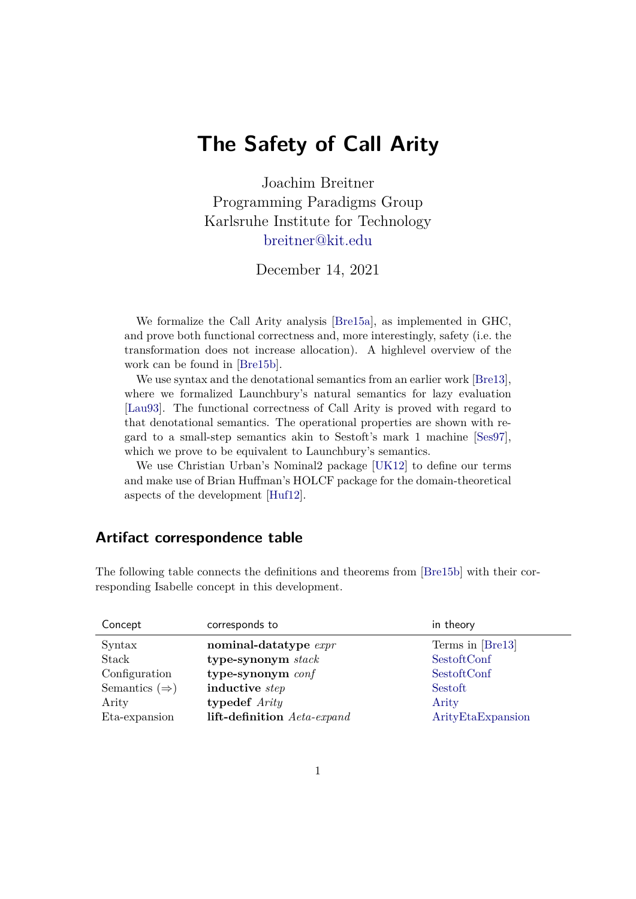# **The Safety of Call Arity**

Joachim Breitner Programming Paradigms Group Karlsruhe Institute for Technology <breitner@kit.edu>

December 14, 2021

We formalize the Call Arity analysis [\[Bre15a\]](#page-1-0), as implemented in GHC, and prove both functional correctness and, more interestingly, safety (i.e. the transformation does not increase allocation). A highlevel overview of the work can be found in [\[Bre15b\]](#page-2-0).

We use syntax and the denotational semantics from an earlier work [\[Bre13\]](#page-1-1), where we formalized Launchbury's natural semantics for lazy evaluation [\[Lau93\]](#page-2-1). The functional correctness of Call Arity is proved with regard to that denotational semantics. The operational properties are shown with regard to a small-step semantics akin to Sestoft's mark 1 machine [\[Ses97\]](#page-2-2), which we prove to be equivalent to Launchbury's semantics.

We use Christian Urban's Nominal2 package [\[UK12\]](#page-2-3) to define our terms and make use of Brian Huffman's HOLCF package for the domain-theoretical aspects of the development [\[Huf12\]](#page-2-4).

## **Artifact correspondence table**

The following table connects the definitions and theorems from [\[Bre15b\]](#page-2-0) with their corresponding Isabelle concept in this development.

| Concept                   | corresponds to              | in theory         |
|---------------------------|-----------------------------|-------------------|
| Syntax                    | nominal-datatype expr       | Terms in [Bre13]  |
| Stack                     | type-synonym stack          | SestoftConf       |
| Configuration             | type-synonym conf           | SestoftConf       |
| Semantics $(\Rightarrow)$ | inductive step              | Sestoft           |
| Arity                     | typedef Arity               | Arity             |
| Eta-expansion             | lift-definition Aeta-expand | ArityEtaExpansion |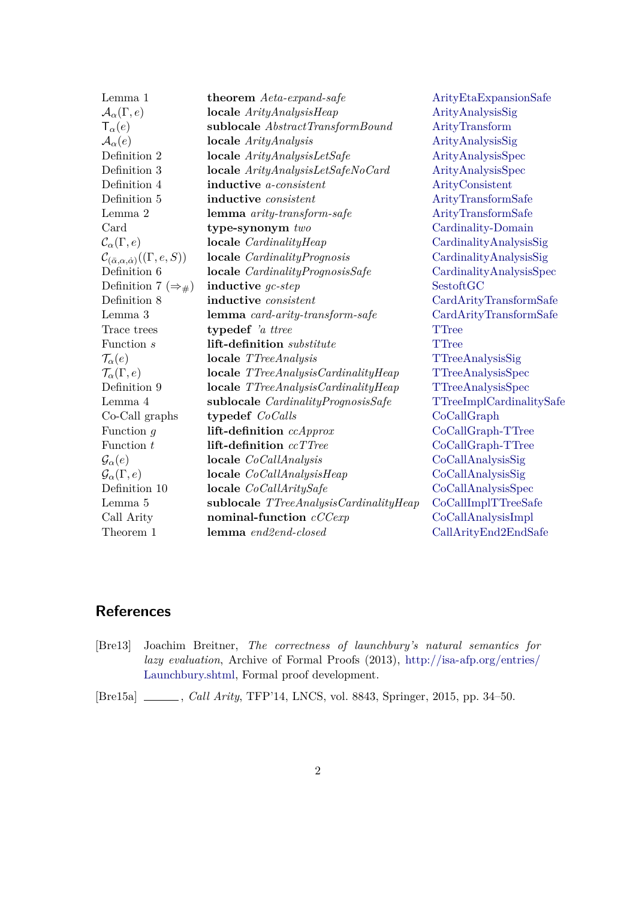| Lemma 1                                                          | <b>theorem</b> Aeta-expand-safe           | ArityEtaExpansionSafe    |
|------------------------------------------------------------------|-------------------------------------------|--------------------------|
| $\mathcal{A}_\alpha(\Gamma,e)$                                   | $locale$ ArityAnalysisHeap                | ArityAnalysisSig         |
| $\mathsf{T}_{\alpha}(e)$                                         | sublocale AbstractTransformBound          | ArityTransform           |
| $\mathcal{A}_{\alpha}(e)$                                        | $locale$ <i>Arity Analysis</i>            | ArityAnalysisSig         |
| Definition 2                                                     | $locale$ ArityAnalysisLetSafe             | ArityAnalysisSpec        |
| Definition 3                                                     | $locale$ ArityAnalysisLetSafeNoCard       | ArityAnalysisSpec        |
| Definition 4                                                     | inductive <i>a-consistent</i>             | ArityConsistent          |
| Definition 5                                                     | inductive <i>consistent</i>               | ArityTransformSafe       |
| Lemma 2                                                          | lemma arity-transform-safe                | ArityTransformSafe       |
| Card                                                             | type-synonym two                          | Cardinality-Domain       |
| $\mathcal{C}_{\alpha}(\Gamma,e)$                                 | locale <i>CardinalityHeap</i>             | CardinalityAnalysisSig   |
| $\mathcal{C}_{(\bar{\alpha},\alpha,\dot{\alpha})}((\Gamma,e,S))$ | locale CardinalityPrognosis               | CardinalityAnalysisSig   |
| Definition 6                                                     | locale CardinalityPrognosisSafe           | CardinalityAnalysisSpec  |
| Definition 7 ( $\Rightarrow$ #)                                  | inductive $qc\text{-}step$                | SestoftGC                |
| Definition 8                                                     | inductive consistent                      | CardArityTransformSafe   |
| Lemma 3                                                          | lemma card-arity-transform-safe           | CardArityTransformSafe   |
| Trace trees                                                      | typedef 'a ttree                          | <b>TTree</b>             |
| Function s                                                       | lift-definition substitute                | TTree                    |
| $\mathcal{T}_{\alpha}(e)$                                        | locale TTreeAnalysis                      | TTreeAnalysisSig         |
| $\mathcal{T}_{\alpha}(\Gamma,e)$                                 | locale TTreeAnalysisCardinalityHeap       | TTreeAnalysisSpec        |
| Definition 9                                                     | $locale$ TTreeAnalysisCardinalityHeap     | <b>TTreeAnalysisSpec</b> |
| Lemma 4                                                          | sublocale <i>CardinalityPrognosisSafe</i> | TTreeImplCardinalitySafe |
| Co-Call graphs                                                   | typedef CoCalls                           | CoCallGraph              |
| Function $q$                                                     | lift-definition ccApprox                  | CoCallGraph-TTree        |
| Function $t$                                                     | lift-definition ccTTree                   | CoCallGraph-TTree        |
| $\mathcal{G}_{\alpha}(e)$                                        | locale $CoCallAnalysis$                   | CoCallAnalysisSig        |
| $\mathcal{G}_{\alpha}(\Gamma,e)$                                 | $locale$ <i>CoCallAnalysisHeap</i>        | CoCallAnalysisSig        |
| Definition 10                                                    | locale CoCallAritySafe                    | CoCallAnalysisSpec       |
| Lemma 5                                                          | sublocale $TTreeAnalysisCardinalityHeap$  | CoCallImplTTreeSafe      |
| Call Arity                                                       | nominal-function cCCexp                   | CoCallAnalysisImpl       |
| Theorem 1                                                        | lemma end2end-closed                      | CallArityEnd2EndSafe     |

## **References**

<span id="page-1-1"></span>[Bre13] Joachim Breitner, *The correctness of launchbury's natural semantics for lazy evaluation*, Archive of Formal Proofs (2013), [http://isa-afp.org/entries/](http://isa-afp.org/entries/Launchbury.shtml) [Launchbury.shtml,](http://isa-afp.org/entries/Launchbury.shtml) Formal proof development.

<span id="page-1-0"></span>[Bre15a] , *Call Arity*, TFP'14, LNCS, vol. 8843, Springer, 2015, pp. 34–50.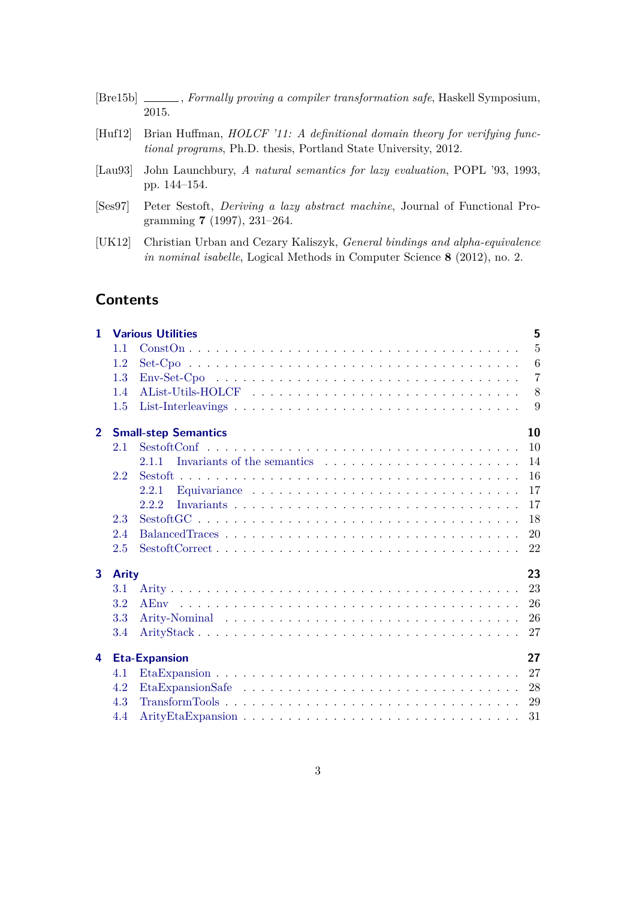<span id="page-2-4"></span><span id="page-2-0"></span>

|                    | [Bre15b] ______, Formally proving a compiler transformation safe, Haskell Symposium,                                                                         |
|--------------------|--------------------------------------------------------------------------------------------------------------------------------------------------------------|
|                    | 2015.                                                                                                                                                        |
| H <sub>u</sub> f12 | Brian Huffman, <i>HOLCF</i> '11: A definitional domain theory for verifying func-<br><i>tional programs</i> , Ph.D. thesis, Portland State University, 2012. |
|                    | [Lau93] John Launchbury, A natural semantics for lazy evaluation, POPL '93, 1993,                                                                            |

- <span id="page-2-2"></span><span id="page-2-1"></span>pp. 144–154. [Ses97] Peter Sestoft, *Deriving a lazy abstract machine*, Journal of Functional Pro-
- <span id="page-2-3"></span>gramming **7** (1997), 231–264. [UK12] Christian Urban and Cezary Kaliszyk, *General bindings and alpha-equivalence*
- *in nominal isabelle*, Logical Methods in Computer Science **8** (2012), no. 2.

## **Contents**

| $\mathbf{1}$   |              | <b>Various Utilities</b>                                                                                          | 5              |
|----------------|--------------|-------------------------------------------------------------------------------------------------------------------|----------------|
|                | 1.1          |                                                                                                                   | $\overline{5}$ |
|                | 1.2          |                                                                                                                   | 6              |
|                | 1.3          |                                                                                                                   | $\overline{7}$ |
|                | 1.4          |                                                                                                                   | 8              |
|                | 1.5          |                                                                                                                   | 9              |
| 2 <sup>1</sup> |              | <b>Small-step Semantics</b>                                                                                       | 10             |
|                | 2.1          |                                                                                                                   | 10             |
|                |              | 2.11                                                                                                              | 14             |
|                | 2.2          |                                                                                                                   | 16             |
|                |              | 2.2.1                                                                                                             | 17             |
|                |              | 2.2.2                                                                                                             | 17             |
|                | 2.3          |                                                                                                                   | 18             |
|                | 2.4          |                                                                                                                   | 20             |
|                | 2.5          |                                                                                                                   | 22             |
| 3              | <b>Arity</b> |                                                                                                                   | 23             |
|                | 3.1          |                                                                                                                   | 23             |
|                | 3.2          |                                                                                                                   | 26             |
|                | 3.3          |                                                                                                                   | 26             |
|                | 3.4          |                                                                                                                   | 27             |
| 4              |              | <b>Eta-Expansion</b>                                                                                              | 27             |
|                | 4.1          |                                                                                                                   | 27             |
|                | 4.2          |                                                                                                                   | 28             |
|                | 4.3          | $\text{TransformTools} \dots \dots \dots \dots \dots \dots \dots \dots \dots \dots \dots \dots \dots \dots \dots$ | 29             |
|                | 4.4          |                                                                                                                   | 31             |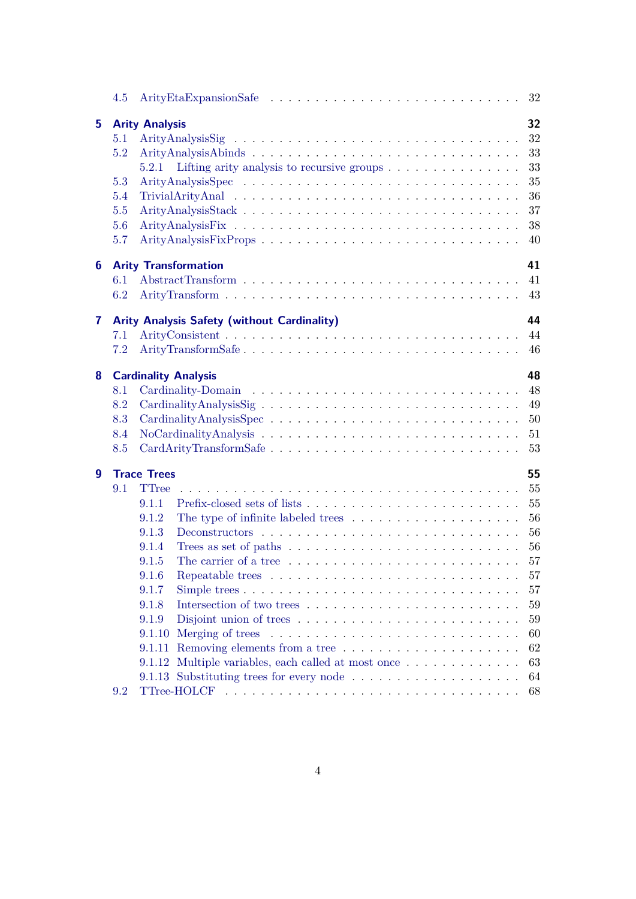|    | 4.5 | 32                                                                                                        |
|----|-----|-----------------------------------------------------------------------------------------------------------|
| 5. |     | 32<br><b>Arity Analysis</b>                                                                               |
|    | 5.1 | 32                                                                                                        |
|    | 5.2 | 33                                                                                                        |
|    |     | Lifting arity analysis to recursive groups $\dots \dots \dots \dots \dots$<br>33<br>5.2.1                 |
|    | 5.3 | 35                                                                                                        |
|    | 5.4 | 36                                                                                                        |
|    | 5.5 | 37                                                                                                        |
|    | 5.6 | 38                                                                                                        |
|    | 5.7 | 40                                                                                                        |
| 6  |     | 41<br><b>Arity Transformation</b>                                                                         |
|    | 6.1 | 41                                                                                                        |
|    | 6.2 | 43                                                                                                        |
| 7  |     | 44<br><b>Arity Analysis Safety (without Cardinality)</b>                                                  |
|    | 7.1 | 44                                                                                                        |
|    | 7.2 | ArityTransformSafe<br>46                                                                                  |
| 8  |     | 48<br><b>Cardinality Analysis</b>                                                                         |
|    | 8.1 | 48                                                                                                        |
|    | 8.2 | 49                                                                                                        |
|    | 8.3 | 50                                                                                                        |
|    | 8.4 | 51                                                                                                        |
|    | 8.5 | 53<br>CardArityTransformSafe                                                                              |
| 9  |     | 55<br><b>Trace Trees</b>                                                                                  |
|    | 9.1 | <b>TTree</b><br>55                                                                                        |
|    |     | 55<br>9.1.1                                                                                               |
|    |     | 56<br>The type of infinite labeled trees $\dots \dots \dots \dots \dots \dots \dots$<br>9.1.2             |
|    |     | 56<br>9.1.3                                                                                               |
|    |     | 56<br>9.1.4<br>Trees as set of paths $\dots \dots \dots \dots \dots \dots \dots \dots \dots \dots$        |
|    |     | The carrier of a tree $\dots \dots \dots \dots \dots \dots \dots \dots \dots \dots$<br>57<br>9.1.5        |
|    |     | 9.1.6<br>57                                                                                               |
|    |     | 9.1.7<br>57                                                                                               |
|    |     | 9.1.8<br>59                                                                                               |
|    |     | 59<br>9.1.9                                                                                               |
|    |     | Merging of trees<br>60<br>9.1.10                                                                          |
|    |     | 62                                                                                                        |
|    |     | 63                                                                                                        |
|    |     | 64                                                                                                        |
|    | 9.2 | 68                                                                                                        |
|    |     | 9.1.11<br>9.1.12 Multiple variables, each called at most once<br>9.1.13 Substituting trees for every node |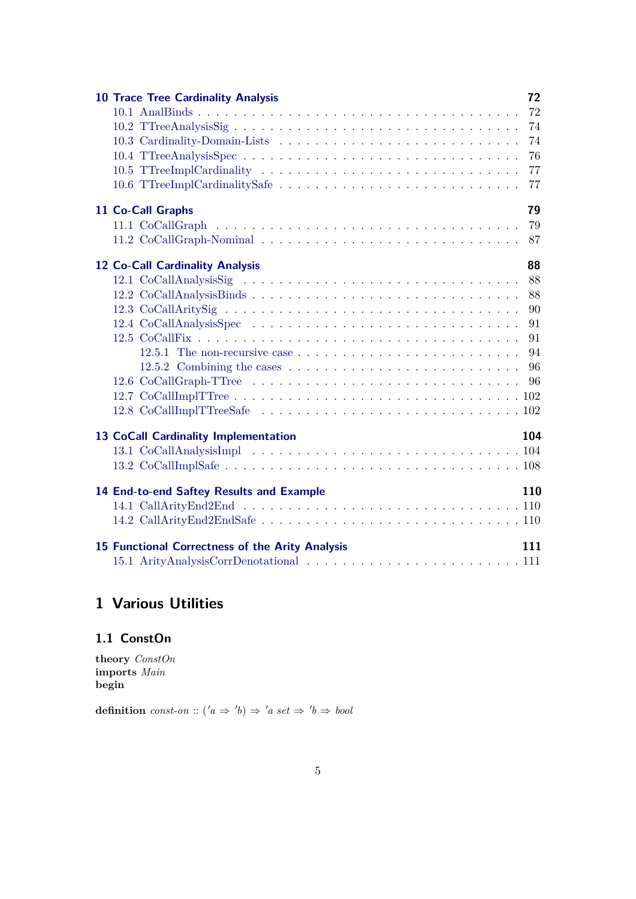| <b>10 Trace Tree Cardinality Analysis</b>                                                                                                                                                                                     | 72  |
|-------------------------------------------------------------------------------------------------------------------------------------------------------------------------------------------------------------------------------|-----|
|                                                                                                                                                                                                                               | 72  |
|                                                                                                                                                                                                                               | 74  |
|                                                                                                                                                                                                                               | 74  |
|                                                                                                                                                                                                                               | 76  |
|                                                                                                                                                                                                                               | 77  |
|                                                                                                                                                                                                                               | 77  |
| 11 Co-Call Graphs                                                                                                                                                                                                             | 79  |
|                                                                                                                                                                                                                               | 79  |
|                                                                                                                                                                                                                               | 87  |
| 12 Co-Call Cardinality Analysis                                                                                                                                                                                               | 88  |
|                                                                                                                                                                                                                               | 88  |
|                                                                                                                                                                                                                               | 88  |
|                                                                                                                                                                                                                               | 90  |
| 12.4 CoCallAnalysisSpectrance in the contract of the contract of the contract of the contract of the contract of the contract of the contract of the contract of the contract of the contract of the contract of the contract | 91  |
|                                                                                                                                                                                                                               | 91  |
|                                                                                                                                                                                                                               | 94  |
| 12.5.2 Combining the cases $\ldots \ldots \ldots \ldots \ldots \ldots \ldots \ldots \ldots$                                                                                                                                   | 96  |
| 12.6 CoCallGraph-TTree                                                                                                                                                                                                        | 96  |
|                                                                                                                                                                                                                               |     |
|                                                                                                                                                                                                                               |     |
| <b>13 CoCall Cardinality Implementation</b>                                                                                                                                                                                   | 104 |
|                                                                                                                                                                                                                               |     |
|                                                                                                                                                                                                                               |     |
| 14 End-to-end Saftey Results and Example                                                                                                                                                                                      | 110 |
|                                                                                                                                                                                                                               |     |
|                                                                                                                                                                                                                               |     |
| <b>15 Functional Correctness of the Arity Analysis</b>                                                                                                                                                                        | 111 |
|                                                                                                                                                                                                                               |     |

# <span id="page-4-0"></span>**1 Various Utilities**

## <span id="page-4-1"></span>**1.1 ConstOn**

**theory** *ConstOn* **imports** *Main* **begin**

**definition** *const-on* ::  $(a \Rightarrow 'b) \Rightarrow 'a \text{ set } \Rightarrow 'b \Rightarrow \text{bool}$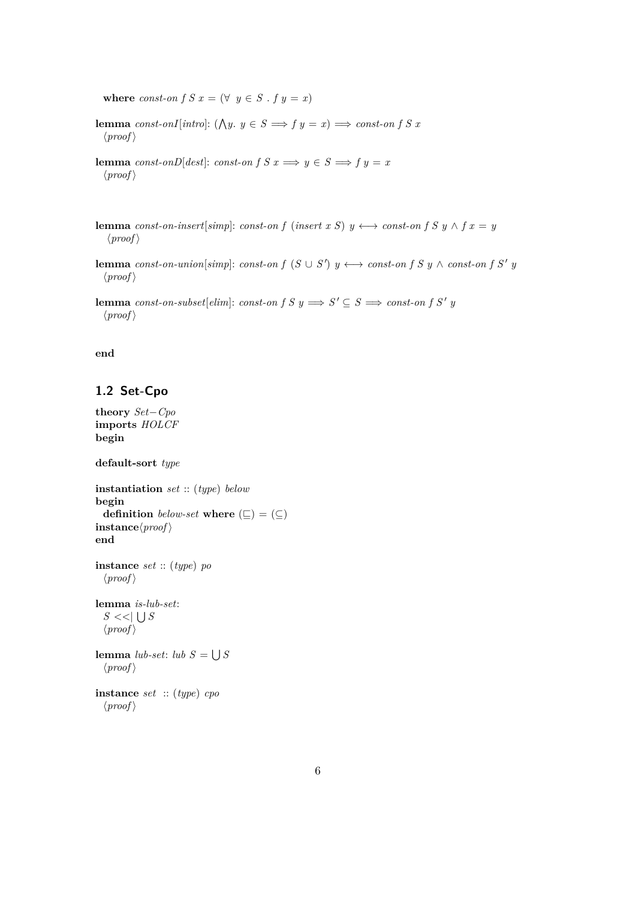**where** *const-on f S*  $x = (\forall y \in S \cdot f \cdot y = x)$ 

**lemma** *const-onI*[*intro*]: ( $\bigwedge y$ .  $y \in S \implies f y = x$ )  $\implies$  *const-on f S x*  $\langle proof \rangle$ 

**lemma** *const-onD*[*dest*]: *const-on f S x*  $\implies$  *y*  $\in$  *S*  $\implies$  *f y = x*  $\langle proof \rangle$ 

**lemma** *const-on-insert*[*simp*]: *const-on f* (*insert x S*)  $y \leftrightarrow$  *const-on f S*  $y \wedge f x = y$  $\langle proof \rangle$ 

**lemma**  $const\text{-}on\text{-}union[simp]: const\text{-}on f(S \cup S') y \longleftrightarrow const\text{-}on f S y \land const\text{-}on f S' y$  $\langle proof \rangle$ 

**lemma**  $\text{const-on-subset}[\text{elim}]: \text{const-on } f S y \Longrightarrow S' \subseteq S \Longrightarrow \text{const-on } f S' y$  $\langle proof \rangle$ 

#### **end**

## <span id="page-5-0"></span>**1.2 Set-Cpo**

```
theory Set−Cpo
imports HOLCF
begin
```
**default-sort** *type*

```
instantiation set :: (type) below
begin
  definition below-set where (\subseteq) = (\subseteq)\mathbf{instance}\langle \mathit{proof} \rangleend
instance set :: (type) po
  \langle proof \ranglelemma is-lub-set:
   S \ll |\bigcup S\langle proof \ranglelemma lub-set: lub S = \bigcup S\langle proof \rangleinstance set :: (type) cpo
  \langle proof \rangle
```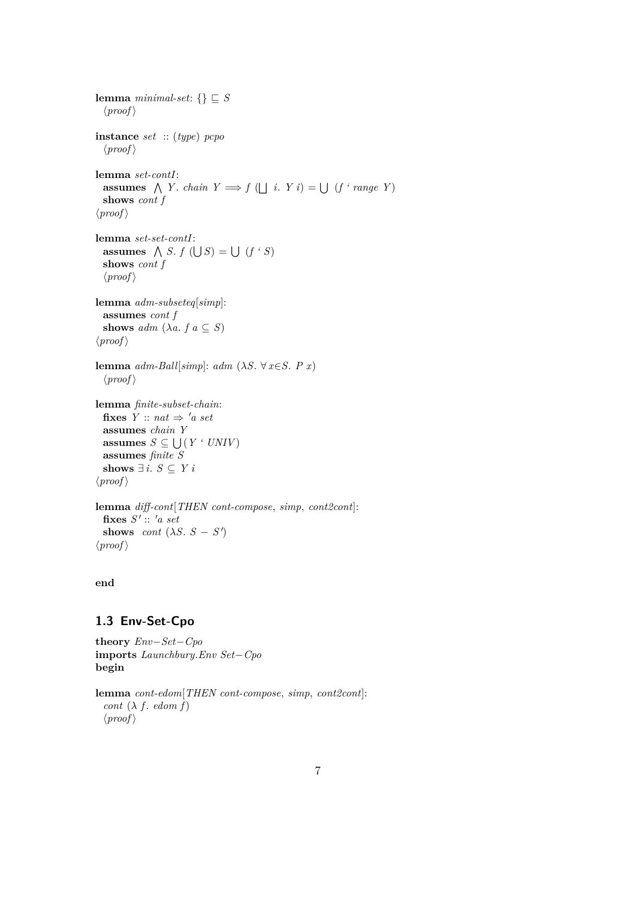**lemma** *minimal-set*:  $\{\}\subseteq S$  $\langle proof \rangle$ **instance** *set* :: (*type*) *pcpo*  $\langle proof \rangle$ **lemma** *set-contI*: **assumes**  $\bigwedge Y$ . *chain*  $Y \implies f(\bigsqcup i$ .  $Y i) = \bigcup (f' \text{ range } Y)$ **shows** *cont f*  $\langle proof \rangle$ **lemma** *set-set-contI*: **assumes**  $\bigwedge S$ .  $f(\bigcup S) = \bigcup (f \cdot S)$ **shows** *cont f*  $\langle proof \rangle$ **lemma** *adm-subseteq*[*simp*]: **assumes** *cont f* **shows**  $adm$   $(\lambda a. f a \subseteq S)$  $\langle proof \rangle$ **lemma**  $adm$ -Ball[ $simp$ ]:  $adm$  ( $\lambda S$ .  $\forall x \in S$ . *P x*)  $\langle proof \rangle$ **lemma** *finite-subset-chain*: **fixes**  $Y :: nat \Rightarrow 'a set$ **assumes** *chain Y* **assumes**  $S \subseteq \bigcup (Y \cdot \textit{UNIV})$ **assumes** *finite S* **shows**  $∃ i. S ⊆ Y i$  $\langle proof \rangle$ **lemma** *diff-cont*[*THEN cont-compose*, *simp*, *cont2cont*]:  $fixes S':: 'a set$ **shows** *cont*  $(\lambda S. S - S')$ 

#### **end**

 $\langle proof \rangle$ 

#### <span id="page-6-0"></span>**1.3 Env-Set-Cpo**

**theory** *Env*−*Set*−*Cpo* **imports** *Launchbury*.*Env Set*−*Cpo* **begin**

**lemma** *cont-edom*[*THEN cont-compose*, *simp*, *cont2cont*]: *cont*  $(\lambda f. \text{edom } f)$  $\langle proof \rangle$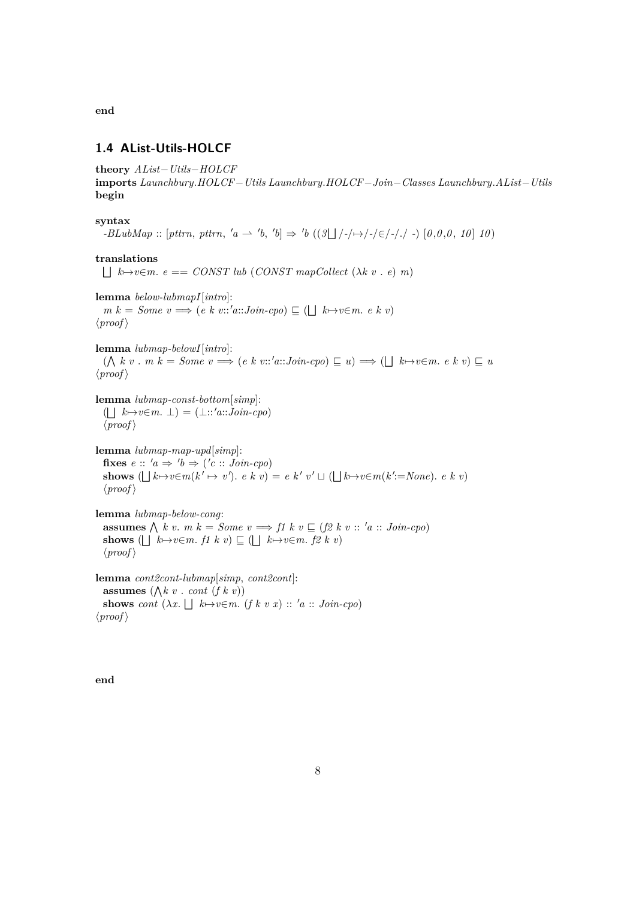**end**

## <span id="page-7-0"></span>**1.4 AList-Utils-HOLCF**

**theory** *AList*−*Utils*−*HOLCF* **imports** *Launchbury*.*HOLCF*−*Utils Launchbury*.*HOLCF*−*Join*−*Classes Launchbury*.*AList*−*Utils* **begin**

#### **syntax**

 $-BLubMap :: [pttrn, pttrn, 'a \rightarrow 'b, 'b] \Rightarrow 'b ((3 \Box / - \rightarrow / - \in / - \rightarrow / -) [0, 0, 0, 10] 10)$ 

#### **translations**

 $\Box$   $k \mapsto v \in m$ .  $e == \text{CONST}$  lub (*CONST* mapCollect ( $\lambda k$  v .  $e$ ) m)

**lemma** *below-lubmapI*[*intro*]:  $m k = Some \ v \Longrightarrow (e k \ v::'a::Join\ cpo) \sqsubseteq (\bigsqcup k \rightarrow v \in m \ v k \ v)$  $\langle proof \rangle$ 

**lemma** *lubmap-belowI*[*intro*]:

 $(\bigwedge k v \cdot m k = Some \ v \Longrightarrow (e k v::'a::Join-cpo) \sqsubseteq u) \Longrightarrow (\bigsqcup k \mapsto v \in m \cdot e k \ v) \sqsubseteq u$  $\langle proof \rangle$ 

**lemma** *lubmap-const-bottom*[*simp*]:  $(\bigsqcup k \mapsto v \in m. \perp) = (\perp :: 'a::Join-cpo)$  $\langle proof \rangle$ 

**lemma** *lubmap-map-upd*[*simp*]: fixes  $e :: 'a \Rightarrow 'b \Rightarrow ('c :: Join-cpo)$ **shows**  $( \bigsqcup k \rightarrow v \in m(k' \mapsto v') \cdot e \cdot k \cdot v) = e \cdot k' \cdot v' \sqcup (\bigsqcup k \rightarrow v \in m(k' := None) \cdot e \cdot k \cdot v)$  $\langle proof \rangle$ 

**lemma** *lubmap-below-cong*: **assumes**  $\bigwedge k v$ . *m*  $k = Some$   $v \Longrightarrow f1 k v \sqsubseteq (f2 k v :: 'a :: Join-cpo)$ **shows** ( $\bigsqcup k \mapsto v \in m$ . *f1*  $k v$ )  $\subseteq$  ( $\bigsqcup k \mapsto v \in m$ . *f2*  $k v$ )  $\langle proof \rangle$ 

**lemma** *cont2cont-lubmap*[*simp*, *cont2cont*]: **assumes**  $(\bigwedge k v \cdot cont (f k v))$ **shows** *cont*  $(\lambda x. \Box k \rightarrow v \in m.$   $(f k v x) :: 'a :: Join-cpo)$  $\langle proof \rangle$ 

**end**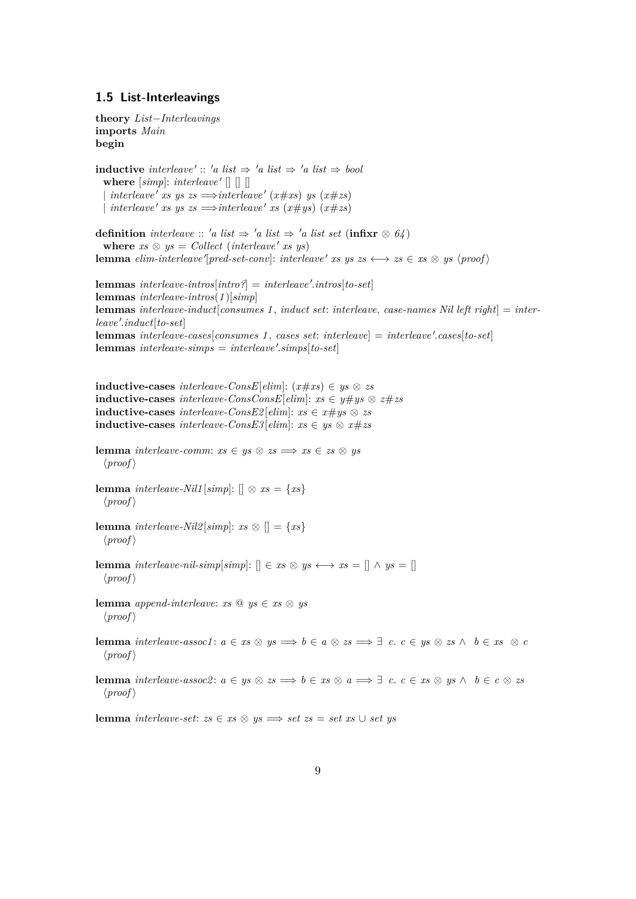#### <span id="page-8-0"></span>**1.5 List-Interleavings**

**theory** *List*−*Interleavings* **imports** *Main* **begin inductive** *interleave'* :: 'a list  $\Rightarrow$  'a list  $\Rightarrow$  'a list  $\Rightarrow$  bool where  $[simp]$ : *interleave'*  $[]$   $[]$  $|$  *interleave' xs* ys zs  $\implies$ *interleave'* (*x*#*xs*) ys (*x*#*zs*)  $|$  *interleave' xs* ys zs  $\implies$ *interleave' xs* (*x*#*ys*) (*x*#*zs*) **definition** *interleave* :: '*a list*  $\Rightarrow$  '*a list*  $\Rightarrow$  '*a list set* (**infixr**  $\otimes$  *64*) where  $xs \otimes ys = Collect (interleave' xs ys)$ **lemma** *elim-interleave* '[*pred-set-conv*]: *interleave* ' *xs* ys  $zs \leftrightarrow zs \in xs \otimes ys$  \proof \end{brac{y}}  ${\bf lemma}$   $interleave-intros[intro?] = interleave'.intros[to-set]$ **lemmas** *interleave-intros*(*1* )[*simp*] **lemmas** *interleave-induct*[*consumes 1* , *induct set*: *interleave*, *case-names Nil left right*] = *interleave* <sup>0</sup> .*induct*[*to-set*]  ${\bf lemma}$   $interleave-case$   $[consumes 1, cases set: interleave] = interleave'.cases$   $[to-set]$  ${\bf lemmas}$   $interleave-simps = interleave'.simp<sub>[to-set]</sub>$ **inductive-cases** *interleave-ConsE*[*elim*]: (*x*#*xs*) ∈ *ys* ⊗ *zs* **inductive-cases** *interleave-ConsConsE*[*elim*]: *xs* ∈ *y*#*ys* ⊗ *z*#*zs* **inductive-cases** *interleave-ConsE2* [*elim*]:  $xs \in x \neq ys \otimes zs$ **inductive-cases** *interleave-ConsE3* [*elim*]:  $xs \in ys \otimes x \neq zs$ **lemma** *interleave-comm*:  $xs \in ys \otimes zs \implies xs \in zs \otimes ys$  $\langle proof \rangle$ **lemma** *interleave-Nil1* [ $simp$ ]: []  $\otimes$   $xs = \{xs\}$  $\langle proof \rangle$ **lemma** *interleave-Nil2* [*simp*]:  $xs \otimes$  [] = {*xs*}  $\langle proof \rangle$ **lemma** *interleave-nil-simp*[*simp*]:  $[ \cdot \in xs \otimes ys \leftrightarrow xs = [ \cdot \wedge ys = [ \cdot \cdot \wedge y = x \cdot$  $\langle proof \rangle$ **lemma** *append-interleave:*  $xs \& ys \in xs \& ys$  $\langle proof \rangle$ **lemma** *interleave-assoc1*:  $a \in xs \otimes ys \implies b \in a \otimes zs \implies \exists c. \ c \in ys \otimes zs \wedge b \in xs \otimes c$  $\langle proof \rangle$ **lemma** *interleave-assoc2*:  $a \in y$ s ⊗  $zs \implies b \in xs \otimes a \implies \exists c. \ c \in xs \otimes ys \wedge b \in c \otimes zs$  $\langle proof \rangle$ **lemma** *interleave-set*:  $zs \in xs \otimes ys \implies set zs = set xs ∪ set ys$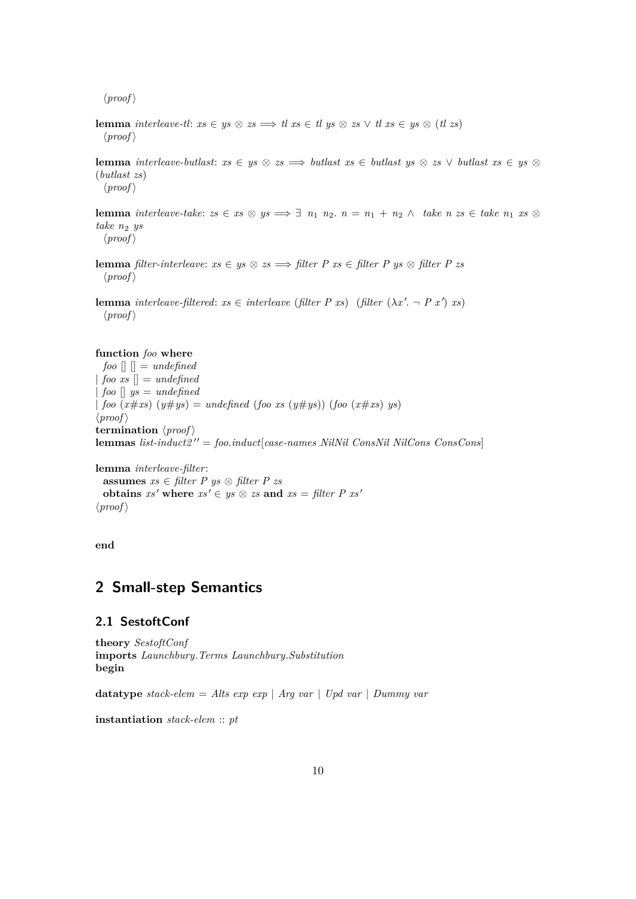$\langle proof \rangle$ 

**lemma** *interleave-tl*:  $xs \in ys \otimes zs \implies tl \, xs \in tl \, ys \otimes zs \vee tl \, xs \in ys \otimes (tl \, zs)$  $\langle proof \rangle$ 

**lemma** *interleave-butlast:*  $xs \in ys \otimes zs \implies \text{butlast } xs \in \text{butlast } ys \otimes zs \vee \text{butlast } xs \in ys \otimes \text{ but last } xs \in \text{but last } x \in \text{but last } x \in \text{but last } x \in \text{but last } x \in \text{but just a } x \in \text{but just a } x \in \text{but just a } x \in \text{but just a } x \in \text{but just a } x \in \text{but just a } x \in \text{but just a } x \in \text{but just a } x \in \text{but just a } x \in \text{but just a }$ (*butlast zs*)  $\langle proof \rangle$ 

**lemma** *interleave-take: zs \in xs \otimes ys \implies \exists n\_1 \ n\_2 \ldots n\_n = n\_1 + n\_2 \wedge \text{ take } n \text{ } zs \in \text{ take } n\_1 \text{ } xs \otimes \text{ and } n\_2 \text{ is } n\_1 \text{ } sys \implies \exists n\_1 \ n\_2 \ldots n\_n = n\_1 + n\_2 \wedge \text{ take } n \text{ } xs \in \text{ take } n\_1 \text{ } xs \otimes \text{ and } n\_2 \text{ is } n\_2 \text{ } sys \implies \exists n\_1 \ n\_2 \ldots n\_n = n\_1 + n\_2 \wedge \text take n*<sup>2</sup> *ys*  $\langle proof \rangle$ 

**lemma** *filter-interleave:*  $xs \in ys \otimes zs \implies filter P xs \in filter P ys \otimes filter P zs$  $\langle proof \rangle$ 

**lemma** *interleave-filtered:*  $xs \in$  *interleave* (*filter*  $P xs$ ) (*filter*  $(\lambda x'. - P x') xs$ )  $\langle proof \rangle$ 

#### **function** *foo* **where**

 $foo$   $[]$   $] = undefined$  $|$  *foo xs*  $|$  = *undefined* | *foo* [] *ys* = *undefined* |  $\text{foo}(x \# xs)(y \# ys) = \text{undefined}(\text{foo} xs(y \# ys))(\text{foo}(x \# xs) ys)$  $\langle proof \rangle$ **termination**  $\langle proof \rangle$ **lemmas**  $list-induct2'' = foo. *induct*[case-names NilNil ConsNil NilCons ConsCons]$ 

**lemma** *interleave-filter*: **assumes** *xs* ∈ *filter P ys* ⊗ *filter P zs* **obtains**  $xs'$  where  $xs' \in ys \otimes zs$  and  $xs = filter P xs'$  $\langle proof \rangle$ 

**end**

## <span id="page-9-1"></span>**2 Small-step Semantics**

### <span id="page-9-0"></span>**2.1 SestoftConf**

**theory** *SestoftConf* **imports** *Launchbury*.*Terms Launchbury*.*Substitution* **begin**

**datatype** *stack-elem* = *Alts exp exp* | *Arg var* | *Upd var* | *Dummy var*

**instantiation** *stack-elem* :: *pt*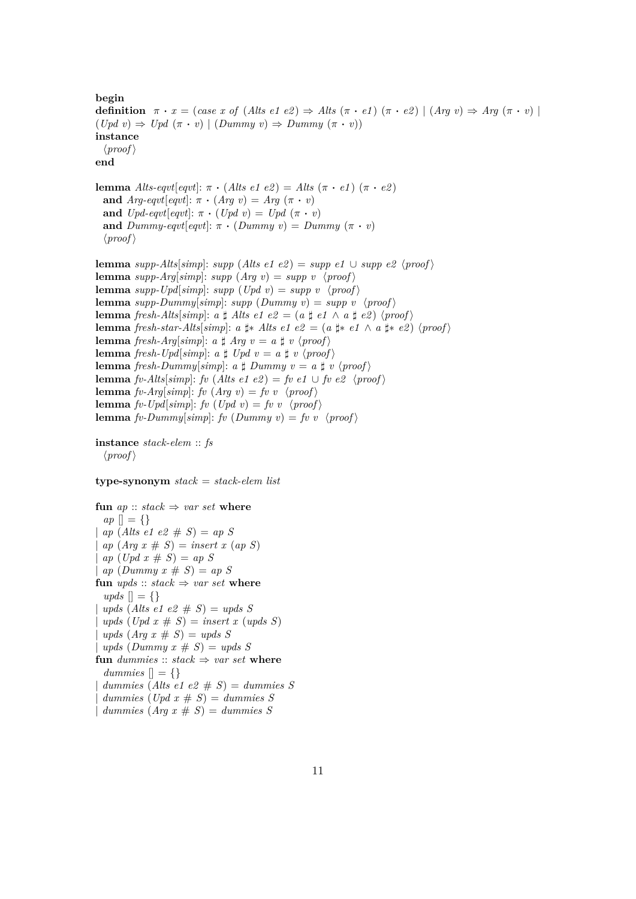**begin definition**  $\pi \cdot x = (case \; x \; of \; (Alts \; e1 \; e2) \Rightarrow Alts \; (\pi \cdot e1) \; (\pi \cdot e2) \; | \; (Arg \; v) \Rightarrow Arg \; (\pi \cdot v) \; |$  $(Upd \, v) \Rightarrow Upd \, (\pi \cdot v) \mid (Dummy \, v) \Rightarrow Dummy \, (\pi \cdot v)$ **instance**  $\langle proof \rangle$ **end lemma** *Alts-eqvt*[*eqvt*]:  $\pi \cdot (Alts \text{ } e1 \text{ } e2) = Alts (\pi \cdot e1) (\pi \cdot e2)$ **and**  $Arg\text{-}eqvt[eqvt]: \pi \cdot (Arg \ v) = Arg (\pi \cdot v)$ **and**  $Upd\text{-}eqvt[eqvt]: \pi \cdot (Upd\ v) = Upd\ (\pi \cdot v)$ and  $Dummy\text{-}eqvt[eqvt]: \pi \cdot (Dummy\ v) = Dummy\ (\pi \cdot v)$  $\langle proof \rangle$ **lemma** *supp-Alts*[*simp*]: *supp* (*Alts e1 e2*) = *supp e1* ∪ *supp e2*  $\langle proof \rangle$ **lemma** *supp-Arg*[*simp*]: *supp* (*Arg v*) = *supp v*  $\langle proof \rangle$ **lemma** *supp-Upd*[*simp*]: *supp* (*Upd v*) = *supp v* \/ $\langle proof \rangle$ **lemma** *supp-Dummy*[*simp*]: *supp* (*Dummy v*) = *supp* v \*proof* \ **lemma** *fresh-Alts*[*simp*]: *a*  $\sharp$  *Alts e1 e2* = (*a*  $\sharp$  *e1*  $\land$  *a*  $\sharp$  *e2*)  $\langle proof \rangle$ **lemma** *fresh-star-Alts*[*simp*]: *a*  $\sharp$ \* *Alts e1 e2* = (*a*  $\sharp$ \* *e1*  $\land$  *a*  $\sharp$ \* *e2*)  $\langle proof \rangle$ **lemma** *fresh-Arg*[*simp*]: *a*  $\sharp$  *Arg v* = *a*  $\sharp$  *v*  $\langle proof \rangle$ **lemma** *fresh-Upd*[*simp*]: *a*  $\sharp$  *Upd*  $v = a \sharp v \langle proof \rangle$ **lemma** *fresh-Dummy*[*simp*]: *a*  $\sharp$  *Dummy*  $v = a \sharp v \langle proof \rangle$ **lemma** *fv-Alts*[*simp*]: *fv* (*Alts e1 e2*) = *fv e1* ∪ *fv e2* \*proof* \ **lemma** *fv-Arg*[*simp*]: *fv* (*Arg v*) = *fv v* \*proof* \ **lemma** *fv-Upd*[*simp*]: *fv* (*Upd v*) = *fv v* \*proof* \ **lemma** *fv-Dummy*[ $simp$ ]: *fv* (*Dummy v*) = *fv* v \*proof* \ **instance** *stack-elem* :: *fs*

 $\langle proof \rangle$ 

#### **type-synonym** *stack* = *stack-elem list*

**fun**  $ap :: stack \Rightarrow var set$  **where** *ap*  $| \cdot | = \{ \}$ | *ap* (*Alts e1 e2* # *S*) = *ap S*  $ap (Arg x \# S) = insert x (ap S)$  $ap (Upd x \# S) = ap S$  $ap \ (Dummy \ x \# \ S) = ap \ S$ **fun**  $\textit{upds} :: \textit{stack} \Rightarrow \textit{var set}$  where  $u p ds \mid = \{\}$  $\text{u}$  *upds* (Alts e1 e2  $\# S$ ) = upds S  $\text{u}$ *pds* (*Upd*  $x \neq S$ ) = *insert*  $x \text{ (u}$ *pds*  $S$ )  $\textit{uples } (Arg\ x \# S) = \textit{uples } S$  $upds$  (*Dummy*  $x \# S$ ) =  $upds S$ **fun** dummies ::  $stack \Rightarrow var set$  where *dummies*  $\vert \vert = \{ \}$  $dummies$  (*Alts e1 e2*  $# S$ ) =  $dummies S$  $dummies (Upd \; x \# \; S) = dummies \; S$ 

 $\lvert$  *dummies*  $(Ara \ x \# S) = \text{d}^\{sum} s$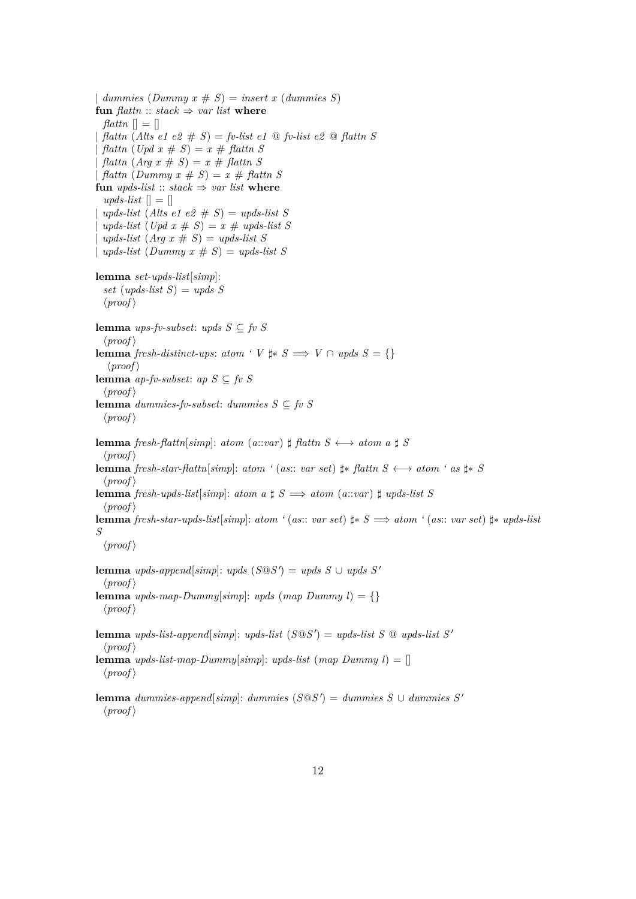| dummies  $(Dummy x \# S) = insert x (dummies S)$ **fun**  $\text{flatm}$  ::  $\text{stack} \Rightarrow \text{var} \text{list}$  **where** *flattn*  $\Box$  =  $\Box$ | *flattn* (*Alts e1 e2* # *S*) = *fv-list e1* @ *fv-list e2* @ *flattn S*  $fdattn$   $(Upd x \# S) = x \# flattn S$  $\int \mathcal{F} \left( \mathcal{F} \right) \left( \mathcal{F} \right) \left( \mathcal{F} \right) = \mathcal{F} \neq \int \mathcal{F} \left( \mathcal{F} \right) \mathcal{F} \left( \mathcal{F} \right) \left( \mathcal{F} \right) \left( \mathcal{F} \right)$ | *flattn* (*Dummy x* # *S*) = *x* # *flattn S* **fun** *upds-list* :: *stack*  $\Rightarrow$  *var list* **where**  $upds-list$   $\vert\vert = \vert\vert$  $\text{ }$  *upds-list* (Alts e1 e2  $\# S$ ) = upds-list S  $\text{u}$ *pds-list* (*Upd x* # *S*) = *x* #  $\text{u}$ *pds-list S*  $\text{u}pds\text{-}list \text{ (Arg } x \# S) = \text{u}pds\text{-}list S$  $\langle y \rangle = \langle y \rangle = \langle y \rangle = \langle y \rangle = \langle y \rangle = \langle y \rangle = \langle y \rangle$ **lemma** *set-upds-list*[*simp*]: *set* (*upds-list S*) = *upds S*  $\langle proof \rangle$ **lemma** *ups-fv-subset*: *upds*  $S \subseteq$  *fv*  $S$  $\langle proof \rangle$ **lemma** *fresh-distinct-ups*: *atom* ' *V*  $\sharp$ ∗ *S*  $\Longrightarrow$  *V* ∩ *upds S* = {}  $\langle proof \rangle$ **lemma** *ap-fv-subset*: *ap S* ⊆ *fv S*  $\langle proof \rangle$ **lemma** *dummies-fv-subset*: *dummies S* ⊆ *fv S*  $\langle proof \rangle$ **lemma** *fresh-flattn*[*simp*]: *atom* (*a*::*var*)  $\sharp$  *flattn*  $S \leftrightarrow$  *atom*  $a \sharp S$  $\langle proof \rangle$ **lemma** *fresh-star-flattn*[*simp*]: *atom* ' (*as*:: *var set*)  $\sharp$ \* *flattn S*  $\longleftrightarrow$  *atom* ' *as*  $\sharp$ \* *S*  $\langle proof \rangle$ **lemma** *fresh-upds-list*[*simp*]: *atom*  $a \sharp S \implies atom$  ( $a::var$ )  $\sharp$  *upds-list* S  $\langle proof \rangle$ **lemma** *fresh-star-upds-list*[*simp*]: *atom '* (*as*:: *var set*) ]∗ *S* =⇒ *atom '* (*as*:: *var set*) ]∗ *upds-list S*  $\langle proof \rangle$ **lemma** *upds-append*[ $simp$ ]: *upds*  $(S@S') = upds S \cup upds S'$  $\langle proof \rangle$ **lemma** *upds-map-Dummy*[ $simp$ ]: *upds* (*map Dummy l*) = {}  $\langle proof \rangle$ **lemma** *upds-list-append*[ $simp$ ]: *upds-list* ( $S@S'$ ) = *upds-list*  $S@$  *upds-list*  $S'$  $\langle proof \rangle$ **lemma** *upds-list-map-Dummy*[ $simp$ ]: *upds-list* (*map Dummy l*) = []  $\langle proof \rangle$ **lemma** *dummies-append*[*simp*]: *dummies* (*S®S*<sup> $′$ </sup>) = *dummies S* ∪ *dummies S*<sup> $′$ </sup>

 $\langle proof \rangle$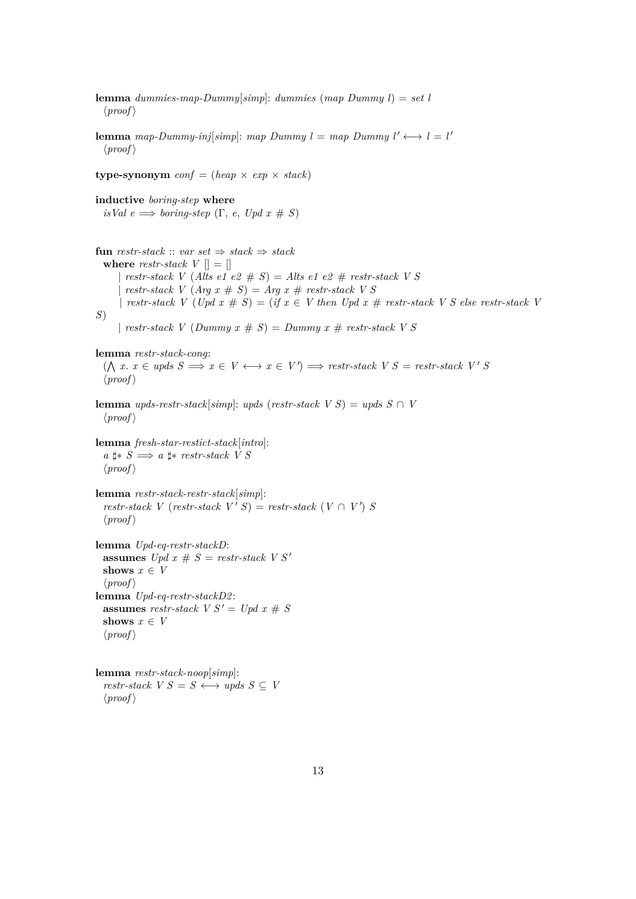**lemma** *dummies-map-Dummy*[*simp*]: *dummies* (*map Dummy l*) = *set l*  $\langle proof \rangle$ **lemma** *map-Dummy-inj*[ $simp$ ]: *map Dummy l* = *map Dummy l'*  $\longleftrightarrow$  *l* = *l'*  $\langle proof \rangle$ **type-synonym**  $conf = (heap \times exp \times stack)$ **inductive** *boring-step* **where**  $isVal e \Longrightarrow boring-step (\Gamma, e, Upd x \# S)$ **fun** *restr-stack* :: *var set*  $\Rightarrow$  *stack*  $\Rightarrow$  *stack* **where** *restr-stack*  $V \parallel = \parallel$ | *restr-stack V* (*Alts e1 e2* # *S*) = *Alts e1 e2* # *restr-stack V S* | *restr-stack*  $V$  (*Arg x*  $\# S$ ) = *Arg x*  $\#$  *restr-stack*  $V S$ |  $r \cdot \text{r}$  *restr-stack V* (*Upd x*  $\# S$ ) = (*if x*  $\in$  *V* then *Upd x*  $\#$  *restr-stack V S else restr-stack V S*) |  $restr\text{-}stack \, V \, (Dummy \, x \# S) = Dummy \, x \# \, restr\text{-}stack \, V \, S$ **lemma** *restr-stack-cong*:  $(\bigwedge x \cdot x \in \text{uples } S \implies x \in V \longleftrightarrow x \in V') \implies \text{restr-stack } V S = \text{restr-stack } V' S$  $\langle proof \rangle$ **lemma** *upds-restr-stack*[*simp*]: *upds* (*restr-stack*  $V S$ ) = *upds*  $S \cap V$  $\langle proof \rangle$ **lemma** *fresh-star-restict-stack*[*intro*]: *a*  $\sharp$  *∗ S*  $\Longrightarrow$  *a*  $\sharp$  *∗ restr-stack V S*  $\langle proof \rangle$ **lemma** *restr-stack-restr-stack*[*simp*]: *restr-stack*  $V$  (*restr-stack*  $V'$   $S$ ) = *restr-stack*  $(V \cap V')$   $S$  $\langle proof \rangle$ **lemma** *Upd-eq-restr-stackD*: **assumes** *Upd x* #  $S$  = *restr-stack V S'* shows  $x \in V$  $\langle proof \rangle$ **lemma** *Upd-eq-restr-stackD2* : **assumes** *restr-stack*  $V S' = Upd x \# S$ shows  $x \in V$  $\langle proof \rangle$ **lemma** *restr-stack-noop*[*simp*]: *restr-stack*  $V S = S \leftrightarrow \text{wpds } S \subseteq V$  $\langle proof \rangle$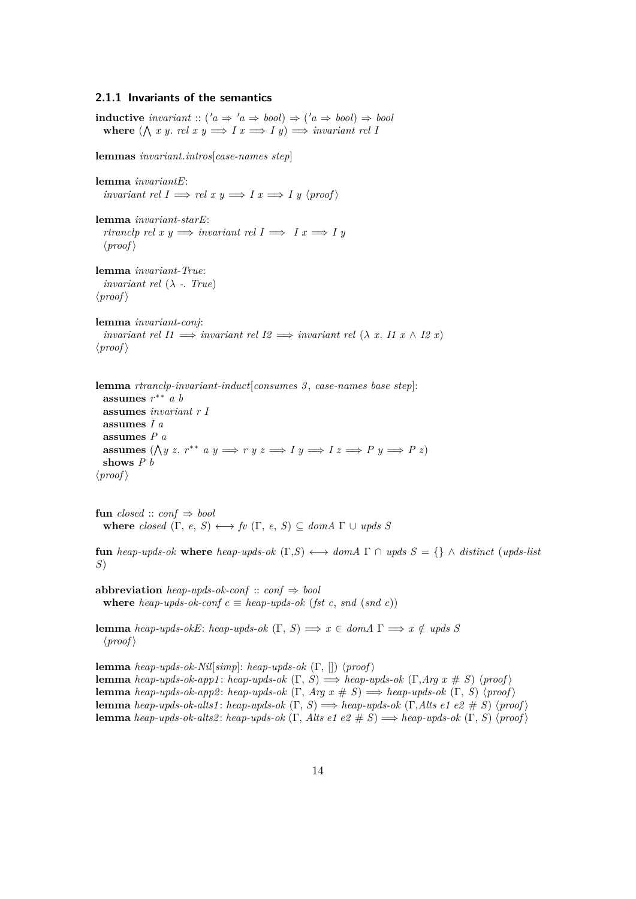#### <span id="page-13-0"></span>**2.1.1 Invariants of the semantics**

**inductive** *invariant* ::  $(a \Rightarrow 'a \Rightarrow bool) \Rightarrow ('a \Rightarrow bool) \Rightarrow bool$ where  $(\bigwedge x \ y. \ rel \ x \ y \Longrightarrow I \ x \Longrightarrow I \ y) \Longrightarrow invariant \ rel \ I$ 

**lemmas** *invariant*.*intros*[*case-names step*]

**lemma** *invariantE*: *invariant rel I*  $\implies$  *rel x*  $y \implies I \, x \implies I \, y \, \langle \text{proof} \rangle$ 

**lemma** *invariant-starE*: *rtranclp rel x y*  $\implies$  *invariant rel I*  $\implies$  *I x*  $\implies$  *I y*  $\langle proof \rangle$ 

**lemma** *invariant-True*: *invariant rel*  $(\lambda - True)$  $\langle proof \rangle$ 

**lemma** *invariant-conj*: *invariant rel I1*  $\implies$  *invariant rel I2*  $\implies$  *invariant rel*  $(\lambda x. I1 x \wedge I2 x)$  $\langle proof \rangle$ 

**lemma** *rtranclp-invariant-induct*[*consumes 3* , *case-names base step*]: **assumes** *r* ∗∗ *a b* **assumes** *invariant r I* **assumes** *I a* **assumes** *P a* **assumes**  $(\bigwedge y \ x \ r^{**} \ a \ y \Longrightarrow r \ y \ z \Longrightarrow I \ y \Longrightarrow I \ z \Longrightarrow P \ y \Longrightarrow P \ z)$ **shows** *P b*  $\langle proof \rangle$ 

**fun** *closed* :: *conf*  $\Rightarrow$  *bool* **where** *closed*  $(\Gamma, e, S) \longleftrightarrow f\upsilon$   $(\Gamma, e, S) \subseteq \text{dom}A \Gamma \cup \text{ups}B$ 

**fun** *heap-upds-ok* **where** *heap-upds-ok*  $(Γ, S)$  ←→ *domA* Γ ∩ *upds*  $S = \{\}\wedge distinct$  (*upds-list S*)

**abbreviation** *heap-upds-ok-conf* :: *conf*  $\Rightarrow$  *bool* **where** *heap-upds-ok-conf*  $c \equiv$  *heap-upds-ok* (*fst c, snd (snd c)*)

**lemma** *heap-upds-okE*: *heap-upds-ok*  $(\Gamma, S) \implies x \in dom A \Gamma \implies x \notin upds S$  $\langle proof \rangle$ 

**lemma** *heap-upds-ok-Nil*[ $simp$ ]: *heap-upds-ok* (Γ, [])  $\langle proof \rangle$ **lemma** *heap-upds-ok-app1*: *heap-upds-ok*  $(\Gamma, S) \implies$  *heap-upds-ok*  $(\Gamma, Arg \ x \# S)$   $\langle proof \rangle$ **lemma** *heap-upds-ok-app2*: *heap-upds-ok*  $(\Gamma, Arg \ x \# S) \implies$  *heap-upds-ok*  $(\Gamma, S) \ \langle proof \rangle$ **lemma** *heap-upds-ok-alts1*: *heap-upds-ok*  $(\Gamma, S) \implies$  *heap-upds-ok*  $(\Gamma, Alts \in \mathcal{E} \neq S)$  \proof \proof \p **lemma** *heap-upds-ok-alts2*: *heap-upds-ok*  $(\Gamma, A$ *lts e1 e2*  $\# S) \Longrightarrow$  *heap-upds-ok*  $(\Gamma, S)$   $\langle proof \rangle$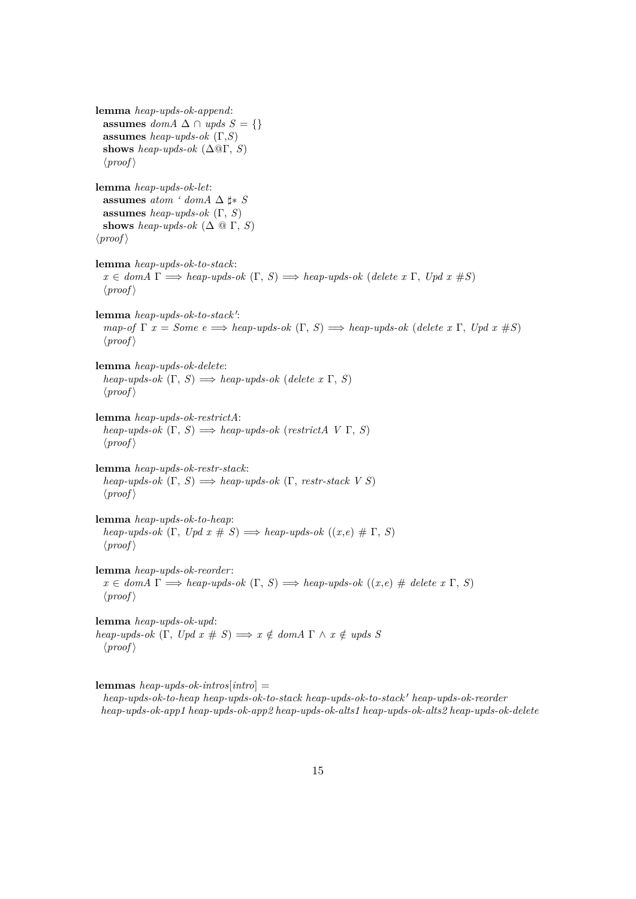**lemma** *heap-upds-ok-append*: **assumes** *domA* ∆ ∩ *upds*  $S = \{\}$ **assumes** *heap-upds-ok* (Γ,*S*) **shows** *heap-upds-ok* ( $\Delta$ @Γ, *S*)  $\langle proof \rangle$ **lemma** *heap-upds-ok-let*: **assumes** *atom*  $\lq$  *domA*  $\Delta$   $\sharp$  *∗ S* **assumes** *heap-upds-ok* (Γ, *S*) **shows** *heap-upds-ok*  $(\Delta \mathbb{Q} \Gamma, S)$  $\langle proof \rangle$ **lemma** *heap-upds-ok-to-stack*:  $x \in \text{dom}A \Gamma \Longrightarrow \text{heap-upds-ok } (\Gamma, S) \Longrightarrow \text{heap-upds-ok } (\text{delete } x \Gamma, \text{ Upd } x \# S)$  $\langle proof \rangle$ lemma *heap-upds-ok-to-stack'*:  $map-of \Gamma x = Some \epsilon \Longrightarrow heap\text{-}upds\text{-}ok \ (\Gamma, S) \Longrightarrow heap\text{-}upds\text{-}ok \ (delete \ x \ \Gamma, \ Upd \ x \ \#S)$  $\langle proof \rangle$ **lemma** *heap-upds-ok-delete*:  $heap\text{-}uples\text{-}ok (\Gamma, S) \Longrightarrow heap\text{-}uples\text{-}ok (delete x \Gamma, S)$  $\langle proof \rangle$ **lemma** *heap-upds-ok-restrictA*:  $heap-upds-ok$   $(\Gamma, S) \Longrightarrow heap-upds-ok$  ( $restrictA \ V \Gamma, S$ )  $\langle proof \rangle$ **lemma** *heap-upds-ok-restr-stack*:  $heap\text{-}upds\text{-}ok (\Gamma, S) \Longrightarrow heap\text{-}upds\text{-}ok (\Gamma, restr\text{-}stack V S)$  $\langle proof \rangle$ **lemma** *heap-upds-ok-to-heap*: *heap-upds-ok*  $(\Gamma, \text{Upd } x \# S) \Longrightarrow \text{heap-upds-ok } ((x, e) \# \Gamma, S)$  $\langle proof \rangle$ **lemma** *heap-upds-ok-reorder*:  $x \in \text{dom}A \Gamma \Longrightarrow \text{heap-upds-ok } (\Gamma, S) \Longrightarrow \text{heap-upds-ok } ((x, e) \# \text{ delete } x \Gamma, S)$  $\langle proof \rangle$ **lemma** *heap-upds-ok-upd*: *heap-upds-ok*  $(\Gamma, \text{ } \text{Upd } x \# S) \Longrightarrow x \notin \text{ domA } \Gamma \land x \notin \text{ } \text{upds } S$  $\langle proof \rangle$ 

**lemmas** *heap-upds-ok-intros*[*intro*] = *heap-upds-ok-to-heap heap-upds-ok-to-stack heap-upds-ok-to-stack' heap-upds-ok-reorder heap-upds-ok-app1 heap-upds-ok-app2 heap-upds-ok-alts1 heap-upds-ok-alts2 heap-upds-ok-delete*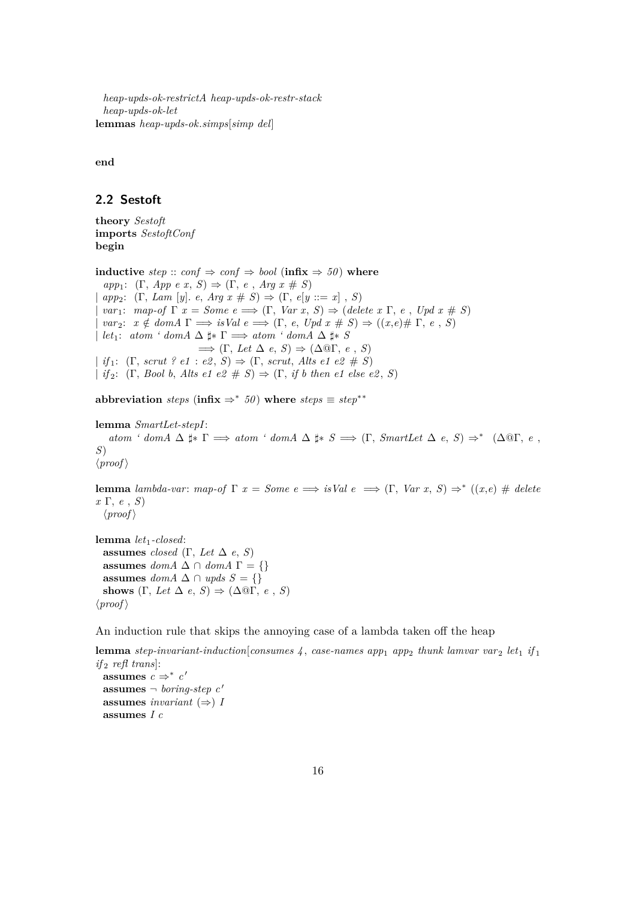*heap-upds-ok-restrictA heap-upds-ok-restr-stack heap-upds-ok-let* **lemmas** *heap-upds-ok*.*simps*[*simp del*]

**end**

#### <span id="page-15-0"></span>**2.2 Sestoft**

**theory** *Sestoft* **imports** *SestoftConf* **begin**

**inductive** *step* :: *conf* ⇒ *conf* ⇒ *bool* (**infix** ⇒ *50* ) **where**  $app_1$ :  $(\Gamma, App \ e \ x, S) \Rightarrow (\Gamma, e, Arg \ x \# \ S)$  $app_2$ :  $(\Gamma, Lam [y]. e, Arg x \# S) \Rightarrow (\Gamma, e[y ::= x], S)$  $var_1$ :  $map-of \Gamma x = Some \ e \Longrightarrow (\Gamma, Var x, S) \Longrightarrow (delete x \Gamma, e, Up dx \# S)$  $var_2$ :  $x \notin domA \Gamma \Longrightarrow isVal e \Longrightarrow (\Gamma, e, Upd \ x \# \ S) \Rightarrow ((x,e) \# \Gamma, e, S)$ | *let*<sub>1</sub>: *atom* ' *domA*  $\Delta$   $\sharp$  **\***  $\Gamma$   $\Longrightarrow$  *atom* ' *domA*  $\Delta$   $\sharp$  **\*** *S*  $\implies$  (Γ, *Let*  $\Delta e$ , *S*)  $\Rightarrow$  ( $\Delta$ <sup>( $\textcirc$ </sup>Γ, *e*, *S*)  $| if_1: (\Gamma, scrut ? e1 : e2, S) \Rightarrow (\Gamma, scrut, Alts e1 e2 # S)$ | *if*<sub>2</sub>:  $(\Gamma, \text{Bool } b, \text{ Alts } e1 \text{ } e2 \text{ } \# S) \Rightarrow (\Gamma, \text{ if } b \text{ then } e1 \text{ } else \text{ } e2, \text{ } S)$ 

**abbreviation** *steps* (**infix**  $\Rightarrow^*$  *50*) **where** *steps*  $\equiv$  *step*<sup>\*\*</sup>

```
lemma SmartLet-stepI:
     atom \text{'} domA \Delta \sharp * \Gamma \implies atom \text{'} domA \Delta \sharp * S \implies (\Gamma, SmartLet \Delta e, S) \Rightarrow^* (\Delta \mathbb{Q}\Gamma, e, S)S)
\langle proof \rangle
```
**lemma** *lambda-var*: *map-of*  $\Gamma$  *x* = *Some*  $e \implies i sVal e \implies (\Gamma, Var x, S) \Rightarrow^* ((x,e) \# delete$ *x* Γ, *e* , *S*)  $\langle proof \rangle$ 

**lemma** *let*1*-closed*: **assumes** *closed* (Γ, *Let*  $\Delta$  *e*, *S*) **assumes**  $domA \triangle \cap domA \Gamma = \{\}$ **assumes** *domA* ∆ ∩ *upds*  $S = \{\}$ **shows**  $(\Gamma, \text{Let } \Delta \text{ } e, \text{ } S) \Rightarrow (\Delta \text{ } \mathbb{Q}\Gamma, \text{ } e, \text{ } S)$  $\langle proof \rangle$ 

An induction rule that skips the annoying case of a lambda taken off the heap

```
lemma step-invariant-induction[consumes 4, case-names app<sub>1</sub> app<sub>2</sub> thunk lamvar var<sub>2</sub> let<sub>1</sub> if<sub>1</sub>
if<sub>2</sub> refl trans]:
  assumes c \Rightarrow^* c'assumes \neg boring-step c'
  assumes invariant (⇒) I
  assumes I c
```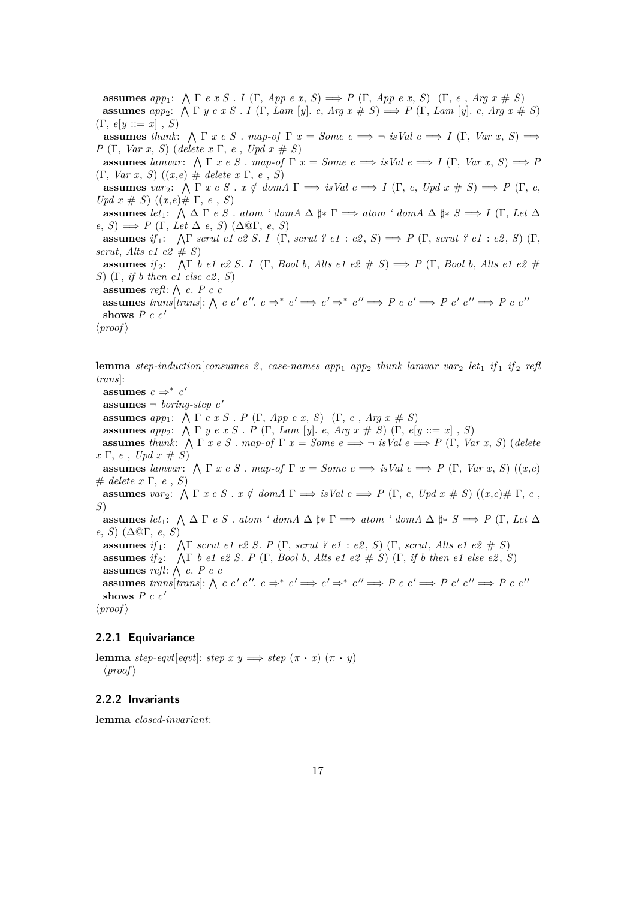**assumes**  $app_1$ :  $\bigwedge \Gamma$  *e x S* . *I* ( $\Gamma$ , *App e x*, *S*)  $\implies$  *P* ( $\Gamma$ , *App e x*, *S*) ( $\Gamma$ , *e*, *Arg x* # *S*) **assumes** *app*<sub>2</sub>:  $\bigwedge \Gamma$  *y e x S* . *I* ( $\Gamma$ , *Lam* [*y*]. *e*, *Arg x* # *S*)  $\implies$  *P* ( $\Gamma$ , *Lam* [*y*]. *e*, *Arg x* # *S*)  $(\Gamma, e[y ::= x], S)$ **assumes** *thunk*:  $\bigwedge \Gamma$  *x e S* . *map-of*  $\Gamma$  *x* = *Some*  $e \implies \neg$  *isVal*  $e \implies I(\Gamma, Var x, S) \implies$ *P* (Γ, *Var x*, *S*) (*delete x* Γ, *e* , *Upd x* # *S*) **assumes** lamvar:  $\bigwedge \Gamma$  *x* e *S* . *map-of*  $\Gamma$  *x* = *Some*  $e \implies i \text{S/}$  *e*  $\implies$  *I* ( $\Gamma$ , *Var x*, *S*)  $\implies$  *P* (Γ, *Var x*, *S*) ((*x*,*e*) # *delete x* Γ, *e* , *S*) **assumes**  $var_2$ :  $\bigwedge \Gamma$  *x e S* . *x*  $\notin domA$   $\Gamma \implies$  *isVal*  $e \implies I$  ( $\Gamma$ , *e*, *Upd x*  $\#$  *S*)  $\implies$  *P* ( $\Gamma$ , *e*, *Upd x*  $# S$ ) ((*x*,*e*) $# Γ, e, S$ ) **assumes** *let*<sub>1</sub>:  $\bigwedge \Delta \Gamma$  *e S* . *atom ' domA*  $\Delta \sharp * \Gamma \implies atom$  ' *domA*  $\Delta \sharp * S \implies I$  (Γ, *Let*  $\Delta$  $e, S) \implies P(\Gamma, \text{Let } \Delta \text{ } e, S) (\Delta \mathbb{Q}\Gamma, \text{ } e, S)$ **assumes** if  $_1: \Lambda \Gamma$  *scrut e1 e2 S. I* ( $\Gamma$ *, scrut ? e1 : e2, S*)  $\implies$  *P* ( $\Gamma$ *, scrut ? e1 : e2, S*) ( $\Gamma$ *, scrut*, *Alts e1 e2*  $# S$ **assumes** *if* <sup>2</sup>: V Γ *b e1 e2 S*. *I* (Γ, *Bool b*, *Alts e1 e2* # *S*) =⇒ *P* (Γ, *Bool b*, *Alts e1 e2* # *S*) (Γ, *if b then e1 else e2* , *S*) **assumes** *refl*:  $\bigwedge$  *c*. *P c c*  $\textbf{assumes } trans[trans] : \bigwedge c \ c' \ c''. c \Rightarrow^* c' \Longrightarrow c' \Rightarrow^* c'' \Longrightarrow P \ c \ c' \Longrightarrow P \ c' \ c'' \Longrightarrow P \ c \ c''$ shows  $P c c'$  $\langle proof \rangle$ 

**lemma** *step-induction*[*consumes 2* , *case-names app*<sup>1</sup> *app*<sup>2</sup> *thunk lamvar var* <sup>2</sup> *let*<sup>1</sup> *if* <sup>1</sup> *if* <sup>2</sup> *refl trans*]:

assumes  $c \Rightarrow^* c'$ **assumes**  $\neg$  *boring-step c'* **assumes**  $app_1$ :  $\bigwedge \Gamma$  *e x S* . *P* ( $\Gamma$ , *App e x*, *S*) ( $\Gamma$ , *e*, *Arg x* # *S*) **assumes** *app*2: V Γ *y e x S* . *P* (Γ, *Lam* [*y*]. *e*, *Arg x* # *S*) (Γ, *e*[*y* ::= *x*] , *S*) **assumes** *thunk*:  $\bigwedge \Gamma$  *x e S* . *map-of*  $\Gamma$  *x* = *Some*  $e \implies \neg$  *isVal*  $e \implies P$  ( $\Gamma$ , *Var x*, *S*) (*delete*  $x \Gamma$ , *e*, *Upd*  $x \neq S$ ) **assumes** lamvar:  $\bigwedge \Gamma$  *x* e *S* . *map-of*  $\Gamma$  *x* = *Some*  $e \implies i \text{SVal } e \implies P(\Gamma, \text{Var } x, S) ((x, e)$ # *delete x* Γ, *e* , *S*) **assumes**  $var_2$ :  $\bigwedge \Gamma$  *x*  $e$  *S*  $\ldots$   $\notin domA$   $\Gamma \implies$  *isVal*  $e \implies P$  ( $\Gamma$ , *e*, *Upd*  $x \# S$ ) (( $x, e$ )#  $\Gamma$ ,  $e$ , *S*) **assumes** *let*<sub>1</sub>:  $\bigwedge \Delta \Gamma$  *e S* . *atom* ' *domA*  $\Delta \sharp * \Gamma \implies atom$  ' *domA*  $\Delta \sharp * S \implies P$  (Γ, *Let*  $\Delta$ *e*, *S*) (∆@Γ, *e*, *S*) **assumes** *if* <sup>1</sup>: V Γ *scrut e1 e2 S*. *P* (Γ, *scrut ? e1* : *e2* , *S*) (Γ, *scrut*, *Alts e1 e2* # *S*) **assumes** *if*<sub>2</sub>:  $\bigwedge \Gamma$  *b e1 e2 S. P* ( $\Gamma$ *, Bool b, Alts e1 e2 # S*) ( $\Gamma$ *, if b then e1 else e2, S*) **assumes** *refl*:  $\bigwedge$  *c*. *P c c* **assumes** trans[trans]:  $\bigwedge c$  c c' c''.  $c \Rightarrow^* c' \Rightarrow^* c' \Rightarrow^* c'' \Rightarrow P c c' \Rightarrow P c' c'' \Rightarrow P c c''$ shows  $P c c'$  $\langle proof \rangle$ 

#### <span id="page-16-0"></span>**2.2.1 Equivariance**

**lemma** *step-eqvt*[*eqvt*]: *step*  $x y \implies$  *step*  $(\pi \cdot x) (\pi \cdot y)$  $\langle proof \rangle$ 

#### <span id="page-16-1"></span>**2.2.2 Invariants**

**lemma** *closed-invariant*: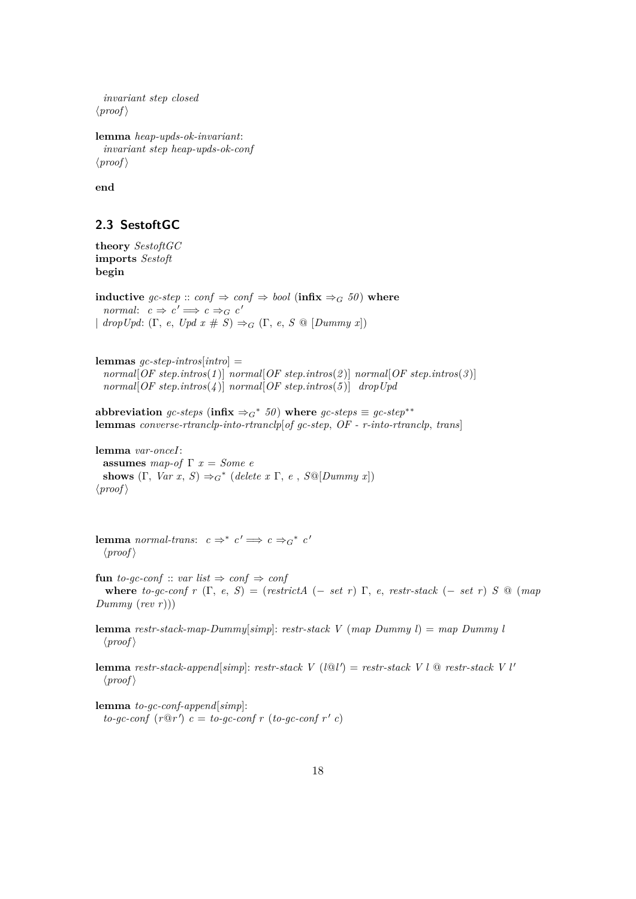```
invariant step closed
\langle proof \rangle
```
**lemma** *heap-upds-ok-invariant*: *invariant step heap-upds-ok-conf*  $\langle proof \rangle$ 

**end**

### <span id="page-17-0"></span>**2.3 SestoftGC**

**theory** *SestoftGC* **imports** *Sestoft* **begin**

**inductive**  $\textit{gc-step} :: \textit{conf} \Rightarrow \textit{conf} \Rightarrow \textit{bool}$  ( $\text{infix} \Rightarrow_G 50$ ) where *normal*:  $c \Rightarrow c' \Rightarrow c \Rightarrow_c c'$  $\mid \text{dropUpd: } (\Gamma, e, \text{Upd } x \# S) \Rightarrow_G (\Gamma, e, S \text{ @ } [\text{Dummy } x])$ 

**lemmas** *gc-step-intros*[*intro*] = *normal*[*OF step*.*intros*(*1* )] *normal*[*OF step*.*intros*(*2* )] *normal*[*OF step*.*intros*(*3* )] *normal*[*OF step*.*intros*(*4* )] *normal*[*OF step*.*intros*(*5* )] *dropUpd*

abbreviation *gc-steps* (infix  $\Rightarrow_G^*$  50) where  $gc\text{-}steps \equiv gc\text{-}step^{**}$ **lemmas** *converse-rtranclp-into-rtranclp*[*of gc-step*, *OF - r-into-rtranclp*, *trans*]

**lemma** *var-onceI*: **assumes** *map-of*  $\Gamma x = Some$  *e* **shows**  $(\Gamma, \text{Var } x, S) \Rightarrow_G^* (\text{delete } x \Gamma, e, S \textcircled{D} \text{ummy } x])$  $\langle proof \rangle$ 

**lemma** *normal-trans*:  $c \Rightarrow^* c' \Longrightarrow c \Rightarrow_c^* c'$  $\langle proof \rangle$ 

**fun** *to-gc-conf* :: *var list*  $\Rightarrow$  *conf*  $\Rightarrow$  *conf* **where** *to-gc-conf*  $r$  (Γ, *e*, *S*) = (*restrictA* (– *set r*) Γ, *e*, *restr-stack* (– *set r*) *S* @ (*map Dummy* (*rev r*)))

**lemma** *restr-stack-map-Dummy*[*simp*]: *restr-stack V* (*map Dummy l*) = *map Dummy l*  $\langle proof \rangle$ 

**lemma** *restr-stack-append*[ $simp$ ]: *restr-stack*  $V$  ( $l@l'$ ) = *restr-stack*  $V$   $l$   $@$  *restr-stack*  $V$   $l'$  $\langle proof \rangle$ 

**lemma** *to-gc-conf-append*[*simp*]:  $to-gc\text{-}conf(r@r')$   $c = to-gc\text{-}conf r (to-gc\text{-}conf r' c)$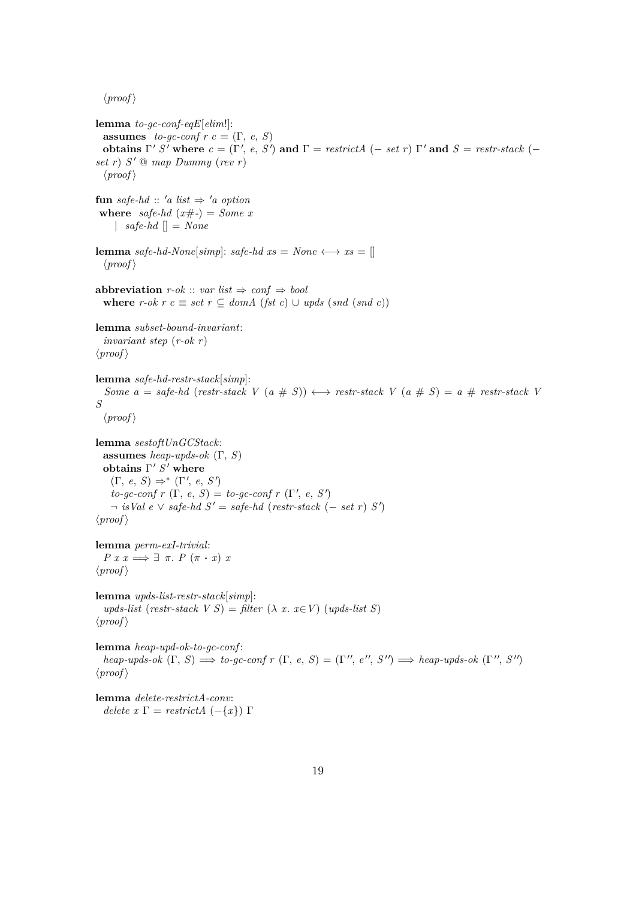$\langle proof \rangle$ **lemma** *to-gc-conf-eqE*[*elim*!]: **assumes** *to-gc-conf*  $r$   $c = (\Gamma, e, S)$ **obtains**  $\Gamma' S'$  where  $c = (\Gamma', e, S')$  and  $\Gamma = \text{restrictA } (-\text{ set } r)$   $\Gamma'$  and  $S = \text{restrictA } (-\text{ set } s)$ *set r*) *S* <sup>0</sup> @ *map Dummy* (*rev r*)  $\langle proof \rangle$ **fun** *safe-hd* ::  $'a$  *list*  $\Rightarrow 'a$  *option* **where** *safe-hd*  $(x\#$ - $) = Some x$ |  $safe-hd$  | = *None* **lemma** *safe-hd-None*[*simp*]: *safe-hd xs* = *None*  $\longleftrightarrow$  *xs* = []  $\langle proof \rangle$ **abbreviation**  $r\text{-}ok :: var list \Rightarrow conf \Rightarrow bool$ **where** *r-ok r*  $c ≡ set$  *r* ⊆ *domA* (*fst c*) ∪ *upds* (*snd* (*snd c*)) **lemma** *subset-bound-invariant*: *invariant step* (*r-ok r*)  $\langle proof \rangle$ **lemma** *safe-hd-restr-stack*[*simp*]: *Some a* = *safe-hd* (*restr-stack V* (*a* # *S*))  $\leftrightarrow$  *restr-stack V* (*a* # *S*) = *a* # *restr-stack V S*  $\langle proof \rangle$ **lemma** *sestoftUnGCStack*: **assumes** *heap-upds-ok* (Γ, *S*) **obtains** Γ' *S'* where  $(\Gamma, e, S) \Rightarrow^* (\Gamma', e, S')$  $to-gc\text{-}conf\ r\ (\Gamma,\ e,\ S) = to\text{-}gc\text{-}conf\ r\ (\Gamma',\ e,\ S')$  $\neg$  *isVal e*  $\vee$  *safe-hd*  $S' = safe-hd$  (*restr-stack* (– *set r*)  $S'$ )  $\langle proof \rangle$ **lemma** *perm-exI-trivial*: *P*  $x x \implies ∃ π$ *. P* (π · *x*) *x*  $\langle proof \rangle$ **lemma** *upds-list-restr-stack*[*simp*]: *upds-list* (*restr-stack*  $V S$ ) = *filter* ( $\lambda$  *x*. *x*∈*V*) (*upds-list S*)  $\langle proof \rangle$ **lemma** *heap-upd-ok-to-gc-conf* :  $heap\text{-}upds\text{-}ok \ (\Gamma, S) \Longrightarrow \text{to--}gc\text{-}conf \ r \ (\Gamma, e, S) = (\Gamma'', e'', S'') \Longrightarrow \text{heap--}upds\text{-}ok \ (\Gamma'', S'')$  $\langle proof \rangle$ **lemma** *delete-restrictA-conv*:

*delete x* Γ = *restrictA* (-{*x*}) Γ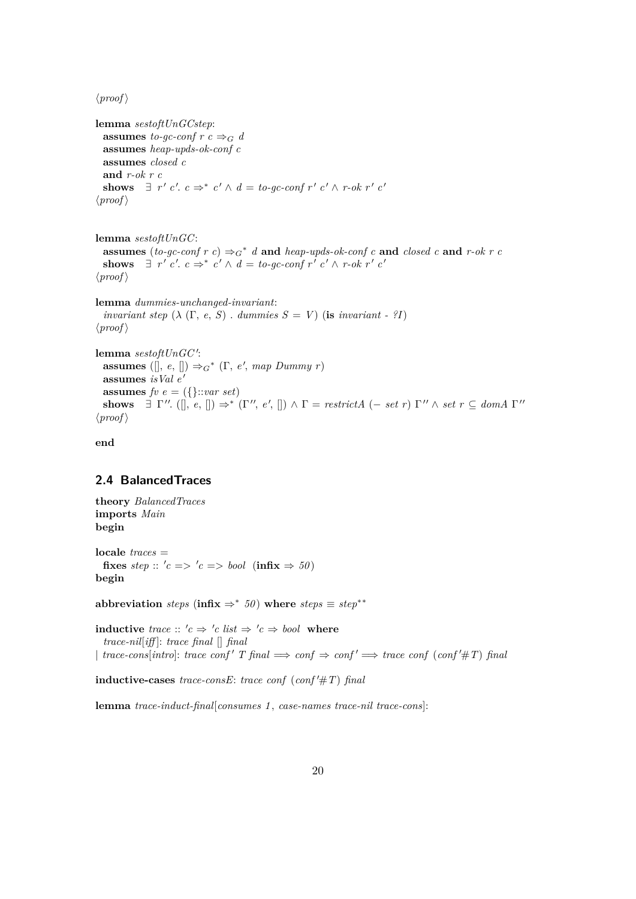$\langle proof \rangle$ 

```
lemma sestoftUnGCstep:
 assumes to-gc-conf r c \Rightarrow_G dassumes heap-upds-ok-conf c
 assumes closed c
 and r-ok r c
  shows \exists r' c'. c \Rightarrow^* c' \land d = to-gc-conf r' c' \land r-ok r' c'\langle proof \rangle
```
**lemma** *sestoftUnGC*: **assumes** (*to-gc-conf*  $r c$ )  $\Rightarrow_G^* d$  **and** *heap-upds-ok-conf*  $c$  **and** *closed*  $c$  **and**  $r$ -*ok*  $r c$ shows  $\exists$   $r'$   $c'.$   $c \Rightarrow^* c' \land d = to\text{-}gc\text{-}conf r'$   $c' \land r\text{-}ok r'$   $c'$  $\langle proof \rangle$ 

```
lemma dummies-unchanged-invariant:
  invariant step (\lambda \ (\Gamma, e, S). dummies S = V (is invariant - ?I)
\langle proof \rangle
```

```
lemma sestoftUnGC':
  assumes ([], e, []) \Rightarrow_G^* (\Gamma, e', map Dummy r)
 assumes isVal e'
 assumes fv e = (\{\}::var set)shows \exists \Gamma''. ([], e, []) \Rightarrow^* (\Gamma'', e', []) \land \Gamma = restrictA (- set r) \Gamma'' \land set r \subseteq domA \Gamma''\langle proof \rangle
```
**end**

### <span id="page-19-0"></span>**2.4 BalancedTraces**

**theory** *BalancedTraces* **imports** *Main* **begin**

**locale** *traces* = fixes  $step :: 'c => 'c => bool$  (infix  $\Rightarrow 50$ ) **begin**

**abbreviation** *steps* (**infix**  $\Rightarrow^*$  50) **where** *steps*  $\equiv$  *step*<sup>\*\*</sup>

**inductive** *trace* ::  $'c \Rightarrow 'c$  *list*  $\Rightarrow 'c \Rightarrow bool$  where *trace-nil*[*iff* ]: *trace final* [] *final*  $\downarrow$  *trace-cons*[*intro*]: *trace conf*  $T$  *final*  $\implies$  *conf*  $\Rightarrow$  *conf*  $\implies$  *trace conf* (*conf'*#*T*) *final* 

 $\textbf{inductive-cases}$  *trace-consE*: *trace conf*  $(\textit{conf'} \# T)$  *final* 

**lemma** *trace-induct-final*[*consumes 1* , *case-names trace-nil trace-cons*]: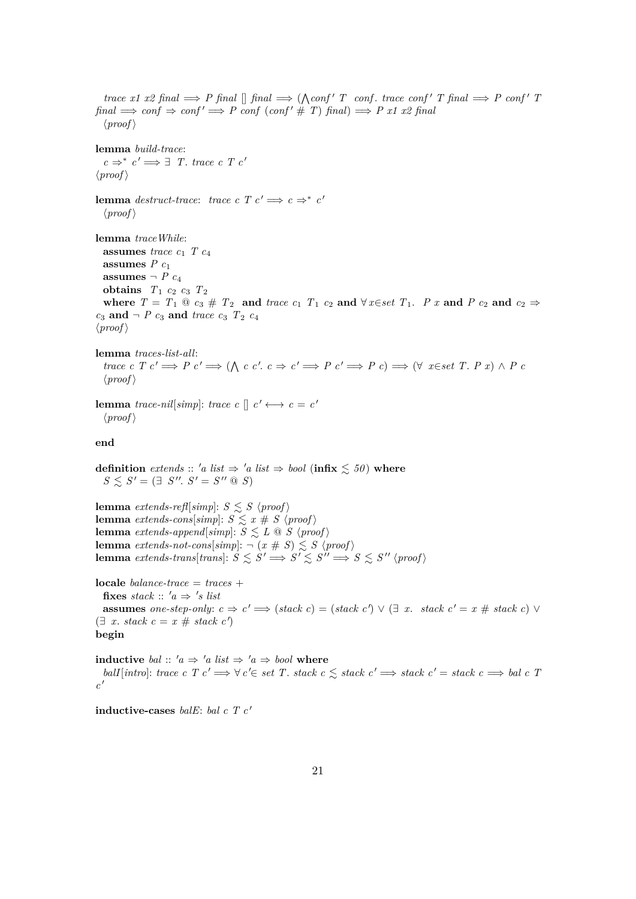*trace x1 x2 final*  $\Rightarrow$  *P final*  $\Box$  *final*  $\Rightarrow$   $(\triangle conf' T \text{ conf. trace } conf' T \text{ final } \Rightarrow P \text{ conf.} T$  $final \implies conf \Rightarrow conf' \implies P conf (conf' \# T) final \implies P x1 x2 final$  $\langle proof \rangle$ **lemma** *build-trace*:  $c \Rightarrow^* c' \Longrightarrow \exists$  *T. trace c T c'*  $\langle proof \rangle$ **lemma** *destruct-trace: trace c*  $T c' \implies c \implies c'$  $\langle proof \rangle$ **lemma** *traceWhile*: **assumes** *trace*  $c_1$  *T*  $c_4$ **assumes**  $P c_1$ **assumes**  $\neg P$  *c*<sub>4</sub> **obtains**  $T_1$   $c_2$   $c_3$   $T_2$ where  $T = T_1 \tildot{e}_3 \# T_2$  and  $trace c_1 T_1 c_2$  and  $\forall x \in set T_1$ . *P x* and *P c*<sub>2</sub> and  $c_2 \Rightarrow$  $c_3$  **and**  $\neg P$   $c_3$  **and**  $trace$   $c_3$   $T_2$   $c_4$  $\langle proof \rangle$ **lemma** *traces-list-all*: *trace c T c'*  $\Rightarrow$  *P c'*  $\Rightarrow$  ( $\wedge$  *c c'. c*  $\Rightarrow$  *c'*  $\Rightarrow$  *P c'*  $\Rightarrow$  *P c*)  $\Rightarrow$  ( $\forall$  *x*∈*set T. P x*)  $\wedge$  *P c*  $\langle proof \rangle$ **lemma** *trace-nil*[*simp*]: *trace c* []  $c' \leftrightarrow c = c'$  $\langle proof \rangle$ **end definition** *extends* :: 'a list  $\Rightarrow$  'a list  $\Rightarrow$  bool (infix  $\leq 50$ ) where  $S \leq S' = (\exists S''. S' = S'' \otimes S)$ **lemma** *extends-refl*[*simp*]:  $S \leq S \$   $\langle proof \rangle$ **lemma** *extends-cons*[*simp*]:  $S \le x \neq S$   $\langle proof \rangle$ **lemma** *extends-append*[*simp*]:  $S \leq L \text{ } \textcircled{S}$  \\  $\langle \text{proof} \rangle$ **lemma** *extends-not-cons*[ $simp$ ]:  $\neg$   $(x \# S) \leq S$   $\langle proof \rangle$ **lemma** extends-trans $\{trans\}$ :  $S \leq S' \implies S' \leq S'' \implies S \leq S'' \$ **locale** *balance-trace* = *traces* + fixes  $stack :: 'a \Rightarrow 's$  list **assumes** *one-step-only:*  $c \Rightarrow c' \Longrightarrow (stack c) = (stack c') \lor (\exists x. stack c' = x # stack c) \lor$  $(\exists x. stack c = x # stack c')$ **begin inductive** *bal* ::  $'a \Rightarrow 'a$  *list*  $\Rightarrow 'a \Rightarrow bool$  **where**  $ball[intro]: trace \ c \ T \ c' \Longrightarrow \forall c' \in set \ T. stack \ c \leq stack \ c' \Longrightarrow stack \ c' = stack \ c \Longrightarrow bal \ c \ T.$  $c'$ **inductive-cases** *balE*: *bal c T c'*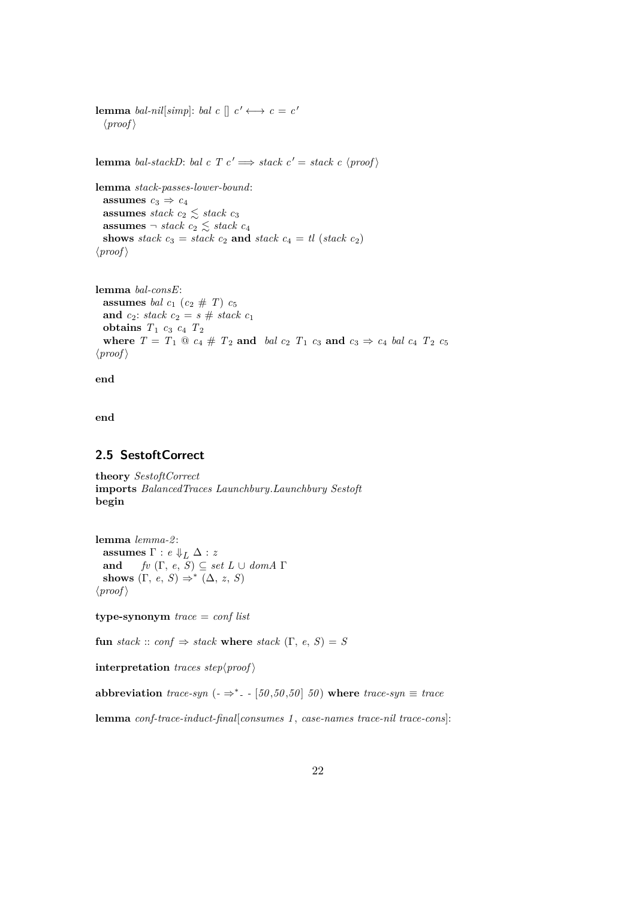**lemma** *bal-nil*[*simp*]: *bal*  $c \parallel c' \longleftrightarrow c = c'$  $\langle proof \rangle$ **lemma** *bal-stackD*: *bal c*  $T c' \implies$  *stack c'* = *stack c'* (*proof*) **lemma** *stack-passes-lower-bound*: **assumes**  $c_3 \Rightarrow c_4$ **assumes** *stack*  $c_2 \leq$  *stack*  $c_3$ **assumes**  $\neg$  *stack c*<sub>2</sub>  $\leq$  *stack c*<sub>4</sub> **shows** *stack*  $c_3 =$  *stack*  $c_2$  **and** *stack*  $c_4 =$  *tl* (*stack*  $c_2$ )  $\langle proof \rangle$ 

**lemma** *bal-consE*: **assumes** *bal*  $c_1$  ( $c_2 \# T$ )  $c_5$ **and**  $c_2$ : *stack*  $c_2 = s$  # *stack*  $c_1$ **obtains** *T*<sup>1</sup> *c*<sup>3</sup> *c*<sup>4</sup> *T*<sup>2</sup> where  $T = T_1 \t{0}$   $c_4 \# T_2$  and  $bal \t{c}_2$   $T_1 \t{c}_3$  and  $c_3 \Rightarrow c_4 \t{b}al \t{c}_4$   $T_2 \t{c}_5$  $\langle proof \rangle$ 

**end**

**end**

#### <span id="page-21-0"></span>**2.5 SestoftCorrect**

**theory** *SestoftCorrect* **imports** *BalancedTraces Launchbury*.*Launchbury Sestoft* **begin**

**lemma** *lemma-2* : **assumes**  $\Gamma : e \Downarrow_L \Delta : z$ <br> **and**  $\text{f}v (\Gamma, e, S) \subseteq s\epsilon$  $fv$   $(\Gamma, e, S) \subseteq set L \cup dom A \Gamma$ shows  $(\Gamma, e, S) \Rightarrow^* (\Delta, z, S)$  $\langle proof \rangle$ 

**type-synonym** *trace* = *conf list*

**fun** *stack* :: *conf*  $\Rightarrow$  *stack* **where** *stack*  $(\Gamma, e, S) = S$ 

**interpretation** *traces step* $\langle proof \rangle$ 

**abbreviation** *trace-syn* ( $-\Rightarrow^*$ - [50,50,50] 50) where *trace-syn*  $\equiv$  *trace* 

**lemma** *conf-trace-induct-final*[*consumes 1* , *case-names trace-nil trace-cons*]: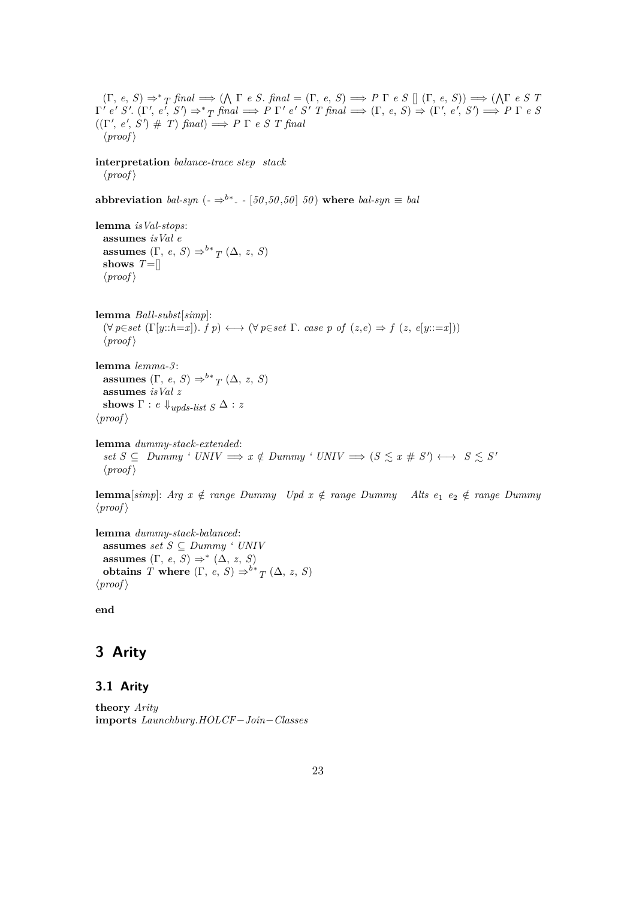(Γ, *e*, *S*) ⇒<sup>∗</sup> *T final* =⇒ ( V Γ *e S*. *final* = (Γ, *e*, *S*) =⇒ *P* Γ *e S* [] (Γ, *e*, *S*)) =⇒ ( V Γ *e S T*  $\Gamma' e' S'. (\Gamma', e', S') \Rightarrow^*_{T} \text{final} \Longrightarrow P \Gamma' e' S' T \text{final} \Longrightarrow (\Gamma, e, S) \Rightarrow (\Gamma', e', S') \Longrightarrow P \Gamma e S$  $((\Gamma', e', S') \# T)$  *final* $) \implies P \Gamma e S T$  *final*  $\langle proof \rangle$ **interpretation** *balance-trace step stack*  $\langle proof \rangle$ **abbreviation** *bal-syn* ( $\cdot \Rightarrow^{b*}$  *-* [50,50,50] 50) where *bal-syn*  $\equiv$  *bal* **lemma** *isVal-stops*: **assumes** *isVal e* **assumes**  $(\Gamma, e, S) \Rightarrow^{b*} T(\Delta, z, S)$ **shows** *T*=[]  $\langle proof \rangle$ **lemma** *Ball-subst*[*simp*]:  $(\forall p \in set \ (\Gamma[y::h=x]).\ f\ p) \longleftrightarrow (\forall p \in set \ \Gamma.\ case\ p\ of\ (z,e) \Rightarrow f\ (z,\ e[y::=x]))$  $\langle proof \rangle$ **lemma** *lemma-3* : **assumes**  $(\Gamma, e, S) \Rightarrow^{b*} T (\Delta, z, S)$ **assumes** *isVal z* **shows**  $\Gamma$  : *e*  $\Downarrow_{\text{upds-list}}$   $S \Delta$  : *z*  $\langle proof \rangle$ **lemma** *dummy-stack-extended*:  $s$ *et*  $S \subseteq$  *Dummy '*  $UNIV \implies x \notin Dumpy$  '  $UNIV \implies (S \leq x \# S') \longleftrightarrow S \leq S'$  $\langle proof \rangle$ 

**lemma**[ $simp$ ]: *Arg x*  $\notin$  *range Dummy Upd x*  $\notin$  *range Dummy Alts e*<sub>1</sub> *e*<sub>2</sub>  $\notin$  *range Dummy*  $\langle proof \rangle$ 

**lemma** *dummy-stack-balanced*: **assumes** *set*  $S \subseteq$  *Dummy ' UNIV* **assumes**  $(\Gamma, e, S) \Rightarrow^* (\Delta, z, S)$ **obtains** *T* **where**  $(\Gamma, e, S) \Rightarrow^b* T (\Delta, z, S)$  $\langle proof \rangle$ 

**end**

## <span id="page-22-1"></span>**3 Arity**

#### <span id="page-22-0"></span>**3.1 Arity**

```
theory Arity
imports Launchbury.HOLCF−Join−Classes
```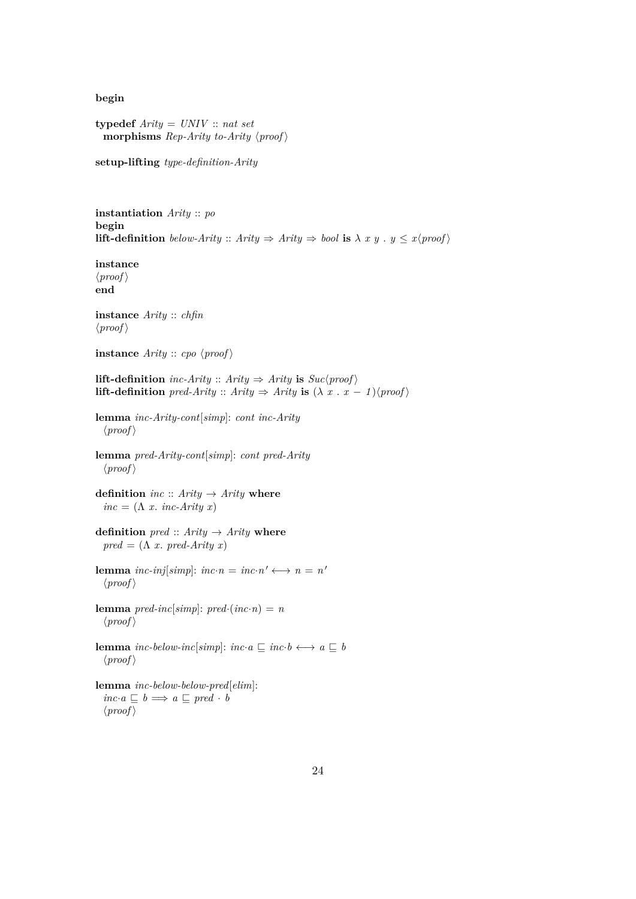**begin**

**typedef** *Arity* = *UNIV* :: *nat set* **morphisms** *Rep-Arity* to-Arity  $\langle proof \rangle$ 

**setup-lifting** *type-definition-Arity*

**instantiation** *Arity* :: *po* **begin lift-definition** *below-Arity* :: *Arity*  $\Rightarrow$  *Arity*  $\Rightarrow$  *bool* **is**  $\lambda x y$  .  $y \leq x$  {proof }

**instance**  $\langle proof \rangle$ **end**

**instance** *Arity* :: *chfin*  $\langle proof \rangle$ 

**instance**  $Arity :: cpo \ (proof)$ 

**lift-definition** *inc-Arity* :: *Arity*  $\Rightarrow$  *Arity* **is**  $Suc/proof$ **lift-definition** *pred-Arity* :: *Arity*  $\Rightarrow$  *Arity* **is**  $(\lambda x \cdot x - 1)(\text{proof})$ 

**lemma** *inc-Arity-cont*[*simp*]: *cont inc-Arity*  $\langle proof \rangle$ 

**lemma** *pred-Arity-cont*[*simp*]: *cont pred-Arity*  $\langle proof \rangle$ 

**definition**  $inc ::$   $Arity \rightarrow$   $Arity$  **where**  $inc = (\Lambda x \cdot inc-Arity \cdot x)$ 

**definition**  $\text{pred} :: \text{Arity} \rightarrow \text{Arity}$  where  $pred = (\Lambda x. pred-Arity x)$ 

**lemma** *inc-inj*[*simp*]: *inc*·*n* = *inc*·*n*'  $\longleftrightarrow$  *n* = *n*'  $\langle proof \rangle$ 

**lemma**  $pred\text{-}inc[simp]: pred\text{-}(inc\text{-}n) = n$  $\langle proof \rangle$ 

**lemma** *inc-below-inc*[*simp*]: *inc*·*a*  $\subseteq$  *inc*·*b*  $\longleftrightarrow$  *a*  $\subseteq$  *b*  $\langle proof \rangle$ 

```
lemma inc-below-below-pred[elim]:
  inc \cdot a \sqsubset b \Longrightarrow a \sqsubset pred \cdot b\langle proof \rangle
```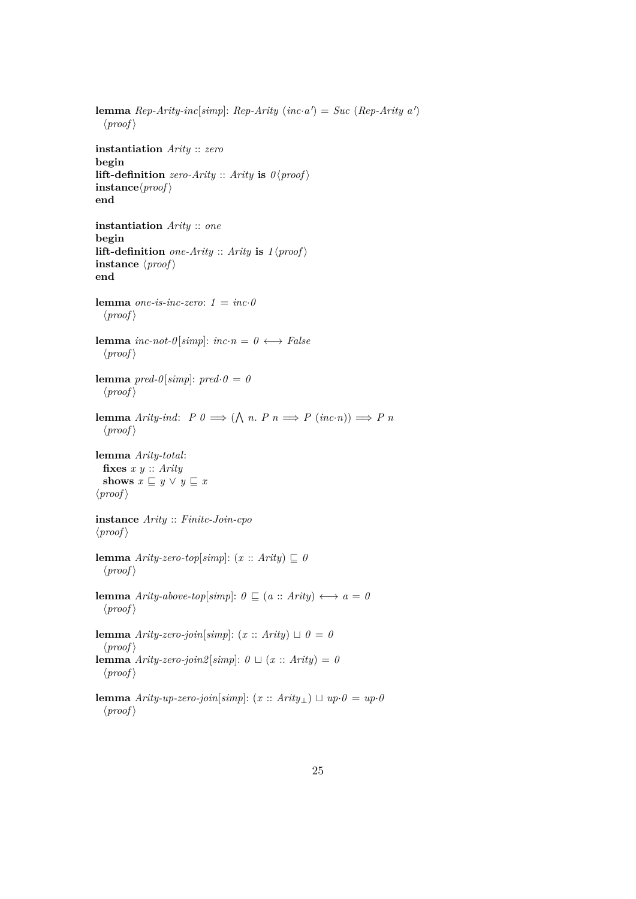**lemma**  $Rep-Arity-inclsim[]$ :  $Rep-Arity$   $(inc \cdot a') = Succ (Rep-Arity a')$  $\langle proof \rangle$ **instantiation** *Arity* :: *zero* **begin lift-definition** *zero-Arity* :: *Arity* **is**  $0$   $\langle proof \rangle$  $\mathbf{instance}\langle \mathit{proof} \rangle$ **end instantiation** *Arity* :: *one* **begin lift-definition** *one-Arity* :: *Arity* **is**  $1$   $\langle proof \rangle$ **instance**  $\langle \textit{proof} \rangle$ **end lemma** *one-is-inc-zero*:  $1 = inc \cdot 0$  $\langle proof \rangle$ **lemma** *inc-not-0*[ $simp$ ]:  $inc \cdot n = 0 \leftrightarrow False$  $\langle proof \rangle$ **lemma**  $pred$ - $0$ [simp]:  $pred$ - $0 = 0$  $\langle proof \rangle$ **lemma** *Arity-ind*:  $P \theta \implies (\bigwedge n. P \theta \implies P (\textit{inc} \cdot n)) \implies P \theta$  $\langle proof \rangle$ **lemma** *Arity-total*: **fixes** *x y* :: *Arity* **shows**  $x \subseteq y \lor y \subseteq x$  $\langle proof \rangle$ **instance** *Arity* :: *Finite-Join-cpo*  $\langle proof \rangle$ **lemma**  $Arity\text{-}zero\text{-}top[simp]: (x::Arity) \sqsubseteq \theta$  $\langle proof \rangle$ **lemma**  $Arity\text{-}above\text{-}top[simp]: 0 \subseteq (a::arity) \longleftrightarrow a = 0$  $\langle proof \rangle$ **lemma**  $Arity\text{-}zero\text{-}join[simp]: (x:: Arity) \sqcup \theta = \theta$  $\langle proof \rangle$ **lemma**  $Arity\text{-}zero\text{-}join2 \mid simp: 0 \sqcup (x :: Arity) = 0$  $\langle proof \rangle$ **lemma** *Arity-up-zero-join*[ $simp$ ]:  $(x::$  *Arity*<sub>⊥</sub>)  $\sqcup$   $up \cdot 0 = up \cdot 0$  $\langle proof \rangle$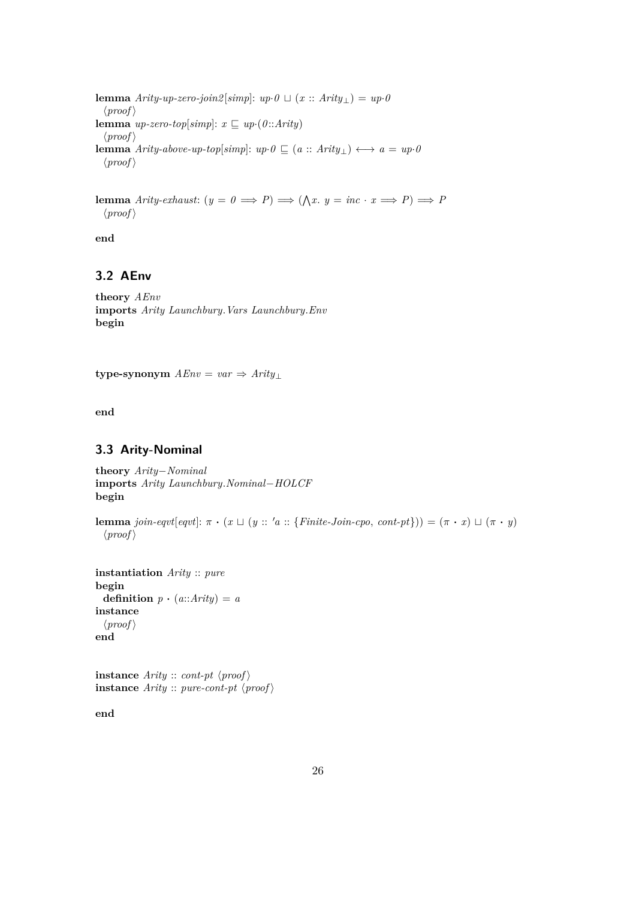**lemma**  $Arity-up-zero-join2[simp]: up \cdot 0 \sqcup (x::Arity<sub>⊥</sub>) = up \cdot 0$  $\langle proof \rangle$ **lemma**  $up\text{-}zero\text{-}top[simp]: x \sqsubseteq up\text{-}(0::Arity)$  $\langle proof \rangle$ **lemma** *Arity-above-up-top*[ $simp$ ]:  $up \theta \subseteq (a :: Arity_+) \longleftrightarrow a = up \theta$  $\langle proof \rangle$ 

**lemma** *Arity-exhaust:*  $(y = 0 \implies P) \implies (\bigwedge x. y = inc \cdot x \implies P) \implies P$  $\langle proof \rangle$ 

**end**

## <span id="page-25-0"></span>**3.2 AEnv**

**theory** *AEnv* **imports** *Arity Launchbury*.*Vars Launchbury*.*Env* **begin**

**type-synonym**  $AEnv = var \Rightarrow Arity \perp$ 

**end**

### <span id="page-25-1"></span>**3.3 Arity-Nominal**

**theory** *Arity*−*Nominal* **imports** *Arity Launchbury*.*Nominal*−*HOLCF* **begin**

**lemma** *join-eqvt*[*eqvt*]:  $\pi \cdot (x \sqcup (y :: 'a :: {Finite-Join-cpo, cont-pt})) = (\pi \cdot x) \sqcup (\pi \cdot y)$  $\langle proof \rangle$ 

**instantiation** *Arity* :: *pure* **begin definition**  $p \cdot (a::Arity) = a$ **instance**  $\langle proof \rangle$ **end**

**instance**  $Arity :: cont\n-pt$   $\langle proof \rangle$ **instance**  $Arity$  :: *pure-cont-pt*  $\langle proof \rangle$ 

**end**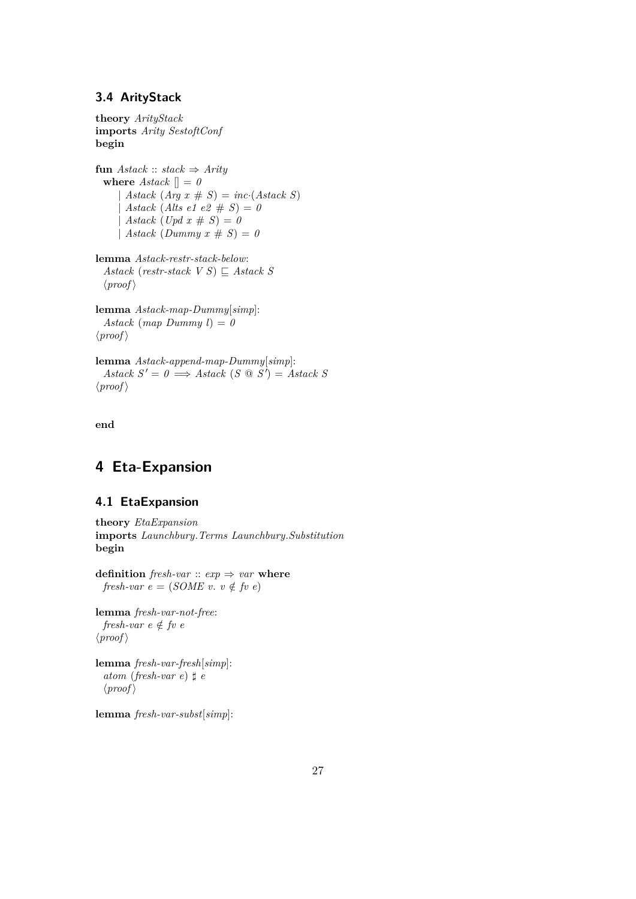#### <span id="page-26-0"></span>**3.4 ArityStack**

**theory** *ArityStack* **imports** *Arity SestoftConf* **begin**

**fun**  $\text{Astack} :: \text{stack} \Rightarrow \text{Arity}$ **where**  $\text{Astack} \parallel = 0$ | *Astack*  $(A \nmid g \ x \# S) = \nmid g \cdot (A \cdot \nmid g \cdot S)$ | *Astack* (*Alts e1 e2*  $\# S$ ) = 0 | *Astack*  $(Upd \ x \# \ S) = 0$ |  $Astack (Dummy x \# S) = 0$ 

**lemma** *Astack-restr-stack-below*: *Astack* (*restr-stack*  $V S$ )  $\subseteq$  *Astack* S  $\langle proof \rangle$ 

**lemma** *Astack-map-Dummy*[*simp*]:  $Astack (map Dummyl) = 0$  $\langle proof \rangle$ 

**lemma** *Astack-append-map-Dummy*[*simp*]:  $Astack S' = 0 \implies Astack (S \otimes S') = Astack S$  $\langle proof \rangle$ 

**end**

## <span id="page-26-1"></span>**4 Eta-Expansion**

#### <span id="page-26-2"></span>**4.1 EtaExpansion**

**theory** *EtaExpansion* **imports** *Launchbury*.*Terms Launchbury*.*Substitution* **begin**

**definition** *fresh-var*  $:: exp \Rightarrow var$  **where** *fresh-var*  $e = (SOME \, v. \, v \notin f \, v \, e)$ 

**lemma** *fresh-var-not-free*: *fresh-var e*  $\notin$  *fv e*  $\langle proof \rangle$ 

**lemma** *fresh-var-fresh*[*simp*]: *atom* (*fresh-var e*)  $\sharp$  *e*  $\langle proof \rangle$ 

**lemma** *fresh-var-subst*[*simp*]: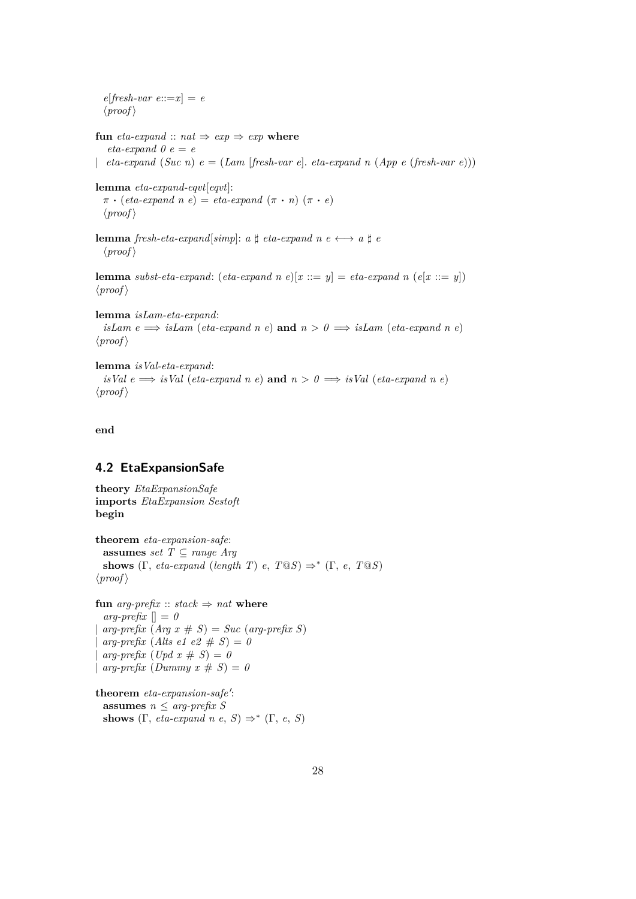$e[{\text{}fresh-var}$   $e::=x] = e$  $\langle proof \rangle$ **fun** *eta-expand* ::  $nat \Rightarrow exp \Rightarrow exp$  **where**  $eta\text{-}expand\theta e = e$ | *eta-expand* (*Suc n*) *e* = (*Lam* [*fresh-var e*]. *eta-expand n* (*App e* (*fresh-var e*))) **lemma** *eta-expand-eqvt*[*eqvt*]:  $\pi \cdot (eta\text{-}expand\ n e) = eta\text{-}expand\ (\pi \cdot n) (\pi \cdot e)$  $\langle proof \rangle$ **lemma** *fresh-eta-expand*[*simp*]: *a*  $\sharp$  *eta-expand n*  $e \leftrightarrow a \sharp e$  $\langle proof \rangle$ **lemma** *subst-eta-expand*: (*eta-expand n e*)[ $x ::= y$ ] = *eta-expand n* (*e*[ $x ::= y$ ])  $\langle proof \rangle$ **lemma** *isLam-eta-expand*: *isLam e*  $\implies$  *isLam* (*eta-expand n e*) **and**  $n > 0 \implies$  *isLam* (*eta-expand n e*)

**lemma** *isVal-eta-expand*: *isVal*  $e \implies$  *isVal* (*eta-expand n e*) **and**  $n > 0 \implies$  *isVal* (*eta-expand n e*)

```
\langle proof \rangle
```
 $\langle proof \rangle$ 

**end**

#### <span id="page-27-0"></span>**4.2 EtaExpansionSafe**

```
theory EtaExpansionSafe
imports EtaExpansion Sestoft
begin
theorem eta-expansion-safe:
 assumes set T \subseteq range Argshows (\Gamma, eta\text{-}expand (length T) e, T@S) \Rightarrow^* (\Gamma, e, T@S)\langle proof \ranglefun \arg\text{-}prefix :: stack \Rightarrow nat \textbf{ where}arg\text{-}prefix \parallel = 0arg\text{-}prefix\ (\text{Arg } x \# S) = Succ\ (\text{arg-}prefix\ S)arg\text{-}prefix (Alts e1 e2 # S) = 0arg\text{-}prefix (Upd x # S) = 0| arg\text{-}prefix (Dummy x # S) = 0
```

```
theorem eta-expansion-safe':
  assumes n \leq arg\text{-}prefix\ Sshows (\Gamma, \text{ eta-expand } n \text{ } e, \text{ } S) \Rightarrow^* (\Gamma, \text{ } e, \text{ } S)
```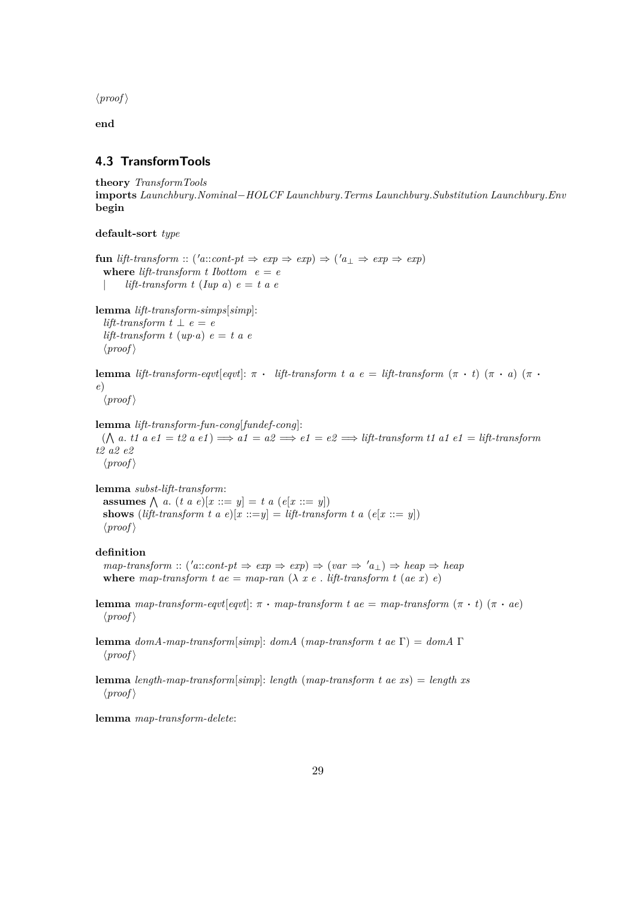$\langle proof \rangle$ 

**end**

#### <span id="page-28-0"></span>**4.3 TransformTools**

```
theory TransformTools
imports Launchbury.Nominal−HOLCF Launchbury.Terms Launchbury.Substitution Launchbury.Env
begin
```
**default-sort** *type*

**fun** *lift-transform* :: ('*a*::*cont-pt*  $\Rightarrow exp \Rightarrow exp$ )  $\Rightarrow$  ('*a*<sub>⊥</sub>  $\Rightarrow exp \Rightarrow exp$ ) **where** *lift-transform*  $t$  *Ibottom*  $e = e$  $lift-transform$  *t* (*Iup a*)  $e = t$  *a e* 

**lemma** *lift-transform-simps*[*simp*]: *lift-transform*  $t \perp e = e$ *lift-transform t*  $(up \cdot a) e = t a e$  $\langle proof \rangle$ 

**lemma** *lift-transform-eqvt*[*eqvt*]:  $\pi$  · *lift-transform t a e = lift-transform* (π · *t*) (π · *a*) (π · *e*)

```
\langle proof \rangle
```

```
lemma lift-transform-fun-cong[fundef-cong]:
```
 $(\bigwedge a \cdot t1 \cdot a \cdot e1 = t2 \cdot a \cdot e1) \Longrightarrow a1 = a2 \Longrightarrow e1 = e2 \Longrightarrow lift\text{-}transform t1 \cdot a1 \cdot e1 = lift\text{-}transform t2$ *t2 a2 e2*  $\langle proof \rangle$ 

**lemma** *subst-lift-transform*: **assumes**  $\bigwedge$  *a*. (*t a e*)[*x* ::= *y*] = *t a* (*e*[*x* ::= *y*]) **shows** (*lift-transform t a e*)[ $x ::= y$ ] = *lift-transform t a* ( $e[x ::= y]$ )  $\langle proof \rangle$ 

#### **definition**

 $map\text{-}transform :: ('a::cont\text{-}pt \Rightarrow exp \Rightarrow exp) \Rightarrow (var \Rightarrow 'a_{\perp}) \Rightarrow heap \Rightarrow heap$ **where** map-transform t ae = map-ran  $(\lambda x e$ . *lift-transform t (ae x) e)* 

**lemma** *map-transform-eqvt*[*eqvt*]:  $\pi \cdot map\text{-}transform\ t\ ae = map\text{-}transform\ (\pi \cdot t)$  ( $\pi \cdot ae$ )  $\langle proof \rangle$ 

**lemma** *domA-map-transform*[*simp*]: *domA* (*map-transform t ae* Γ) = *domA* Γ  $\langle proof \rangle$ 

**lemma** *length-map-transform*[*simp*]: *length* (*map-transform t ae xs*) = *length xs*  $\langle proof \rangle$ 

**lemma** *map-transform-delete*: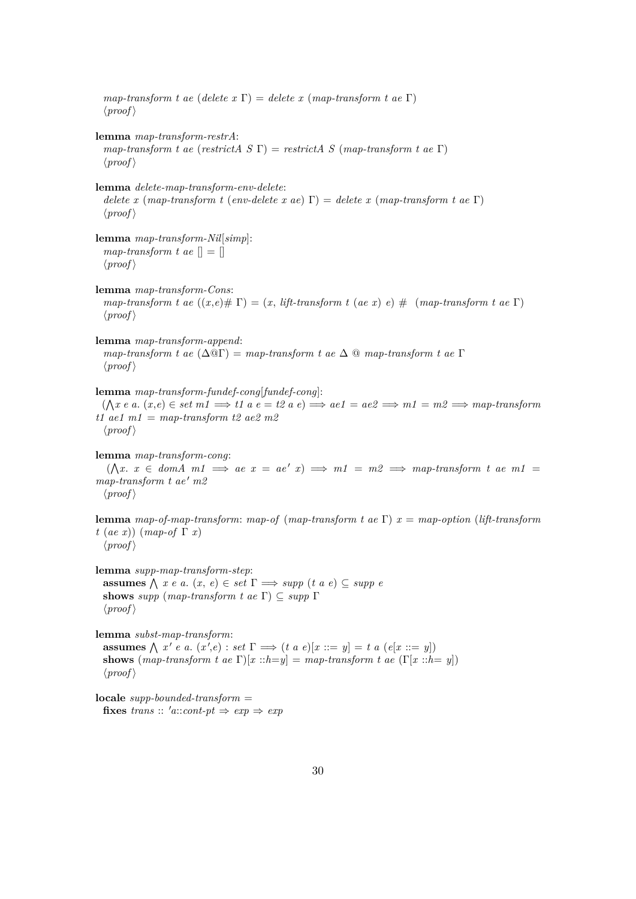*map-transform t ae* (*delete x* Γ) = *delete x* (*map-transform t ae* Γ)  $\langle proof \rangle$ **lemma** *map-transform-restrA*: *map-transform t ae* (*restrictA S* Γ) = *restrictA S* (*map-transform t ae* Γ)  $\langle proof \rangle$ **lemma** *delete-map-transform-env-delete*: *delete x* (*map-transform t* (*env-delete x ae*) Γ) = *delete x* (*map-transform t ae* Γ)  $\langle proof \rangle$ **lemma** *map-transform-Nil*[*simp*]: *map-transform t ae*  $\Vert = \Vert$  $\langle proof \rangle$ **lemma** *map-transform-Cons*: *map-transform t ae*  $((x,e)$   $# \Gamma) = (x, \text{ lift-} transform t \text{ (a.e x) } e)$   $# \Gamma$  (*map-transform t ae*  $\Gamma)$ )  $\langle proof \rangle$ **lemma** *map-transform-append*: *map-transform t ae* (∆@Γ) = *map-transform t ae* ∆ @ *map-transform t ae* Γ  $\langle proof \rangle$ **lemma** *map-transform-fundef-cong*[*fundef-cong*]:  $(\bigwedge x \in a \colon (x, e) \in set \ m1 \implies t1 \ a \ e = t2 \ a \ e) \implies a e1 = ae2 \implies m1 = m2 \implies map\text{-}transform$ *t1 ae1 m1* = *map-transform t2 ae2 m2*  $\langle proof \rangle$ **lemma** *map-transform-cong*:  $(\bigwedge x \colon x \in \text{dom}A \text{ m1} \implies \text{ae } x = \text{ae'} x) \implies \text{m1} = \text{m2} \implies \text{map-transform } t \text{ ae } \text{m1} =$  $map-transform$  *t*  $ae'$   $m2$  $\langle proof \rangle$ **lemma** *map-of-map-transform*: *map-of* (*map-transform t ae* Γ) *x* = *map-option* (*lift-transform t* (*ae x*)) (*map-of* Γ *x*)  $\langle proof \rangle$ **lemma** *supp-map-transform-step*: **assumes**  $\bigwedge$  *x e a.*  $(x, e) \in set \Gamma \implies supp (t \ a \ e) \subseteq supp e$ **shows** *supp* (*map-transform t ae*  $\Gamma$ )  $\subseteq$  *supp*  $\Gamma$  $\langle proof \rangle$ **lemma** *subst-map-transform*: **assumes**  $\bigwedge x' e$  *a*.  $(x', e) : set \Gamma \Longrightarrow (t \ a \ e)[x ::= y] = t \ a \ (e[x ::= y])$ **shows** (*map-transform t ae*  $\Gamma$ )[ $x :: h = y$ ] = *map-transform t ae* ( $\Gamma$ [ $x :: h = y$ ])  $\langle proof \rangle$ **locale** *supp-bounded-transform* =

**fixes** *trans* ::  $'a$ ::*cont-pt*  $\Rightarrow$  *exp*  $\Rightarrow$  *exp*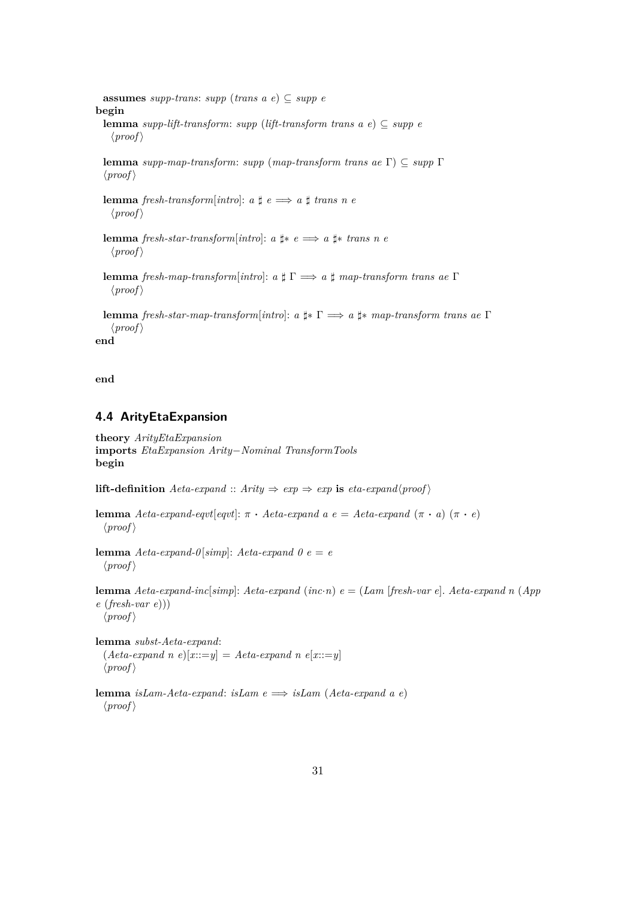**assumes** *supp-trans*: *supp* (*trans a e*)  $\subseteq$  *supp e* **begin lemma** *supp-lift-transform: supp* (*lift-transform trans a e*)  $\subseteq$  *supp e*  $\langle proof \rangle$ 

**lemma** *supp-map-transform*: *supp* (*map-transform trans ae* Γ) ⊆ *supp* Γ  $\langle proof \rangle$ 

**lemma** *fresh-transform*[*intro*]:  $a \sharp e \implies a \sharp trans\ n$  *e*  $\langle proof \rangle$ 

**lemma** *fresh-star-transform*[ $into$ ]:  $a \nparallel * e \implies a \nparallel * trans \nparallel n e$  $\langle proof \rangle$ 

**lemma** *fresh-map-transform*[*intro*]: *a* ] Γ =⇒ *a* ] *map-transform trans ae* Γ  $\langle proof \rangle$ 

**lemma** *fresh-star-map-transform*[*intro*]: *a* ]∗ Γ =⇒ *a* ]∗ *map-transform trans ae* Γ  $\langle proof \rangle$ 

**end**

**end**

### <span id="page-30-0"></span>**4.4 ArityEtaExpansion**

**theory** *ArityEtaExpansion* **imports** *EtaExpansion Arity*−*Nominal TransformTools* **begin**

**lift-definition**  $Aeta\text{-}expand :: Arity \Rightarrow exp \Rightarrow exp \textbf{ is } eta\text{-}expand<sub>{</sub>proof}$ 

```
lemma Aeta-expand-eqvt[eqvt]: \pi \cdot Aeta-expand a e = Aeta-expand (π · a) (π · e)
  \langle proof \rangle
```
**lemma**  $Aeta\text{-}expand\text{-}0[simp]: Aeta\text{-}expand\text{-}0e = e$  $\langle proof \rangle$ 

**lemma** *Aeta-expand-inc*[*simp*]: *Aeta-expand* (*inc*·*n*) *e* = (*Lam* [*fresh-var e*]. *Aeta-expand n* (*App e* (*fresh-var e*)))  $\langle proof \rangle$ 

**lemma** *subst-Aeta-expand*:  $(Aeta\text{-}expand\ n\ e)[x::=y] = Aeta\text{-}expand\ n\ e[x::=y]$  $\langle proof \rangle$ 

**lemma** *isLam-Aeta-expand*: *isLam e* =⇒ *isLam* (*Aeta-expand a e*)  $\langle proof \rangle$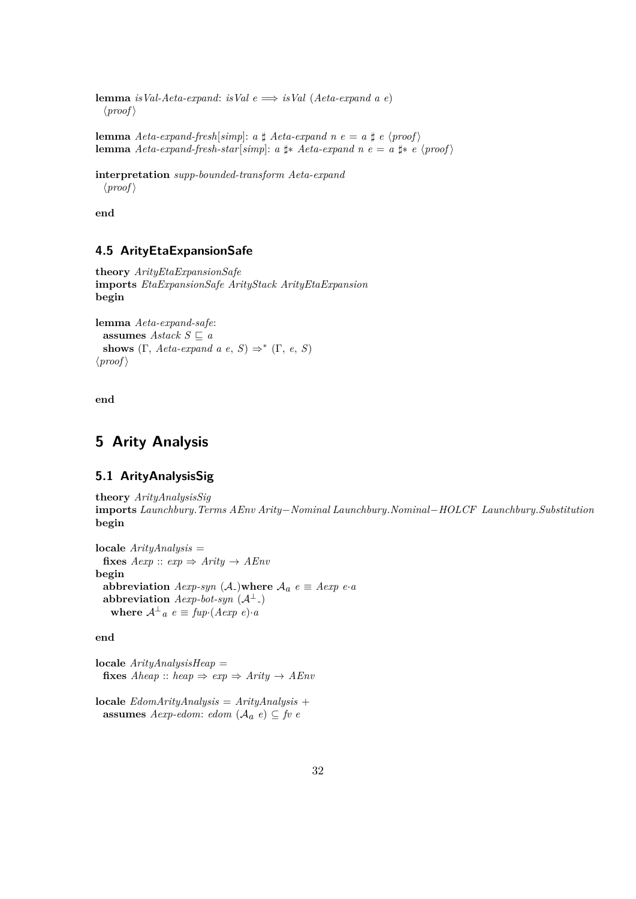**lemma** *isVal-Aeta-expand*: *isVal*  $e \implies i sVal$  (*Aeta-expand a e*)  $\langle proof \rangle$ 

**lemma**  $Aeta\text{-}expand\text{-}fresh[simp]: a \sharp Aeta\text{-}expand n e = a \sharp e \langle proof \rangle$ **lemma**  $Aeta\text{-}expand\text{-}fresh\text{-}star[simp]: a \text{ } \sharp * \text{ } Aeta\text{-}expand n \text{ } e = a \text{ } \sharp * \text{ } e \text{ } \langle proof \rangle$ 

**interpretation** *supp-bounded-transform Aeta-expand*  $\langle proof \rangle$ 

**end**

### <span id="page-31-0"></span>**4.5 ArityEtaExpansionSafe**

```
theory ArityEtaExpansionSafe
imports EtaExpansionSafe ArityStack ArityEtaExpansion
begin
```

```
lemma Aeta-expand-safe:
  assumes Astack S \sqsubset ashows (\Gamma, \text{Aeta-expand } a \text{ } e, \text{ } S) \Rightarrow^* (\Gamma, \text{ } e, \text{ } S)\langle proof \rangle
```
**end**

## <span id="page-31-2"></span>**5 Arity Analysis**

### <span id="page-31-1"></span>**5.1 ArityAnalysisSig**

**theory** *ArityAnalysisSig* **imports** *Launchbury*.*Terms AEnv Arity*−*Nominal Launchbury*.*Nominal*−*HOLCF Launchbury*.*Substitution* **begin**

**locale** *ArityAnalysis* = **fixes**  $Aexp$  ::  $exp \Rightarrow$   $Arity \rightarrow AEnv$ **begin abbreviation**  $Aexp-syn$  (A<sub>-</sub>)where  $A_a$   $e \equiv Aexp$   $e \cdot a$  $a$ bbreviation  $A$ exp-bot-syn  $(A^{\perp})$ where  $A^{\perp}{}_{a} e \equiv \text{fup} \cdot (A \text{exp } e) \cdot a$ 

**end**

**locale** *ArityAnalysisHeap* = **fixes**  $Aheap :: heap \Rightarrow exp \Rightarrow Arity \rightarrow AEnv$ 

**locale** *EdomArityAnalysis* = *ArityAnalysis* + **assumes**  $Aexp\text{-}edom$ :  $edom (A_a e) \subseteq fv e$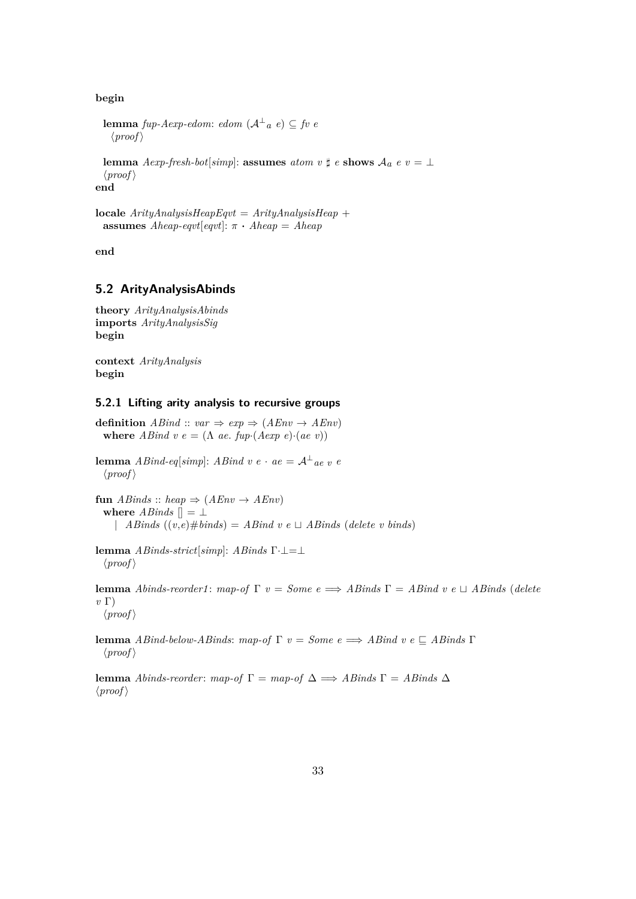**begin**

```
lemma fup-Aexp-edom: edom (A^{\perp}{}_{a}e) \subseteq fv e
 \langle proof \rangle
```
**lemma**  $Aexp\text{-}fresh\text{-}bot[simp]:$  **assumes**  $atom \ v \sharp \ e \$  **shows**  $A_a \ e \ v = \bot$  $\langle proof \rangle$ 

**end**

```
locale ArityAnalysisHeapEqvt = ArityAnalysisHeap +
 assumes Aheap-eqvt[eqvt]: \pi \cdot Aheap = Aheap
```
**end**

#### <span id="page-32-0"></span>**5.2 ArityAnalysisAbinds**

**theory** *ArityAnalysisAbinds* **imports** *ArityAnalysisSig* **begin**

**context** *ArityAnalysis* **begin**

#### <span id="page-32-1"></span>**5.2.1 Lifting arity analysis to recursive groups**

**definition**  $ABind :: var \Rightarrow exp \Rightarrow (AEnv \rightarrow AEnv)$ **where**  $ABind \, v \, e = (\Lambda \, ae. \, fup \cdot (Aexp \, e) \cdot (ae \, v))$ 

**lemma** *ABind-eq*[*simp*]: *ABind v e* · *ae* =  $A^{\perp}$  *ae v e*  $\langle proof \rangle$ 

**fun**  $ABinds :: heap \Rightarrow (AEnv \rightarrow AEnv)$ **where**  $ABinds$   $\parallel$  =  $\perp$ | *ABinds*  $((v,e) \# binds) = ABind v e \sqcup ABinds (delete v binds)$ 

**lemma** *ABinds-strict*[*simp*]: *ABinds* Γ·⊥=⊥  $\langle proof \rangle$ 

**lemma** *Abinds-reorder1*: *map-of*  $\Gamma$  *v* = *Some*  $e \implies$  *ABinds*  $\Gamma$  = *ABind v e*  $\sqcup$  *ABinds* (*delete v* Γ)  $\langle proof \rangle$ 

**lemma** *ABind-below-ABinds*: *map-of* Γ *v* = *Some*  $e \implies$  *ABind v*  $e \subseteq$  *ABinds* Γ  $\langle proof \rangle$ 

**lemma** *Abinds-reorder*: *map-of* Γ = *map-of* ∆ =⇒ *ABinds* Γ = *ABinds* ∆  $\langle proof \rangle$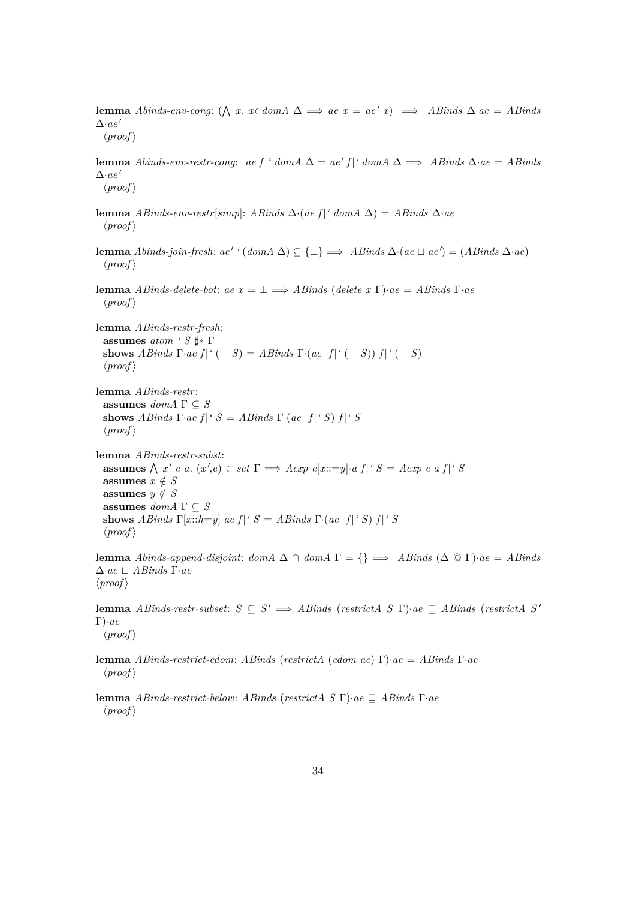**lemma** *Abinds-env-cong*:  $(\bigwedge x \cdot x \in domA \triangle \implies ae \ x = ae' \ x) \implies ABinds \ \triangle \cdot ae = ABinds$  $\Delta$ *·ae*<sup> $'$ </sup>  $\langle proof \rangle$ 

**lemma** *Abinds-env-restr-cong: ae*  $f$  |*'* domA  $\Delta = ae' f$  |*'* domA  $\Delta \implies$  *ABinds*  $\Delta \cdot ae = AB \cdot b$  $\Delta$ *·ae*<sup> $'$ </sup>  $\langle proof \rangle$ 

- **lemma** *ABinds-env-restr*[*simp*]: *ABinds* ∆·(*ae f* |*' domA* ∆) = *ABinds* ∆·*ae*  $\langle proof \rangle$
- **lemma** *Abinds-join-fresh:*  $ae'$  ' $(domA \Delta) \subseteq {\{\perp\}} \implies ABinds \Delta (ae \Box ae') = (ABinds \Delta ae)$  $\langle proof \rangle$
- **lemma** *ABinds-delete-bot*: *ae x* = ⊥ =⇒ *ABinds* (*delete x* Γ)·*ae* = *ABinds* Γ·*ae*  $\langle proof \rangle$

**lemma** *ABinds-restr-fresh*: **assumes** *atom ' S* ]∗ Γ **shows** *ABinds*  $\Gamma$ *·ae*  $f$  |*'* (− *S*) = *ABinds*  $\Gamma$ *·*(*ae*  $f$  |*'* (− *S*))  $f$  |*'* (− *S*)  $\langle proof \rangle$ 

**lemma** *ABinds-restr*: **assumes**  $dom A \Gamma \subseteq S$ **shows** *ABinds*  $\Gamma$ *·ae*  $f |$ *'*  $S =$  *ABinds*  $\Gamma$ *·*(*ae*  $f |$ *'*  $S$ )  $f |$ *'*  $S$  $\langle proof \rangle$ 

**lemma** *ABinds-restr-subst*: **assumes**  $\bigwedge x' e$  *a*.  $(x', e) \in set \Gamma \implies A exp \ e[x ::= y] \cdot a \ f|^{\prime} S = A exp \ e \cdot a \ f|^{\prime} S$ **assumes**  $x \notin S$ **assumes**  $y \notin S$ **assumes**  $dom A \Gamma \subseteq S$ **shows** *ABinds*  $\Gamma[x::h=y] \cdot ae \ f|^{\prime} S = AB \text{inds} \Gamma \cdot (ae \ f|^{\prime} S) \ f|^{\prime} S$  $\langle proof \rangle$ 

**lemma** *Abinds-append-disjoint: domA*  $\Delta \cap$  *domA*  $\Gamma = \{\} \implies$  *ABinds* ( $\Delta \otimes \Gamma$ )·*ae* = *ABinds*  $\Delta$ *·ae*  $□$  *ABinds* Γ*·ae*  $\langle proof \rangle$ 

**lemma** *ABinds-restr-subset:*  $S \subseteq S' \implies ABinds$  (*restrictA*  $S \subseteq S'$ )·*ae*  $\subseteq ABinds$  (*restrictA*  $S'$ Γ)·*ae*  $\langle proof \rangle$ 

**lemma** *ABinds-restrict-edom*: *ABinds* (*restrictA* (*edom ae*) Γ)·*ae* = *ABinds* Γ·*ae*  $\langle proof \rangle$ 

**lemma** *ABinds-restrict-below: ABinds* (*restrictA S*  $\Gamma$ )·*ae*  $\Gamma$  *ABinds*  $\Gamma$ ·*ae*  $\langle proof \rangle$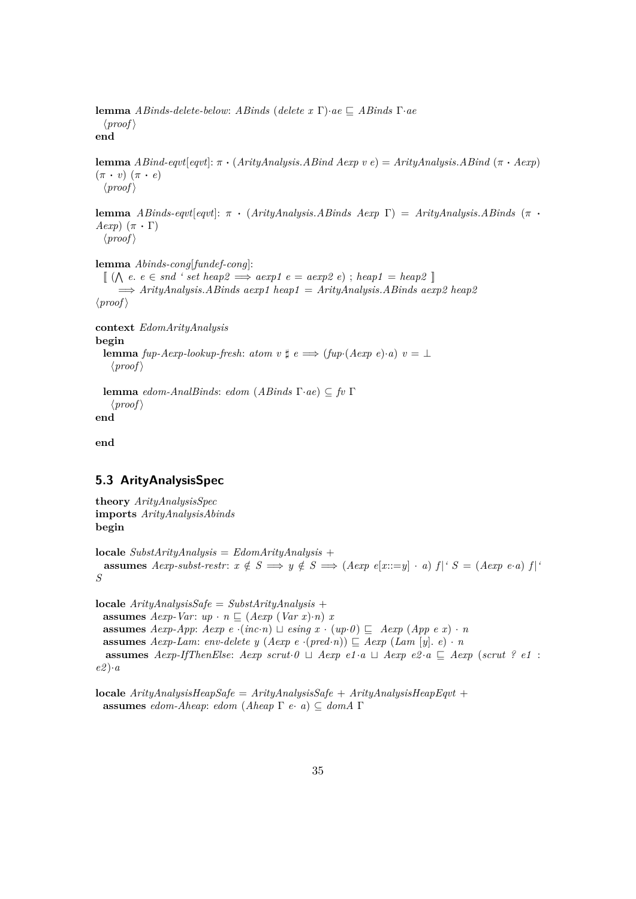**lemma** *ABinds-delete-below: ABinds* (*delete x* Γ)·*ae*  $\subseteq$  *ABinds* Γ·*ae*  $\langle proof \rangle$ **end**

**lemma** *ABind-eqvt*[*eqvt*]: π · (*ArityAnalysis*.*ABind Aexp v e*) = *ArityAnalysis*.*ABind* (π · *Aexp*)  $(\pi \cdot v)$   $(\pi \cdot e)$  $\langle proof \rangle$ 

**lemma** *ABinds-eqvt*[*eqvt*]: π · (*ArityAnalysis*.*ABinds Aexp* Γ) = *ArityAnalysis*.*ABinds* (π · *Aexp*)  $(\pi \cdot \Gamma)$ 

 $\langle proof \rangle$ 

**lemma** *Abinds-cong*[*fundef-cong*]:

 $\llbracket (\bigwedge e, e \in \mathit{snd} ' \mathit{set} \mathit{heap2} \implies \mathit{aexp1} \mathit{e} = \mathit{aexp2} \mathit{e} \rbrace; \mathit{heap1} = \mathit{heap2} \rrbracket$ =⇒ *ArityAnalysis*.*ABinds aexp1 heap1* = *ArityAnalysis*.*ABinds aexp2 heap2*  $\langle proof \rangle$ 

**context** *EdomArityAnalysis* **begin lemma** *fup-Aexp-lookup-fresh: atom v*  $\sharp$  *e*  $\Longrightarrow$  (*fup*·(*Aexp e*)·*a*)  $v = \bot$  $\langle proof \rangle$ 

**lemma** *edom-AnalBinds*: *edom* (*ABinds* Γ·*ae*) ⊆ *fv* Γ  $\langle proof \rangle$ **end**

**end**

### <span id="page-34-0"></span>**5.3 ArityAnalysisSpec**

**theory** *ArityAnalysisSpec* **imports** *ArityAnalysisAbinds* **begin**

**locale** *SubstArityAnalysis* = *EdomArityAnalysis* + **assumes** *Aexp-subst-restr:*  $x \notin S \implies y \notin S \implies (Aexp e[x ::= y] \cdot a) f |' S = (Aexp e \cdot a) f |'$ *S*

**locale** *ArityAnalysisSafe* = *SubstArityAnalysis* + **assumes** *Aexp-Var*:  $up \cdot n \subseteq (Aexp (Var x) \cdot n) x$ **assumes**  $Aexp-App$ :  $Aexp e \cdot (inc \cdot n) \sqcup e\sin q \cdot x \cdot (up \cdot 0) \sqsubset Aexp(App \cdot e \cdot x) \cdot n$ **assumes** *Aexp-Lam*: *env-delete y* (*Aexp e* ·(*pred*·*n*))  $\subseteq$  *Aexp* (*Lam* [*y*]. *e*) · *n* **assumes** *Aexp-IfThenElse: Aexp scrut*·*0*  $\sqcup$  *Aexp e1* ·*a*  $\sqcup$  *Aexp e2* ·*a*  $\sqsubseteq$  *Aexp* (*scrut* ? *e1* : *e2* )·*a*

**locale** *ArityAnalysisHeapSafe* = *ArityAnalysisSafe* + *ArityAnalysisHeapEqvt* + **assumes** *edom-Aheap*: *edom* (*Aheap* Γ *e*· *a*) ⊆ *domA* Γ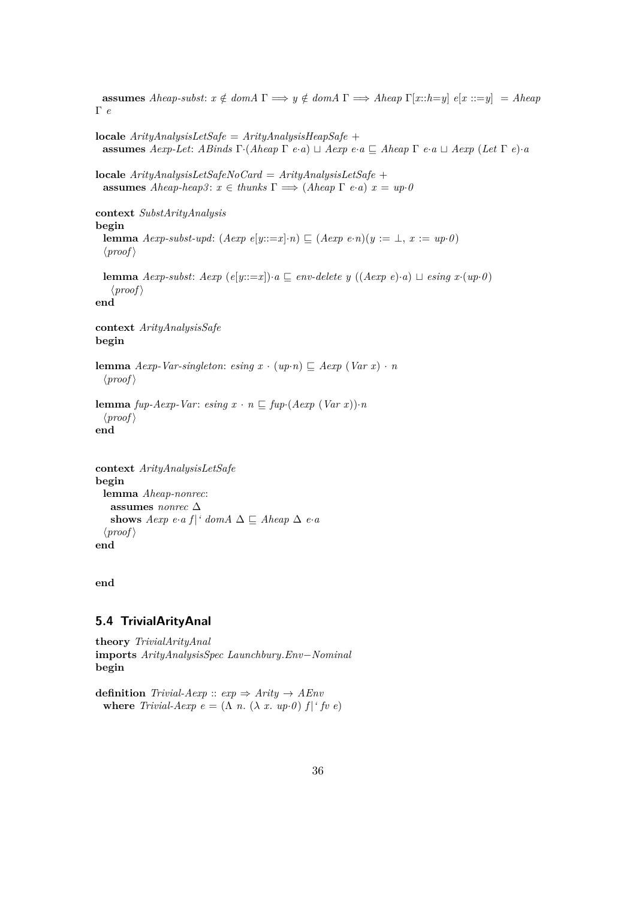**assumes** *Aheap-subst:*  $x \notin domA \Gamma \implies y \notin domA \Gamma \implies Aheap \Gamma[x::h=y] \in [x::=y] = Aheap$ Γ *e* **locale** *ArityAnalysisLetSafe* = *ArityAnalysisHeapSafe* + **assumes** *Aexp-Let*: *ABinds*  $\Gamma$ ·(*Aheap*  $\Gamma$  *e*·*a*)  $\sqcup$  *Aexp e*·*a*  $\sqsubseteq$  *Aheap*  $\Gamma$  *e*·*a*  $\sqcup$  *Aexp* (*Let*  $\Gamma$  *e*)·*a* **locale** *ArityAnalysisLetSafeNoCard* = *ArityAnalysisLetSafe* + **assumes** *Aheap-heap3*:  $x \in$  *thunks*  $\Gamma \implies$  (*Aheap*  $\Gamma$  *e*·*a*)  $x = up \cdot 0$ **context** *SubstArityAnalysis* **begin lemma** *Aexp-subst-upd*:  $(Aexp e[y ::= x] \cdot n) \sqsubseteq (Aexp e \cdot n)(y := \bot, x := up \cdot 0)$  $\langle proof \rangle$ **lemma** *Aexp-subst: Aexp*  $(e[y ::= x]) \cdot a \subseteq env\text{-}delete y ((Aexp e) \cdot a) \sqcup e\text{-}sing x \cdot (up \cdot 0)$  $\langle proof \rangle$ **end context** *ArityAnalysisSafe* **begin lemma**  $Aexp\text{-}Var\text{-}singleton:$   $e\sin g x \cdot (up\cdot n) \subseteq Aexp(Var x) \cdot n$  $\langle proof \rangle$ **lemma**  $fup-Aexp-Var: e\sin g x \cdot n \sqsubseteq fup \cdot (Aexp(Var x)) \cdot n$  $\langle proof \rangle$ **end context** *ArityAnalysisLetSafe* **begin lemma** *Aheap-nonrec*: **assumes** *nonrec* ∆ shows  $Aexp e \cdot a f$  *a domA*  $\Delta \subseteq Aheap \Delta e \cdot a$ 

**end**

 $\langle proof \rangle$ **end**

# <span id="page-35-0"></span>**5.4 TrivialArityAnal**

**theory** *TrivialArityAnal* **imports** *ArityAnalysisSpec Launchbury*.*Env*−*Nominal* **begin**

**definition** *Trivial-Aexp* ::  $exp \Rightarrow$  *Arity*  $\rightarrow$  *AEnv* **where** *Trivial-Aexp e* =  $(\Lambda n. (\lambda x. up 0) f |^t f v e)$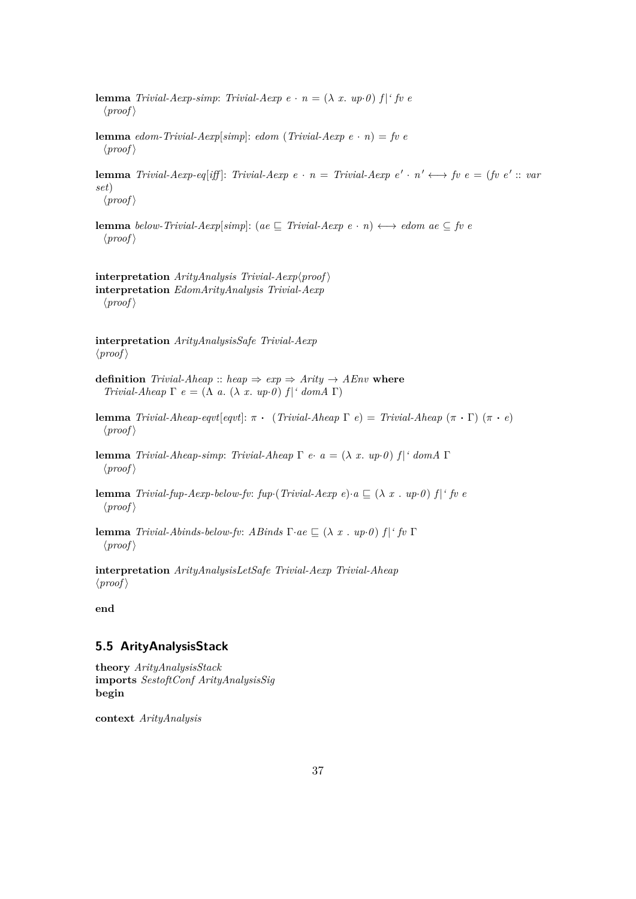- **lemma** *Trivial-Aexp-simp*: *Trivial-Aexp e* ·  $n = (\lambda x. up0)$  *f* | *' fv e*  $\langle proof \rangle$
- **lemma** *edom-Trivial-Aexp*[*simp*]: *edom* (*Trivial-Aexp e* · *n*) = *fv e*  $\langle proof \rangle$
- **lemma** *Trivial-Aexp-eq*[*iff*]: *Trivial-Aexp e* · *n* = *Trivial-Aexp e*' · *n*'  $\longleftrightarrow$  *fv e* = (*fv e'* :: *var set*)  $\langle proof \rangle$
- **lemma** *below-Trivial-Aexp*[*simp*]: (*ae*  $\subseteq$  *Trivial-Aexp e* · *n*)  $\longleftrightarrow$  *edom ae*  $\subseteq$  *fv e*  $\langle proof \rangle$

 $\text{interpretation}$  *ArityAnalysis Trivial-Aexp* $\langle proof \rangle$ **interpretation** *EdomArityAnalysis Trivial-Aexp*  $\langle proof \rangle$ 

**interpretation** *ArityAnalysisSafe Trivial-Aexp*  $\langle proof \rangle$ 

**definition** *Trivial-Aheap* :: *heap*  $\Rightarrow$  *exp*  $\Rightarrow$  *Arity*  $\rightarrow$  *AEnv* **where** *Trivial-Aheap* Γ *e* = (Λ *a*. (λ *x*. *up*·*0*)  $f$ <sup> $\mid$ </sup> domA Γ)

**lemma** *Trivial-Aheap-eqvt*[*eqvt*]:  $\pi \cdot (Triivial-Aheap \Gamma e) = Triivial-Aheap (\pi \cdot \Gamma) (\pi \cdot e)$  $\langle proof \rangle$ 

**lemma** *Trivial-Aheap-simp*: *Trivial-Aheap* Γ *e*· *a* = (λ *x*. *up*·*0* ) *f* |*' domA* Γ  $\langle proof \rangle$ 

**lemma** *Trivial-fup-Aexp-below-fv: fup*·(*Trivial-Aexp e*)·*a*  $\subseteq$  ( $\lambda$  *x* . *up*·*0*) *f* | *' fv e*  $\langle proof \rangle$ 

**lemma** *Trivial-Abinds-below-fv: ABinds*  $\Gamma$ *·ae*  $\Gamma$  (λ *x* . *up·0*)  $f$  |*' fv*  $\Gamma$  $\langle proof \rangle$ 

**interpretation** *ArityAnalysisLetSafe Trivial-Aexp Trivial-Aheap*  $\langle proof \rangle$ 

**end**

#### **5.5 ArityAnalysisStack**

```
theory ArityAnalysisStack
imports SestoftConf ArityAnalysisSig
begin
```
**context** *ArityAnalysis*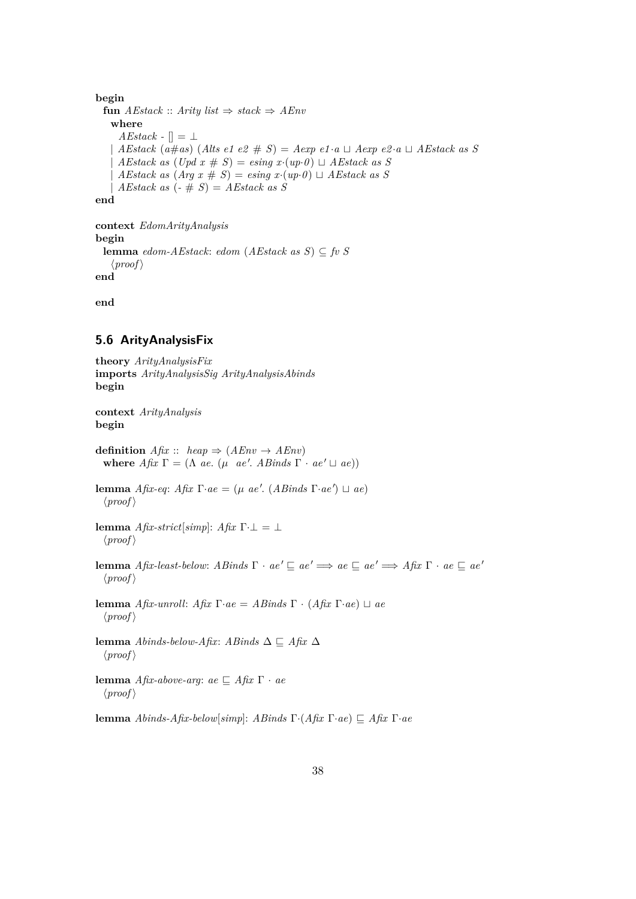```
begin
 fun AEstack :: Arity list ⇒ stack ⇒ AEnv
   where
     AEstack -[] = \botAEstack (a \# as) (Alts e1 e2 \# S) = Aexp e1 \cdot a \sqcup Aexp e2 \cdot a \sqcup AEstack as SAEstack as (Upd x \# S) = e\sin g x.(up \cdot 0) \sqcup AEstack as SAEstack as (Arg x \# S) = e\sin g x (up \cdot 0) \sqcup AEstack as SAEstack as (-# S) = AEstack as Send
context EdomArityAnalysis
begin
```

```
lemma edom-AEstack: edom (AEstack as S) ⊆ fv S
   \langle proof \rangleend
```
**end**

#### **5.6 ArityAnalysisFix**

**theory** *ArityAnalysisFix* **imports** *ArityAnalysisSig ArityAnalysisAbinds* **begin**

**context** *ArityAnalysis* **begin**

**definition**  $Af\mathbf{x} :: \mathbf{heap} \Rightarrow (A\mathbf{Env} \rightarrow A\mathbf{Env})$ **where**  $Af\mathbf{x} \Gamma = (\Lambda \ ae. \ (\mu \ ae'. \ Ab\mathbf{z}) \Gamma \cdot ae')$ 

**lemma** *Afix-eq*: *Afix* Γ·*ae* = (μ *ae'*. (*ABinds* Γ·*ae'*)  $\sqcup$  *ae*)  $\langle proof \rangle$ 

**lemma** *Afix-strict*[ $simp$ ]: *Afix* Γ· $\bot = \bot$  $\langle proof \rangle$ 

**lemma** *Afix-least-below: ABinds*  $\Gamma \cdot ae' \sqsubseteq ae' \implies ae \sqsubseteq ae' \implies Afix \Gamma \cdot ae \sqsubseteq ae'$  $\langle proof \rangle$ 

**lemma** *Afix-unroll*: *Afix* Γ·*ae* = *ABinds* Γ · (*Afix* Γ·*ae*)  $\sqcup$  *ae*  $\langle proof \rangle$ 

**lemma** *Abinds-below-Afix*: *ABinds*  $\Delta$  ⊏ *Afix*  $\Delta$  $\langle proof \rangle$ 

**lemma** *Afix-above-arg*: *ae*  $\subseteq$  *Afix* Γ · *ae*  $\langle proof \rangle$ 

**lemma** *Abinds-Afix-below*[*simp*]: *ABinds* Γ·(*Afix* Γ·*ae*)  $\subseteq$  *Afix* Γ·*ae*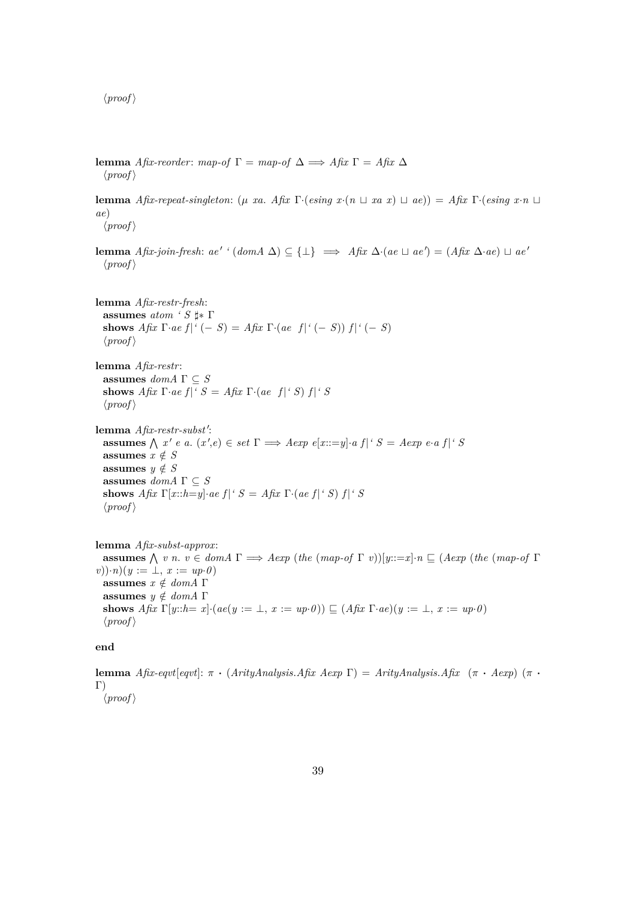$\langle proof \rangle$ 

**lemma** *Afix-reorder: map-of* Γ = *map-of* Δ  $\implies$  *Afix* Γ = *Afix* Δ  $\langle proof \rangle$ 

**lemma** *Afix-repeat-singleton*: ( $\mu$  *xa. Afix* Γ·(*esing x*·( $n \sqcup$  *xa x*)  $\sqcup$  *ae*)) = *Afix* Γ·(*esing x*·*n*  $\sqcup$ *ae*)

 $\langle proof \rangle$ 

**lemma** *Afix-join-fresh:*  $ae' ' (dom A \Delta) \subseteq {\{\perp\}} \implies Afix \Delta (ae \sqcup ae') = (Afix \Delta \cdot ae) \sqcup ae'$  $\langle proof \rangle$ 

**lemma** *Afix-restr-fresh*: **assumes** *atom* '  $S$   $\sharp$ \* Γ **shows**  $A \text{ fix } \Gamma \cdot ae \text{ f} |^{c} (-S) = A \text{ fix } \Gamma \cdot (ae \text{ f} |^{c} (-S)) \text{ f} |^{c} (-S)$  $\langle proof \rangle$ 

**lemma** *Afix-restr*: **assumes**  $dom A \Gamma \subseteq S$ **shows** *Afix*  $\Gamma$ *·ae*  $f$  | *'*  $S = Afix \Gamma$ *·*(*ae*  $f$  | *'*  $S$ )  $f$  | *'*  $S$  $\langle proof \rangle$ 

lemma Afix-restr-subst': **assumes**  $\bigwedge x' e$  *a*.  $(x', e) \in set \Gamma \implies A exp \ e[x ::= y] \cdot a \ f|^{\prime} S = A exp \ e \cdot a \ f|^{\prime} S$ assumes  $x \notin S$ **assumes**  $y \notin S$  $\textbf{assumes}\ dom A$   $\Gamma \subseteq S$ **shows** *Afix*  $\Gamma[x::h=y] \cdot ae \ f|^{\prime} S = Afix \ \Gamma \cdot (ae \ f|^{\prime} S) \ f|^{\prime} S$  $\langle proof \rangle$ 

**lemma** *Afix-subst-approx*: **assumes**  $\bigwedge v$  *n*.  $v \in dom A \Gamma \implies Aexp$  (*the* (*map-of*  $\Gamma v$ ))[*y*::=*x*]·*n*  $\subseteq$  (*Aexp* (*the* (*map-of*  $\Gamma$ ) *v*))·*n*)(*y* := ⊥, *x* := *up*·*0* ) **assumes**  $x \notin domA$  Γ **assumes**  $y \notin domA$  Γ **shows** *Afix*  $\Gamma[y::h=x] \cdot (ae(y := \bot, x := up \cdot 0)) \sqsubseteq (A$ *fix*  $\Gamma \cdot ae)(y := \bot, x := up \cdot 0)$  $\langle proof \rangle$ 

**end**

**lemma** *Afix-eqvt*[*eqvt*]: π · (*ArityAnalysis.Afix Aexp* Γ) = *ArityAnalysis.Afix* (π · *Aexp*) (π · Γ)  $\langle proof \rangle$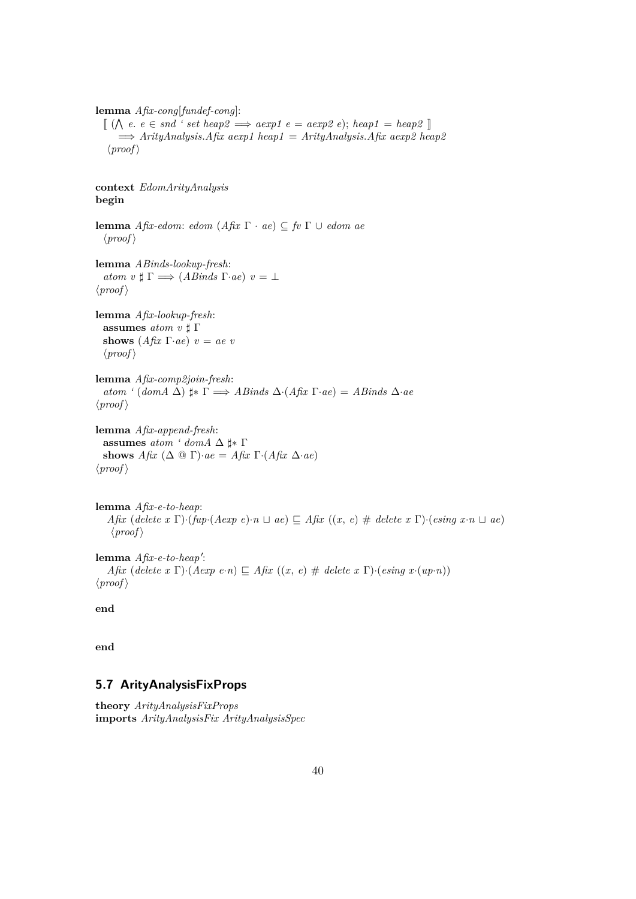**lemma** *Afix-cong*[*fundef-cong*]:

 $\llbracket (\bigwedge e, e \in \mathit{snd} ' \mathit{set} \mathit{heap2} \implies \mathit{aexp1} \mathit{e} = \mathit{aexp2} \mathit{e} \text{);} \mathit{heap1} = \mathit{heap2} \rrbracket$  $\implies$  *ArityAnalysis.Afix aexp1 heap1* = *ArityAnalysis.Afix aexp2 heap2*  $\langle proof \rangle$ 

**context** *EdomArityAnalysis* **begin**

**lemma** *Afix-edom*: *edom* (*Afix* Γ · *ae*) ⊆ *fv* Γ ∪ *edom ae*  $\langle proof \rangle$ 

```
lemma ABinds-lookup-fresh:
  atom \ v \sharp \Gamma \Longrightarrow (ABinds \ \Gamma \cdot ae) \ v = \bot\langle proof \rangle
```

```
lemma Afix-lookup-fresh:
   % \left\vert \left( \mathbf{r},\mathbf{r}^{\prime }\right) \right\vert assumes \emph{atom} \emph{v} \sharp \Gammashows (A \hat{f} x \Gamma \cdot a e) v = a e v\langle proof \rangle
```
**lemma** *Afix-comp2join-fresh*:  $atom'$  ( $domA \Delta$ )  $\sharp$ \*  $\Gamma \Longrightarrow ABinds \Delta(Afix \Gamma \cdot ae) = ABinds \Delta \cdot ae$  $\langle proof \rangle$ 

**lemma** *Afix-append-fresh*: **assumes**  $atom \text{ '} domA \triangle \sharp * \Gamma$ **shows**  $A$ *fix*  $(\Delta \otimes \Gamma) \cdot ae = A$ *fix*  $\Gamma \cdot (A$ *fix*  $\Delta \cdot ae)$  $\langle proof \rangle$ 

**lemma** *Afix-e-to-heap*: *Afix* (*delete x* Γ)·(*fup*·(*Aexp e*)·*n*  $\sqcup$  *ae*)  $\sqsubseteq$  *Afix* ((*x*, *e*) # *delete x* Γ)·(*esing x*·*n*  $\sqcup$  *ae*)  $\langle proof \rangle$ 

lemma *Afix-e-to-heap'*: *Afix* (*delete x* Γ)·(*Aexp e*·*n*)  $\subseteq$  *Afix* ((*x*, *e*) # *delete x* Γ)·(*esing x*·(*up*·*n*))  $\langle proof \rangle$ 

**end**

**end**

# **5.7 ArityAnalysisFixProps**

**theory** *ArityAnalysisFixProps* **imports** *ArityAnalysisFix ArityAnalysisSpec*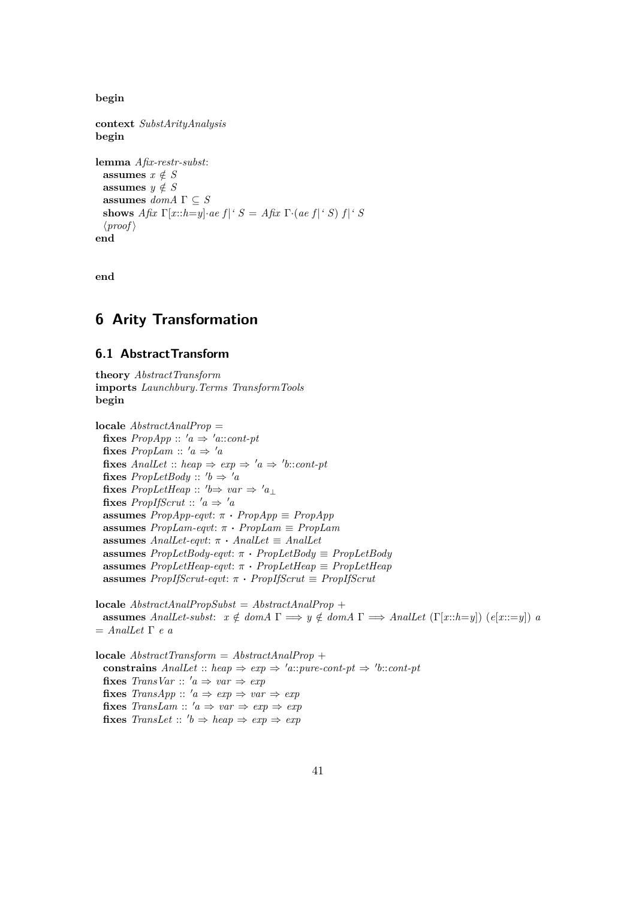**begin**

**context** *SubstArityAnalysis* **begin lemma** *Afix-restr-subst*: **assumes**  $x \notin S$ **assumes**  $y \notin S$ **assumes** *domA* Γ ⊆ *S* **shows** *Afix*  $\Gamma[x::h=y]$ ·*ae*  $f$  | '  $S = Afix \Gamma$ ·(*ae*  $f$  | '  $S$ )  $f$  | '  $S$  $\langle proof \rangle$ **end**

**end**

# **6 Arity Transformation**

#### **6.1 AbstractTransform**

**theory** *AbstractTransform* **imports** *Launchbury*.*Terms TransformTools* **begin**

**locale** *AbstractAnalProp* = **fixes**  $PropApp :: 'a \Rightarrow 'a::cont\text{-}pt$ **fixes**  $PropLam :: 'a \Rightarrow 'a$  $\textbf{fixes}$   $AnalLet :: heap \Rightarrow exp \Rightarrow 'a \Rightarrow 'b::cont\text{-}pt$ **fixes**  $PropLetBody :: 'b \Rightarrow 'a$ **fixes**  $PropLetHeap :: 'b \Rightarrow var \Rightarrow 'a_{\perp}$ **fixes** *PropIfScrut* ::  $'a \Rightarrow 'a$ **assumes**  $PropApp\text{-}eqvt$ :  $\pi \cdot PropApp \equiv PropApp$ **assumes** *PropLam-eqvt*: π · *PropLam* ≡ *PropLam* **assumes** *AnalLet-eqvt*: π · *AnalLet* ≡ *AnalLet* **assumes** *PropLetBody-eqvt*: π · *PropLetBody* ≡ *PropLetBody* **assumes** *PropLetHeap-eqvt*: π · *PropLetHeap* ≡ *PropLetHeap* **assumes** *PropIfScrut-eqvt*: π · *PropIfScrut* ≡ *PropIfScrut*

**locale** *AbstractAnalPropSubst* = *AbstractAnalProp* + **assumes** *AnalLet-subst:*  $x \notin domA \Gamma \implies y \notin domA \Gamma \implies AnalLet \left( \Gamma[x::h=y] \right)$   $(e[x::=y])$  *a* = *AnalLet* Γ *e a*

**locale** *AbstractTransform* = *AbstractAnalProp* + **constrains**  $AnalLet :: heap \Rightarrow exp \Rightarrow 'a::pure-cont-pt \Rightarrow 'b::cont-pt$ **fixes** *TransVar* ::  $'a \Rightarrow var \Rightarrow exp$ **fixes**  $TransApp :: 'a \Rightarrow exp \Rightarrow var \Rightarrow exp$ **fixes** *TransLam* ::  $'a \Rightarrow var \Rightarrow exp \Rightarrow exp$  $\textbf{fixes}$   $\textit{TransLet} :: 'b \Rightarrow \textit{heap} \Rightarrow \textit{exp} \Rightarrow \textit{exp}$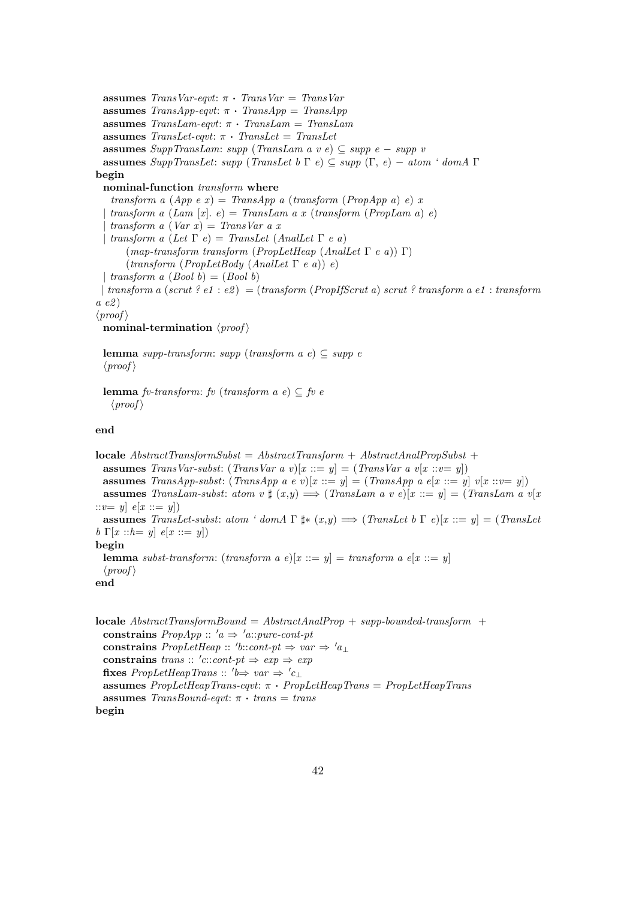**assumes** *TransVar-eqvt*: π · *TransVar* = *TransVar* **assumes**  $TransApp\text{-}eqvt$ :  $\pi \cdot TransApp = TransApp$ **assumes** *TransLam-eqvt*: π · *TransLam* = *TransLam* **assumes** *TransLet-eqvt*: π · *TransLet* = *TransLet* **assumes** *SuppTransLam*: *supp* (*TransLam a v e*) ⊆ *supp e* − *supp v* **assumes** *SuppTransLet*: *supp* (*TransLet b* Γ *e*) ⊆ *supp* (Γ, *e*) − *atom ' domA* Γ **begin nominal-function** *transform* **where** *transform a*  $(App e x) = TransApp a (transform (PropApp a) e) x$ | *transform a* (*Lam* [*x*]. *e*) = *TransLam a x* (*transform* (*PropLam a*) *e*) | *transform a* (*Var x*) = *TransVar a x* | *transform a* (*Let* Γ *e*) = *TransLet* (*AnalLet* Γ *e a*) (*map-transform transform* (*PropLetHeap* (*AnalLet* Γ *e a*)) Γ) (*transform* (*PropLetBody* (*AnalLet* Γ *e a*)) *e*) | *transform a*  $(Bool b) = (Bool b)$ | *transform a* (*scrut ? e1* : *e2* ) = (*transform* (*PropIfScrut a*) *scrut ? transform a e1* : *transform a e2* )  $\langle proof \rangle$ **nominal-termination**  $\langle proof \rangle$ 

```
lemma supp-transform: supp (transform a e) ⊆ supp e
\langle proof \rangle
```
**lemma** *fv-transform*: *fv* (*transform a e*)  $\subset$  *fv e*  $\langle proof \rangle$ 

**end**

**locale** *AbstractTransformSubst* = *AbstractTransform* + *AbstractAnalPropSubst* + **assumes** *TransVar-subst:* (*TransVar a v*)[ $x ::= y$ ] = (*TransVar a v*[ $x ::= y$ ]) **assumes** *TransApp-subst*: (*TransApp a e v*)[ $x ::= y$ ] = (*TransApp a e*[ $x ::= y$ ]  $v[x ::= y]$ ] **assumes** *TransLam-subst: atom v*  $\sharp$   $(x,y) \Longrightarrow$   $(TransLam a v e)[x ::= y] = (TransLam a v[x])$  $::v = y$   $e[x ::= y]$ **assumes** *TransLet-subst: atom ' domA*  $\Gamma \sharp * (x,y) \Longrightarrow (TransLet b \Gamma e)[x ::= y] = (TransLet$ *b*  $\Gamma[x::h=y]$  *e*[*x* ::= *y*]) **begin lemma** *subst-transform*: (*transform a e*)[ $x ::= y$ ] = *transform a e*[ $x ::= y$ ]  $\langle proof \rangle$ **end**

**locale** *AbstractTransformBound* = *AbstractAnalProp* + *supp-bounded-transform* + **constrains**  $PropApp :: 'a \Rightarrow 'a::pure-cont-pt$ **constrains**  $PropLetHeap :: 'b::cont\textrm{-}pt \Rightarrow var \Rightarrow 'a_{\perp}$ **constrains** *trans* ::  $'c::cont\text{-}pt \Rightarrow exp \Rightarrow exp$ fixes  $PropLetHeapTrans:: 'b \Rightarrow var \Rightarrow 'c_{\perp}$ **assumes** *PropLetHeapTrans-eqvt*: π · *PropLetHeapTrans* = *PropLetHeapTrans* **assumes** *TransBound-eqvt*:  $\pi \cdot trans = trans$ **begin**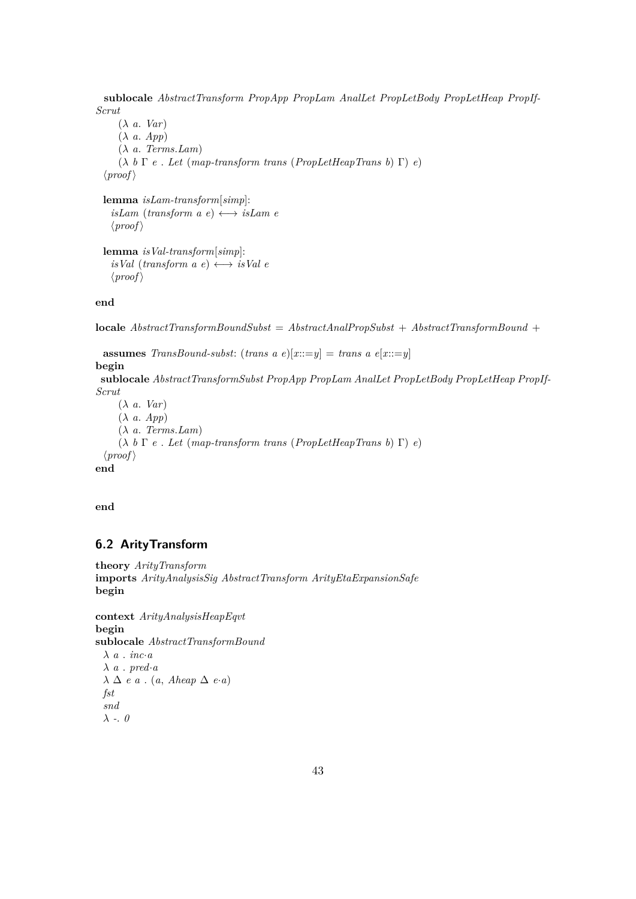**sublocale** *AbstractTransform PropApp PropLam AnalLet PropLetBody PropLetHeap PropIf-Scrut*

(λ *a*. *Var*) (λ *a*. *App*) (λ *a*. *Terms*.*Lam*) (λ *b* Γ *e* . *Let* (*map-transform trans* (*PropLetHeapTrans b*) Γ) *e*)  $\langle proof \rangle$ **lemma** *isLam-transform*[*simp*]:  $isLam$  (*transform a e*)  $\longleftrightarrow$  *isLam e*  $\langle proof \rangle$ 

**lemma** *isVal-transform*[*simp*]:  $isVal$  (*transform a e*)  $\longleftrightarrow$  *isVal e*  $\langle proof \rangle$ 

**end**

**locale** *AbstractTransformBoundSubst* = *AbstractAnalPropSubst* + *AbstractTransformBound* +

```
assumes TransBound-subst: (trans a e)[x::=y] = trans a e[x::=y]
begin
 sublocale AbstractTransformSubst PropApp PropLam AnalLet PropLetBody PropLetHeap PropIf-
Scrut
    (λ a. Var)
    (λ a. App)
    (λ a. Terms.Lam)
    (λ b Γ e . Let (map-transform trans (PropLetHeapTrans b) Γ) e)
 \langle proof \rangleend
```
**end**

# **6.2 ArityTransform**

```
theory ArityTransform
imports ArityAnalysisSig AbstractTransform ArityEtaExpansionSafe
begin
```

```
context ArityAnalysisHeapEqvt
begin
sublocale AbstractTransformBound
 λ a . inc·a
 \lambda a . pred·a
 λ ∆ e a . (a, Aheap ∆ e·a)
 fst
 snd
 λ -. 0
```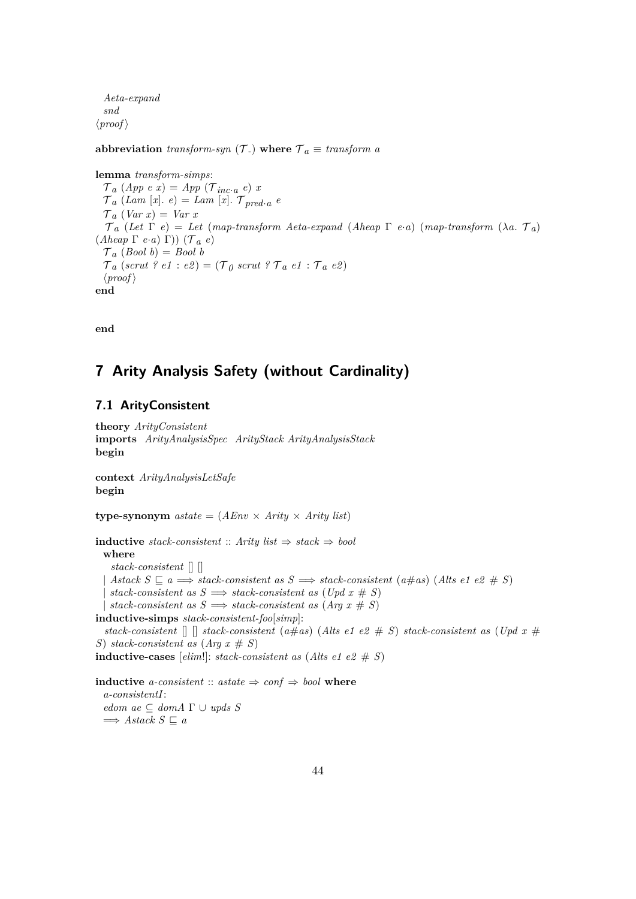*Aeta-expand snd*  $\langle proof \rangle$ 

**abbreviation** *transform-syn*  $(\mathcal{T})$  **where**  $\mathcal{T}_a \equiv$  *transform a* 

```
lemma transform-simps:
  \mathcal{T}_a (App e x) = App (\mathcal{T}_{inc \cdot a} e) x
  \mathcal{T}_a (Lam [x]. e) = Lam [x]. \mathcal{T}_{pred \cdot a} e\mathcal{T}_a (Var x) = Var x
   \tau_a (Let \Gamma e) = Let (map-transform Aeta-expand (Aheap \Gamma e·a) (map-transform (\lambdaa. \tau_a)
(Aheap \Gamma e \cdot a) \Gamma) (\mathcal{T}^a e)\mathcal{T}_a (Bool b) = Bool b
  \mathcal{T}_a (scrut ? e1 : e2) = (\mathcal{T}_0 scrut ? \mathcal{T}_a e1 : \mathcal{T}_a e2)
  \langle proof \rangleend
```
**end**

# **7 Arity Analysis Safety (without Cardinality)**

## **7.1 ArityConsistent**

```
theory ArityConsistent
imports ArityAnalysisSpec ArityStack ArityAnalysisStack
begin
context ArityAnalysisLetSafe
begin
type-synonym \text{astate} = (A\text{Env} \times \text{Arity} \times \text{Arity list})inductive stack-consistent :: Arity list ⇒ stack ⇒ bool
 where
    stack-consistent [] []
   \textit{Atack } S \subseteq a \Longrightarrow \textit{stack-consistent as } S \Longrightarrow \textit{stack-consistent (a\#as) (Alts e1 e2 \# S)}stack-consistent as S \implies stack-consistent as (Upd x \# S)stack-consistent as S \implies stack-consistent as (Arg x \# S)inductive-simps stack-consistent-foo[simp]:
  stack-consistent \lceil \int \rceil stack-consistent (a#as) (Alts e1 e2 # S) stack-consistent as (Upd x #
S) stack-consistent as (A \nvert x \# S)inductive-cases [elim!]: stack-consistent as (Alts e1 e2 \# S)
inductive a-consistent :: astate \Rightarrow conf \Rightarrow bool where
  a-consistentI:
  edom \, \mathit{ae} \subseteq \mathit{dom} \, \mathit{A} \, \Gamma \cup \mathit{up} \, \mathit{ds} \, \mathit{S}
```

```
\implies Astack S \sqsubseteq a
```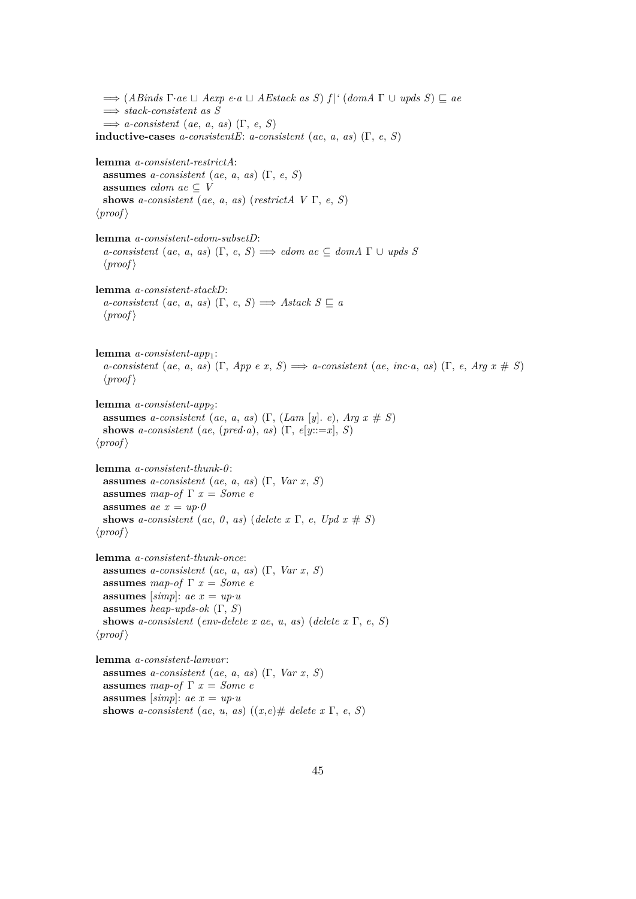$\implies$   $(ABinds \Gamma \cdot ae \sqcup Aexp \ e \cdot a \sqcup AEstack \ as \ S) \ f|^{\prime} \ (dom A \Gamma \cup up ds \ S) \sqsubseteq ae$ =⇒ *stack-consistent as S*  $\implies$  *a*-consistent (*ae*, *a*, *as*) (Γ, *e*, *S*) **inductive-cases** *a-consistentE*: *a-consistent* (*ae*, *a*, *as*) ( $\Gamma$ , *e*, *S*) **lemma** *a-consistent-restrictA*: **assumes** *a-consistent* (*ae*, *a*, *as*) (Γ, *e*, *S*) **assumes** *edom*  $ae \subseteq V$ **shows** *a-consistent* (*ae*, *a*, *as*) (*restrictA V* Γ, *e*, *S*)  $\langle proof \rangle$ **lemma** *a-consistent-edom-subsetD*:  $a$ -consistent (*ae*, *a*, *as*) (Γ, *e*, *S*)  $\implies$  *edom ae*  $\subseteq$  *domA*  $\Gamma \cup \text{ups } S$  $\langle proof \rangle$ **lemma** *a-consistent-stackD*:  $a$ -consistent (*ae*, *a*, *as*) (Γ, *e*, *S*)  $\implies$  *Astack S*  $\sqsubseteq$  *a*  $\langle proof \rangle$ **lemma** *a-consistent-app*1:  $a$ -consistent (*ae*, *a*, *as*) (Γ, *App e x*, *S*)  $\implies$  *a*-consistent (*ae*, *inc*·*a*, *as*) (Γ, *e*, *Arg x* # *S*)  $\langle proof \rangle$ **lemma** *a-consistent-app*2: **assumes** *a-consistent* (*ae*, *a*, *as*) (Γ, (*Lam* [*y*]. *e*), *Arg x* # *S*) **shows** *a-consistent* (*ae*, (*pred*·*a*), *as*) (Γ, *e*[*y*::=*x*], *S*)  $\langle proof \rangle$ **lemma** *a-consistent-thunk-0* : **assumes** *a-consistent* (*ae*, *a*, *as*) (Γ, *Var x*, *S*) **assumes** *map-of* Γ *x* = *Some e* **assumes**  $ae x = up \cdot \theta$ **shows** *a-consistent* (*ae*, *0*, *as*) (*delete x*  $\Gamma$ , *e*, *Upd*  $x \neq S$ )  $\langle proof \rangle$ **lemma** *a-consistent-thunk-once*: **assumes** *a-consistent* (*ae*, *a*, *as*) (Γ, *Var x*, *S*) **assumes** *map-of*  $\Gamma$  *x* = *Some e* **assumes** [simp]:  $ae x = up \cdot u$ **assumes** *heap-upds-ok* (Γ, *S*) **shows** *a-consistent* (*env-delete x ae*, *u*, *as*) (*delete x* Γ, *e*, *S*)  $\langle proof \rangle$ **lemma** *a-consistent-lamvar*: **assumes** *a-consistent* (*ae*, *a*, *as*) (Γ, *Var x*, *S*) **assumes** *map-of*  $\Gamma x = Some$  *e* **assumes** [*simp*]:  $ae x = up \cdot u$ **shows** *a-consistent* (*ae*, *u*, *as*) ((*x*,*e*)# *delete x*  $\Gamma$ , *e*, *S*)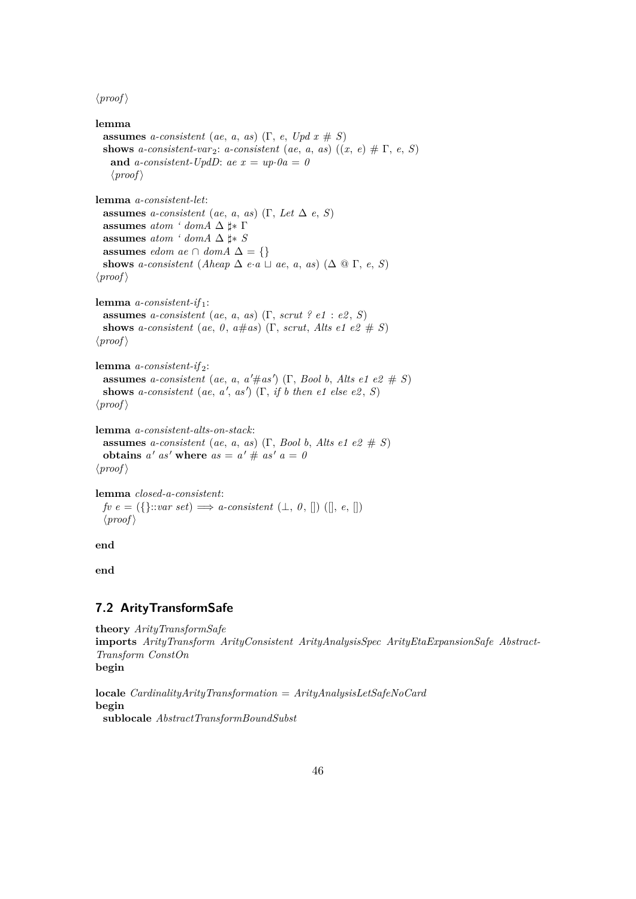$\langle proof \rangle$ 

```
lemma
 assumes a-consistent (ae, a, as) (Γ, e, Upd x \# S)
 shows a-consistent-var<sub>2</sub>: a-consistent (ae, a, as) ((x, e) \# \Gamma, e, S)
   and a-consistent-UpdD: ae x = up \tcdot 0a = 0\langle proof \ranglelemma a-consistent-let:
 assumes a-consistent (ae, a, as) (Γ, Let \Delta e, S)
 assumes atom \text{ '} domA \triangle  \sharp * \Gammaassumes atom \cdot domA \Delta \sharp ∗ S
 assumes edom ae \cap domA \Delta = \{\}shows a-consistent (Aheap \Delta e·a \Box ae, a, as) (\Delta \Box F, e, S)
\langle proof \ranglelemma a-consistent-if 1:
 assumes a-consistent (ae, a, as) (Γ, scrut ? e1 : e2 , S)
 shows a-consistent (ae, 0, a \# as) (Γ, scrut, Alts e1 e2 # S)
\langle proof \ranglelemma a-consistent-if 2:
  assumes a-consistent (ae, a, a' \# as') (Γ, Bool b, Alts e1 e2 \# S)
  shows a-consistent (ae, a', as') (Γ, if b then e1 else e2, S)
\langle proof \ranglelemma a-consistent-alts-on-stack:
 assumes a-consistent (ae, a, as) (Γ, Bool b, Alts e1 e2 # S)
  obtains a' as' where as = a' \# as' a = 0\langle proof \ranglelemma closed-a-consistent:
 fve = (\{\}::var set) \Longrightarrow a\text{-}consistent (\perp, 0, [])([], e, [])\langle proof \rangle
```
**end**

**end**

#### **7.2 ArityTransformSafe**

```
theory ArityTransformSafe
imports ArityTransform ArityConsistent ArityAnalysisSpec ArityEtaExpansionSafe Abstract-
Transform ConstOn
begin
locale CardinalityArityTransformation = ArityAnalysisLetSafeNoCard
```
**begin**

```
sublocale AbstractTransformBoundSubst
```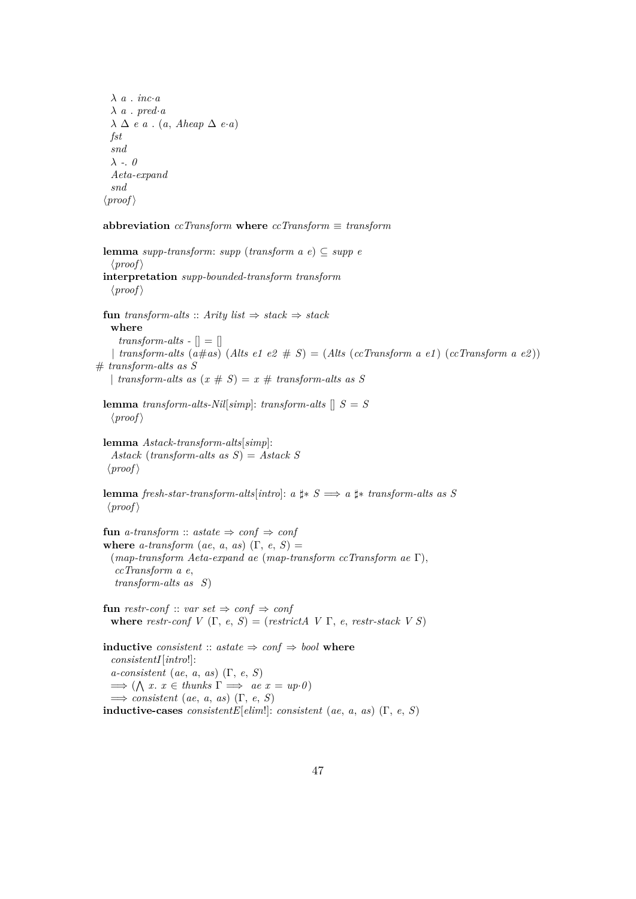λ *a* . *inc*·*a* λ *a* . *pred*·*a* λ ∆ *e a* . (*a*, *Aheap* ∆ *e*·*a*) *fst snd* λ *-*. *0 Aeta-expand snd*  $\langle proof \rangle$ 

**abbreviation** *ccTransform* **where** *ccTransform* ≡ *transform*

**lemma** *supp-transform*: *supp* (*transform a e*) ⊆ *supp e*  $\langle proof \rangle$ **interpretation** *supp-bounded-transform transform*  $\langle proof \rangle$ **fun** *transform-alts* :: *Arity list*  $\Rightarrow$  *stack*  $\Rightarrow$  *stack* **where**  $transform-alts - [] = []$ | *transform-alts*  $(a \# as)$   $(A$ *lts e1 e2*  $\# S) = (Alts (cc Transform a e1) (cc Transform a e2))$ # *transform-alts as S* | *transform-alts as*  $(x \# S) = x \#$  *transform-alts as* S **lemma** *transform-alts-Nil*[ $simp$ ]: *transform-alts*  $[|S|]$  $\langle proof \rangle$ **lemma** *Astack-transform-alts*[*simp*]: *Astack* (*transform-alts as S*) = *Astack S*  $\langle proof \rangle$ **lemma** *fresh-star-transform-alts*[*intro*]: *a*  $\sharp$ \* *S*  $\Longrightarrow$  *a*  $\sharp$ \* *transform-alts as S*  $\langle proof \rangle$ **fun** *a-transform* :: *astate*  $\Rightarrow$  *conf*  $\Rightarrow$  *conf* **where**  $a$ -transform ( $ae$ ,  $a$ ,  $as$ ) ( $\Gamma$ ,  $e$ ,  $S$ ) = (*map-transform Aeta-expand ae* (*map-transform ccTransform ae* Γ), *ccTransform a e*, *transform-alts as S*) **fun** restr-conf :: *var set*  $\Rightarrow$  *conf*  $\Rightarrow$  *conf* **where** *restr-conf*  $V(\Gamma, e, S) =$  (*restrictA*  $V(\Gamma, e, \text{r}^2)$ **inductive** *consistent* ::  $astate \Rightarrow conf \Rightarrow bool$  **where** *consistentI*[*intro*!]: *a-consistent* (*ae*, *a*, *as*) (Γ, *e*, *S*)  $\implies (\bigwedge x. x \in \text{thunks } \Gamma \implies \text{ae } x = \text{up-0})$  $\implies$  *consistent* (*ae*, *a*, *as*) (Γ, *e*, *S*) **inductive-cases** *consistentE*[ $elim!$ : *consistent* (*ae*, *a*, *as*) ( $\Gamma$ , *e*, *S*)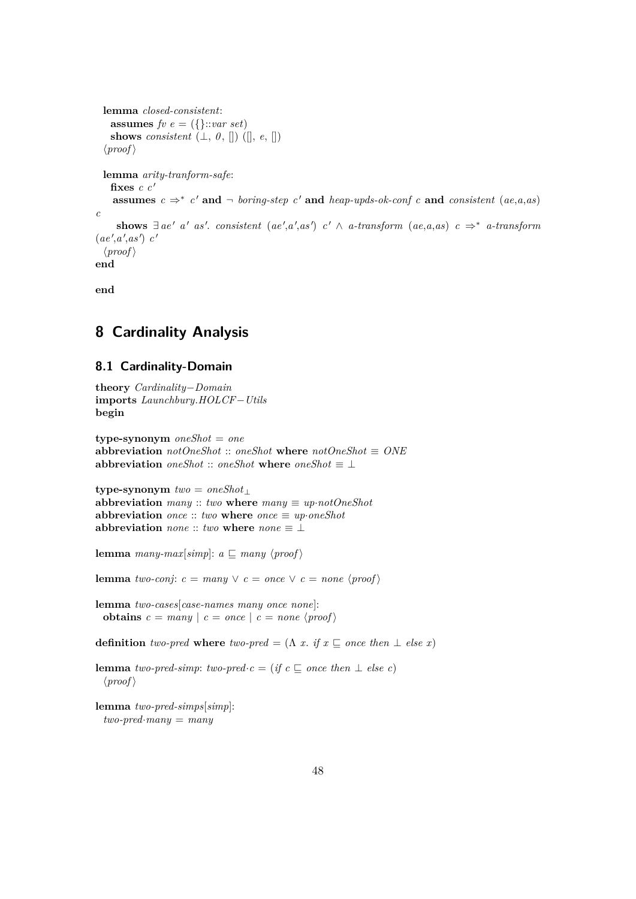```
lemma closed-consistent:
   assumes f v e = (\{\}::var set)shows consistent (L, 0, [] ([], e, [])\langle proof \ranglelemma arity-tranform-safe:
   fixes c c'assumes c \Rightarrow^* c' and \neg boring-step c' and heap-upds-ok-conf c and consistent (ae,a,as)
c
     \sum_{i=1}^{\infty} a_i as consistent (ae', a', as') c' \wedge a-transform (ae, a, as) c \Rightarrow^* a-transform
(ae',a',as') c'
  \langle proof \rangleend
```
**end**

# **8 Cardinality Analysis**

# **8.1 Cardinality-Domain**

```
theory Cardinality−Domain
imports Launchbury.HOLCF−Utils
begin
```
**type-synonym** *oneShot* = *one* **abbreviation**  $notOneShot$  ::  $oneShot$  **where**  $notOneShot \equiv ONE$ **abbreviation**  $oneShort :: oneShort$  **where**  $oneShort \equiv \bot$ 

**type-synonym** *two* = *oneShot*<sup>⊥</sup> **abbreviation**  $many :: two$  **where**  $many \equiv up \cdot notOneShot$ **abbreviation**  $\textit{once} :: \textit{two}$  **where**  $\textit{once} \equiv \textit{up} \cdot \textit{one} \textit{Shot}$ **abbreviation** *none* :: *two* where  $none \equiv \perp$ 

**lemma** *many-max*[*simp*]:  $a \sqsubseteq$  *many*  $\langle proof \rangle$ 

**lemma** *two-conj*:  $c =$  *many*  $\lor$   $c =$  *once*  $\lor$   $c =$  *none*  $\langle$ *proof* $\rangle$ 

**lemma** *two-cases*[*case-names many once none*]: **obtains**  $c =$  many  $| c =$  once  $| c =$  none  $\langle$  proof  $\rangle$ 

**definition** *two-pred* where *two-pred* =  $(\Lambda x. if x \subseteq once then \perp else x)$ 

**lemma** *two-pred-simp*: *two-pred*·*c* = (*if c*  $\subseteq$  *once then*  $\perp$  *else c*)  $\langle proof \rangle$ 

```
lemma two-pred-simps[simp]:
 two-pred·many = many
```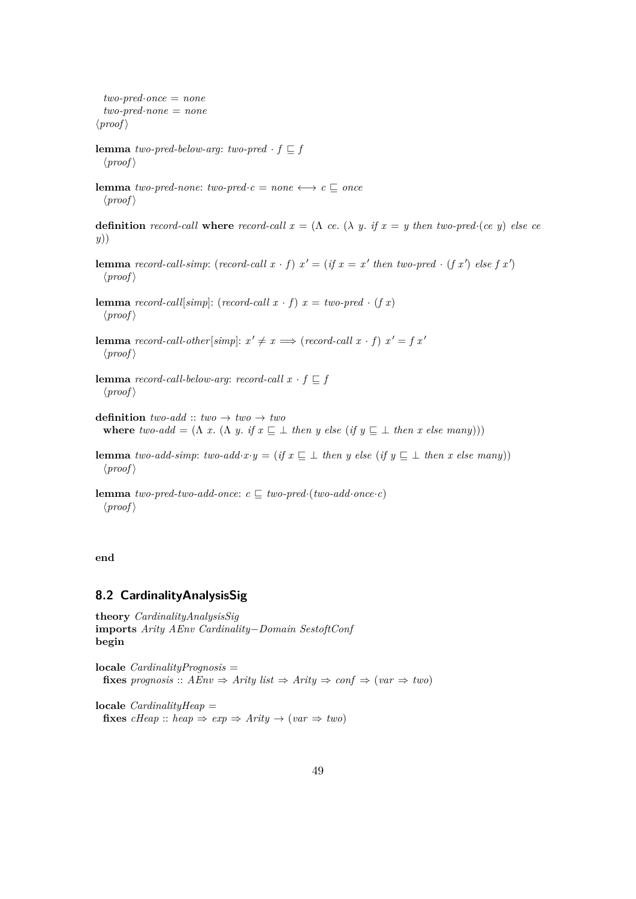*two-pred*·*once* = *none two-pred*·*none* = *none*  $\langle proof \rangle$ **lemma** *two-pred-below-arg*: *two-pred*  $\cdot f \subseteq f$  $\langle proof \rangle$ **lemma** *two-pred-none: two-pred-* $c = none \leftrightarrow c \sqsubseteq once$  $\langle proof \rangle$ **definition** *record-call* **where** *record-call*  $x = (\Lambda \text{ ce. } (\lambda \text{ y. if } x = \text{ y then two-pred·}(ce \text{ y}) \text{ else ce})$ *y*)) **lemma** *record-call-simp*: (*record-call*  $x \cdot f$ )  $x' = (if x = x'$  *then two-pred*  $\cdot (f x')$  *else*  $f x'$ )  $\langle proof \rangle$ **lemma** *record-call*[*simp*]: (*record-call x* · *f*)  $x = two-pred \cdot (fx)$  $\langle proof \rangle$ **lemma** *record-call-other*[ $simp$ ]:  $x' \neq x \implies$  (*record-call*  $x \cdot f$ )  $x' = f x'$  $\langle proof \rangle$ **lemma** *record-call-below-arg*: *record-call*  $x \cdot f \subseteq f$  $\langle proof \rangle$ **definition**  $two$ -add  $:: two \rightarrow two \rightarrow two$ **where** *two-add* =  $(\Lambda x. (\Lambda y. if x \subseteq \bot then y else (if y \subseteq \bot then x else many)))$ **lemma** *two-add-simp*: *two-add*·*x*·*y* = (*if*  $x \subseteq \bot$  *then y else* (*if*  $y \subseteq \bot$  *then x else many*))  $\langle proof \rangle$ 

**lemma** *two-pred-two-add-once*:  $c \sqsubseteq two$ -pred·(*two-add·once·c*)  $\langle proof \rangle$ 

**end**

#### **8.2 CardinalityAnalysisSig**

```
theory CardinalityAnalysisSig
imports Arity AEnv Cardinality−Domain SestoftConf
begin
```
**locale** *CardinalityPrognosis* = **fixes** *prognosis* ::  $AEnv \Rightarrow$  *Arity*  $list \Rightarrow$  *Arity*  $\Rightarrow$  *conf*  $\Rightarrow$  (*var*  $\Rightarrow$  *two*)

**locale** *CardinalityHeap* = **fixes**  $cHeap :: heap \Rightarrow exp \Rightarrow Arity \rightarrow (var \Rightarrow two)$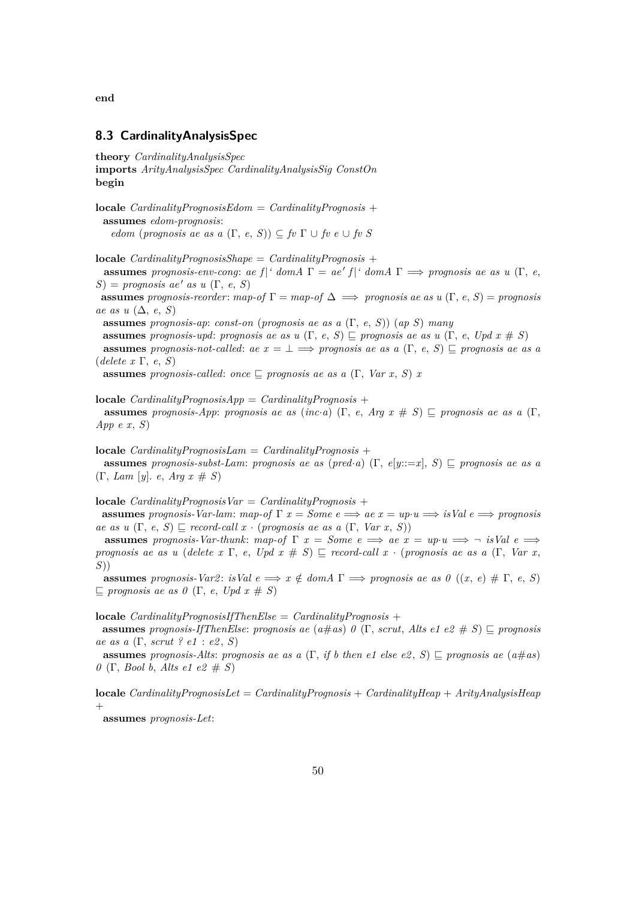**end**

## **8.3 CardinalityAnalysisSpec**

**theory** *CardinalityAnalysisSpec* **imports** *ArityAnalysisSpec CardinalityAnalysisSig ConstOn* **begin**

**locale** *CardinalityPrognosisEdom* = *CardinalityPrognosis* + **assumes** *edom-prognosis*: *edom* (*prognosis ae as a*  $(\Gamma, e, S)$ )  $\subset$  *fv*  $\Gamma \cup$  *fv e*  $\cup$  *fv S* 

**locale** *CardinalityPrognosisShape* = *CardinalityPrognosis* +

**assumes** *prognosis-env-cong*: *ae*  $f$  |*' domA*  $\Gamma = ae'$   $f$  |*' domA*  $\Gamma \implies$  *prognosis ae as u* (Γ, *e*,  $S$ ) = *prognosis ae' as u* (Γ, *e*, *S*)

**assumes** *prognosis-reorder:*  $map-off \Gamma = map-of \Delta \implies prognosis \ ae \ as \ u(\Gamma, e, S) = prognosis$ *ae as u* (∆, *e*, *S*)

**assumes** *prognosis-ap*: *const-on* (*prognosis ae as a* (Γ, *e*, *S*)) (*ap S*) *many*

**assumes** *prognosis-upd*: *prognosis ae as u*  $(\Gamma, e, S) \subseteq$  *prognosis ae as u*  $(\Gamma, e, Upd \ x \# S)$ **assumes** *prognosis-not-called:*  $ae x = \bot \implies prognosis ae as a$  (Γ, *e, S*)  $\sqsubset$  *prognosis ae as a* (*delete x* Γ, *e*, *S*)

**assumes** *prognosis-called: once*  $\Box$  *prognosis ae as a* (Γ, *Var x, S*) *x* 

**locale** *CardinalityPrognosisApp* = *CardinalityPrognosis* + **assumes** *prognosis-App*: *prognosis ae as* (*inc*·*a*) (Γ, *e*, *Arg*  $x \neq S$ )  $\subseteq$  *prognosis ae as*  $a$  (Γ, *App e x*, *S*)

**locale** *CardinalityPrognosisLam* = *CardinalityPrognosis* +

**assumes** *prognosis-subst-Lam: prognosis ae as (pred·a)* (Γ,  $e[y::=x]$ , *S*)  $\subseteq$  *prognosis ae as a* (Γ, *Lam* [*y*]. *e*, *Arg x* # *S*)

**locale**  $CardinalityProposisVar = CardinalityProposis +$ 

**assumes** *prognosis-Var-lam:*  $map-of \Gamma x = Some \ e \Longrightarrow ae \ x = up \cdot u \Longrightarrow isVal \ e \Longrightarrow programs$ *ae as u*  $(\Gamma, e, S) \sqsubseteq$  *record-call x* · (*prognosis ae as a*  $(\Gamma, Var \, x, S)$ )

**assumes** prognosis-Var-thunk: map-of  $\Gamma$  *x* = *Some*  $e \implies ae \ x = up \cdot u \implies \neg$  *isVal*  $e \implies \neg$ *prognosis ae as u* (*delete x* Γ, *e*, *Upd x* # *S*)  $\subseteq$  *record-call x* · (*prognosis ae as a* (Γ, *Var x*, *S*))

**assumes** *prognosis-Var2*:  $isVal e \implies x \notin domA \Gamma \implies prognosis ae as 0 ((x, e) \# \Gamma, e, S)$  $\Box$  *prognosis ae as 0* (Γ, *e*, *Upd x* # *S*)

**locale** *CardinalityPrognosisIfThenElse* = *CardinalityPrognosis* +

**assumes** *prognosis-IfThenElse: prognosis ae* ( $a \# as$ )  $0$  (Γ, *scrut*, *Alts e1 e2*  $\# S$ )  $\sqsubset$  *prognosis ae as a* (Γ, *scrut ? e1* : *e2* , *S*)

**assumes** *prognosis-Alts*: *prognosis ae as a* (Γ, *if b then e1 else e2*, *S*)  $\subseteq$  *prognosis ae* ( $a \neq as$ ) *0* (Γ, *Bool b*, *Alts e1 e2* # *S*)

**locale** *CardinalityPrognosisLet* = *CardinalityPrognosis* + *CardinalityHeap* + *ArityAnalysisHeap*  $^{+}$ 

**assumes** *prognosis-Let*: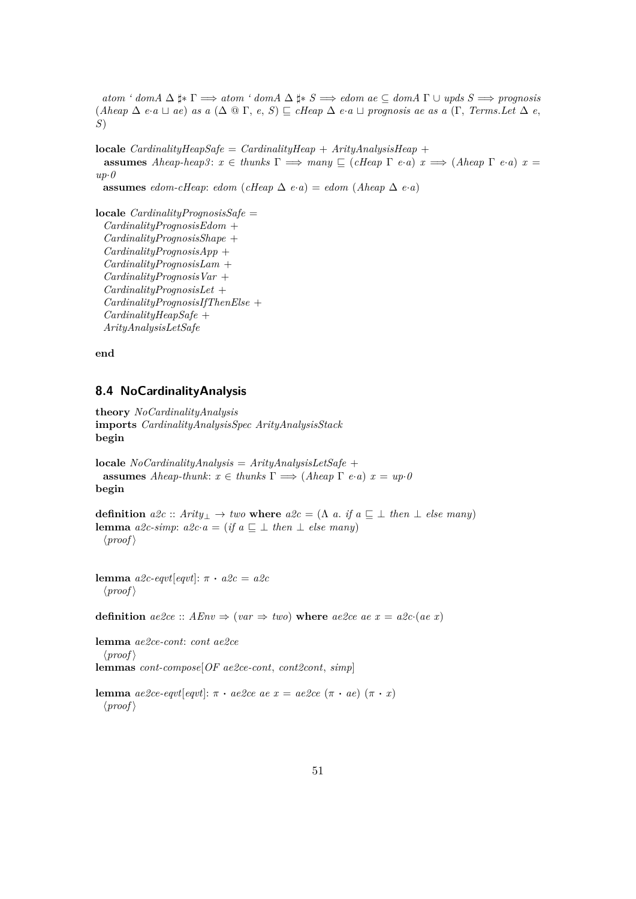$atom'$   $dom A \Delta \sharp * \Gamma \Longrightarrow atom'$   $dom A \Delta \sharp * S \Longrightarrow edom$   $ae \subseteq dom A \Gamma \cup up ds S \Longrightarrow propagis$  $(Aheap \Delta e \cdot a \Box ae)$  *as*  $a(\Delta @ \Gamma, e, S) \subseteq cHeap \Delta e \cdot a \Box progenosis ae as a (\Gamma, Terms. Let \Delta e,$ *S*)

**locale** *CardinalityHeapSafe* = *CardinalityHeap* + *ArityAnalysisHeap* + **assumes** *Aheap-heap3*:  $x \in$  *thunks*  $\Gamma \implies$  *many*  $\subseteq$  (*cHeap*  $\Gamma$  *e*·*a*)  $x \implies$  (*Aheap*  $\Gamma$  *e*·*a*)  $x =$ *up*·*0* **assumes** *edom-cHeap*: *edom* (*cHeap*  $\Delta$  *e*·*a*) = *edom* (*Aheap*  $\Delta$  *e*·*a*)

**locale** *CardinalityPrognosisSafe* = *CardinalityPrognosisEdom* + *CardinalityPrognosisShape* + *CardinalityPrognosisApp* + *CardinalityPrognosisLam* + *CardinalityPrognosisVar* + *CardinalityPrognosisLet* + *CardinalityPrognosisIfThenElse* + *CardinalityHeapSafe* + *ArityAnalysisLetSafe*

**end**

## **8.4 NoCardinalityAnalysis**

**theory** *NoCardinalityAnalysis* **imports** *CardinalityAnalysisSpec ArityAnalysisStack* **begin**

**locale** *NoCardinalityAnalysis* = *ArityAnalysisLetSafe* + **assumes** *Aheap-thunk*:  $x \in$  *thunks*  $\Gamma \implies$  (*Aheap*  $\Gamma$  *e*·*a*)  $x = up \cdot 0$ **begin**

**definition**  $a2c :: Arity_{\perp} \rightarrow two$  **where**  $a2c = (\Lambda \ a \cdot if \ a \sqsubseteq \bot \ then \ \bot \ else \ many)$ **lemma**  $a2c\text{-}simp: a2c\text{-}a = (if a \sqsubseteq \perp then \perp else many)$  $\langle proof \rangle$ 

**lemma** *a2c-eqvt*[*eqvt*]:  $\pi \cdot a2c = a2c$  $\langle proof \rangle$ 

**definition**  $ae\&ce :: AEnv \Rightarrow (var \Rightarrow two)$  where  $ae\&ce ae x = a\&ce (ae x)$ 

**lemma** *ae2ce-cont*: *cont ae2ce*  $\langle proof \rangle$ **lemmas** *cont-compose*[*OF ae2ce-cont*, *cont2cont*, *simp*]

**lemma**  $ae2ce\text{-}eqvt[eqvt]: π · ae2ce\text{ }ae\text{ }x = ae2ce\text{ }(\pi · ae)\text{ }(\pi · x)$  $\langle proof \rangle$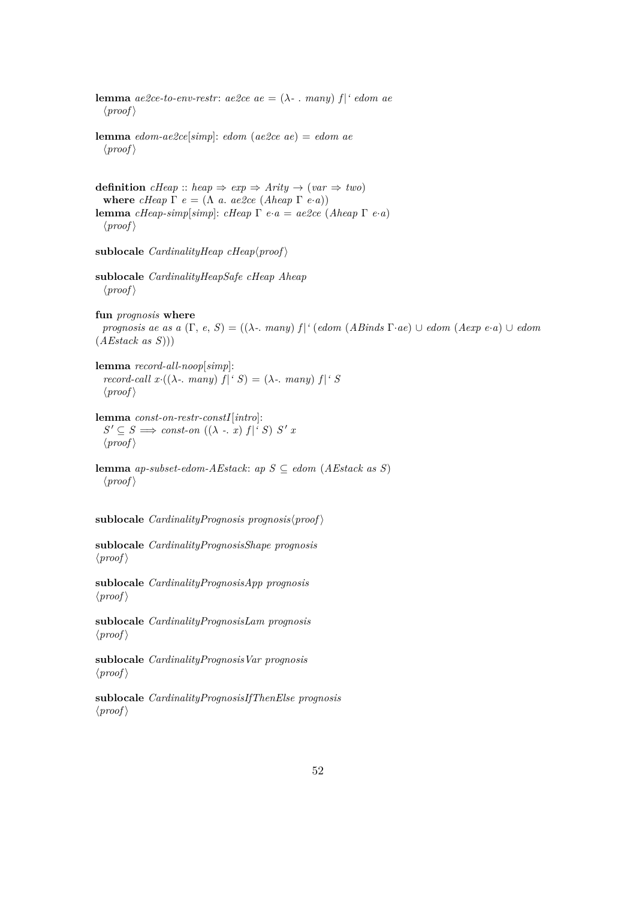**lemma**  $ae2ce-to-env-restr: ae2ce ae = (\lambda - \text{many}) f | 'edom ae$  $\langle proof \rangle$ **lemma** *edom-ae2ce*[*simp*]: *edom* (*ae2ce ae*) = *edom ae*  $\langle proof \rangle$ **definition**  $cHeap :: heap \Rightarrow exp \Rightarrow Arity \rightarrow (var \Rightarrow two)$ **where** *cHeap*  $\Gamma$  *e* = ( $\Lambda$  *a. ae2ce* (*Aheap*  $\Gamma$  *e*·*a*)) **lemma** *cHeap-simp*[*simp*]: *cHeap* Γ *e*·*a* = *ae2ce* (*Aheap* Γ *e*·*a*)  $\langle proof \rangle$ sublocale  $CardinalityHeap\;chap\; (proof)$ **sublocale** *CardinalityHeapSafe cHeap Aheap*  $\langle proof \rangle$ **fun** *prognosis* **where** *prognosis ae as a* (Γ, *e*, *S*) = ((λ*-*. *many*) *f* |*'* (*edom* (*ABinds* Γ·*ae*) ∪ *edom* (*Aexp e*·*a*) ∪ *edom* (*AEstack as S*))) **lemma** *record-all-noop*[*simp*]: *record-call x*· $((\lambda - \mathit{many}) f | \mathit{S}) = (\lambda - \mathit{many}) f | \mathit{S}$  $\langle proof \rangle$ **lemma** *const-on-restr-constI*[*intro*]:  $S' \subseteq S \implies const\text{-}on((\lambda - x) f | S') S' x$  $\langle proof \rangle$ **lemma** *ap-subset-edom-AEstack*: *ap S* ⊆ *edom* (*AEstack as S*)  $\langle proof \rangle$  $sublocale$  *CardinalityPrognosis prognosis* $\langle proof \rangle$ **sublocale** *CardinalityPrognosisShape prognosis*  $\langle proof \rangle$ **sublocale** *CardinalityPrognosisApp prognosis*  $\langle proof \rangle$ **sublocale** *CardinalityPrognosisLam prognosis*  $\langle proof \rangle$ **sublocale** *CardinalityPrognosisVar prognosis*  $\langle proof \rangle$ **sublocale** *CardinalityPrognosisIfThenElse prognosis*  $\langle proof \rangle$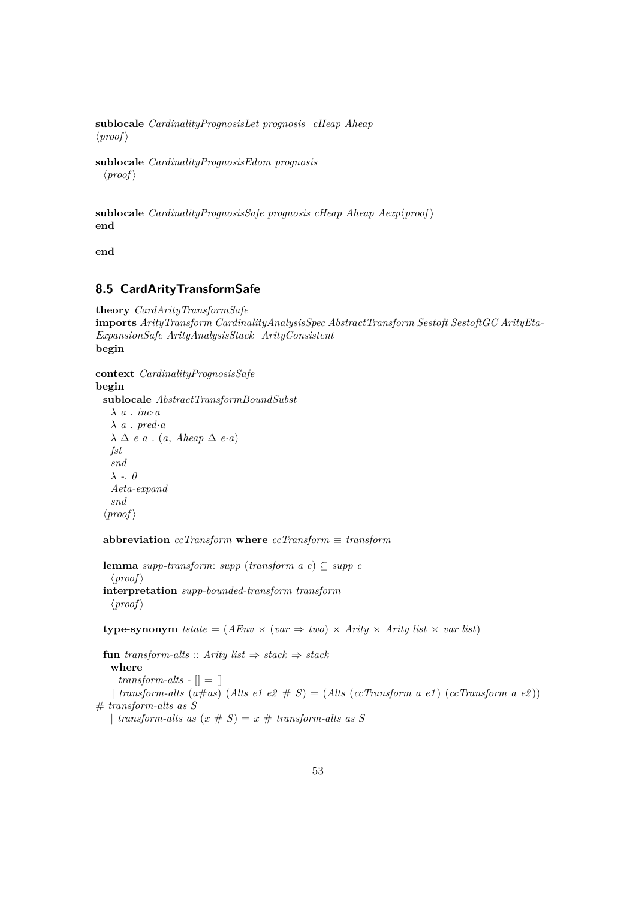**sublocale** *CardinalityPrognosisLet prognosis cHeap Aheap*  $\langle proof \rangle$ 

**sublocale** *CardinalityPrognosisEdom prognosis*  $\langle proof \rangle$ 

**sublocale** *CardinalityPrognosisSafe prognosis cHeap Aheap*  $Aexp(prop)$ **end**

**end**

# **8.5 CardArityTransformSafe**

```
theory CardArityTransformSafe
imports ArityTransform CardinalityAnalysisSpec AbstractTransform Sestoft SestoftGC ArityEta-
ExpansionSafe ArityAnalysisStack ArityConsistent
begin
```
**context** *CardinalityPrognosisSafe* **begin sublocale** *AbstractTransformBoundSubst* λ *a* . *inc*·*a*  $\lambda$  *a* . *pred*·*a* λ ∆ *e a* . (*a*, *Aheap* ∆ *e*·*a*) *fst snd* λ *-*. *0 Aeta-expand snd*  $\langle proof \rangle$ 

**abbreviation** *ccTransform* **where** *ccTransform* ≡ *transform*

**lemma** *supp-transform*: *supp* (*transform a e*) ⊆ *supp e*  $\langle proof \rangle$ **interpretation** *supp-bounded-transform transform*  $\langle proof \rangle$ 

**type-synonym** *tstate* =  $(AEnv \times (var \Rightarrow two) \times Arity \times Arity$  *list*  $\times var$  *list*)

**fun** *transform-alts* :: *Arity list*  $\Rightarrow$  *stack*  $\Rightarrow$  *stack* **where** *transform-alts -*  $\vert \vert = \vert \vert$ | *transform-alts*  $(a \# as)$   $(A$ *lts*  $e1 e2 \# S) = (Alts (cc Transform a e1) (cc Transform a e2))$ # *transform-alts as S* | *transform-alts as*  $(x \# S) = x \#$  *transform-alts as* S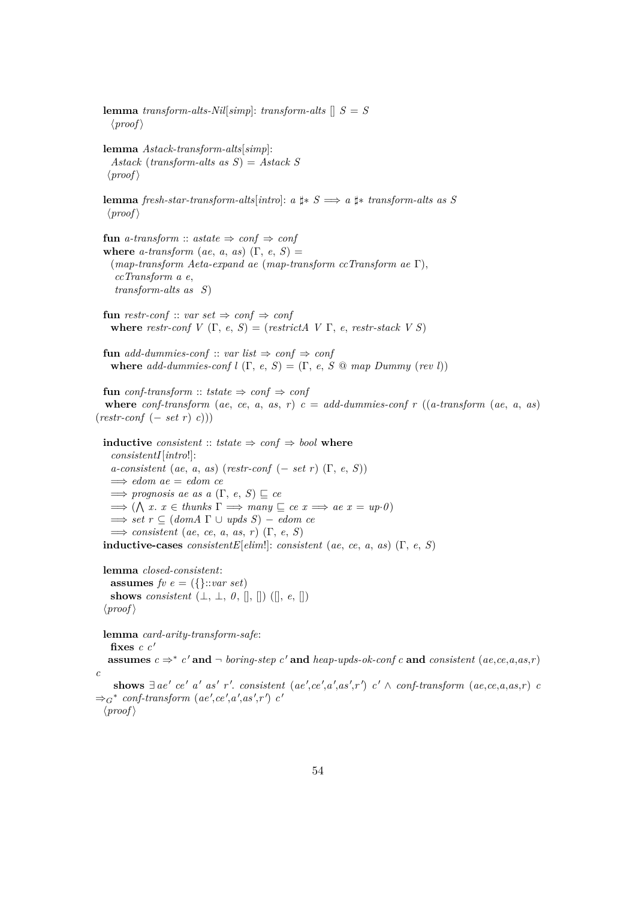**lemma** *transform-alts-Nil*[ $simp$ ]: *transform-alts*  $[|S|]$  $\langle proof \rangle$ **lemma** *Astack-transform-alts*[*simp*]: *Astack* (*transform-alts as S*) = *Astack S*  $\langle proof \rangle$ **lemma** *fresh-star-transform-alts*[*intro*]: *a*  $\sharp$ \* *S*  $\Longrightarrow$  *a*  $\sharp$ \* *transform-alts as S*  $\langle proof \rangle$ **fun** *a-transform* :: *astate*  $\Rightarrow$  *conf*  $\Rightarrow$  *conf* **where**  $a$ -transform ( $ae$ ,  $a$ ,  $as$ ) ( $\Gamma$ ,  $e$ ,  $S$ ) = (*map-transform Aeta-expand ae* (*map-transform ccTransform ae* Γ), *ccTransform a e*, *transform-alts as S*) **fun** restr-conf :: *var set*  $\Rightarrow$  *conf*  $\Rightarrow$  *conf* **where** *restr-conf*  $V(\Gamma, e, S) = (restrictA \ V \Gamma, e, restrstack V S)$ **fun** *add-dummies-conf* :: *var list*  $\Rightarrow$  *conf* **where** *add-dummies-conf l*  $(\Gamma, e, S) = (\Gamma, e, S \text{ @ map } D \text{ummy (} \text{rev } l))$ **fun** *conf-transform* :: *tstate*  $\Rightarrow$  *conf*  $\Rightarrow$  *conf* where *conf-transform* (*ae*, *ce*, *a*, *as*, *r*)  $c = add-dummies-conf$  *r* ((*a-transform* (*ae*, *a*, *as*) (*restr-conf* (− *set r*) *c*))) **inductive** *consistent* :: *tstate*  $\Rightarrow$  *conf*  $\Rightarrow$  *bool* **where** *consistentI*[*intro*!]: *a-consistent* (*ae*, *a*, *as*) (*restr-conf* (− *set r*) (Γ, *e*, *S*)) =⇒ *edom ae* = *edom ce*  $\implies$  *prognosis ae as a* (Γ, *e*, *S*)  $\sqsubseteq$  *ce*  $\implies (\bigwedge x. x \in \text{thunks } \Gamma \implies \text{many } \subseteq \text{ce } x \implies \text{ae } x = \text{up-0})$  $\implies$  *set*  $r \subseteq$  (*domA*  $\Gamma \cup$  *upds*  $S$ ) – *edom ce* =⇒ *consistent* (*ae*, *ce*, *a*, *as*, *r*) (Γ, *e*, *S*) **inductive-cases** *consistentE*[ $elim!$ : *consistent* (a.e., *ce*, *a*, *as*) (Γ, *e*, *S*)**lemma** *closed-consistent*: **assumes**  $f v e = (\{\}::var set)$ **shows** *consistent*  $(\bot, \bot, \theta, \|, \|)$   $(\Vert, e, \|)$  $\langle proof \rangle$ **lemma** *card-arity-transform-safe*: fixes  $c c'$ **assumes**  $c$  ⇒  $*$   $c'$  and  $¬$  *boring-step*  $c'$  and *heap-upds-ok-conf*  $c$  and *consistent* (*ae,ce,a,as,r*) *c* shows  $\exists$  ae' ce' a' as' r'. consistent (ae',ce',a',as',r') c'  $\land$  conf-transform (ae,ce,a,as,r) c  $\Rightarrow_G^*$  conf-transform  $(ae', ce', a', as', r')$  *c'*  $\langle proof \rangle$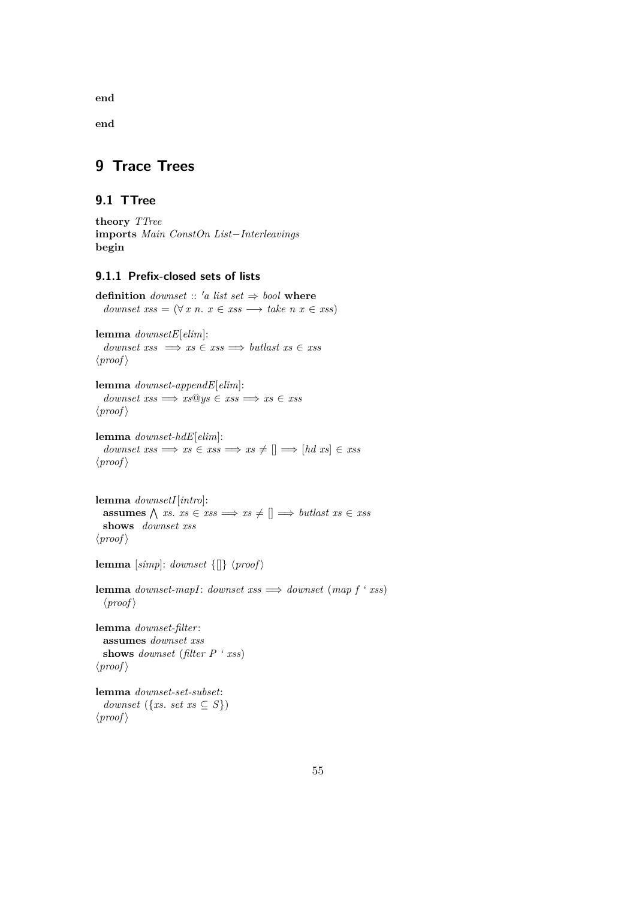**end**

**end**

# **9 Trace Trees**

# **9.1 TTree**

**theory** *TTree* **imports** *Main ConstOn List*−*Interleavings* **begin**

## **9.1.1 Prefix-closed sets of lists**

**definition** *downset* :: 'a list set  $\Rightarrow$  bool **where** *downset*  $xss = (\forall x \ n. \ x \in xss \rightarrow take \ n \ x \in xss)$ 

**lemma** *downsetE*[*elim*]:  $d$ *ownset xss*  $\implies$  *xs*  $\in$  *xss*  $\implies$  *butlast xs*  $\in$  *xss*  $\langle proof \rangle$ 

**lemma** *downset-appendE*[*elim*]:  $downset xs \implies xs@ys \in xss \implies xs$  $\langle proof \rangle$ 

**lemma** *downset-hdE*[*elim*]:  $downset xs \implies xs \in xss \implies xs \neq [] \implies [hd xs] \in xss$  $\langle proof \rangle$ 

**lemma** *downsetI*[*intro*]:  $\text{assumes } \bigwedge \text{xs. } \text{xs} \in \text{xss} \implies \text{xs} \neq [] \implies \text{butlast } \text{xs} \in \text{xss}$ **shows** *downset xss*  $\langle proof \rangle$ 

**lemma** [simp]: *downset*  $\{[] \}$   $\langle proof \rangle$ 

**lemma** *downset-mapI*: *downset xss*  $\implies$  *downset* (*map f ' xss*)  $\langle proof \rangle$ 

**lemma** *downset-filter*: **assumes** *downset xss* **shows** *downset* (*filter P ' xss*)  $\langle proof \rangle$ 

**lemma** *downset-set-subset*: *downset* ({*xs. set xs*  $\subseteq$  *S*})  $\langle proof \rangle$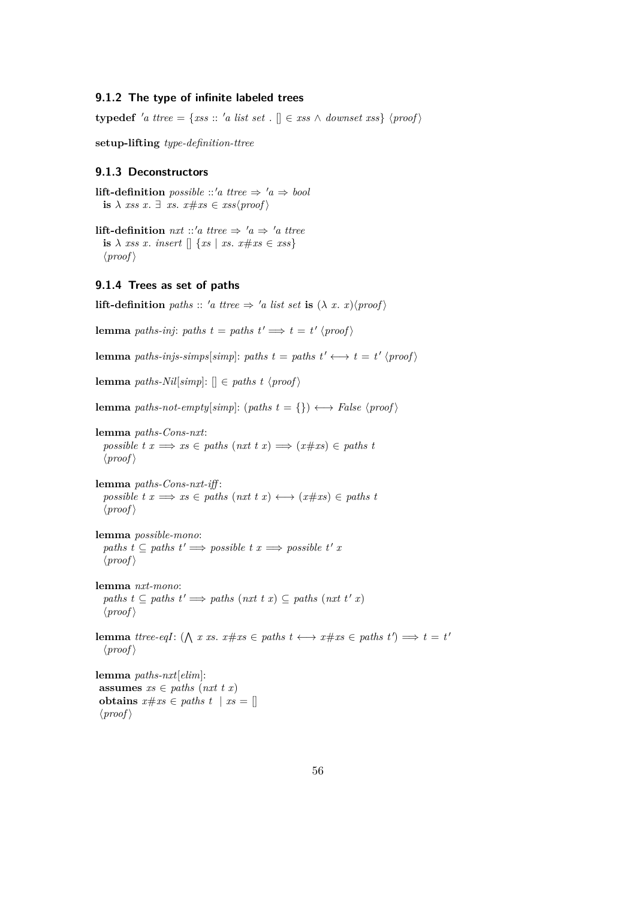#### **9.1.2 The type of infinite labeled trees**

**typedef** 'a ttree = {*xss* :: 'a list set .  $\mathbb{R} \in x$ ss  $\wedge$  downset xss} \proof \times\$

**setup-lifting** *type-definition-ttree*

## **9.1.3 Deconstructors**

**lift-definition** *possible* ::'*a ttree*  $\Rightarrow$  '*a*  $\Rightarrow$  *bool* **is**  $\lambda$  *xss x*.  $\exists$  *xs*.  $x \# xs \in xs\$ *proof*  $\rangle$ 

**lift-definition** *nxt* ::'*a ttree*  $\Rightarrow$  '*a*  $\Rightarrow$  '*a ttree* **is**  $\lambda$  *xss x*. *insert*  $\left[ \mid \{ xs \mid xs \text{ . } x \# xs \in xss \} \right]$  $\langle proof \rangle$ 

#### **9.1.4 Trees as set of paths**

```
lift-definition paths :: 'a ttree \Rightarrow 'a list set is (\lambda x. x)(proof)
```
**lemma** *paths-inj*: *paths*  $t = paths t' \implies t = t' \langle proof \rangle$ 

**lemma** *paths-injs-simps*[*simp*]: *paths t* = *paths t'*  $\longleftrightarrow$  *t* = *t'*  $\langle proof \rangle$ 

**lemma** *paths-Nil*[ $simp$ ]:  $\parallel \in paths \, t \, \langle proof \rangle$ 

**lemma** *paths-not-empty*[ $simp$ ]: ( $paths$   $t = \{\}\$ )  $\longleftrightarrow$   $False$   $\langle proof \rangle$ 

**lemma** *paths-Cons-nxt*: *possible t x*  $\implies$  *xs*  $\in$  *paths* (*nxt t x*)  $\implies$  (*x*#*xs*)  $\in$  *paths t*  $\langle proof \rangle$ 

**lemma** *paths-Cons-nxt-iff* :  $possible \t x \Longrightarrow xs \in paths \t (nxt \t x) \longleftrightarrow (x \# xs) \in paths \t$  $\langle proof \rangle$ 

**lemma** *possible-mono*: *paths t* ⊆ *paths t'*  $\implies$  *possible t x*  $\implies$  *possible t' x*  $\langle proof \rangle$ 

**lemma** *nxt-mono*: *paths*  $t \subseteq$  *paths*  $t' \implies$  *paths* (*nxt t x*) ⊆ *paths* (*nxt t' x*)  $\langle proof \rangle$ 

**lemma** *ttree-eqI*:  $(\bigwedge x \text{ } xs. \text{ } x \# xs \in paths \text{ } t \longleftrightarrow x \# xs \in paths \text{ } t') \Longrightarrow t = t'$  $\langle proof \rangle$ 

**lemma** *paths-nxt*[*elim*]: **assumes**  $xs \in paths$  (*nxt t x*) **obtains**  $x \# xs \in paths \ t \ | \ xs = []$  $\langle proof \rangle$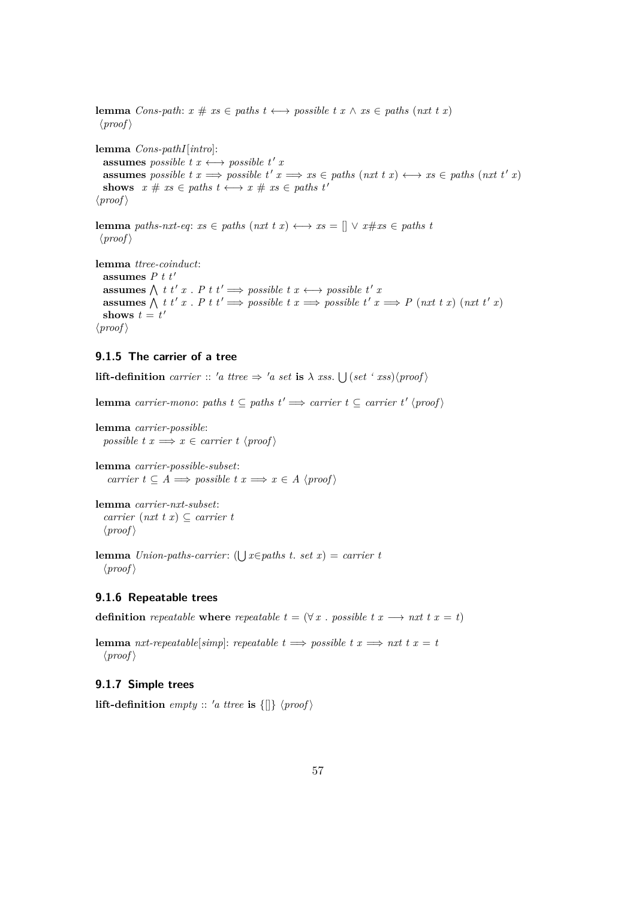**lemma** *Cons-path:*  $x \# xs \in paths \tlongleftrightarrow possible \t x \wedge xs \in paths \t (nxt \t x)$  $\langle proof \rangle$ **lemma** *Cons-pathI*[*intro*]: **assumes** *possible*  $t x \leftrightarrow \textit{possible} t' x$ **assumes** possible  $t x \implies \text{possible } t' x \implies xs \in \text{paths } (nxt t x) \longleftrightarrow xs \in \text{paths } (nxt t' x)$ **shows**  $x \# xs \in paths \ t \longleftrightarrow x \# xs \in paths \ t'$  $\langle proof \rangle$ 

**lemma** *paths-nxt-eq*:  $xs \in paths$  (*nxt t x*)  $\longleftrightarrow xs = [] \vee x \# xs \in paths \ t$  $\langle proof \rangle$ 

**lemma** *ttree-coinduct*: **assumes**  $P t t'$ **assumes**  $\bigwedge$  *t t*' *x* . *P t t*'  $\implies$  *possible t*  $x \longleftrightarrow$  *possible t' x* **assumes**  $\bigwedge$  t t' x. P t t'  $\implies$  possible t  $x \implies$  possible t'  $x \implies$  P (nxt t x) (nxt t' x) shows  $t = t'$  $\langle proof \rangle$ 

## **9.1.5 The carrier of a tree**

**lift-definition** *carrier* :: 'a ttree  $\Rightarrow$  'a set **is**  $\lambda$  *xss*.  $\bigcup (set \ 'xss)(proof)$ 

**lemma** *carrier-mono*: *paths*  $t \subseteq$  *paths*  $t' \implies$  *carrier*  $t \subseteq$  *carrier*  $t' \langle \text{proof} \rangle$ 

```
lemma carrier-possible:
  possible t x \implies x \in carrier \ t \ \langle proof \rangle
```
**lemma** *carrier-possible-subset*: *carrier*  $t \subseteq A \implies possible \ t \ x \implies x \in A \ \langle proof \rangle$ 

```
lemma carrier-nxt-subset:
   \textit{carrier} (\textit{nxt} t \textit{x}) \subseteq carrier t
   \langle proof \rangle
```

```
lemma Union-paths-carrier: (\bigcup x \in paths t. set x) = carrier t
 \langle proof \rangle
```
## **9.1.6 Repeatable trees**

**definition** *repeatable* **where** *repeatable*  $t = (\forall x \in \mathbb{R})$  *resolute*  $t \in \mathbb{R}$  *reading x*  $t \in \mathbb{R}$  *reading x*  $t \in \mathbb{R}$  *x*  $t \in \mathbb{R}$  *x*  $t \in \mathbb{R}$  *x*  $t \in \mathbb{R}$  *x*  $t \in \mathbb{R}$  *x*  $t \in \mathbb{R}$  *x* 

**lemma** *nxt-repeatable*[*simp*]: *repeatable*  $t \implies possible \ t \ x \implies nxt \ t \ x = t$  $\langle proof \rangle$ 

#### **9.1.7 Simple trees**

**lift-definition** *empty* :: 'a *ttree* **is**  $\{[]\}$   $\langle proof \rangle$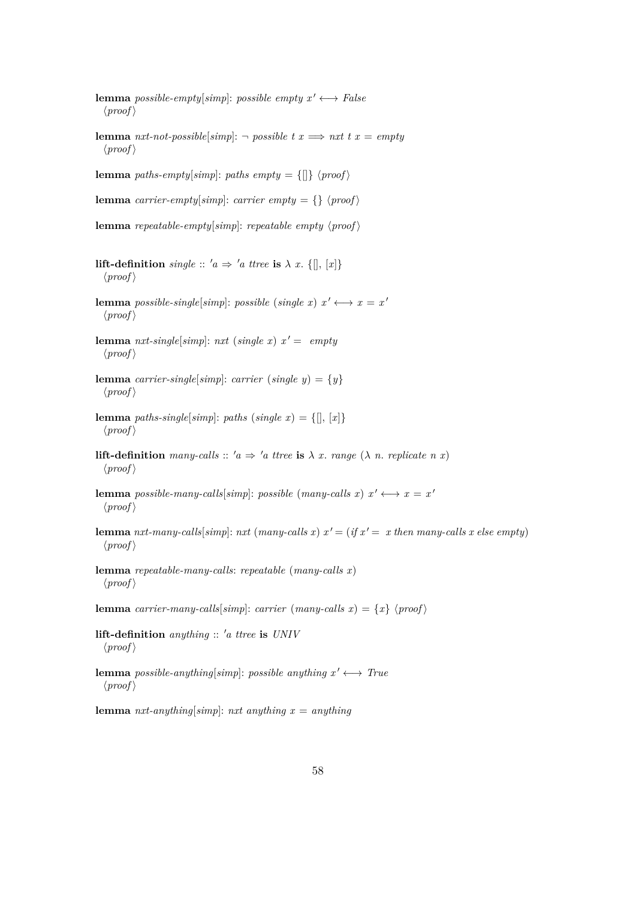- **lemma** *possible-empty*[ $simp$ ]: *possible empty*  $x' \leftrightarrow False$  $\langle proof \rangle$
- **lemma** *nxt-not-possible*[ $simp$ ]:  $\neg$  *possible*  $t x \Longrightarrow nxt t x = empty$  $\langle proof \rangle$

**lemma** *paths-empty*[*simp*]: *paths empty* = {[]}  $\langle proof \rangle$ 

**lemma** *carrier-empty*[*simp*]: *carrier empty* = {}  $\langle proof \rangle$ 

**lemma** *repeatable-empty*[ $simp$ ]: *repeatable empty*  $\langle proof \rangle$ 

- **lift-definition** *single* ::  $'a \Rightarrow 'a$  *ttree* **is**  $\lambda$  *x*.  $\{[], [x]\}$  $\langle proof \rangle$
- **lemma** *possible-single*[*simp*]: *possible* (*single x*)  $x' \leftrightarrow x = x'$  $\langle proof \rangle$
- **lemma** *nxt-single*[*simp*]: *nxt* (*single x*)  $x' = \emptyset$  $\langle proof \rangle$
- **lemma** *carrier-single*[*simp*]: *carrier* (*single y*) = {*y*}  $\langle proof \rangle$
- **lemma** *paths-single*[*simp*]: *paths* (*single x*) = {[], [*x*]}  $\langle proof \rangle$
- **lift-definition** *many-calls* ::  $'a \Rightarrow 'a$  *ttree* **is**  $\lambda$  *x*. *range* ( $\lambda$  *n*. *replicate n x*)  $\langle proof \rangle$
- **lemma** *possible-many-calls*[*simp*]: *possible* (*many-calls x*)  $x' \leftrightarrow x = x'$  $\langle proof \rangle$
- **lemma** *nxt-many-calls*[*simp*]: *nxt* (*many-calls x*)  $x' = (if x' = x then many-calls x else empty)$  $\langle proof \rangle$
- **lemma** *repeatable-many-calls*: *repeatable* (*many-calls x*)  $\langle proof \rangle$

**lemma** *carrier-many-calls*[*simp*]: *carrier* (*many-calls x*) = {*x*} \*proof* \end{*y*}

- **lift-definition** *anything* :: <sup>0</sup>*a ttree* **is** *UNIV*  $\langle proof \rangle$
- **lemma** *possible-anything*[*simp*]: *possible anything*  $x' \leftrightarrow True$  $\langle proof \rangle$

**lemma** *nxt-anything*[*simp*]: *nxt anything x* = *anything*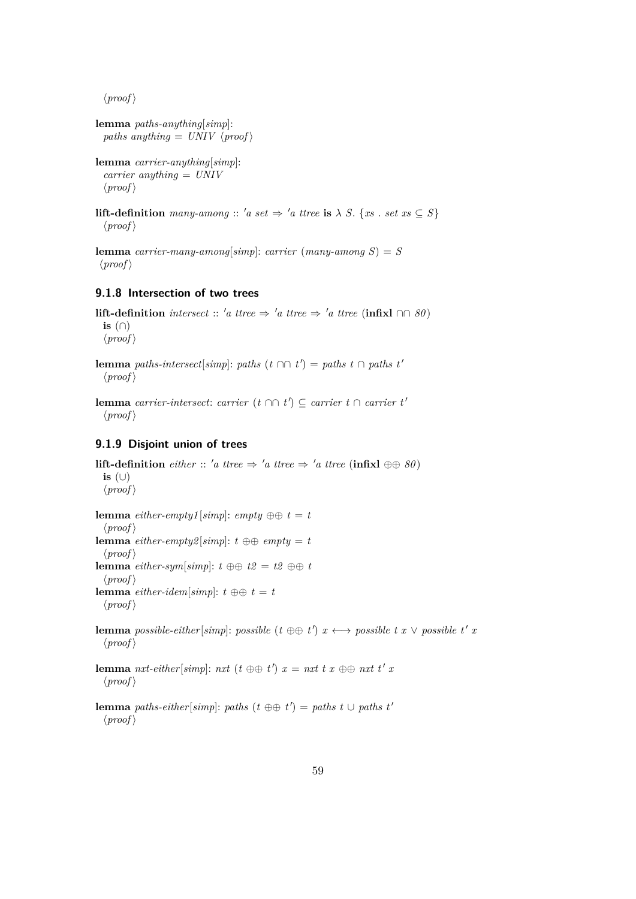$\langle proof \rangle$ 

```
lemma paths-anything[simp]:
 paths anything = UNIV \langle proof \rangle
```

```
lemma carrier-anything[simp]:
 carrier anything = UNIV
 \langle proof \rangle
```
**lift-definition**  $many\text{-}among :: 'a set \Rightarrow 'a \text{ } true \text{ is } \lambda \text{ } S. \$ {*xs* . *set*  $xs \subseteq S$ }  $\langle proof \rangle$ 

**lemma** *carrier-many-among*[*simp*]: *carrier* (*many-among*  $S$ ) = *S*  $\langle proof \rangle$ 

#### **9.1.8 Intersection of two trees**

**lift-definition** *intersect* :: 'a ttree  $\Rightarrow$  'a ttree  $\Rightarrow$  'a ttree (**infixl**  $\cap \emptyset$  *80*) **is** (∩)  $\langle proof \rangle$ 

**lemma** *paths-intersect*[*simp*]: *paths*  $(t \cap t') =$  *paths*  $t \cap$  *paths*  $t'$  $\langle proof \rangle$ 

**lemma** *carrier-intersect: carrier* ( $t \cap ∩ t'$ ) ⊆ *carrier*  $t \cap$  *carrier*  $t'$  $\langle proof \rangle$ 

#### **9.1.9 Disjoint union of trees**

**lift-definition** *either* :: 'a ttree  $\Rightarrow$  'a ttree  $\Rightarrow$  'a ttree (infixl  $\oplus \oplus \emptyset$ ) **is** (∪)  $\langle proof \rangle$ **lemma**  $\text{either-empty1}$  [simp]:  $\text{empty } \oplus t = t$  $\langle proof \rangle$ **lemma**  $\text{either-empty2}[\text{simp}]: t \oplus \oplus \text{empty} = t$  $\langle proof \rangle$ **lemma** *either-sym*[*simp*]:  $t \oplus \oplus t2 = t2 \oplus t$  $\langle proof \rangle$ **lemma** *either-idem*[*simp*]:  $t \oplus t = t$  $\langle proof \rangle$ **lemma** *possible-either*[*simp*]: *possible* ( $t \oplus \oplus t'$ )  $x \leftrightarrow$  *possible*  $t x \vee$  *possible*  $t' x$  $\langle proof \rangle$ **lemma** *nxt-either*[*simp*]: *nxt* ( $t \oplus t$ )  $x = nxt$   $t x \oplus t$  *nxt*  $t' x$  $\langle proof \rangle$ 

**lemma** *paths-either*[*simp*]: *paths* ( $t \oplus t$ ) = *paths*  $t \cup$  *paths*  $t'$  $\langle proof \rangle$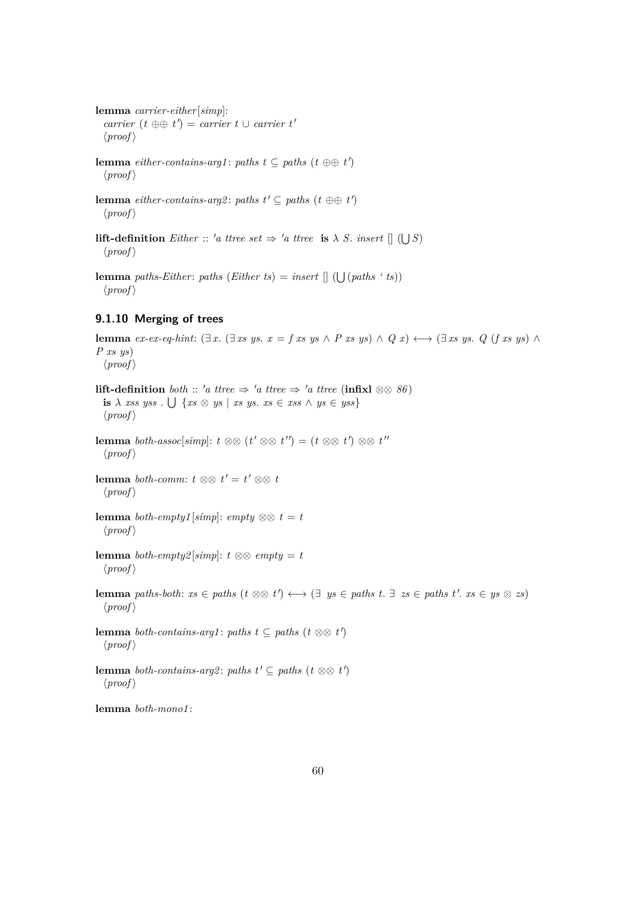**lemma** *carrier-either*[*simp*]:  $\langle \textit{carrier} \, (t \oplus \oplus t') \rangle = \textit{carrier} \, t \cup \textit{carrier} \, t'$  $\langle proof \rangle$ 

**lemma** *either-contains-arg1*: *paths*  $t \subseteq$  *paths*  $(t \oplus \oplus t')$  $\langle proof \rangle$ 

**lemma** *either-contains-arg2*: *paths*  $t' \subseteq$  *paths*  $(t \oplus \oplus t')$  $\langle proof \rangle$ 

**lift-definition** *Either* :: 'a ttree set  $\Rightarrow$  'a ttree **is**  $\lambda$  *S*. *insert*  $[|\right]$  ( $\bigcup$  *S*)  $\langle proof \rangle$ 

**lemma** *paths-Either*: *paths* (*Either ts*) = *insert*  $[$  ( $\bigcup$  (*paths* '*ts*))  $\langle proof \rangle$ 

## **9.1.10 Merging of trees**

**lemma**  $ex\text{-}ex\text{-}eq\text{-}hint: (\exists x. (\exists xs\text{ }ys. x = f \text{ }xs \text{ }ys \land P \text{ }xs \text{ }ys) \land Q \text{ }x) \longleftrightarrow (\exists xs\text{ }ys. Q \text{ } (f \text{ }xs \text{ }ys) \land Q \text{ }gy).$ *P xs ys*)  $\langle proof \rangle$ **lift-definition** *both* :: 'a ttree  $\Rightarrow$  'a ttree  $\Rightarrow$  'a ttree (**infix**)  $\otimes \otimes$  86) **is**  $\lambda$  *xss yss* .  $\bigcup$   $\{ xs \otimes ys \mid xs ys \text{. } xs \in xss \land ys \in yss \}$  $\langle proof \rangle$ **lemma** *both-assoc*[*simp*]:  $t \otimes \otimes (t' \otimes \otimes t'') = (t \otimes \otimes t') \otimes \otimes t''$  $\langle proof \rangle$ **lemma** *both-comm*:  $t \otimes t' = t' \otimes t$  $\langle proof \rangle$ **lemma** *both-empty1* [*simp*]: *empty*  $\otimes \otimes t = t$  $\langle proof \rangle$ **lemma** *both-empty2* [*simp*]:  $t \otimes \otimes \text{empty} = t$  $\langle proof \rangle$ **lemma** *paths-both:*  $xs \in paths$  ( $t \otimes \otimes t'$ )  $\longleftrightarrow$  ( $\exists$   $ys \in paths$   $t$ .  $\exists$   $zs \in paths$   $t'$ .  $xs \in ys \otimes zs$ )  $\langle proof \rangle$ **lemma** *both-contains-arg1*: *paths*  $t \subseteq$  *paths*  $(t \otimes \otimes t')$  $\langle proof \rangle$ **lemma** *both-contains-arg2*: *paths*  $t' \subseteq$  *paths*  $(t \otimes \otimes t')$  $\langle proof \rangle$ 

**lemma** *both-mono1* :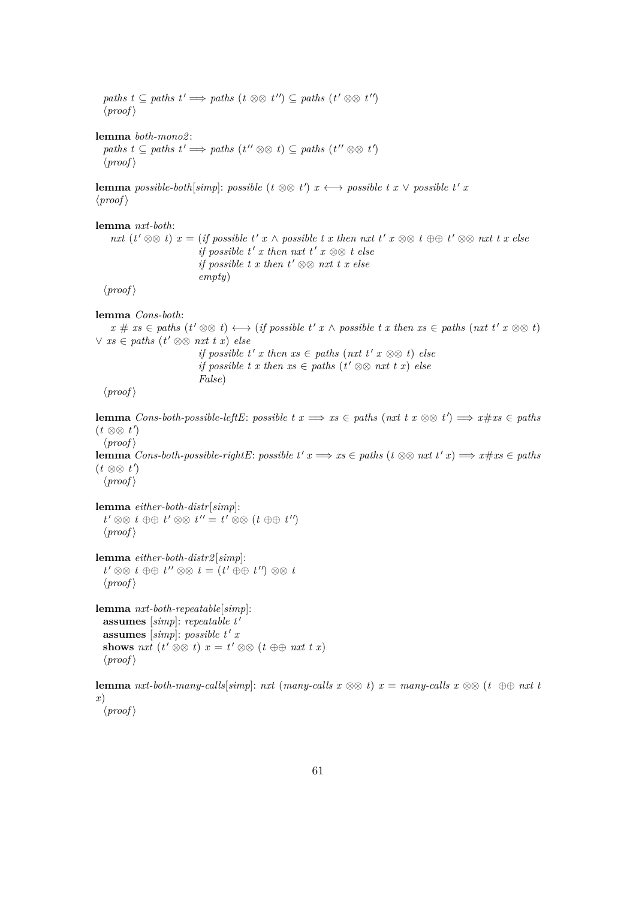*paths*  $t \subseteq$  *paths*  $t' \implies$  *paths*  $(t \otimes \otimes t'') \subseteq$  *paths*  $(t' \otimes \otimes t'')$  $\langle proof \rangle$ **lemma** *both-mono2* : *paths*  $t \subseteq$  *paths*  $t' \implies$  *paths*  $(t'' \otimes \otimes t) \subseteq$  *paths*  $(t'' \otimes \otimes t')$  $\langle proof \rangle$ **lemma** *possible-both*[*simp*]: *possible* ( $t \otimes \otimes t'$ )  $x \leftrightarrow$  *possible*  $t x \vee$  *possible*  $t' x$  $\langle proof \rangle$ **lemma** *nxt-both*: *nxt*  $(t' \otimes \otimes t)$  *x* = (*if possible t' x* ∧ *possible t x then nxt*  $t'$  *x*  $\otimes \otimes t \oplus t' \otimes \otimes nxt$  *t x else if possible t' x then nxt t' x*  $\otimes \otimes t$  *else if possible t x then t'*  $\otimes \otimes$  *nxt t x else empty*)  $\langle proof \rangle$ **lemma** *Cons-both*:  $x \# xs \in paths \ (t' \otimes \otimes t) \longleftrightarrow (if possible t' x \wedge possible t x then xs \in paths \ (nxt t' x \otimes \otimes t)$  $∨ xs ∈ paths (t' ⊗ ⊗ nxt t x) else$ *if possible t' x* then  $xs \in paths$  ( $nxt$   $t'$   $x \otimes \otimes t$ ) else *if possible t x then xs*  $\in$  *paths*  $(t' \otimes \otimes nxt \cdot t \cdot x)$  *else False*)  $\langle proof \rangle$ **lemma**  $Cons-both-possible-leftE: possible t x \Longrightarrow xs \in paths (nxt t x \otimes \otimes t') \Longrightarrow x \# xs \in paths$ (*t* ⊗⊗ *t* 0 )  $\langle proof \rangle$ **lemma**  $Cons-both-possible-right: possible t' x \Longrightarrow xs \in paths (t \otimes \mathbb{R} x, t' x) \Longrightarrow x \# xs \in paths$ (*t* ⊗⊗ *t* 0 )  $\langle proof \rangle$ **lemma** *either-both-distr*[*simp*]:  $t' \otimes \otimes t \oplus \oplus t' \otimes \otimes t'' = t' \otimes \otimes (t \oplus \oplus t'')$  $\langle proof \rangle$ **lemma** *either-both-distr2* [*simp*]:  $t' \otimes \otimes t \oplus \oplus t'' \otimes \otimes t = (t' \oplus \oplus t'') \otimes \otimes t$  $\langle proof \rangle$ **lemma** *nxt-both-repeatable*[*simp*]: **assumes** [simp]: repeatable t' **assumes** [simp]: possible t' x **shows** *nxt*  $(t' \otimes \otimes t)$   $x = t' \otimes \otimes (t \oplus \oplus nxt \ t \ x)$  $\langle proof \rangle$ 

**lemma**  $\textit{nxt-both-many-calls}$  *simp*]:  $\textit{nxt}$  ( $\textit{many-calls}$   $x \otimes \otimes t$ )  $x = \textit{many-calls}$   $x \otimes \otimes (t \oplus \oplus \textit{nxt}$  *t x*)

 $\langle proof \rangle$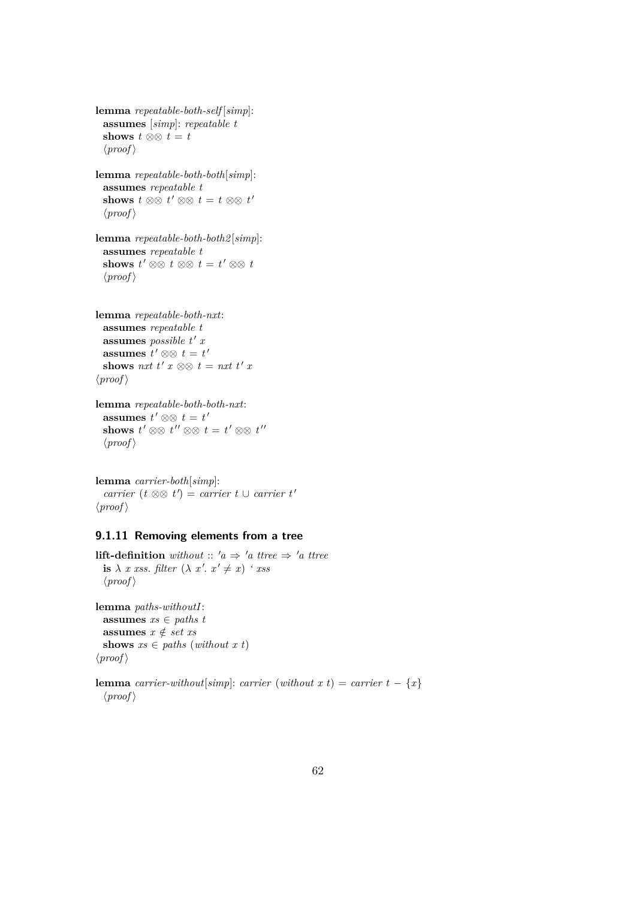**lemma** *repeatable-both-self* [*simp*]: **assumes** [*simp*]: *repeatable t* **shows**  $t \otimes 0$   $t = t$  $\langle proof \rangle$ 

**lemma** *repeatable-both-both*[*simp*]: **assumes** *repeatable t* **shows**  $t \otimes \otimes t' \otimes \otimes t = t \otimes \otimes t'$  $\langle proof \rangle$ 

**lemma** *repeatable-both-both2* [*simp*]: **assumes** *repeatable t* **shows**  $t' \otimes \otimes t \otimes \otimes t = t' \otimes \otimes t$  $\langle proof \rangle$ 

**lemma** *repeatable-both-nxt*: **assumes** *repeatable t* **assumes** *possible*  $t'$  *x* assumes  $t' \otimes t = t'$ shows nxt  $t'$   $x \otimes \otimes t = nxt$   $t'$   $x$  $\langle proof \rangle$ 

**lemma** *repeatable-both-both-nxt*: **assumes**  $t' \otimes t = t'$ shows  $t' \otimes \otimes t'' \otimes \otimes t = t' \otimes \otimes t''$  $\langle proof \rangle$ 

**lemma** *carrier-both*[*simp*]:  $\langle \textit{carrier} \, (t \otimes \otimes t') \rangle = \textit{carrier} \, t \cup \textit{carrier} \, t'$  $\langle proof \rangle$ 

## **9.1.11 Removing elements from a tree**

**lift-definition** without ::  $'a \Rightarrow 'a \text{ three } \Rightarrow 'a \text{ three}$ **is**  $\lambda$  *x xss*. *filter*  $(\lambda x'. x' \neq x)$  *' xss*  $\langle proof \rangle$ 

**lemma** *paths-withoutI*: **assumes** *xs* ∈ *paths t* **assumes**  $x \notin set xs$ **shows**  $xs \in paths (without x t)$  $\langle proof \rangle$ 

**lemma** *carrier-without*[*simp*]: *carrier* (*without x t*) = *carrier*  $t - \{x\}$  $\langle proof \rangle$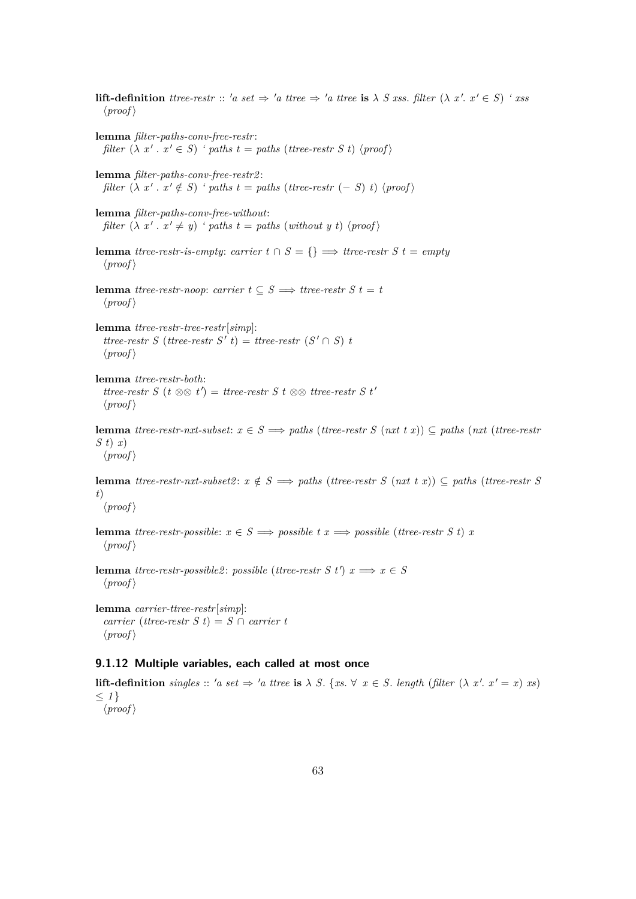**lift-definition** *ttree-restr* :: 'a set  $\Rightarrow$  'a *ttree*  $\Rightarrow$  'a *ttree* is  $\lambda$  *S xss. filter*  $(\lambda x'. x' \in S)$  ' *xss*  $\langle proof \rangle$ **lemma** *filter-paths-conv-free-restr* : *filter*  $(\lambda x'. x' \in S)$  *'* paths  $t = paths$  (*ttree-restr S t*)  $\langle proof \rangle$ **lemma** *filter-paths-conv-free-restr2* : *filter*  $(\lambda x' \cdot x' \notin S)$  *' paths t* = *paths* (*ttree-restr* (− *S*) *t*)  $\langle proof \rangle$ **lemma** *filter-paths-conv-free-without*: *filter*  $(\lambda x'. x' \neq y)$  *'* paths  $t = paths (without y t) \langle proof \rangle$ **lemma** *ttree-restr-is-empty: carrier t*  $\cap$  *S* = {}  $\implies$  *ttree-restr S t* = *empty*  $\langle proof \rangle$ **lemma** *ttree-restr-noop*: *carrier*  $t \subseteq S \implies$  *ttree-restr S*  $t = t$  $\langle proof \rangle$ **lemma** *ttree-restr-tree-restr*[*simp*]:  $t$ *ttree-restr*  $S$  (*ttree-restr*  $S'$ *t*) = *ttree-restr*  $(S' \cap S)$ *t*  $\langle proof \rangle$ **lemma** *ttree-restr-both*: *ttree-restr S* ( $t \otimes \otimes t'$ ) = *ttree-restr S*  $t \otimes \otimes$  *ttree-restr S*  $t'$  $\langle proof \rangle$ **lemma** *ttree-restr-nxt-subset*:  $x \in S \implies paths$  (*ttree-restr S* (*nxt t x*))  $\subseteq$  *paths* (*nxt* (*ttree-restr S t*) *x*)  $\langle proof \rangle$ **lemma** *ttree-restr-nxt-subset2*:  $x \notin S \implies paths$  (*ttree-restr S* (*nxt t x*)) ⊆ *paths* (*ttree-restr S t*)  $\langle proof \rangle$ **lemma** *ttree-restr-possible*:  $x \in S \implies possible \, t \, x \implies possible \, (three\, rest \, s \, t) \, x$  $\langle proof \rangle$ **lemma** *ttree-restr-possible2*: *possible* (*ttree-restr S t'*)  $x \implies x \in S$  $\langle proof \rangle$ **lemma** *carrier-ttree-restr*[*simp*]:  $\textit{carrier}$  (*ttree-restr S t*) = *S*  $\cap$  *carrier t*  $\langle proof \rangle$ **9.1.12 Multiple variables, each called at most once**

**lift-definition** *singles* :: 'a set  $\Rightarrow$  'a ttree **is**  $\lambda$  *S*. {*xs*.  $\forall$  *x* ∈ *S*. *length* (*filter* ( $\lambda$  *x'*. *x'* = *x*) *xs*)  $\leq 1$ }  $\langle proof \rangle$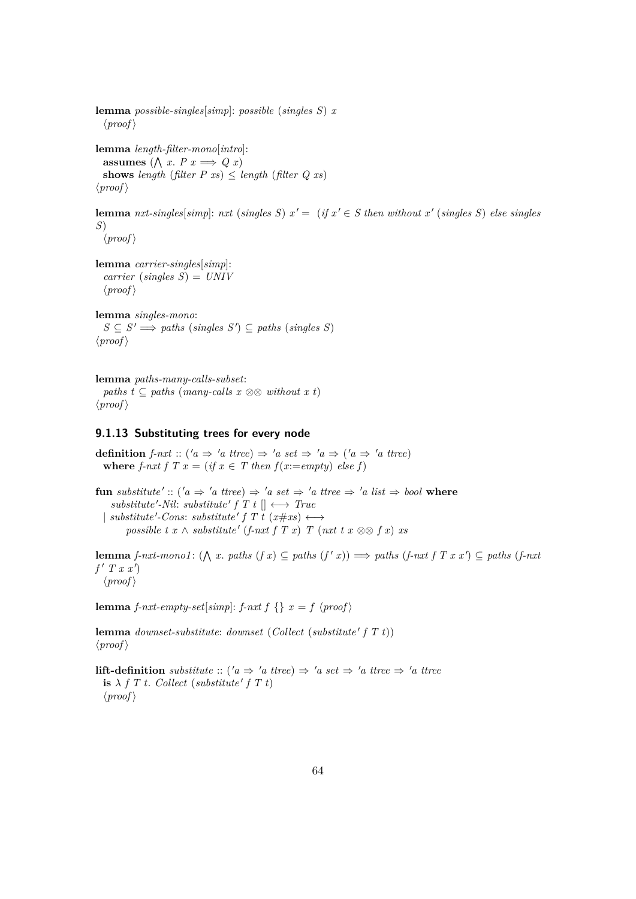**lemma** *possible-singles*[*simp*]: *possible* (*singles S*) *x*  $\langle proof \rangle$ 

**lemma** *length-filter-mono*[*intro*]: **assumes**  $(\bigwedge x \cdot P \cdot x \implies Q \cdot x)$ **shows** *length* (*filter P xs*)  $\leq$  *length* (*filter Q xs*)  $\langle proof \rangle$ 

**lemma** *nxt-singles*[*simp*]: *nxt* (*singles S*)  $x' = (if x' \in S$  *then without*  $x'$  (*singles S*) *else singles S*)

 $\langle proof \rangle$ 

**lemma** *carrier-singles*[*simp*]: *carrier* (*singles S*) = *UNIV*  $\langle proof \rangle$ 

**lemma** *singles-mono*:  $S \subseteq S' \Longrightarrow$  paths (*singles*  $S'$ )  $\subseteq$  paths (*singles S*)  $\langle proof \rangle$ 

**lemma** *paths-many-calls-subset*: *paths t* ⊆ *paths* (*many-calls x*  $\otimes \otimes$  *without x t*)  $\langle proof \rangle$ 

#### **9.1.13 Substituting trees for every node**

**definition** *f-nxt* :: ('a  $\Rightarrow$  'a ttree)  $\Rightarrow$  'a set  $\Rightarrow$  'a  $\Rightarrow$  ('a  $\Rightarrow$  'a ttree) **where** *f-nxt*  $f T x = (if x \in T then f(x:=empty) else f)$ 

 $\textbf{fun} \; substitute' :: (a \Rightarrow 'a \; three) \Rightarrow 'a \; set \Rightarrow 'a \; three \Rightarrow 'a \; list \Rightarrow bool \; where$  $substitute' - Nil: substitute' f T t$   $\left[\right] \longleftrightarrow True$  $\downarrow$  *substitute'*-Cons: *substitute'*  $f T t (x \# xs) \longleftrightarrow$  $possible \, t \, x \wedge substitute' \, (f\text{-}nxt \, f \, T \, x) \, T \, (nxt \, t \, x \otimes f \, x) \, xs$ 

**lemma** *f-nxt-mono1*: ( $\Lambda$  *x*. *paths* (*f x*) ⊆ *paths* (*f' x*))  $\implies$  *paths* (*f-nxt f T x x'*) ⊆ *paths* (*f-nxt*  $f'$  *T*  $x$   $x'$  $\langle proof \rangle$ 

**lemma** *f-nxt-empty-set*[*simp*]: *f-nxt*  $f \} x = f \ \langle proof \rangle$ 

lemma *downset-substitute*: *downset* (*Collect* (*substitute' f T t*))  $\langle proof \rangle$ 

**lift-definition** *substitute* :: ( $'a \Rightarrow 'a \text{ tree} \Rightarrow 'a \text{ tree} \Rightarrow 'a \text{ tree} \Rightarrow 'a \text{ tree}$  $\mathbf{i} \times \mathbf{j} + T$  *t. Collect* (*substitute' f T t*)  $\langle proof \rangle$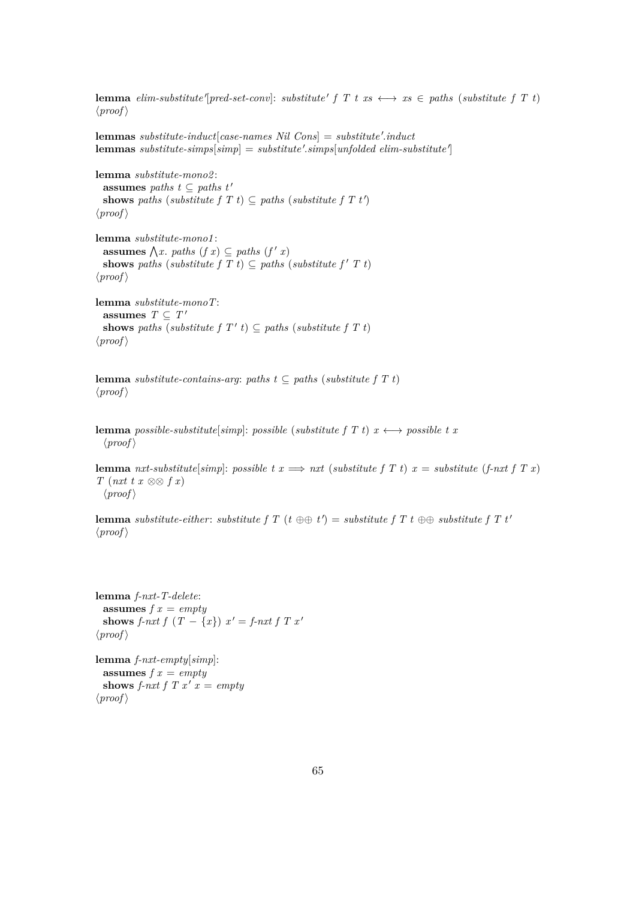**lemma** *elim-substitute*<sup> $\lceil pred-set-conv\rceil$ : *substitute*<sup> $\lceil$ </sup>  $f \rceil$   $t$   $xs \leftrightarrow xs \in paths$  (*substitute*  $f \rceil$   $t$ )</sup>  $\langle proof \rangle$ 

 ${\bf lemma}$  *substitute-induct*[ $case{\text -}names$   $Nil$   $Cons$ ] =  $substitute'.induct$  ${\bf lemma}\; substitute\text{-}simple\rm{[}\; simple\rm{[}\; is\rm{[}\; is\rm{[}\; is\rm{[}\; is\rm{[}\; is\rm{[}\; is\rm{[}\; is\rm{[}\; is\rm{[}\; is\rm{[}\; is\rm{[}\; is\rm{[}\; is\rm{[}\; is\rm{[}\; is\rm{[}\; is\rm{[}\; is\rm{[}\; is\rm{[}\; is\rm{[}\; is\rm{[}\; is\rm{[}\; is\rm{[}\; is\rm{[}\; is\rm{[}\; is\rm{[}\; is\rm{[}\; is\rm{[}\; is\rm{[}\; is\rm{[}\;$ 

**lemma** *substitute-mono2* : **assumes** *paths*  $t \subseteq$  *paths*  $t'$ **shows** *paths* (*substitute*  $f T t$ )  $\subseteq$  *paths* (*substitute*  $f T t'$ )  $\langle proof \rangle$ 

**lemma** *substitute-mono1* : **assumes**  $\bigwedge x$ . *paths*  $(f x) \subseteq$  *paths*  $(f' x)$ **shows** *paths* (*substitute*  $f T t$ )  $\subseteq$  *paths* (*substitute*  $f' T t$ )  $\langle proof \rangle$ 

**lemma** *substitute-monoT*: **assumes**  $T \subseteq T'$ **shows** paths (*substitute f T'*  $t$ )  $\subseteq$  *paths* (*substitute f T*  $t$ )  $\langle proof \rangle$ 

**lemma** *substitute-contains-arg*: *paths*  $t \subseteq$  *paths* (*substitute*  $f T t$ )  $\langle proof \rangle$ 

**lemma** *possible-substitute*[*simp*]: *possible* (*substitute*  $f T t$ )  $x \leftrightarrow$  *possible*  $t x$  $\langle proof \rangle$ 

**lemma** *nxt-substitute*[*simp*]: *possible t x*  $\implies$  *nxt* (*substitute f T t*) *x* = *substitute* (*f-nxt f T x*) *T* (*nxt t x* ⊗⊗ *f x*)  $\langle proof \rangle$ 

**lemma** *substitute-either: substitute f T* ( $t \oplus t$ ) = *substitute f T*  $t \oplus t$ ) *substitute f T*  $t'$  $\langle proof \rangle$ 

**lemma** *f-nxt-T-delete*: **assumes** *f x* = *empty* **shows** *f-nxt*  $f(T - \{x\})$   $x' = f\text{-}nxt$   $f(T x')$  $\langle proof \rangle$ 

**lemma** *f-nxt-empty*[*simp*]: **assumes** *f x* = *empty* shows *f-nxt f T x'*  $x = empty$  $\langle proof \rangle$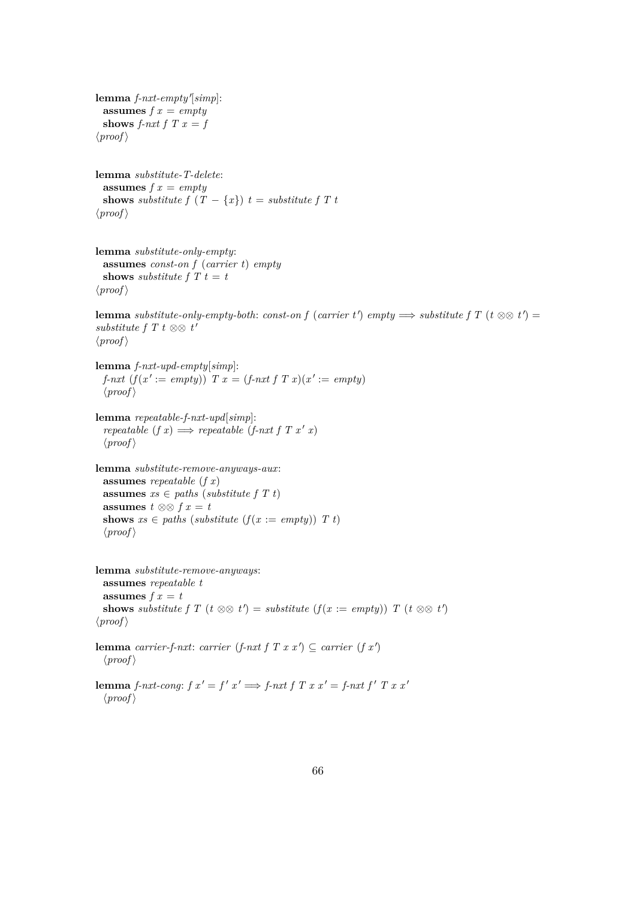${\bf lemma}$   $f$ - $nxt$ - $empty'$ [ $simp$ ]: **assumes** *f x* = *empty* **shows** *f-nxt*  $f$   $T$   $x = f$  $\langle proof \rangle$ **lemma** *substitute-T-delete*: **assumes** *f x* = *empty* **shows** *substitute*  $f(T - \{x\})$   $t =$  *substitute*  $f(T - \{x\})$  $\langle proof \rangle$ **lemma** *substitute-only-empty*: **assumes** *const-on f* (*carrier t*) *empty* **shows** *substitute*  $f T t = t$  $\langle proof \rangle$ **lemma** *substitute-only-empty-both: const-on f* (*carrier t*<sup> $\prime$ </sup>) *empty*  $\implies$  *substitute f*  $T$  ( $t \otimes \otimes t'$ ) = *substitute f T t* ⊗⊗  $t'$  $\langle proof \rangle$ **lemma** *f-nxt-upd-empty*[*simp*]: *f-nxt*  $(f(x') := empty)$  *T*  $x = (f\text{-}nxt f T x)(x') := empty$  $\langle proof \rangle$ **lemma** *repeatable-f-nxt-upd*[*simp*]: *repeatable*  $(f x) \implies \text{repeated} \ (f - n x t f T x' x)$  $\langle proof \rangle$ **lemma** *substitute-remove-anyways-aux*: **assumes** *repeatable* (*f x*) **assumes**  $xs \in paths$  (*substitute f T t*) **assumes**  $t \otimes ⊗ f x = t$ **shows**  $xs \in paths$  (*substitute*  $(f(x := empty))$  *T t*)  $\langle proof \rangle$ **lemma** *substitute-remove-anyways*: **assumes** *repeatable t* **assumes**  $f x = t$ **shows** substitute f T ( $t \otimes \otimes t'$ ) = *substitute* ( $f(x := empty)$ ) T ( $t \otimes \otimes t'$ )  $\langle proof \rangle$ **lemma** *carrier-f-nxt*: *carrier* (*f-nxt f T x x'*)  $\subseteq$  *carrier* (*f x'*)  $\langle proof \rangle$ 

**lemma** *f-nxt-cong*:  $f x' = f' x' \implies f$ -*nxt*  $f T x x' = f$ -*nxt*  $f' T x x'$  $\langle proof \rangle$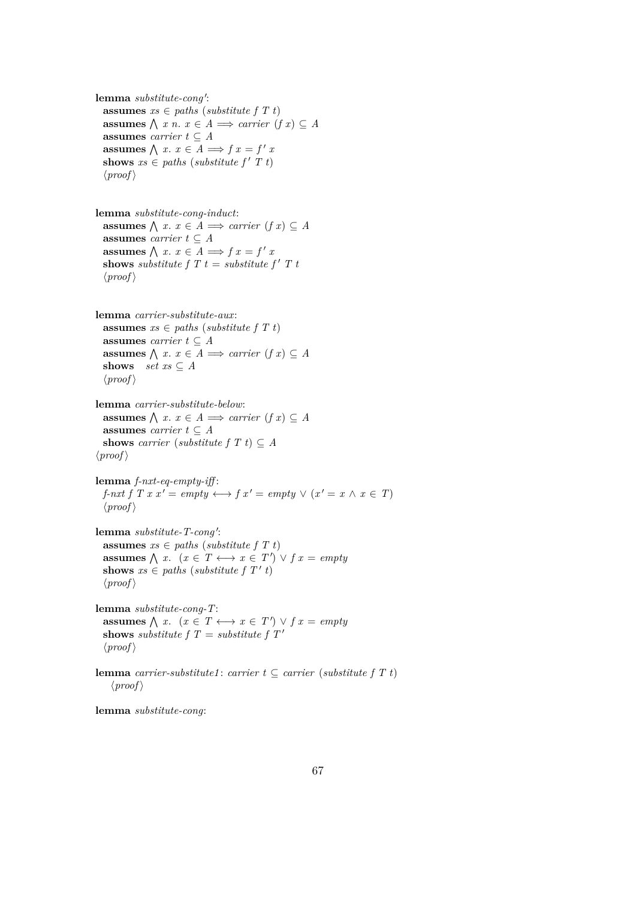lemma *substitute-cong'*: **assumes**  $xs \in paths$  (*substitute f T t*) **assumes**  $\bigwedge$  *x n*. *x* ∈ *A*  $\implies$  *carrier* (*f x*) ⊆ *A* **assumes** *carrier*  $t \subseteq A$ **assumes**  $\bigwedge x \cdot x \in A \Longrightarrow f x = f' x$ **shows**  $xs \in paths$  (*substitute f'*  $T t$ )  $\langle proof \rangle$ 

**lemma** *substitute-cong-induct*: **assumes**  $\bigwedge$  *x*. *x* ∈ *A*  $\implies$  *carrier* (*f x*) ⊆ *A* **assumes** *carrier*  $t \subseteq A$ **assumes**  $\bigwedge x \cdot x \in A \Longrightarrow f x = f' x$ **shows** *substitute f*  $T t =$  *substitute f*  $T t$  $\langle proof \rangle$ 

**lemma** *carrier-substitute-aux*: **assumes**  $xs \in paths$  (*substitute f T t*) **assumes** *carrier*  $t \subseteq A$ **assumes**  $\bigwedge$  *x*. *x* ∈ *A*  $\implies$  *carrier* (*f x*) ⊆ *A* **shows**  $set$  *set*  $xs \subseteq A$  $\langle proof \rangle$ 

**lemma** *carrier-substitute-below*: **assumes**  $\bigwedge$  *x*. *x* ∈ *A*  $\implies$  *carrier* (*f x*) ⊆ *A* **assumes** *carrier*  $t \subseteq A$ **shows** *carrier* (*substitute*  $f T t$ )  $\subset A$  $\langle proof \rangle$ 

**lemma** *f-nxt-eq-empty-iff* : *f-nxt f T x x'* =  $empty \leftrightarrow f x' = empty \vee (x' = x \land x \in T)$  $\langle proof \rangle$ 

lemma *substitute-T-cong'*: **assumes**  $xs \in paths$  (*substitute f T t*) **assumes**  $\bigwedge x$ .  $(x \in T \longleftrightarrow x \in T') \lor f x = empty$ shows  $xs \in paths$  (*substitute f T' t*)  $\langle proof \rangle$ 

**lemma** *substitute-cong-T*: **assumes**  $\bigwedge x$ .  $(x \in T \longleftrightarrow x \in T') \lor f x = empty$ **shows** *substitute*  $f T =$  *substitute*  $f T'$  $\langle proof \rangle$ 

**lemma** *carrier-substitute1* : *carrier*  $t \subseteq$  *carrier* (*substitute*  $f T t$ )  $\langle proof \rangle$ 

**lemma** *substitute-cong*: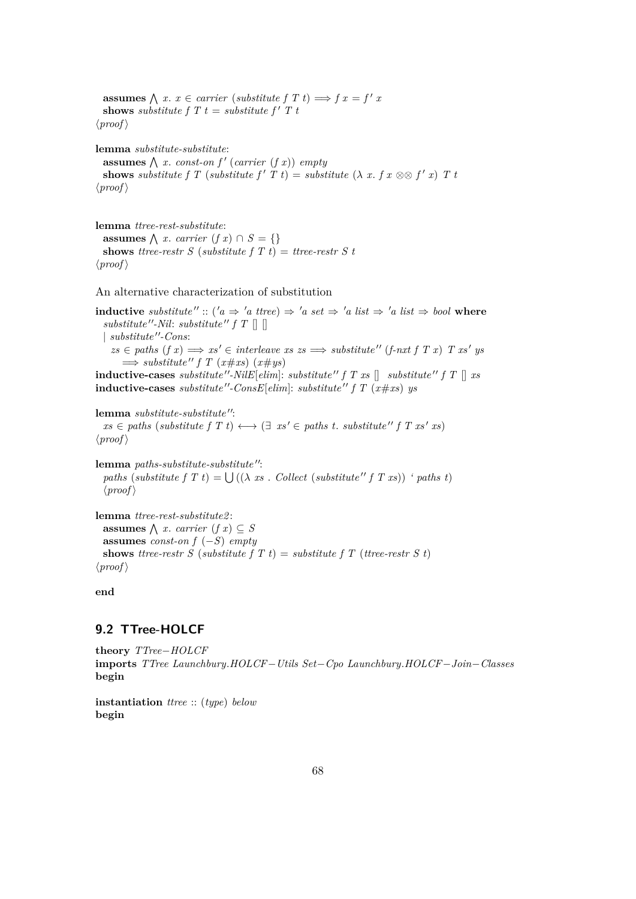**assumes**  $\bigwedge x \cdot x \in carrier$  (*substitute*  $f \circ T$   $t$ )  $\Longrightarrow$   $f \circ x = f' \circ T$ **shows** *substitute*  $f T t =$  *substitute*  $f' T t$  $\langle proof \rangle$ 

**lemma** *substitute-substitute*: **assumes**  $\bigwedge x$ . *const-on f'* (*carrier* (*f x*)) *empty* **shows** *substitute*  $f T$  (*substitute*  $f' T t$ ) = *substitute*  $(\lambda x. f x \otimes f' x) T t$  $\langle proof \rangle$ 

**lemma** *ttree-rest-substitute*: **assumes**  $\bigwedge$  *x*. *carrier* (*f x*) ∩ *S* = {} **shows** *ttree-restr S* (*substitute f T t*) = *ttree-restr S t*  $\langle proof \rangle$ 

An alternative characterization of substitution

**inductive** *substitute''* :: (' $a \Rightarrow 'a$  *ttree*)  $\Rightarrow 'a$  *set*  $\Rightarrow 'a$  *list*  $\Rightarrow 'a$  *list*  $\Rightarrow$  *bool* where  $substitute''-Nil: substitute'' f T []$  $|$ *substitute''-Cons:*  $zs \in paths \ (f \ x) \Longrightarrow xs' \in interleave \ xs \ \Rightarrow substitute'' \ (f-nxt \ f \ T \ x) \ T \ xs' \ ys$  $\implies$  *substitute''*  $f T (x \# xs) (x \# ys)$ 

**inductive-cases** *substitute*  $''$ -*NilE*[ $elim$ ]: *substitute*  $''$   $f$   $T$   $x$ *s*  $\left[$  *substitute*  $''$   $f$   $T$   $\left[$   $x$ *s* **inductive-cases** *substitute*"-ConsE[ $elim$ ]: *substitute*"  $f T (x \# xs)$  *ys* 

**lemma** *substitute-substitute"*:  $xs \in paths$  (*substitute*  $f T t$ )  $\longleftrightarrow$  ( $\exists x s' \in paths t$ . *substitute*  $f T x s' x s$ )  $\langle proof \rangle$ 

**lemma** *paths-substitute-substitute''*: *paths* (*substitute*  $f T t$ ) =  $\bigcup ((\lambda \, xs \, . \, Collect \, (substitute'' f T x s)) \, 'paths \, t)$  $\langle proof \rangle$ 

**lemma** *ttree-rest-substitute2* : **assumes**  $\bigwedge x$ . *carrier*  $(f x) \subseteq S$ **assumes** *const-on f* (−*S*) *empty* **shows** *ttree-restr S* (*substitute f T t*) = *substitute f T* (*ttree-restr S t*)  $\langle proof \rangle$ 

**end**

# **9.2 TTree-HOLCF**

**theory** *TTree*−*HOLCF* **imports** *TTree Launchbury*.*HOLCF*−*Utils Set*−*Cpo Launchbury*.*HOLCF*−*Join*−*Classes* **begin**

**instantiation** *ttree* :: (*type*) *below* **begin**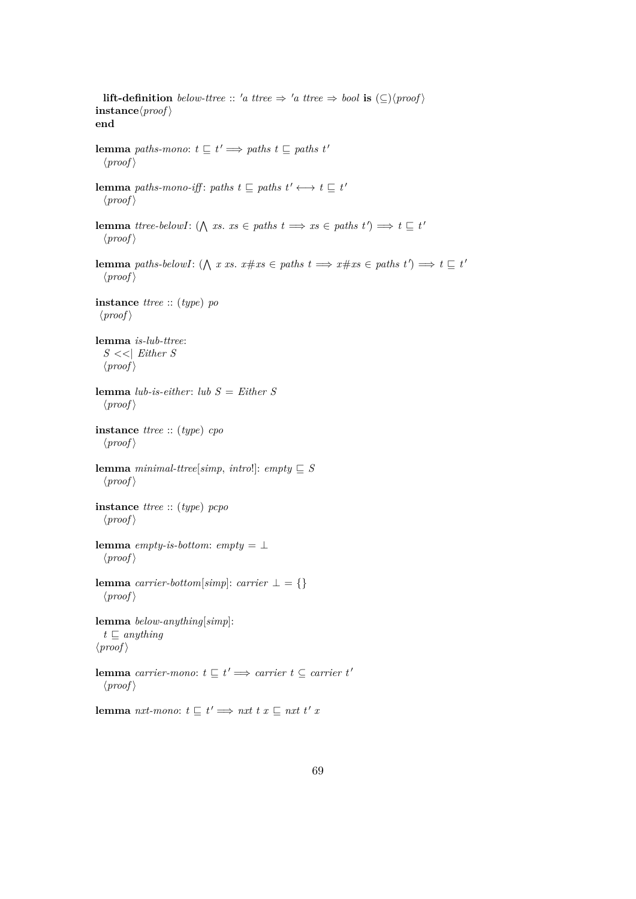**lift-definition** *below-ttree* :: 'a ttree  $\Rightarrow$  'a ttree  $\Rightarrow$  *bool* **is**  $(\subseteq)$  \proof \peqs \peqs \peqs \peqs \peqs \peqs \peqs \peqs \peqs \peqs \peqs \peqs \peqs \peqs \peqs \peqs \peqs \peqs \peqs \peqs \peqs \peqs \  $\mathbf{instance}\langle \mathit{proof} \rangle$ **end lemma** *paths-mono*:  $t \subseteq t' \implies paths \ t \subseteq paths \ t'$  $\langle proof \rangle$ **lemma** *paths-mono-iff: paths*  $t \subseteq$  *paths*  $t' \leftrightarrow t \subseteq t'$  $\langle proof \rangle$ **lemma** *ttree-belowI*: ( $\bigwedge$  *xs. xs*  $\in$  *paths t*  $\implies$  *xs*  $\in$  *paths t*')  $\implies$  *t*  $\subseteq$  *t*'  $\langle proof \rangle$ **lemma** *paths-belowI*:  $(\bigwedge x \text{ } xs. \text{ } x \# xs \in paths \text{ } t \implies x \# xs \in paths \text{ } t') \implies t \subseteq t'$  $\langle proof \rangle$ **instance** *ttree* :: (*type*) *po*  $\langle proof \rangle$ **lemma** *is-lub-ttree*: *S* <<| *Either S*  $\langle proof \rangle$ **lemma** *lub-is-either*: *lub S* = *Either S*  $\langle proof \rangle$ **instance** *ttree* :: (*type*) *cpo*  $\langle proof \rangle$ **lemma** *minimal-ttree*[*simp*, *intro*!]: *empty*  $\subseteq$  *S*  $\langle proof \rangle$ **instance** *ttree* :: (*type*) *pcpo*  $\langle proof \rangle$ **lemma** *empty-is-bottom*:  $empty = \bot$  $\langle proof \rangle$ **lemma** *carrier-bottom*[ $simp$ ]:  $carrier \perp = \{\}$  $\langle proof \rangle$ **lemma** *below-anything*[*simp*]:  $t \sqsubseteq$  *anything*  $\langle proof \rangle$ **lemma** *carrier-mono*:  $t \sqsubseteq t' \Longrightarrow$  *carrier*  $t \subseteq$  *carrier*  $t'$  $\langle proof \rangle$ **lemma** *nxt-mono*:  $t \sqsubseteq t' \Longrightarrow nxt \; t \; x \sqsubseteq nxt \; t' \; x$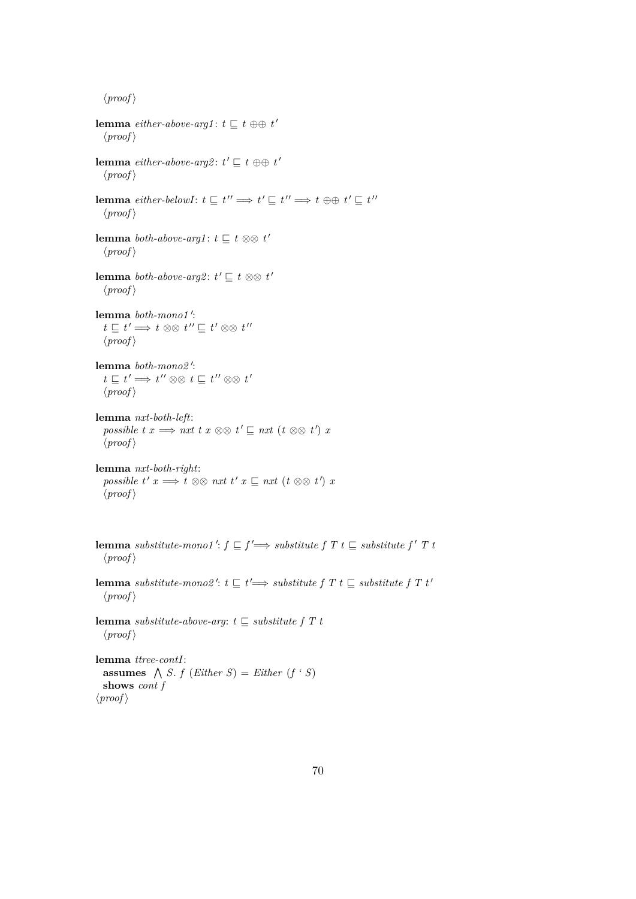$\langle proof \rangle$ 

**lemma** *either-above-arg1*:  $t \sqsubseteq t \oplus \oplus t'$  $\langle proof \rangle$ **lemma** *either-above-arg2*:  $t' \sqsubseteq t \oplus \oplus t'$  $\langle proof \rangle$ **lemma**  $\text{either}$ -belowI:  $t \sqsubseteq t'' \Longrightarrow t' \sqsubseteq t'' \Longrightarrow t \oplus t' \sqsubseteq t''$  $\langle proof \rangle$ **lemma** *both-above-arg1*:  $t \sqsubseteq t \otimes \otimes t'$  $\langle proof \rangle$ **lemma** *both-above-arg2*:  $t' \sqsubseteq t \otimes \otimes t'$  $\langle proof \rangle$ lemma *both-mono1'*:  $t \sqsubseteq t' \Longrightarrow t \otimes \otimes t'' \sqsubseteq t' \otimes \otimes t''$  $\langle proof \rangle$ lemma *both-mono2'*:  $t \sqsubseteq t' \Longrightarrow t'' \otimes \otimes t \sqsubseteq t'' \otimes \otimes t'$  $\langle proof \rangle$ **lemma** *nxt-both-left*: *possible t x*  $\implies$  *nxt t x*  $\otimes \otimes t' \sqsubseteq$  *nxt* (*t*  $\otimes \otimes t'$ ) *x*  $\langle proof \rangle$ **lemma** *nxt-both-right*:  $possible t' x \Longrightarrow t \otimes \otimes nxt t' x \sqsubseteq nxt (t \otimes \otimes t') x$  $\langle proof \rangle$ **lemma** substitute-mono1':  $f \sqsubseteq f' \Longrightarrow$  substitute  $f T t \sqsubseteq$  substitute  $f' T t$  $\langle proof \rangle$ **lemma** *substitute-mono2'*:  $t \sqsubseteq t' \Longrightarrow$  *substitute f T t*  $\sqsubseteq$  *substitute f T t'*  $\langle proof \rangle$ lemma *substitute-above-arg*:  $t \sqsubseteq$  *substitute f T t*  $\langle proof \rangle$ 

**lemma** *ttree-contI*: **assumes**  $\bigwedge$  *S*. *f* (*Either S*) = *Either* (*f* ' *S*) **shows** *cont f*  $\langle proof \rangle$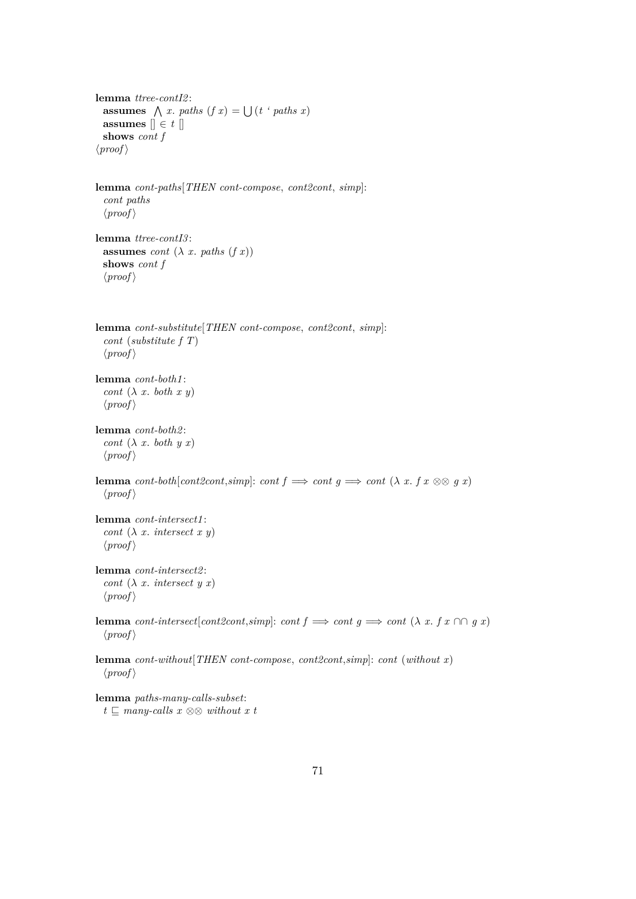```
lemma ttree-contI2 :
  assumes \bigwedge x. paths (f x) = \bigcup (t \text{ 'paths } x)assumes \parallel \in t \parallelshows cont f
\langle proof \rangle
```

```
lemma cont-paths[THEN cont-compose, cont2cont, simp]:
 cont paths
 \langle proof \rangle
```

```
lemma ttree-contI3 :
  assumes cont (\lambda x. \text{paths } (f x))shows cont f
  \langle proof \rangle
```

```
lemma cont-substitute[THEN cont-compose, cont2cont, simp]:
 cont (substitute f T)
 \langle proof \rangle
```

```
lemma cont-both1 :
  cont (\lambda x. \text{ both } x y)\langle proof \rangle
```

```
lemma cont-both2 :
  cont (\lambda x. \text{ both } y x)\langle proof \rangle
```

```
lemma cont-both[cont2cont,simp]: cont f \implies cont \ g \implies cont (\lambda x. f x \otimes g x)\langle proof \rangle
```

```
lemma cont-intersect1 :
  cont (\lambda x intersect x y)\langle proof \rangle
```

```
lemma cont-intersect2 :
  cont (\lambda x intersect yx)
  \langle proof \rangle
```
**lemma** *cont-intersect*[*cont2cont,simp*]: *cont*  $f \implies cont g \implies cont (\lambda x. f x \cap \cap g x)$  $\langle proof \rangle$ 

**lemma** *cont-without*[*THEN cont-compose*, *cont2cont*,*simp*]: *cont* (*without x*)  $\langle proof \rangle$ 

**lemma** *paths-many-calls-subset*:  $t \nsubseteq$  *many-calls x* ⊗⊗ *without x t*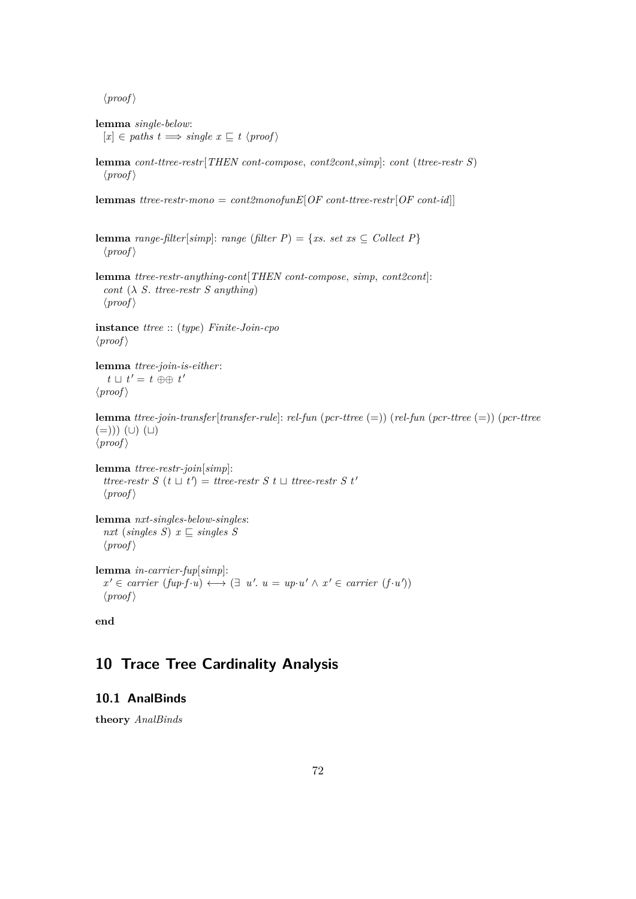$\langle proof \rangle$ 

**lemma** *single-below*:  $[x] \in paths \ t \Longrightarrow single \ x \sqsubseteq t \ \langle proof \rangle$ 

**lemma** *cont-ttree-restr*[*THEN cont-compose*, *cont2cont*,*simp*]: *cont* (*ttree-restr S*)  $\langle proof \rangle$ 

**lemmas** *ttree-restr-mono* = *cont2monofunE*[*OF cont-ttree-restr*[*OF cont-id*]]

**lemma** *range-filter*[*simp*]: *range* (*filter P*) = {*xs. set xs*  $\subseteq$  *Collect P*}  $\langle proof \rangle$ 

**lemma** *ttree-restr-anything-cont*[*THEN cont-compose*, *simp*, *cont2cont*]: *cont* (λ *S*. *ttree-restr S anything*)  $\langle proof \rangle$ 

**instance** *ttree* :: (*type*) *Finite-Join-cpo*  $\langle proof \rangle$ 

**lemma** *ttree-join-is-either*:  $t \sqcup t' = t \oplus \oplus t'$  $\langle proof \rangle$ 

**lemma** *ttree-join-transfer*[*transfer-rule*]: *rel-fun* (*pcr-ttree* (=)) (*rel-fun* (*pcr-ttree* (=)) (*pcr-ttree*  $(=)))$   $($ U $)$   $($ U $)$  $\langle proof \rangle$ 

**lemma** *ttree-restr-join*[*simp*]: *ttree-restr S*  $(t \perp t') = t$ *tree-restr S*  $t \perp t$ *ree-restr S*  $t'$  $\langle proof \rangle$ 

```
lemma nxt-singles-below-singles:
  nxt (singles S) x \subseteq singles S
  \langle proof \rangle
```
**lemma** *in-carrier-fup*[*simp*]:  $x' \in carrier (fup·f·u) \longleftrightarrow (\exists u'. u = up·u' \land x' \in carrier (f·u'))$  $\langle proof \rangle$ 

**end**

# **10 Trace Tree Cardinality Analysis**

# **10.1 AnalBinds**

**theory** *AnalBinds*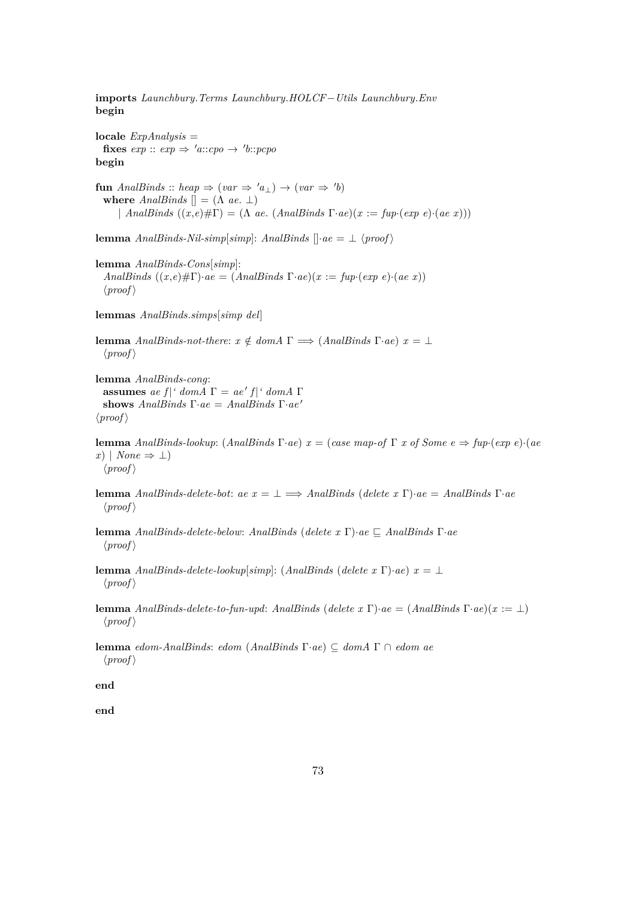**imports** *Launchbury*.*Terms Launchbury*.*HOLCF*−*Utils Launchbury*.*Env* **begin**

**locale** *ExpAnalysis* = **fixes**  $exp$  ::  $exp \Rightarrow 'a::cpo \rightarrow 'b::pcpo$ **begin**

**fun** *AnalBinds* :: *heap*  $\Rightarrow$   $(var \Rightarrow 'a_{\perp}) \rightarrow (var \Rightarrow 'b)$ **where**  $AnalBinds$   $\vert\vert = (\Lambda ae, \bot)$ | *AnalBinds*  $((x,e)\# \Gamma) = (\Lambda \ ae. (AnalBinds \Gamma \cdot ae)(x := \int f(p \cdot (exp \ e) \cdot (ae \ x)))$ 

**lemma** *AnalBinds-Nil-simp*[*simp*]: *AnalBinds*  $\left[ \cdot ae = \bot \langle proof \rangle \right]$ 

**lemma** *AnalBinds-Cons*[*simp*]: *AnalBinds*  $((x,e)\# \Gamma) \cdot ae = (AnalBinds \Gamma \cdot ae)(x := \text{fup} \cdot (exp \ e) \cdot (ae \ x))$  $\langle proof \rangle$ 

**lemmas** *AnalBinds*.*simps*[*simp del*]

**lemma** *AnalBinds-not-there:*  $x \notin domA \Gamma \implies (AnalBinds \Gamma \cdot ae) \quad x = \bot$  $\langle proof \rangle$ 

**lemma** *AnalBinds-cong*: **assumes** *ae*  $f$  | ' domA  $\Gamma = ae' f$  | ' domA  $\Gamma$ **shows** *AnalBinds* Γ·*ae* = *AnalBinds* Γ·*ae* <sup>0</sup>  $\langle proof \rangle$ 

**lemma** *AnalBinds-lookup*: (*AnalBinds*  $\Gamma \cdot ae$ )  $x = (case \ map \cdot of \ \Gamma \ x \ of \ Some \ e \Rightarrow \ fup \cdot (exp \ e) \cdot (ae \ \theta \ \phi \))$ *x*) | *None* ⇒ ⊥)  $\langle proof \rangle$ 

**lemma** *AnalBinds-delete-bot*: *ae x* = ⊥ =⇒ *AnalBinds* (*delete x* Γ)·*ae* = *AnalBinds* Γ·*ae*  $\langle proof \rangle$ 

**lemma** *AnalBinds-delete-below: AnalBinds* (*delete x* Γ)·*ae*  $\subseteq$  *AnalBinds* Γ·*ae*  $\langle proof \rangle$ 

**lemma** *AnalBinds-delete-lookup*[*simp*]: (*AnalBinds* (*delete x* Γ)·*ae*)  $x = \perp$  $\langle proof \rangle$ 

**lemma** *AnalBinds-delete-to-fun-upd*: *AnalBinds* (*delete x* Γ)·*ae* = (*AnalBinds* Γ·*ae*)(*x* := ⊥)  $\langle proof \rangle$ 

**lemma** *edom-AnalBinds*: *edom* (*AnalBinds* Γ·*ae*) ⊆ *domA* Γ ∩ *edom ae*  $\langle proof \rangle$ 

**end**

**end**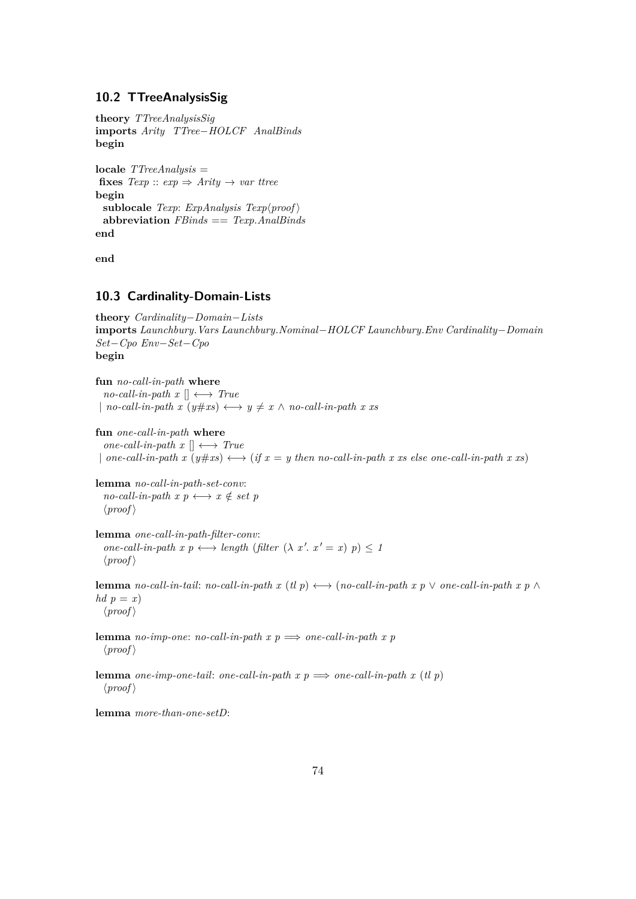## **10.2 TTreeAnalysisSig**

**theory** *TTreeAnalysisSig* **imports** *Arity TTree*−*HOLCF AnalBinds* **begin**

**locale** *TTreeAnalysis* = **fixes**  $Texp :: exp \Rightarrow Arity \rightarrow var \text{ } true$ **begin** sublocale *Texp*: *ExpAnalysis Texp* $\langle$ *proof* $\rangle$ **abbreviation** *FBinds* == *Texp*.*AnalBinds* **end**

**end**

### **10.3 Cardinality-Domain-Lists**

```
theory Cardinality−Domain−Lists
imports Launchbury.Vars Launchbury.Nominal−HOLCF Launchbury.Env Cardinality−Domain
Set−Cpo Env−Set−Cpo
begin
```
**fun** *no-call-in-path* **where**  $no\text{-}call\text{-}in\text{-}path x \parallel \longleftrightarrow True$  $|$  *no-call-in-path x*  $(y \# xs) \longleftrightarrow y \neq x \land no\text{-}call\text{-}in\text{-}path x$  *x xs* 

- **fun** *one-call-in-path* **where**  $one-call-in-path x \parallel \longleftrightarrow True$
- | *one-call-in-path*  $x(y \# xs) \longleftrightarrow (if x = y \ then \ no\text{-}call\text{-}in\text{-}path x \ xs \ else \ one\text{-}call\text{-}in\text{-}path x \ xs)$

**lemma** *no-call-in-path-set-conv*:  $no\text{-}call\text{-}in\text{-}path x p \longleftrightarrow x \notin set p$  $\langle proof \rangle$ 

**lemma** *one-call-in-path-filter-conv*:  $one-call-in-path \ x \ p \longleftrightarrow length \ (filter \ (\lambda \ x'. \ x' = x) \ p) \le 1$  $\langle proof \rangle$ 

**lemma** *no-call-in-tail: no-call-in-path x* (*tl p*)  $\longleftrightarrow$  (*no-call-in-path x p*  $\lor$  *one-call-in-path x p*  $\land$ *hd*  $p = x$  $\langle proof \rangle$ 

**lemma** *no-imp-one*: *no-call-in-path x p*  $\implies$  *one-call-in-path x p*  $\langle proof \rangle$ 

**lemma** *one-imp-one-tail: one-call-in-path x p*  $\implies$  *one-call-in-path x (tl p)*  $\langle proof \rangle$ 

**lemma** *more-than-one-setD*: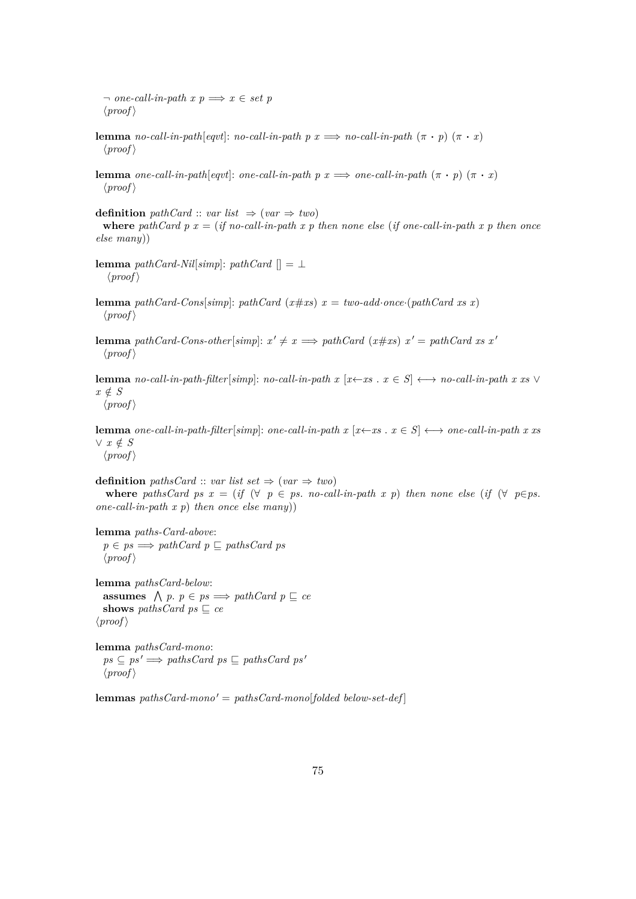$\neg$  *one-call-in-path*  $x \in \mathcal{P}$   $\Rightarrow$   $x \in \mathcal{P}$  $\langle proof \rangle$ 

- **lemma** *no-call-in-path*[*eqvt*]: *no-call-in-path*  $p x \implies no\text{-}call\text{-}in\text{-}path (\pi \cdot p) (\pi \cdot x)$  $\langle proof \rangle$
- **lemma** *one-call-in-path*[*eqvt*]: *one-call-in-path*  $p x \implies$  *one-call-in-path*  $(\pi \cdot p) (\pi \cdot x)$  $\langle proof \rangle$

**definition** *pathCard* :: *var list*  $\Rightarrow$  (*var*  $\Rightarrow$  *two*) where pathCard  $p x = (if no-call-in-path x p then none else (if one-call-in-path x p then once$ *else many*))

- **lemma**  $pathCard-Nil[simp]$ :  $pathCard$   $[] = \perp$  $\langle proof \rangle$
- **lemma** *pathCard-Cons*[*simp*]: *pathCard* ( $x \# xs$ )  $x = two-add\cdot once \cdot (pathCard \, xs \, x)$  $\langle proof \rangle$
- **lemma** pathCard-Cons-other[simp]:  $x' \neq x \implies pathCard (x \# xs) x' = pathCard xs x'$  $\langle proof \rangle$

**lemma** *no-call-in-path-filter*[*simp*]: *no-call-in-path x* [ $x \leftarrow x$ *s* .  $x \in S$ ]  $\longleftrightarrow$  *no-call-in-path x xs*  $\vee$  $x \notin S$  $\langle proof \rangle$ 

**lemma** *one-call-in-path-filter*[*simp*]: *one-call-in-path x* [ $x \leftarrow x$  .  $x \in S$ ]  $\leftrightarrow$  *one-call-in-path x xs* ∨ *x* ∈/ *S*  $\langle proof \rangle$ 

**definition** *pathsCard* :: *var list set*  $\Rightarrow$  (*var*  $\Rightarrow$  *two*) **where** pathsCard ps  $x = (if \ (\forall p \in ps. \ no-call-in-path x p)$  then none else  $(if \ (\forall p \in ps.$ *one-call-in-path x p*) *then once else many*))

**lemma** *paths-Card-above*:  $p \in ps \Longrightarrow pathCard \ p \sqsubseteq pathsCard \ ps$  $\langle proof \rangle$ 

**lemma** *pathsCard-below*: **assumes**  $\land$  *p*.  $p \in ps \implies pathCard \ p \sqsubseteq ce$ **shows** *pathsCard*  $ps \sqsubseteq ce$  $\langle proof \rangle$ 

**lemma** *pathsCard-mono*:  $ps \subseteq ps' \Longrightarrow pathsCard ps \sqsubseteq pathsCard ps'$  $\langle proof \rangle$ 

 ${\bf lemmas}\ pathsCard-monov' = pathsCard-monov[folded\ below-set-def]$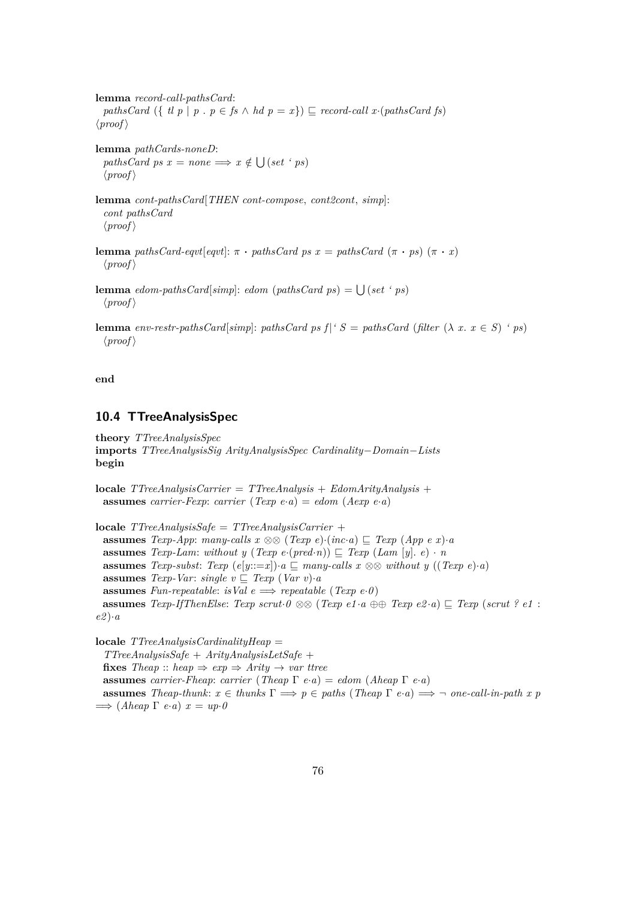**lemma** *record-call-pathsCard*: *pathsCard* ({ *tl p* | *p* . *p*  $\in$  *fs*  $\wedge$  *hd p* = *x*})  $\subseteq$  *record-call x*·(*pathsCard fs*)  $\langle proof \rangle$ **lemma** *pathCards-noneD*:  $pathsCard ps x = none \implies x \notin \bigcup (set 'ps)$  $\langle proof \rangle$ **lemma** *cont-pathsCard*[*THEN cont-compose*, *cont2cont*, *simp*]: *cont pathsCard*  $\langle proof \rangle$ **lemma** *pathsCard-eqvt*[*eqvt*]:  $\pi \cdot$  *pathsCard ps x* = *pathsCard* ( $\pi \cdot ps$ ) ( $\pi \cdot x$ )  $\langle proof \rangle$ **lemma**  $edom-pathsCard[simp]: edom(pathsCard ps) = \bigcup (set 'ps)$  $\langle proof \rangle$ 

**lemma** *env-restr-pathsCard*[*simp*]: *pathsCard ps f*|*' S* = *pathsCard* (*filter*  $(\lambda x. x \in S)$  *' ps*)  $\langle proof \rangle$ 

**end**

# **10.4 TTreeAnalysisSpec**

**theory** *TTreeAnalysisSpec* **imports** *TTreeAnalysisSig ArityAnalysisSpec Cardinality*−*Domain*−*Lists* **begin**

**locale** *TTreeAnalysisCarrier* = *TTreeAnalysis* + *EdomArityAnalysis* + **assumes** *carrier-Fexp*: *carrier* (*Texp e*·*a*) = *edom* (*Aexp e*·*a*)

**locale** *TTreeAnalysisSafe* = *TTreeAnalysisCarrier* + **assumes** *Texp-App*: *many-calls*  $x \otimes \otimes (Texp e) \cdot (inc \cdot a) \subseteq Texp (App e x) \cdot a$ **assumes** *Texp-Lam*: *without y* (*Texp e*·( $\text{pred}\cdot\hat{n}$ ))  $\subseteq$  *Texp* (*Lam* [*y*]. *e*) · *n* **assumes** *Texp-subst:*  $Texp(e[y::=x]) \cdot a \sqsubseteq many-calls \ x \otimes \otimes without \ y \ ((Texp e) \cdot a)$ **assumes** *Texp-Var: single*  $v \sqsubseteq \text{Texp} (\text{Var} v) \cdot a$ **assumes** *Fun-repeatable*: *isVal*  $e \implies \text{repeated}$  (*Texp e*·*0*) **assumes**  $Texp{\text{-}If}$  *ThenElse*:  $Texp{\text{ }scr}$   $\theta \otimes (Texp{\text{ }el} \cdot a \oplus \theta \text{ } Texp{\text{ }el} \cdot a) \sqsubset Texp{\text{ } (scr1 \cdot e1)}$ *e2* )·*a*

**locale** *TTreeAnalysisCardinalityHeap* = *TTreeAnalysisSafe* + *ArityAnalysisLetSafe* + **fixes** *Theap* :: *heap*  $\Rightarrow$  *exp*  $\Rightarrow$  *Arity*  $\rightarrow$  *var ttree* **assumes** *carrier-Fheap*: *carrier* (*Theap*  $\Gamma$  *e*·*a*) = *edom* (*Aheap*  $\Gamma$  *e*·*a*) **assumes** *Theap-thunk*:  $x \in$  *thunks*  $\Gamma \implies p \in$  *paths* (*Theap*  $\Gamma$  *e*·*a*)  $\implies$   $\neg$  *one-call-in-path* x p  $\implies$  (*Aheap*  $\Gamma$  *e*·*a*)  $x = up \cdot 0$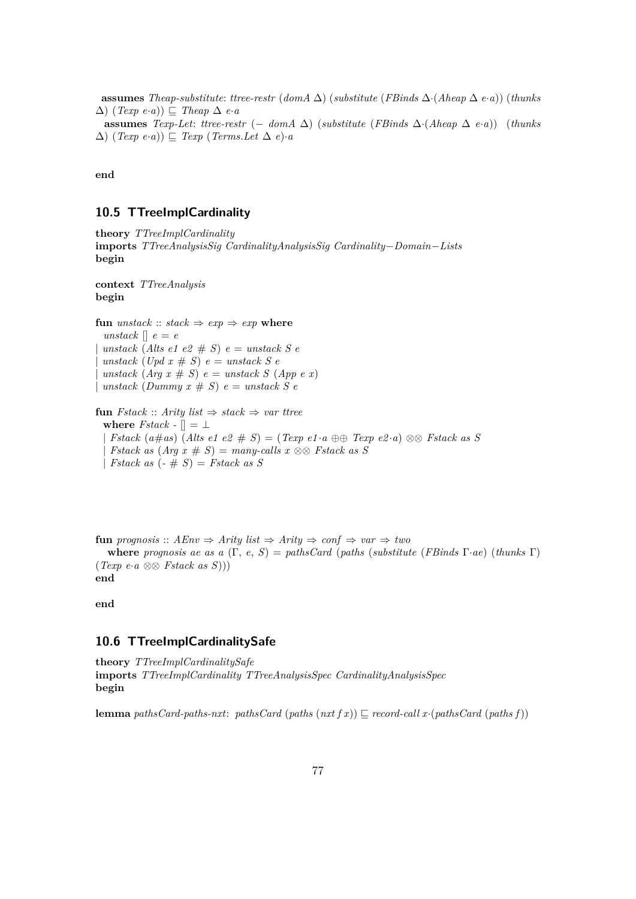**assumes** *Theap-substitute: ttree-restr* ( $dom A \Delta$ ) ( $substitute (FBinds \Delta \cdot (Aheap \Delta e \cdot a))$ ) (*thunks*  $\Delta$ ) (*Texp e*·*a*))  $\subseteq$  *Theap*  $\Delta$  *e*·*a* **assumes**  $Texp{\text{-}Let:}$  *ttree-restr* (− *domA*  $\Delta$ ) (*substitute* (*FBinds*  $\Delta$ ·(*Aheap*  $\Delta$  *e*·*a*)) (*thunks*  $(\Delta)$  (*Texp e*·*a*))  $\subseteq$  *Texp* (*Terms.Let*  $\Delta$  *e*)·*a* 

**end**

### **10.5 TTreeImplCardinality**

**theory** *TTreeImplCardinality* **imports** *TTreeAnalysisSig CardinalityAnalysisSig Cardinality*−*Domain*−*Lists* **begin**

**context** *TTreeAnalysis* **begin**

**fun**  $\textit{unstack} :: \textit{stack} \Rightarrow \textit{exp} \Rightarrow \textit{exp}$  where *unstack*  $\parallel$  *e* = *e*  $unstack (Alts e1 e2 \# S) e = unstack S e$  $unstack (Upd x \# S) e = unstack S e$  $unstack (Arg x \# S) e = unstack S (App e x)$ | *unstack*  $(Dummy x \# S) e = unstack S e$ 

**fun**  $Fstack::$   $Arity$   $list \Rightarrow stack \Rightarrow var$   $three$ **where**  $Fstack \vert \vert = \bot$  $Fstack (a \# as)$  (*Alts e1 e2*  $\# S) = (Texp e1 \cdot a \oplus Fexp e2 \cdot a) \otimes S$  *Fstack as S*  $Fstack as (Arg x \# S) = many-calls x \otimes \mathbb{S}$  *Fstack as* S | *Fstack as* (*-* # *S*) = *Fstack as S*

**fun** *prognosis* ::  $AEnv \Rightarrow$  *Arity*  $list \Rightarrow$   $Arity \Rightarrow$   $conf \Rightarrow var \Rightarrow two$ **where** *prognosis ae as a* (Γ, *e*, *S*) = *pathsCard* (*paths* (*substitute* (*FBinds* Γ·*ae*) (*thunks* Γ) (*Texp e*·*a* ⊗⊗ *Fstack as S*))) **end**

**end**

### **10.6 TTreeImplCardinalitySafe**

**theory** *TTreeImplCardinalitySafe* **imports** *TTreeImplCardinality TTreeAnalysisSpec CardinalityAnalysisSpec* **begin**

**lemma** *pathsCard-paths-nxt*: *pathsCard* (*paths* (*nxt f x*))  $\subseteq$  *record-call x*·(*pathsCard* (*paths f*))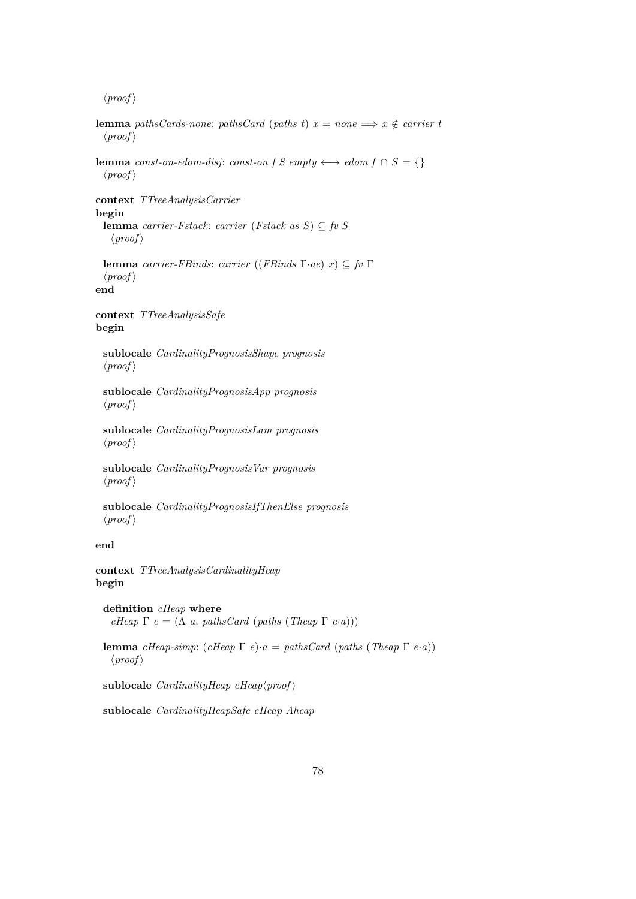**lemma** *pathsCards-none: pathsCard* (*paths t*)  $x = none \implies x \notin carrier$  $\langle proof \rangle$ **lemma** *const-on-edom-disj: const-on f* S *empty*  $\longleftrightarrow$  *edom f*  $\cap$  S = {}  $\langle proof \rangle$ **context** *TTreeAnalysisCarrier* **begin lemma** *carrier-Fstack*: *carrier* (*Fstack as S*) ⊆ *fv S*  $\langle proof \rangle$ **lemma** *carrier-FBinds*: *carrier* ((*FBinds* Γ·*ae*) *x*) ⊆ *fv* Γ  $\langle proof \rangle$ **end context** *TTreeAnalysisSafe* **begin sublocale** *CardinalityPrognosisShape prognosis*  $\langle proof \rangle$ **sublocale** *CardinalityPrognosisApp prognosis*  $\langle proof \rangle$ **sublocale** *CardinalityPrognosisLam prognosis*  $\langle proof \rangle$ **sublocale** *CardinalityPrognosisVar prognosis*  $\langle proof \rangle$ **sublocale** *CardinalityPrognosisIfThenElse prognosis*  $\langle proof \rangle$ **end context** *TTreeAnalysisCardinalityHeap* **begin definition** *cHeap* **where** *cHeap*  $\Gamma$  *e* = ( $\Lambda$  *a*. *pathsCard* (*paths* (*Theap*  $\Gamma$  *e*·*a*)))

**lemma** *cHeap-simp*: (*cHeap* Γ *e*)·*a* = *pathsCard* (*paths* (*Theap* Γ *e*·*a*))  $\langle proof \rangle$ 

sublocale  $CardinalityHeap$   $cHeap<sub>for</sub>$ 

**sublocale** *CardinalityHeapSafe cHeap Aheap*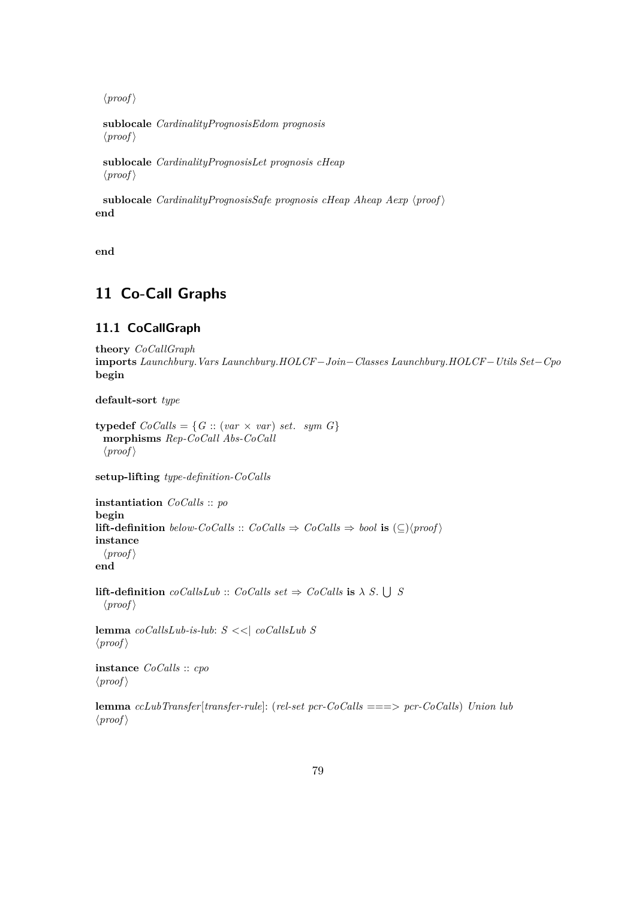**sublocale** *CardinalityPrognosisEdom prognosis*  $\langle proof \rangle$ 

**sublocale** *CardinalityPrognosisLet prognosis cHeap*  $\langle proof \rangle$ 

**sublocale** *CardinalityPrognosisSafe prognosis cHeap Aheap Aexp*  $\langle proof \rangle$ **end**

**end**

# **11 Co-Call Graphs**

# **11.1 CoCallGraph**

```
theory CoCallGraph
imports Launchbury.Vars Launchbury.HOLCF−Join−Classes Launchbury.HOLCF−Utils Set−Cpo
begin
```
**default-sort** *type*

```
typedef CoCalls = \{G :: (var \times var) set. sym G\}morphisms Rep-CoCall Abs-CoCall
 \langle proof \rangle
```
**setup-lifting** *type-definition-CoCalls*

**instantiation** *CoCalls* :: *po* **begin lift-definition** *below-CoCalls* :: *CoCalls*  $\Rightarrow$  *CoCalls*  $\Rightarrow$  *bool* **is**  $(\subseteq)$  {*proof*} **instance**  $\langle proof \rangle$ **end**

**lift-definition**  $coCallsLub :: CoCalls set \Rightarrow CoCalls$  **is**  $\lambda S. \cup S$  $\langle proof \rangle$ 

**lemma** *coCallsLub-is-lub*: *S* <<| *coCallsLub S*  $\langle proof \rangle$ 

**instance** *CoCalls* :: *cpo*  $\langle proof \rangle$ 

**lemma** *ccLubTransfer*[*transfer-rule*]: (*rel-set pcr-CoCalls* ===> *pcr-CoCalls*) *Union lub*  $\langle proof \rangle$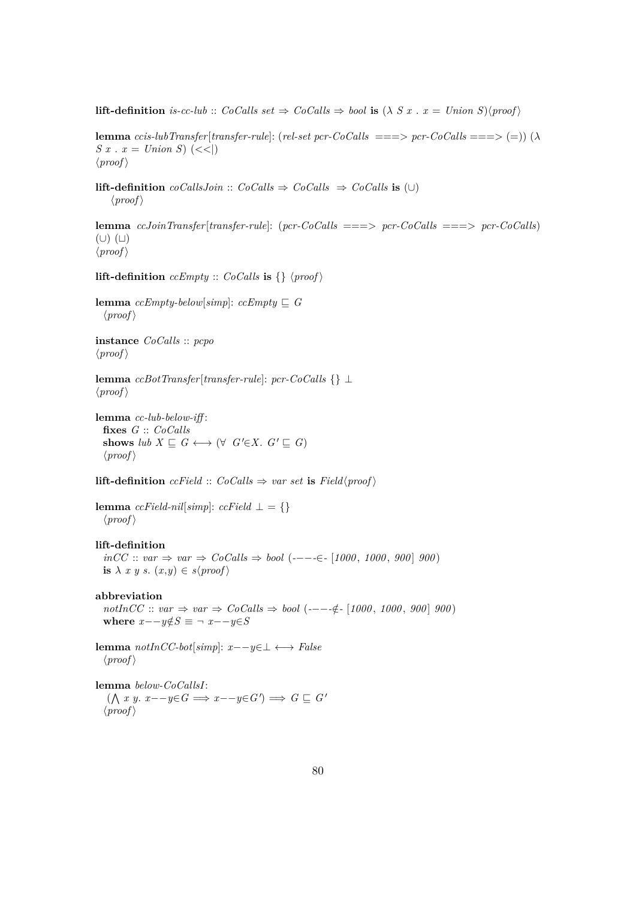**lift-definition** *is-cc-lub* :: *CoCalls set*  $\Rightarrow$  *CoCalls*  $\Rightarrow$  *bool* **is** ( $\lambda$  *S*  $x$  .  $x =$  *Union S*) $\langle proof \rangle$ 

**lemma** *ccis-lubTransfer*[*transfer-rule*]: (*rel-set pcr-CoCalls* ===> *pcr-CoCalls* ===> (=)) (λ *S x* . *x* = *Union S*)  $(<$  $\langle proof \rangle$ 

**lift-definition**  $coCallsJoin :: CoCalls \Rightarrow CoCalls \Rightarrow CoCalls$  **is** (∪)  $\langle proof \rangle$ 

**lemma** *ccJoinTransfer*[*transfer-rule*]: (*pcr-CoCalls* ===> *pcr-CoCalls* ===> *pcr-CoCalls*)  $(U)$  $(U)$  $\langle proof \rangle$ 

**lift-definition**  $c \in \mathbb{R}$  *ccEmpty* ::  $CoCalls$  **is**  $\{\}\$  \proof \times

**lemma**  $ccEmpty\text{-}below[simp]: ccEmpty \sqsubseteq G$  $\langle proof \rangle$ 

**instance** *CoCalls* :: *pcpo*  $\langle proof \rangle$ 

**lemma** *ccBotTransfer*[*transfer-rule*]: *pcr-CoCalls* {} ⊥  $\langle proof \rangle$ 

**lemma** *cc-lub-below-iff* : **fixes** *G* :: *CoCalls* **shows**  $lub X \sqsubseteq G \longleftrightarrow (\forall G' \in X \cup G' \sqsubseteq G)$  $\langle proof \rangle$ 

**lift-definition** *ccField* ::  $CoCalls \Rightarrow var set$  **is**  $Field$  $\langle proof \rangle$ 

**lemma**  $ccField-nil[simp]: ccField \perp = \{\}$  $\langle proof \rangle$ 

**lift-definition**

*inCC* :: *var* ⇒ *var* ⇒ *CoCalls* ⇒ *bool* (*-*−−*-*∈*-* [*1000* , *1000* , *900* ] *900* ) **is**  $\lambda$  *x y s*.  $(x,y) \in s$  $\langle proof \rangle$ 

**abbreviation**

 $notInCC :: var \Rightarrow var \Rightarrow CoCalls \Rightarrow bool (----(-(-1000, 1000, 900) 900)$ where  $x - -y \notin S \equiv \neg x - -y \in S$ 

**lemma** *notInCC-bot*[*simp*]: *x*−−*y*∈⊥ ←→ *False*  $\langle proof \rangle$ 

**lemma** *below-CoCallsI*:  $($   $\wedge$  *x y*. *x*−−*y*∈*G*  $\implies$  *x*−−*y*∈*G*<sup> $\wedge$ </sup>  $\implies$  *G*  $\subseteq$  *G*<sup> $\wedge$ </sup>  $\langle proof \rangle$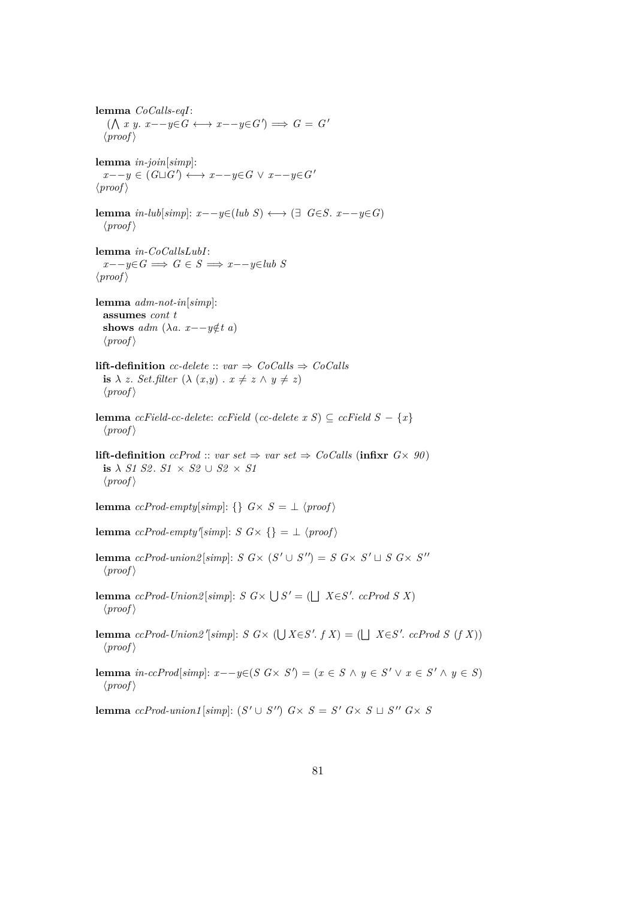**lemma** *CoCalls-eqI*:  $($   $\wedge$  *x y*. *x*−−*y*∈*G*  $\leftrightarrow$  *x*−−*y*∈*G* $')$   $\Longrightarrow$  *G* = *G*<sup> $'$ </sup>  $\langle proof \rangle$ **lemma** *in-join*[*simp*]: *x*−−*y* ∈ (*G* $\sqcup$ *G*<sup> $\qquad$ </sup>) ← *x*−−*y*∈*G*  $\lor$  *x*−−*y*∈*G*<sup> $\lor$ </sup>  $\langle proof \rangle$ **lemma** *in-lub*[*simp*]:  $x - -y \in (lub S) \longleftrightarrow (\exists G \in S, x - -y \in G)$  $\langle proof \rangle$ **lemma** *in-CoCallsLubI*:  $x - y \in G \implies G \in S \implies x - y \in \text{lub } S$  $\langle proof \rangle$ **lemma** *adm-not-in*[*simp*]: **assumes** *cont t* **shows** *adm* ( $\lambda a$ . *x*−−*y*∉*t a*)  $\langle proof \rangle$ **lift-definition** *cc-delete* ::  $var \Rightarrow CoCalls \Rightarrow CoCalls$ **is**  $\lambda$  *z*. *Set.filter*  $(\lambda (x,y) \cdot x \neq z \wedge y \neq z)$  $\langle proof \rangle$ **lemma** *ccField-cc-delete: ccField* (*cc-delete x S*) ⊆ *ccField*  $S - \{x\}$  $\langle proof \rangle$ **lift-definition** *ccProd* :: *var set*  $\Rightarrow$  *var set*  $\Rightarrow$  *CoCalls* (**infixr**  $G \times 90$ ) **is**  $\lambda$  *S1 S2*. *S1*  $\times$  *S2*  $\cup$  *S2*  $\times$  *S1*  $\langle proof \rangle$ **lemma**  $ccProd\text{-}empty[simp: \{\} \ G \times S = \bot \ \langle proof \rangle$ **lemma**  $ccProd\text{-}empty'[simp]: S \ G \times \{\} = \bot \ \langle proof \rangle$ **lemma**  $ccProd\text{-}union2[simp]: S \ G \times (S' \cup S'') = S \ G \times S' \sqcup S \ G \times S''$  $\langle proof \rangle$ **lemma**  $ccProd$ - $Union2[simp]$ :  $S$   $G \times \bigcup S' = (\bigcup X \in S'.$   $ccProd S X)$  $\langle proof \rangle$ **lemma**  $ccProd$ -Union2'[simp]:  $S$   $G \times (\bigcup X \in S'. f X) = (\bigcup X \in S'. cclProd S (f X))$  $\langle proof \rangle$ **lemma** *in-ccProd*[*simp*]:  $x$ −−*y*∈(*S G*× *S*<sup> $\prime$ </sup>) = ( $x \in S \land y \in S' \lor x \in S' \land y \in S$ )  $\langle proof \rangle$ 

**lemma**  $cc$ Prod-union1[simp]:  $(S' \cup S'')$   $G \times S = S'$   $G \times S \sqcup S''$   $G \times S$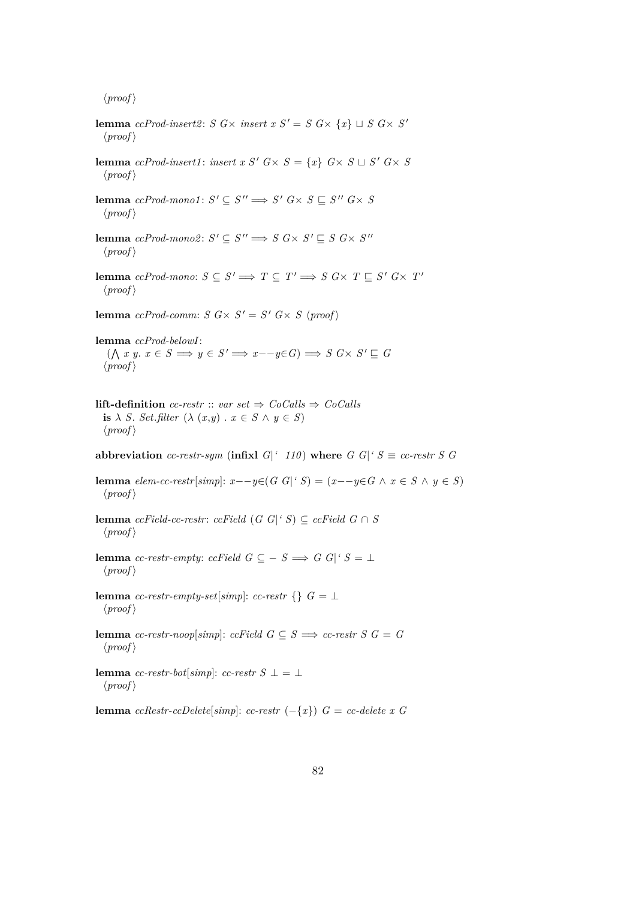**lemma** *ccProd-insert2*: *S G*× *insert x S'* = *S G*× {*x*}  $\sqcup$  *S G*× *S'*  $\langle proof \rangle$ **lemma** *ccProd-insert1*: *insert x S'*  $G \times S = \{x\}$   $G \times S \sqcup S'$   $G \times S$  $\langle proof \rangle$ **lemma**  $ccProd$ -mono1:  $S' \subseteq S'' \implies S'$   $G \times S \sqsubseteq S''$   $G \times S$  $\langle proof \rangle$ **lemma**  $ccProd$ -mono2:  $S' \subseteq S'' \implies S G \times S' \sqsubseteq S G \times S''$  $\langle proof \rangle$ **lemma** *ccProd-mono:*  $S \subseteq S' \implies T \subseteq T' \implies S \ G \times T \sqsubseteq S' \ G \times T'$  $\langle proof \rangle$ **lemma** *ccProd-comm:*  $S$   $G \times S' = S'$   $G \times S$   $\langle proof \rangle$ **lemma** *ccProd-belowI*:  $(X \mid x \mid y \in S \implies y \in S' \implies x - y \in G) \implies S \subseteq X \times S' \sqsubseteq G$  $\langle proof \rangle$ **lift-definition** *cc-restr* :: *var set*  $\Rightarrow$  *CoCalls*  $\Rightarrow$  *CoCalls* **is**  $\lambda$  *S*. *Set*.*filter* ( $\lambda$  (*x*,*y*) . *x*  $\in$  *S*  $\wedge$  *y*  $\in$  *S*)  $\langle proof \rangle$ **abbreviation** *cc-restr-sym* (**infix**]  $G$ <sup>['</sup> 110) **where**  $G$   $G$ <sup>['</sup> $S \equiv cc\text{-}restr$   $S$   $G$ **lemma** *elem-cc-restr*[*simp*]:  $x$ −−*y*∈(*G G*|<sup>*'*</sup> *S*) = ( $x$ −−*y*∈*G* ∧  $x \in S \land y \in S$ )  $\langle proof \rangle$ **lemma** *ccField-cc-restr: ccField*  $(G \ G |^c S) \subseteq c \ G$ *ield*  $G \cap S$  $\langle proof \rangle$ **lemma** *cc-restr-empty*: *ccField*  $G \subseteq -S \implies G |G|$ <sup> $\subseteq$ </sup>  $S = \perp$  $\langle proof \rangle$ **lemma** *cc-restr-empty-set*[ $simp$ ]: *cc-restr* {}  $G = \perp$  $\langle proof \rangle$ **lemma** *cc-restr-noop*[*simp*]: *ccField G*  $\subseteq$  *S*  $\implies$  *cc-restr S G* = *G*  $\langle proof \rangle$ **lemma** *cc-restr-bot*[*simp*]: *cc-restr S* ⊥ = ⊥  $\langle proof \rangle$ **lemma** *ccRestr-ccDelete*[ $simp$ ]: *cc-restr* (−{*x*})  $G = cc$ -*delete x* G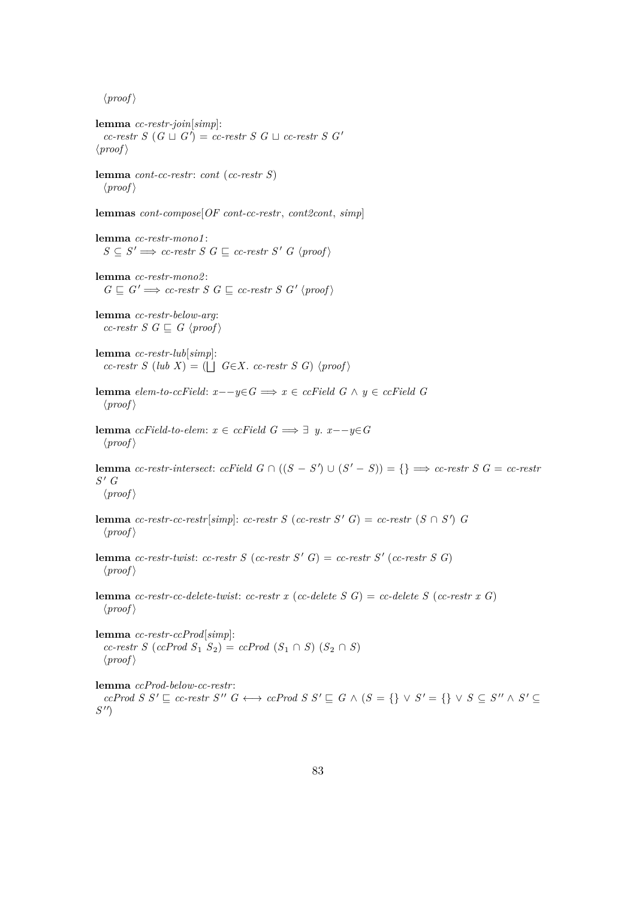**lemma** *cc-restr-join*[*simp*]:  $cc\text{-}restr S (G \sqcup G') = cc\text{-}restr S G \sqcup cc\text{-}restr S G'$  $\langle proof \rangle$ 

**lemma** *cont-cc-restr*: *cont* (*cc-restr S*)  $\langle proof \rangle$ 

**lemmas** *cont-compose*[*OF cont-cc-restr*, *cont2cont*, *simp*]

**lemma** *cc-restr-mono1* :  $S \subseteq S' \Longrightarrow cc\text{-}restr S G \sqsubseteq cc\text{-}restr S' G \langle proof \rangle$ 

**lemma** *cc-restr-mono2* :  $G \sqsubseteq G' \Longrightarrow cc\text{-}restr\ S\ G \sqsubseteq cc\text{-}restr\ S\ G'\ \langle proof \rangle$ 

**lemma** *cc-restr-below-arg*: *cc-restr S G*  $\subseteq$  *G*  $\langle proof \rangle$ 

**lemma** *cc-restr-lub*[*simp*]:  $cc\text{-}restr S$  (*lub X*) = ( $\Box$  *G*∈*X*. *cc*-restr *S G*)  $\langle proof \rangle$ 

**lemma** *elem-to-ccField*: *x*−−*y*∈*G* =⇒ *x* ∈ *ccField G* ∧ *y* ∈ *ccField G*  $\langle proof \rangle$ 

**lemma**  $\operatorname{ccfield-to-element}: x \in \operatorname{ccfield} G \Longrightarrow ∃ y. x - y \in G$  $\langle proof \rangle$ 

**lemma** *cc-restr-intersect*: *ccField*  $G \cap ((S - S') \cup (S' - S)) = \{\} \implies$  *cc-restr*  $S \subseteq C$  *cc-restr*  $S'$  *G*  $\langle proof \rangle$ 

**lemma** *cc-restr-cc-restr*[*simp*]: *cc-restr S* (*cc-restr S*<sup> $\prime$ </sup> *G*) = *cc-restr* (*S*  $\cap$  *S*<sup> $\prime$ </sup>) *G*  $\langle proof \rangle$ 

**lemma** *cc-restr-twist*: *cc-restr S* (*cc-restr S'*  $G$ ) = *cc-restr S'* (*cc-restr S G*)  $\langle proof \rangle$ 

**lemma** *cc-restr-cc-delete-twist*: *cc-restr x* (*cc-delete S G*) = *cc-delete S* (*cc-restr x G*)  $\langle proof \rangle$ 

**lemma** *cc-restr-ccProd*[*simp*]:  $cc$ -restr *S* ( $cc$ *Prod*  $S_1$   $S_2$ ) =  $cc$ *Prod*  $(S_1 \cap S)$  ( $S_2 \cap S$ )  $\langle proof \rangle$ 

**lemma** *ccProd-below-cc-restr*:

 $ccProd S S' \sqsubseteq cc-restr S'' G \longleftrightarrow ccProd S S' \sqsubseteq G \wedge (S = \{\} \vee S' = \{\} \vee S \subseteq S'' \wedge S' \subseteq$  $S'$ <sup> $\prime$ </sup>)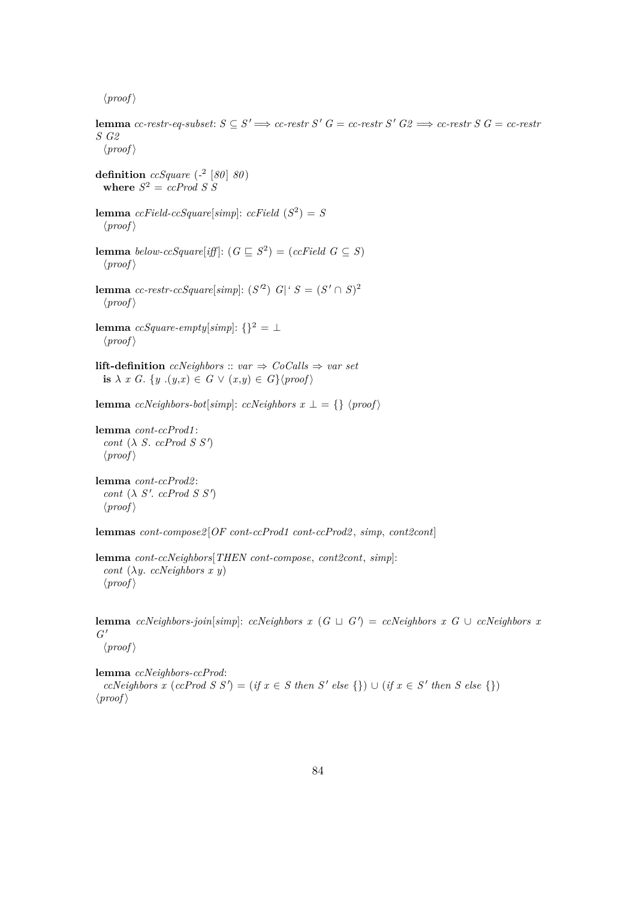**lemma** *cc-restr-eq-subset*:  $S \subseteq S' \implies cc\text{-}restr S' G = cc\text{-}restr S' G2 \implies cc\text{-}restr S G = cc\text{-}restr$ *S G2*  $\langle proof \rangle$ **definition** *ccSquare* (*-* 2 [*80* ] *80* ) where  $S^2 = ccProd S S$ **lemma**  $ccField-ccSquare[simpl: ccField (S^2) = S$  $\langle proof \rangle$ **lemma** *below-ccSquare*[*iff*]:  $(G \subseteq S^2) = (ccfield \ G \subseteq S)$  $\langle proof \rangle$ **lemma** *cc-restr-ccSquare*[ $simp$ ]:  $(S^2)$  *G*|<sup>*'*</sup>  $S = (S' \cap S)^2$  $\langle proof \rangle$ **lemma**  $ccSquare-empty[simp]: \{\}^2 = \bot$  $\langle proof \rangle$ **lift-definition** *ccNeighbors* :: *var*  $\Rightarrow$  *CoCalls*  $\Rightarrow$  *var set* **is**  $\lambda$  *x G*. {*y* .(*y,x*)  $\in$  *G*  $\vee$  (*x,y*)  $\in$  *G*}{*proof*} **lemma** *ccNeighbors-bot*[*simp*]: *ccNeighbors x*  $\perp$  = {}  $\langle proof \rangle$ **lemma** *cont-ccProd1* : *cont*  $(\lambda S. ccfrod S S')$  $\langle proof \rangle$ **lemma** *cont-ccProd2* :

 $\cot\left(\lambda S'\right)$  *ccProd S S'*)  $\langle proof \rangle$ 

**lemmas** *cont-compose2* [*OF cont-ccProd1 cont-ccProd2* , *simp*, *cont2cont*]

**lemma** *cont-ccNeighbors*[*THEN cont-compose*, *cont2cont*, *simp*]: *cont* (λ*y*. *ccNeighbors x y*)  $\langle proof \rangle$ 

**lemma** *ccNeighbors-join*[*simp*]: *ccNeighbors x* ( $G \sqcup G'$ ) = *ccNeighbors x*  $G \cup c$ *CNeighbors x*  $G^{\,\prime}$ 

 $\langle proof \rangle$ 

**lemma** *ccNeighbors-ccProd*:  $ccNeighbors \ x \ (ccProd \ S \ S') = (if \ x \in S \ then \ S' \ else \ {\}) \cup (if \ x \in S' \ then \ S \ else \ {\})$  $\langle proof \rangle$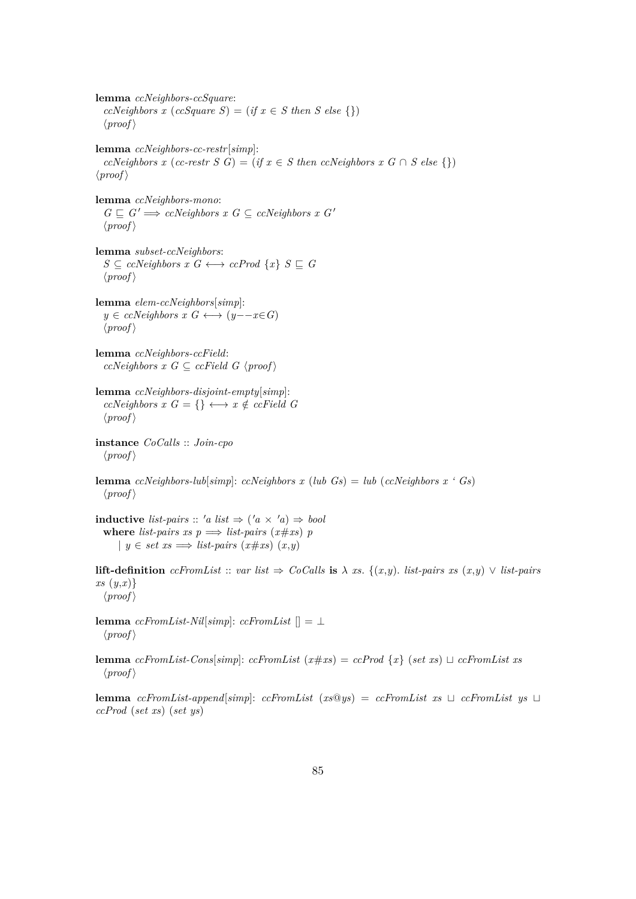**lemma** *ccNeighbors-ccSquare*: *ccNeighbors x* (*ccSquare S*) = (*if*  $x \in S$  *then S else* {})  $\langle proof \rangle$ **lemma** *ccNeighbors-cc-restr*[*simp*]:  $ccNeighbors \ x \ (cc\text{-}restr \ S \ G) = (if \ x \in S \ then \ ccNeighbors \ x \ G \cap S \ else \ \})$  $\langle proof \rangle$ **lemma** *ccNeighbors-mono*:  $G \sqsubseteq G' \Longrightarrow$  *ccNeighbors x G*  $\subseteq$  *ccNeighbors x G'*  $\langle proof \rangle$ **lemma** *subset-ccNeighbors*:  $S \subseteq \text{c}$ *cCNeighbors*  $x \in G \longleftrightarrow \text{c}$ *cProd*  $\{x\}$   $S \subseteq G$  $\langle proof \rangle$ **lemma** *elem-ccNeighbors*[*simp*]: *y* ∈ *ccNeighbors*  $x \ G \longleftrightarrow (y - x \in G)$  $\langle proof \rangle$ **lemma** *ccNeighbors-ccField*:  $ccNeighbors \ x \ G \subseteq ccField \ G \ \langle proof \rangle$ **lemma** *ccNeighbors-disjoint-empty*[*simp*]:  $ccNeighbors \ x \ G = \{\} \longleftrightarrow x \notin \, ccField \ G$  $\langle proof \rangle$ **instance** *CoCalls* :: *Join-cpo*  $\langle proof \rangle$ **lemma** *ccNeighbors-lub*[*simp*]: *ccNeighbors x* (*lub Gs*) = *lub* (*ccNeighbors x* ' *Gs*)  $\langle proof \rangle$ **inductive** *list-pairs* :: 'a *list*  $\Rightarrow$  ('a  $\times$  'a)  $\Rightarrow$  *bool* where *list-pairs*  $xs p \implies list-pairs(x \# xs) p$ | *y* ∈ *set xs*  $\implies$  *list-pairs* (*x*#*xs*) (*x,y*) **lift-definition** *ccFromList* :: *var list*  $\Rightarrow$  *CoCalls* **is**  $\lambda$  *xs*. {(*x*,*y*). *list-pairs xs* (*x*,*y*) ∨ *list-pairs xs* (*y*,*x*)}  $\langle proof \rangle$ **lemma**  $ccFromList-Nil[simp]: ccFromList$  [] = ⊥  $\langle proof \rangle$ **lemma** *ccFromList-Cons*[*simp*]: *ccFromList* ( $x \# xs$ ) =  $cc$ *Prod* { $x$ } (*set xs*)  $\sqcup$   $cc$ *FromList xs*  $\langle proof \rangle$ 

**lemma**  $ccFromList-append[simp]: ccFromList (xs@ys) = ccFromList xs \cup ccFromList ys \cup s'$ *ccProd* (*set xs*) (*set ys*)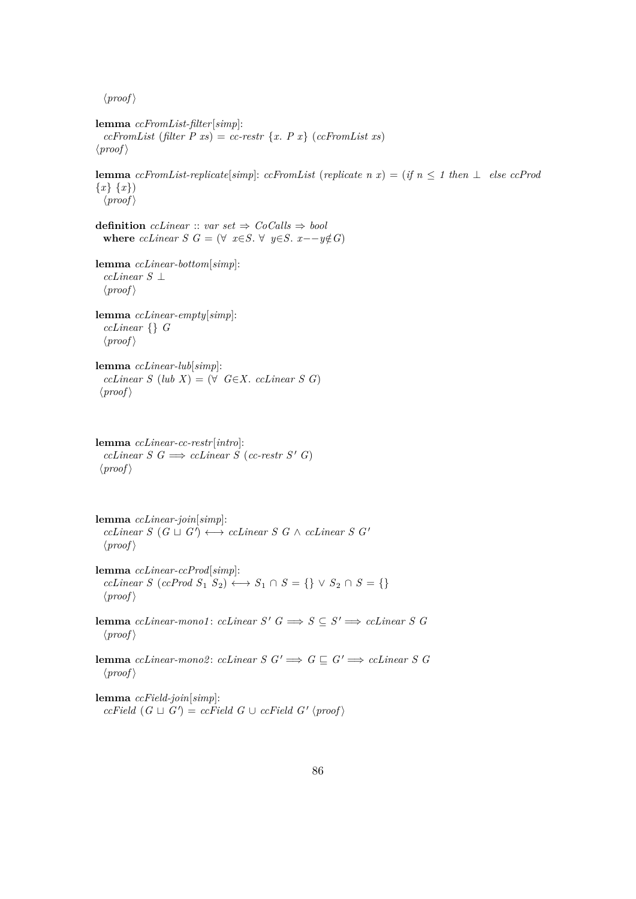**lemma** *ccFromList-filter*[*simp*]:  $ccFromList$  (*filter*  $P$  *xs*) =  $cc$ -restr  $\{x. P x\}$  ( $ccFromList$  *xs*)  $\langle proof \rangle$ 

**lemma**  $ccFromList-replicate[simp: ccFromList (replicate n x) = (if n \le 1 then \perp else ccProd$ {*x*} {*x*})  $\langle proof \rangle$ 

**definition** *ccLinear* :: *var set*  $\Rightarrow$  *CoCalls*  $\Rightarrow$  *bool* **where** *ccLinear*  $S$   $G = (\forall x \in S, \forall y \in S, x - y \notin G)$ 

**lemma** *ccLinear-bottom*[*simp*]: *ccLinear S* ⊥  $\langle proof \rangle$ 

**lemma** *ccLinear-empty*[*simp*]: *ccLinear* {} *G*  $\langle proof \rangle$ 

**lemma** *ccLinear-lub*[*simp*]:  $cclinear S (lub X) = (\forall G \in X. \text{ } cclinear S G)$  $\langle proof \rangle$ 

**lemma** *ccLinear-cc-restr*[*intro*]:  $cclinear S G \implies cclinear S (cc- restr S' G)$  $\langle proof \rangle$ 

**lemma** *ccLinear-join*[*simp*]:  $cclinear S (G \sqcup G') \longleftrightarrow cclinear S G \wedge cclinear S G'$  $\langle proof \rangle$ 

**lemma** *ccLinear-ccProd*[*simp*]:  $cclinear S (cclroad S_1 S_2) \longleftrightarrow S_1 \cap S = \{\} \vee S_2 \cap S = \{\}$  $\langle proof \rangle$ 

**lemma** *ccLinear-mono1*: *ccLinear*  $S'$   $G \implies S \subseteq S' \implies c \text{Linear } S$   $G$  $\langle proof \rangle$ 

**lemma** *ccLinear-mono2*: *ccLinear S*  $G' \implies G \sqsubseteq G' \implies c \text{Linear } S \ G$  $\langle proof \rangle$ 

**lemma** *ccField-join*[*simp*]:  $ccField(G \sqcup G') = ccField(G \cup ccField(G' \langle proof \rangle$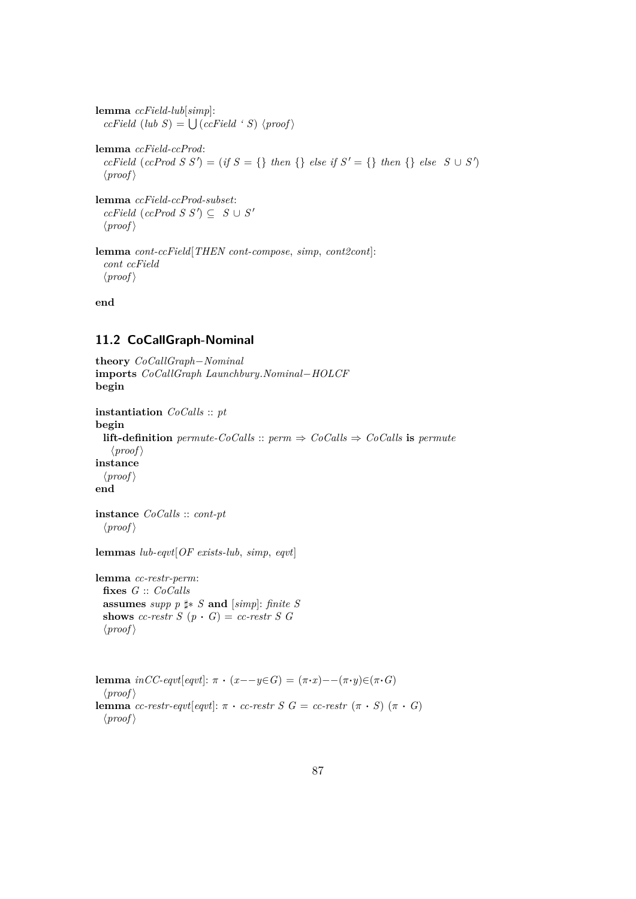**lemma** *ccField-lub*[*simp*]:  $ccField$  (*lub S*) =  $\bigcup (ccField \, 'S)$   $\langle proof \rangle$ **lemma** *ccField-ccProd*:  $ccField$  ( $ccProd S S'$ ) = (*if*  $S = \{\}$  *then*  $\{\}$  *else if*  $S' = \{\}$  *then*  $\{\}$  *else*  $S \cup S'$ )  $\langle proof \rangle$ **lemma** *ccField-ccProd-subset*:  $ccField$   $(ccProd S S') \subseteq S \cup S'$  $\langle proof \rangle$ **lemma** *cont-ccField*[*THEN cont-compose*, *simp*, *cont2cont*]:

**end**

*cont ccField*  $\langle proof \rangle$ 

#### **11.2 CoCallGraph-Nominal**

**theory** *CoCallGraph*−*Nominal* **imports** *CoCallGraph Launchbury*.*Nominal*−*HOLCF* **begin**

```
instantiation CoCalls :: pt
begin
  lift-definition permute\text{-}CoCalls :: perm \Rightarrow CoCalls \Rightarrow CoCalls is permute
    \langle proof \rangleinstance
  \langle proof \rangleend
```

```
instance CoCalls :: cont-pt
  \langle proof \rangle
```
**lemmas** *lub-eqvt*[*OF exists-lub*, *simp*, *eqvt*]

**lemma** *cc-restr-perm*: **fixes** *G* :: *CoCalls* **assumes** *supp*  $p \sharp * S$  **and** [*simp*]: *finite S* **shows** *cc-restr S*  $(p \cdot G) = cc\text{-}restr S G$  $\langle proof \rangle$ 

**lemma**  $incC\text{-}eqvt[eqvt]: \pi \cdot (x-\text{-}y \in G) = (\pi \cdot x) - (\pi \cdot y) \in (\pi \cdot G)$  $\langle proof \rangle$ **lemma** *cc-restr-eqvt*[*eqvt*]:  $\pi \cdot$  *cc-restr S G* = *cc-restr* ( $\pi \cdot S$ ) ( $\pi \cdot G$ )  $\langle proof \rangle$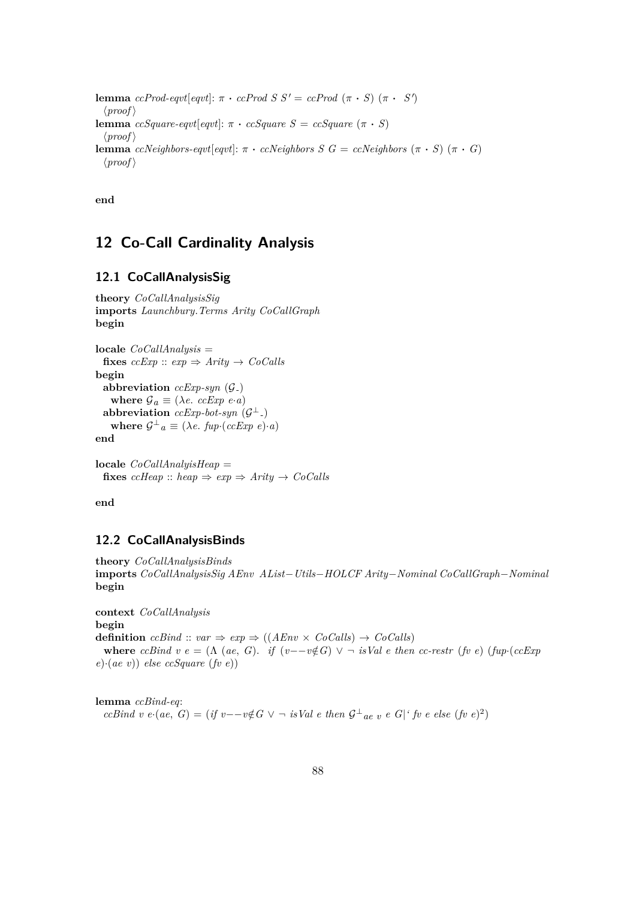```
lemma ccProd-eqvt[eqvt]: \pi \cdot c\text{}cProd S S' = ccProd (\pi \cdot S) (\pi \cdot S')
  \langle proof \ranglelemma ccSquare\text{-}eqvt[eqvt]: \pi \cdot ccSquare \text{ } S = ccSquare \text{ } (\pi \cdot S)\langle proof \ranglelemma ccNeighbors-eqvt[eqvt]: \pi \cdot ccNeighbors S G = ccNeighbors (π · S) (π · G)
  \langle proof \rangle
```
**end**

# **12 Co-Call Cardinality Analysis**

# **12.1 CoCallAnalysisSig**

```
theory CoCallAnalysisSig
imports Launchbury.Terms Arity CoCallGraph
begin
```

```
locale CoCallAnalysis =
  fixes ccExp :: exp \Rightarrow Arity \rightarrow CoCalls
begin
  abbreviation ccExp-syn (G-)
     where \mathcal{G}_a \equiv (\lambda e \cdot c c E x p \cdot e \cdot a)abbreviation ccExp-bot-syn (\mathcal{G}^{\perp})where \mathcal{G}^{\perp}{}_{a} \equiv (\lambda e. \; f \mathit{u} p \cdot (c c \mathit{Exp} \; e) \cdot a)end
```
**locale** *CoCallAnalyisHeap* = **fixes**  $c$ *cHeap* :: *heap*  $\Rightarrow$   $exp \Rightarrow$   $Arity \rightarrow CoCalls$ 

**end**

### **12.2 CoCallAnalysisBinds**

```
theory CoCallAnalysisBinds
imports CoCallAnalysisSig AEnv AList−Utils−HOLCF Arity−Nominal CoCallGraph−Nominal
begin
```
**context** *CoCallAnalysis* **begin definition**  $ccBind :: var \Rightarrow exp \Rightarrow ((AEnv \times CoCalls) \rightarrow CoCalls)$ **where**  $ccBind \, v \, e = (\Lambda \, (ae, G).$  *if*  $(v - v \notin G) \vee \neg$  *isVal e then*  $cc\text{-}restr \, (fv \, e)$  ( $fup \cdot (ccExp)$ ) *e*)·(*ae v*)) *else ccSquare* (*fv e*))

**lemma** *ccBind-eq*: *ccBind v e*·(*ae*, *G*) = (*if v*−−*v*∉*G*  $\vee$  ¬ *isVal e then*  $\mathcal{G}^{\perp}$ <sub>*ae v e G*|<sup>*'*</sup> *fv e else* (*fv e*)<sup>2</sup>)</sub>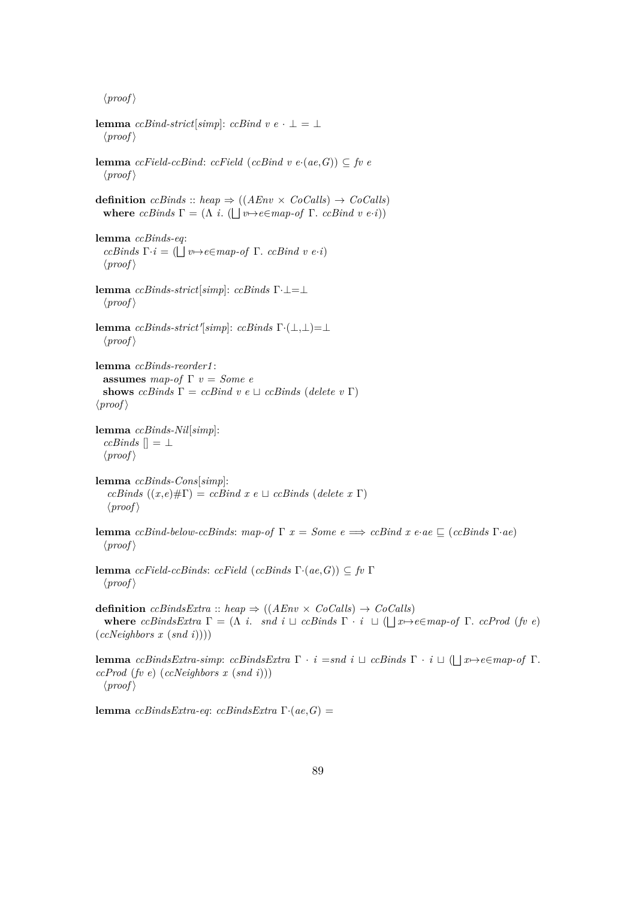**lemma**  $ccBind-strict[simp]: ccBind v e \cdot \bot = \bot$  $\langle proof \rangle$ **lemma** *ccField-ccBind*: *ccField* (*ccBind v e*⋅(*ae*,*G*)) ⊆ *fv e*  $\langle proof \rangle$ **definition**  $c cBinds :: heap \Rightarrow ((AEnv \times CoCalls) \rightarrow CoCalls)$ **where**  $ccBinds \Gamma = (\Lambda i. (\Box v \rightarrow ee \Box map-of \Gamma. ccBind v e \cdot i))$ **lemma** *ccBinds-eq*:  $ccBinds \Gamma \cdot i = (\bigsqcup v \rightarrow e \in map \text{-} of \Gamma \text{. } ccBind \ v \ e \cdot i)$  $\langle proof \rangle$ **lemma** *ccBinds-strict*[*simp*]: *ccBinds* Γ·⊥=⊥  $\langle proof \rangle$ **lemma** *ccBinds-strict'*[simp]: *ccBinds* Γ·( $\bot$ , $\bot$ )= $\bot$  $\langle proof \rangle$ **lemma** *ccBinds-reorder1* : **assumes** *map-of* Γ *v* = *Some e* **shows**  $c cBinds \Gamma = ccBind \ v \ e \sqcup ccBinds$  (*delete* v  $\Gamma$ )  $\langle proof \rangle$ **lemma** *ccBinds-Nil*[*simp*]:  $ccBinds$   $[] = \perp$  $\langle proof \rangle$ **lemma** *ccBinds-Cons*[*simp*]:  $ccBinds$   $((x,e)\# \Gamma) = ccBind x e \sqcup ccBinds$  (*delete x* Γ)  $\langle proof \rangle$ **lemma**  $ccBind$ -below-ccBinds:  $map$ -of  $\Gamma$   $x = Some$   $e \implies ccBind$   $x$   $e \cdot ae \sqsubseteq (ccBind \Gamma \cdot ae)$  $\langle proof \rangle$ **lemma** *ccField-ccBinds*: *ccField* (*ccBinds* Γ·(*ae*,*G*)) ⊆ *fv* Γ  $\langle proof \rangle$ **definition**  $ccBindsExtra :: heap \Rightarrow ((AEnv \times CoCalls) \rightarrow CoCalls)$ **where** *ccBindsExtra*  $\Gamma = (\Lambda \ i. \ \text{and} \ i \sqcup \text{ccl} \ i \land \Gamma \cdot i \sqcup (\sqcup x \rightarrow e \in \text{map-of} \ \Gamma \cdot \text{ccl} \ i \rightarrow e)$ (*ccNeighbors x* (*snd i*)))) **lemma** *ccBindsExtra-simp*: *ccBindsExtra*  $\Gamma \cdot i = \text{snd } i \sqcup \text{ ccBinds } \Gamma \cdot i \sqcup (\sqcup x \rightarrow \text{e} \in \text{map-of } \Gamma$ . *ccProd* (*fv e*) (*ccNeighbors x* (*snd i*)))  $\langle proof \rangle$ **lemma** *ccBindsExtra-eq*: *ccBindsExtra* Γ·(*ae*,*G*) =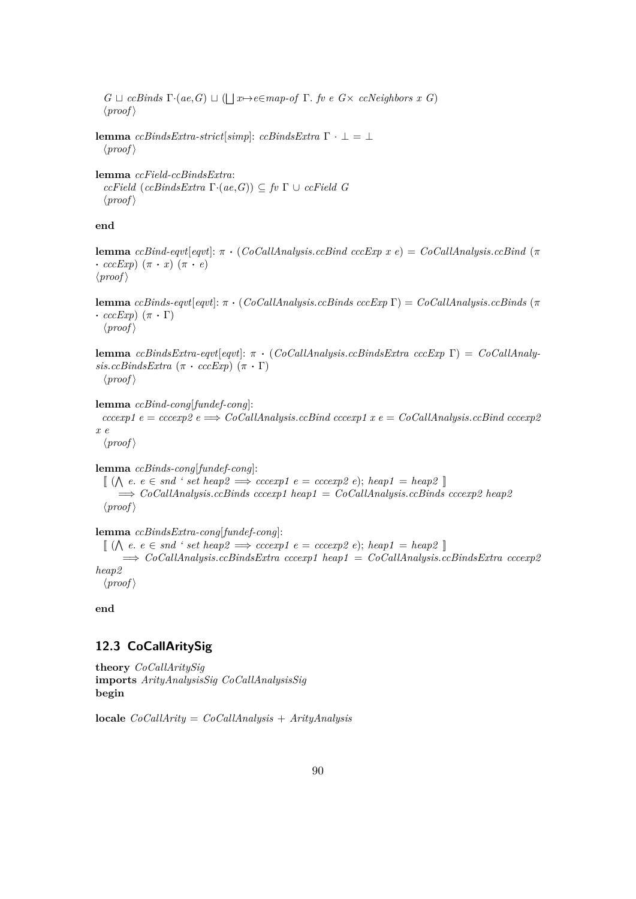$G \sqcup cclsinds \Gamma \cdot (ae, G) \sqcup (\bigsqcup x \mapsto e \in map \cdot of \Gamma$ . *fv e G*× *ccNeighbors x G*)  $\langle proof \rangle$ 

```
lemma c c \text{B} \text{in} \text{d} s \text{E} \text{xt} \text{ra} - \text{st} \text{r} \text{ic} \text{t} [\text{simp}]: c c \text{B} \text{in} \text{d} s \text{E} \text{xt} \text{ra} \Gamma \cdot \bot = \bot\langle proof \rangle
```
**lemma** *ccField-ccBindsExtra*:  $ccField$   $(ccBindsExtra \Gamma \cdot (ae,G)) \subseteq fv \Gamma \cup ccField$  *G*  $\langle proof \rangle$ 

**end**

**lemma** *ccBind-eqvt*[*eqvt*]: π · (*CoCallAnalysis*.*ccBind cccExp x e*) = *CoCallAnalysis*.*ccBind* (π  $\cdot$  *cccExp*)  $(\pi \cdot x) (\pi \cdot e)$  $\langle proof \rangle$ 

**lemma** *ccBinds-eqvt*[*eqvt*]: π · (*CoCallAnalysis*.*ccBinds cccExp* Γ) = *CoCallAnalysis*.*ccBinds* (π  $\cdot$  *cccExp*)  $(\pi \cdot \Gamma)$  $\langle proof \rangle$ 

**lemma** *ccBindsExtra-eqvt*[*eqvt*]: π · (*CoCallAnalysis*.*ccBindsExtra cccExp* Γ) = *CoCallAnaly* $sis.ccBindsEstra \left( \pi \cdot cccExp \right) \left( \pi \cdot \Gamma \right)$  $\langle proof \rangle$ 

**lemma** *ccBind-cong*[*fundef-cong*]:  $cccexp1 e = cccexp2 e \implies CoCallAnalysis.ccBined$   $ccexp1 x e = CoCallAnalysis.cEind$   $ccexp2$ *x e*  $\langle proof \rangle$ 

**lemma** *ccBinds-cong*[*fundef-cong*]:

 $\llbracket (\bigwedge e, e \in \mathit{snd} ' \mathit{set} \mathit{heap2} \implies \mathit{cccc} \mathit{exp1} \mathit{e} = \mathit{cccc} \mathit{exp2} \mathit{e}); \mathit{heap1} = \mathit{heap2} \rrbracket$ =⇒ *CoCallAnalysis*.*ccBinds cccexp1 heap1* = *CoCallAnalysis*.*ccBinds cccexp2 heap2*  $\langle proof \rangle$ 

**lemma** *ccBindsExtra-cong*[*fundef-cong*]:

 $\llbracket (\bigwedge e, e \in \mathit{snd} \land \mathit{set} \mathit{heap2} \implies \mathit{cccc} \mathit{exp1} \mathit{e} = \mathit{cccc} \mathit{exp2} \mathit{e}); \mathit{heap1} = \mathit{heap2} \rrbracket$ =⇒ *CoCallAnalysis*.*ccBindsExtra cccexp1 heap1* = *CoCallAnalysis*.*ccBindsExtra cccexp2 heap2*

 $\langle proof \rangle$ 

**end**

### **12.3 CoCallAritySig**

**theory** *CoCallAritySig* **imports** *ArityAnalysisSig CoCallAnalysisSig* **begin**

**locale** *CoCallArity* = *CoCallAnalysis* + *ArityAnalysis*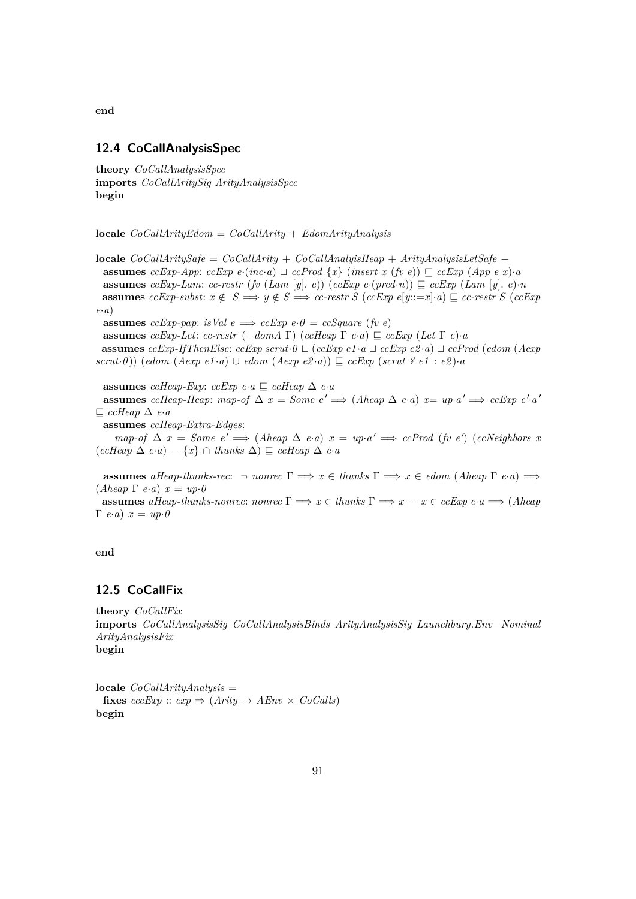**end**

#### **12.4 CoCallAnalysisSpec**

**theory** *CoCallAnalysisSpec* **imports** *CoCallAritySig ArityAnalysisSpec* **begin**

**locale** *CoCallArityEdom* = *CoCallArity* + *EdomArityAnalysis*

**locale** *CoCallAritySafe* = *CoCallArity* + *CoCallAnalyisHeap* + *ArityAnalysisLetSafe* + **assumes**  $ccExp-App: ccExp$   $e$ ·( $inc \cdot a$ )  $\sqcup$   $ccProd$  { $x$ } (*insert x* ( $fv$   $e$ ))  $\sqsubseteq$   $ccExp$  ( $App$   $e$   $x$ )·*a* **assumes** *ccExp-Lam*: *cc-restr* (*fv* (*Lam* [*y*]. *e*)) (*ccExp e*·(*pred*·*n*))  $\subseteq$  *ccExp* (*Lam* [*y*]. *e*)·*n* **assumes** *ccExp-subst:*  $x \notin S \implies y \notin S \implies cc\text{-}restr S \ (ccExp \ e[y ::= x] \cdot a) \sqsubseteq cc\text{-}restr S \ (ccExp \ e[y ::= x] \cdot a)$ *e*·*a*)

**assumes** *ccExp-pap*: *isVal*  $e \implies ccExp \ e \cdot \theta = ccSquare$  (*fv e*)

**assumes** *ccExp-Let*: *cc-restr* (−*domA*  $\Gamma$ ) (*ccHeap*  $\Gamma$  *e*·*a*)  $\Gamma$  *ccExp* (*Let*  $\Gamma$  *e*)·*a* **assumes** *ccExp-IfThenElse:*  $ccExp$  *scrut*· $0 \sqcup (ccExp e1 \cdot a \sqcup ccExp e2 \cdot a) \sqcup ccProd$  (*edom* (*Aexp*  $scrut·0$ )) (*edom* (*Aexp e1* ·*a*) ∪ *edom* (*Aexp e2* ·*a*))  $\subseteq$  *ccExp* (*scrut ? e1* : *e2*) ·*a* 

**assumes** *ccHeap-Exp*:  $ccExp$  *e*·*a*  $\subseteq$   $ccHeap \triangle e \cdot a$ **assumes** *ccHeap-Heap*: *map-of*  $\Delta x = Some \ e' \implies (Aheap \ \Delta \ e \cdot a) \ x = up \cdot a' \implies ccExp \ e' \cdot a'$  $⊑$  *ccHeap*  $∆$  *e*·*a* **assumes** *ccHeap-Extra-Edges*:  $map-of \Delta x = Some e' \Longrightarrow (Aheap \Delta e \cdot a) x = up \cdot a' \Longrightarrow ccProd (fv e') (ccNeighbors x)$  $(ccHeap \Delta e \cdot a) - \{x\} \cap thunks \Delta) \sqsubseteq ccHeap \Delta e \cdot a$ 

**assumes** *aHeap-thunks-rec:*  $\neg$  *nonrec*  $\Gamma \implies x \in$  *thunks*  $\Gamma \implies x \in$  *edom* (*Aheap*  $\Gamma$  *e*·*a*)  $\implies$  $(Aheap \Gamma \ e\cdot a) \ x = up \cdot 0$ 

**assumes** *aHeap-thunks-nonrec*: *nonrec*  $\Gamma \implies x \in \text{thunks } \Gamma \implies x - -x \in \text{ccExp } e \cdot a \implies (A \cap a) \in \text{cmals } a \neq 0$  $Γ$ *e*·*a*)  $x = up·0$ 

**end**

### **12.5 CoCallFix**

**theory** *CoCallFix* **imports** *CoCallAnalysisSig CoCallAnalysisBinds ArityAnalysisSig Launchbury*.*Env*−*Nominal ArityAnalysisFix* **begin**

**locale** *CoCallArityAnalysis* = **fixes**  $cccExp :: exp \Rightarrow (Arity \rightarrow AEnv \times CoCalls)$ **begin**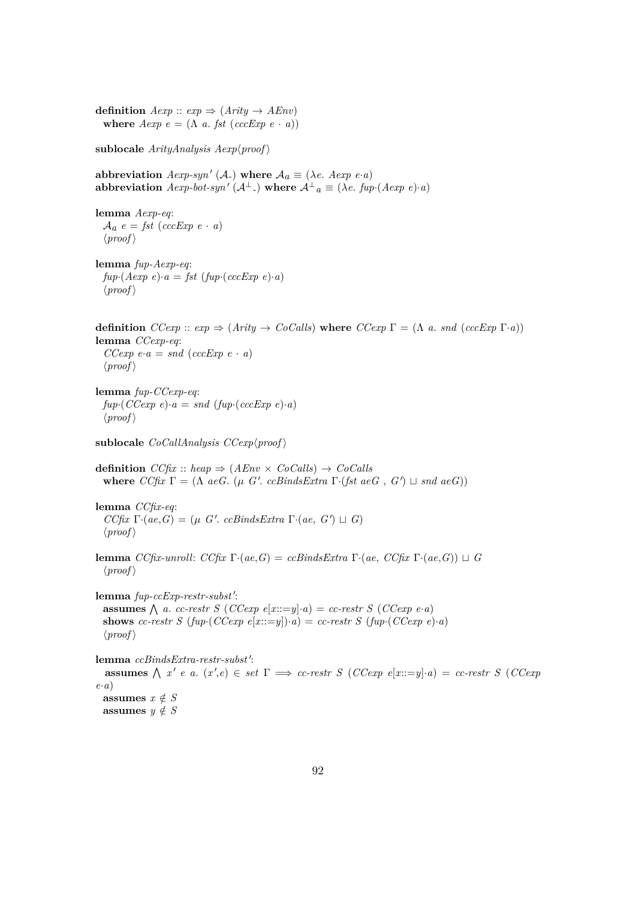**definition**  $Aexp :: exp \Rightarrow (Arity \rightarrow AEnv)$ **where**  $Aexp e = (\Lambda a. fst (cccExp e \cdot a))$ **sublocale**  $ArityAnalysis$   $Aexp\$ {proof} abbreviation  $Aexp-syn'$  (A<sub>-</sub>) where  $A_a \equiv (\lambda e \cdot Aexp \ e \cdot a)$  $\mathbf{a}$ bbreviation  $A \exp -b \cdot t - \sup \left( \mathcal{A}^{\perp} \right)$  where  $\mathcal{A}^{\perp}{}_{a} \equiv (\lambda e \cdot f \cdot \exp \left( A \cdot e \cdot p \cdot e \right) \cdot a)$ **lemma** *Aexp-eq*:  $A_a$  *e* = *fst* (*cccExp e* · *a*)  $\langle proof \rangle$ **lemma** *fup-Aexp-eq*:  $fup \cdot (Aexp e) \cdot a = fst (fup \cdot (cccExp e) \cdot a)$  $\langle proof \rangle$ **definition**  $CCexp :: exp \Rightarrow (Arity \rightarrow CoCalls)$  where  $CCexp \Gamma = (\Lambda a \cdot snd (cccExp \Gamma \cdot a))$ **lemma** *CCexp-eq*:  $CCexp e \cdot a = \text{and} (cccExp e \cdot a)$  $\langle proof \rangle$ **lemma** *fup-CCexp-eq*:  $fup \cdot (CCexp e) \cdot a = \text{and } (fup \cdot (cccExp e) \cdot a)$  $\langle proof \rangle$ **sublocale**  $CoCallAnalysis$   $CCexp(proot)$ **definition**  $CC$ *fix* :: *heap*  $\Rightarrow$   $(AEnv \times CoCalls) \rightarrow CoCalls$ **where**  $CC$ *fix*  $\Gamma = (\Lambda \text{ ae } G, (\mu \text{ } G'. \text{ ce} \text{B} \text{in} \text{ds} \text{Ex} \text{tr} \text{a} \Gamma \cdot (\text{fst } \text{ae} \text{G}, G') \sqcup \text{snd } \text{ae} \text{G}))$ **lemma** *CCfix-eq*:  $CC$ *fix*  $\Gamma \cdot (ae, G) = (\mu \ G'. \ ccBindsExtra \ \Gamma \cdot (ae, G') \sqcup G)$  $\langle proof \rangle$ **lemma** *CCfix-unroll: CCfix* Γ·(*ae*, *G*) = *ccBindsExtra* Γ·(*ae*, *CCfix* Γ·(*ae*, *G*))  $\sqcup$  *G*  $\langle proof \rangle$ lemma  $fup-ccExp-restr-subst$ : **assumes**  $\bigwedge$  *a. cc-restr S* (*CCexp e*[*x*:*x*=*y*]·*a*) = *cc-restr S* (*CCexp e*·*a*) **shows** *cc-restr S* ( $fup \cdot (CCexp e[x::=y]) \cdot a) = cc\text{-}restr S$  ( $fup \cdot (CCexp e) \cdot a)$ )  $\langle proof \rangle$ lemma *ccBindsExtra-restr-subst'*: **assumes**  $\bigwedge x' e$  *a.*  $(x', e) \in set \Gamma \implies cc\text{-}restr S$  (*CCexp*  $e[x ::= y] \cdot a) = cc\text{-}restr S$  (*CCexp e*·*a*) assumes  $x \notin S$ **assumes**  $y \notin S$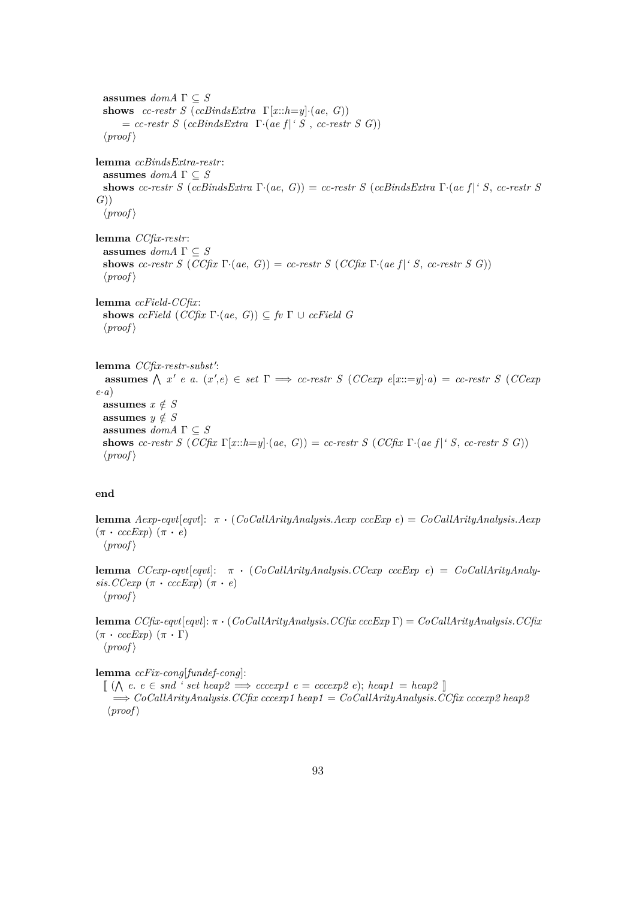**assumes**  $dom A \Gamma \subseteq S$ **shows** *cc-restr S* (*ccBindsExtra*  $\Gamma[x::h=y]\cdot(ae, G)$ )  $=$  *cc-restr S* (*ccBindsExtra*  $\Gamma$ ·(*ae f*|*' S*, *cc-restr S G*))  $\langle proof \rangle$ **lemma** *ccBindsExtra-restr*: **assumes**  $dom A \Gamma \subseteq S$ **shows** *cc-restr S* (*ccBindsExtra* Γ·(*ae*, *G*)) = *cc-restr S* (*ccBindsExtra* Γ·(*ae f* |*' S*, *cc-restr S G*))  $\langle proof \rangle$ **lemma** *CCfix-restr*: **assumes**  $dom A \Gamma \subseteq S$ **shows** *cc-restr S* (*CCfix*  $\Gamma \cdot (ae, G) = cc\text{-}restr S$  (*CCfix*  $\Gamma \cdot (ae f | f S, cc\text{-}restr S G)$ )  $\langle proof \rangle$ **lemma** *ccField-CCfix*: **shows** *ccField*  $(CCfx \Gamma \cdot (ae, G)) \subseteq fv \Gamma \cup ccField \ G$  $\langle proof \rangle$ lemma *CCfix-restr-subst'*: **assumes**  $\bigwedge x' e$  *a.*  $(x', e) \in set \Gamma \implies cc\text{-}restr S$  (*CCexp*  $e[x ::= y] \cdot a) = cc\text{-}restr S$  (*CCexp e*·*a*) **assumes**  $x \notin S$ **assumes**  $y \notin S$ **assumes**  $dom A \Gamma \subseteq S$ **shows** *cc-restr S* (*CCfix*  $\Gamma[x::h=y]\cdot(ae, G)$ ) = *cc-restr S* (*CCfix*  $\Gamma\cdot(ae f| \cdot S, cc$ -restr *S G*))  $\langle proof \rangle$ 

#### **end**

**lemma** *Aexp-eqvt*[*eqvt*]: π · (*CoCallArityAnalysis*.*Aexp cccExp e*) = *CoCallArityAnalysis*.*Aexp*  $(\pi \cdot cccExp)$   $(\pi \cdot e)$  $\langle proof \rangle$ 

**lemma** *CCexp-eqvt*[*eqvt*]: π · (*CoCallArityAnalysis*.*CCexp cccExp e*) = *CoCallArityAnaly* $sis.$ *CCexp*  $(\pi \cdot cccExp)$   $(\pi \cdot e)$  $\langle proof \rangle$ 

**lemma** *CCfix-eqvt*[*eqvt*]: π · (*CoCallArityAnalysis*.*CCfix cccExp* Γ) = *CoCallArityAnalysis*.*CCfix*  $(\pi \cdot cccExp)$   $(\pi \cdot \Gamma)$  $\langle proof \rangle$ 

**lemma** *ccFix-cong*[*fundef-cong*]:

 $\llbracket (\bigwedge e, e \in \mathit{snd} ' \mathit{set} \mathit{heap2} \implies \mathit{cccc} \mathit{exp1} \mathit{e} = \mathit{cccc} \mathit{exp2} \mathit{e}); \mathit{heap1} = \mathit{heap2} \rrbracket$ =⇒ *CoCallArityAnalysis*.*CCfix cccexp1 heap1* = *CoCallArityAnalysis*.*CCfix cccexp2 heap2*  $\langle proof \rangle$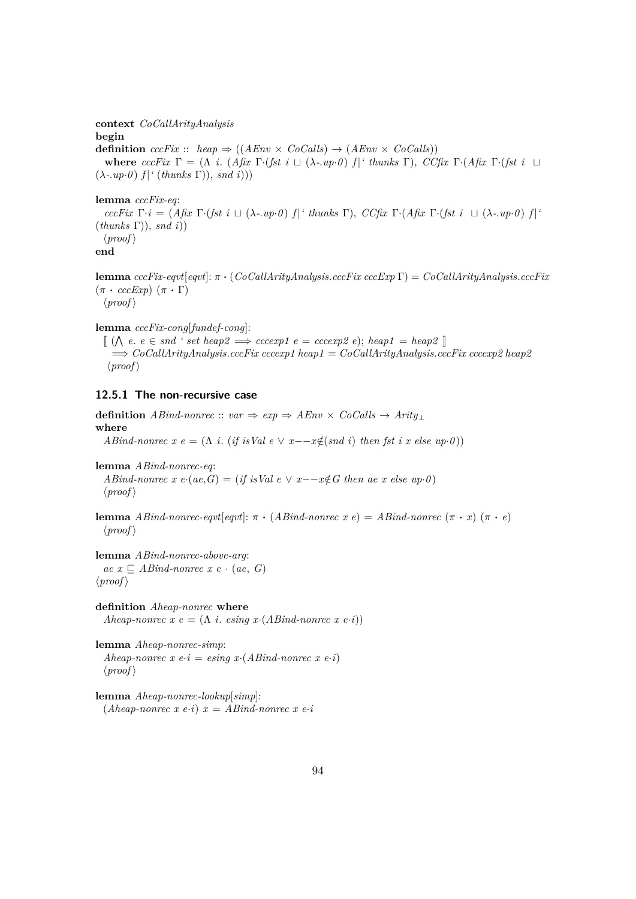**context** *CoCallArityAnalysis* **begin definition**  $ccFix :: \text{heap} \Rightarrow ((AEnv \times CoCalls) \rightarrow (AEnv \times CoCalls))$ **where**  $cccFix \Gamma = (\Lambda i. (A\hat{f}x \Gamma \cdot (fst \ i \Pi \Delta \cdot up \cdot \theta) f)'$  thunks  $\Gamma$ ),  $CC\hat{f}x \Gamma \cdot (Afx \Gamma \cdot (fst \ i \Pi \Delta \cdot \theta)) f'$  $(\lambda$ -*.up*·*0*)  $f$   $\mid$ <sup>*'*</sup> (*thunks*  $\Gamma$ )), *snd i*)))

**lemma** *cccFix-eq*:

*cccFix* Γ·*i* = (*Afix* Γ·(*fst i* t (λ*-*.*up*·*0* ) *f* |*' thunks* Γ), *CCfix* Γ·(*Afix* Γ·(*fst i* t (λ*-*.*up*·*0* ) *f* |*'* (*thunks* Γ)), *snd i*))  $\langle proof \rangle$ **end**

**lemma** *cccFix-eqvt*[*eqvt*]: π · (*CoCallArityAnalysis*.*cccFix cccExp* Γ) = *CoCallArityAnalysis*.*cccFix*  $(\pi \cdot cccExp)$   $(\pi \cdot \Gamma)$  $\langle proof \rangle$ 

**lemma** *cccFix-cong*[*fundef-cong*]:

 $\llbracket (\bigwedge e, e \in \mathit{snd} ' \mathit{set} \mathit{heap2} \implies \mathit{cccc} \mathit{exp1} \mathit{e} = \mathit{cccc} \mathit{exp2} \mathit{e}); \mathit{heap1} = \mathit{heap2} \rrbracket$ =⇒ *CoCallArityAnalysis*.*cccFix cccexp1 heap1* = *CoCallArityAnalysis*.*cccFix cccexp2 heap2*  $\langle proof \rangle$ 

# **12.5.1 The non-recursive case**

**definition**  $ABind\text{-}nonrec :: var \Rightarrow exp \Rightarrow AEnv \times CoCalls \rightarrow Arity \perp$ **where** *ABind-nonrec*  $x e = (\Lambda i \cdot (if isVal e \vee x - -x \notin (snd i) \cdot then \cdot \hat{f}st i \cdot x \cdot else \cdot up \cdot 0))$ **lemma** *ABind-nonrec-eq*: *ABind-nonrec x e*·( $ae, G$ ) = (*if isVal e*  $\vee$  *x*−−*x*∉*G* then ae *x else up*·*0*)  $\langle proof \rangle$ **lemma** *ABind-nonrec-eqvt*[ $eqv1$ :  $\pi \cdot (Abind-nonrec \ x \ e) = ABind-nonrec \ (\pi \cdot x) \ (\pi \cdot e)$  $\langle proof \rangle$ **lemma** *ABind-nonrec-above-arg*:  $ae \ x \nightharpoonup \nightharpoonup \nightharpoonup \nightharpoonup \nightharpoonup \nightharpoonup \nightharpoonup \nightharpoonup \nightharpoonup \nightharpoonup \nightharpoonup \nightharpoonup \nightharpoonup \nightharpoonup \nightharpoonup \nightharpoonup \nightharpoonup \nightharpoonup \nightharpoonup \nightharpoonup \nightharpoonup \nightharpoonup \nightharpoonup \nightharpoonup \nightharpoonup \nightharpoonup \nightharpoonup \nightharpoonup \nightharpoonup \nightharpoonup \nightharpoonup \nightharpoonup \nightharpoonup \nightharpoonup \nightharpoonup \nightharpoonup \$  $\langle proof \rangle$ **definition** *Aheap-nonrec* **where** *Aheap-nonrec*  $x e = (\Lambda i$ . *esing*  $x \cdot (ABind-nonrec \ x \ e \cdot i))$ 

**lemma** *Aheap-nonrec-simp*: *Aheap-nonrec*  $x e \cdot i = e \cdot \text{sing } x \cdot (AB \text{ind-nonrec } x e \cdot i)$  $\langle proof \rangle$ 

**lemma** *Aheap-nonrec-lookup*[*simp*]:  $(Aheap-nonrec \ x \ e·i) \ x = ABind-nonrec \ x \ e·i$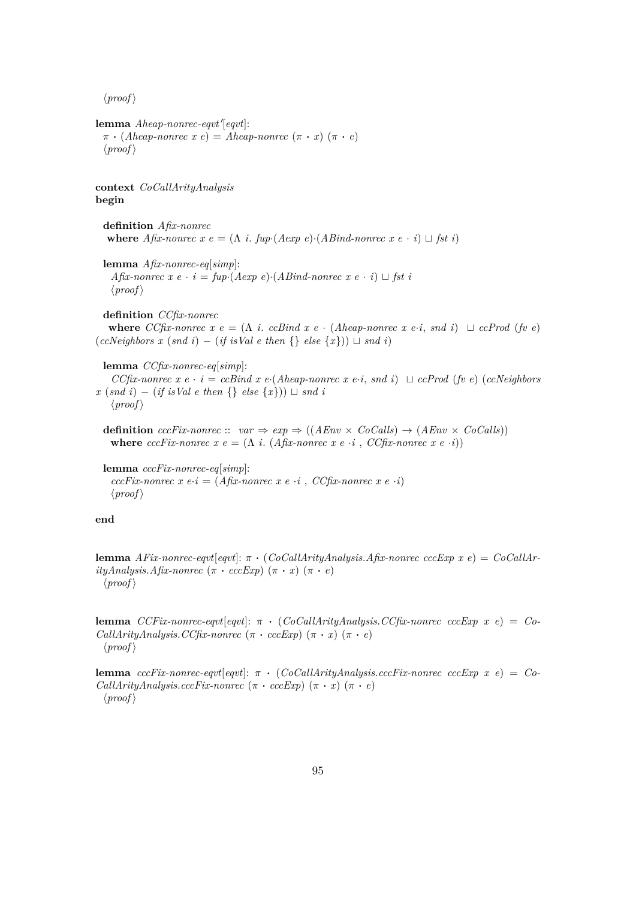```
lemma Aheap-nonrec-eqvt'[eqvt]:
 \pi \cdot (Aheap-nonrec \ x \ e) = Aheap-nonrec \ (\pi \cdot x) \ (\pi \cdot e)\langle proof \ranglecontext CoCallArityAnalysis
begin
 definition Afix-nonrec
  where Afix-nonrec x e = (\Lambda i. fup·(Aexp e)·(ABind-nonrec x e \cdot i) \sqcup fst i)
 lemma Afix-nonrec-eq[simp]:
   Afix-nonrec x e \cdot i = \text{fup}(A \exp e) \cdot (AB \text{ind-non} \text{rec} \ x \ e \cdot i) \sqcup \text{fst} \ i\langle proof \rangledefinition CCfix-nonrec
   where CCfix-nonrec x e = (Λ i. ccBind x e · (Aheap-nonrec x e·i, snd i) t ccProd (fv e)
(ccNeighbors x (snd i) - (if isVal e then \{ } else \{x\}) \sqcup end i)lemma CCfix-nonrec-eq[simp]:
    CCfix-nonrec x e · i = ccBind x e·(Aheap-nonrec x e·i, snd i) \sqcup ccProd (fv e) (ccNeighbors
x (snd i) − (if isVal e then {} else {x})) \sqcup snd i
   \langle proof \rangledefinition cccFix\text{-}nonrec :: var \Rightarrow exp \Rightarrow ((AEnv \times CoCalls) \rightarrow (AEnv \times CoCalls))where cccFix\text{-}nonrec \ x \ e = (\Lambda \ i. (Afix\text{-}nonrec \ x \ e \cdot i, CCfix\text{-}nonrec \ x \ e \cdot i))lemma cccFix-nonrec-eq[simp]:
   cccFix-nonrec x e·i = (Afix-nonrec x e ·i , CCfix-nonrec x e ·i)
   \langle proof \rangle
```
### **end**

**lemma** *AFix-nonrec-eqvt*[*eqvt*]: π · (*CoCallArityAnalysis*.*Afix-nonrec cccExp x e*) = *CoCallAr* $ityAnalysis.Afix-nonrec (\pi \cdot cccExp) (\pi \cdot x) (\pi \cdot e)$  $\langle proof \rangle$ 

**lemma** *CCFix-nonrec-eqvt*[*eqvt*]: π · (*CoCallArityAnalysis*.*CCfix-nonrec cccExp x e*) = *Co-CallArityAnalysis.CCfix-nonrec*  $(\pi \cdot cccExp) (\pi \cdot x) (\pi \cdot e)$  $\langle proof \rangle$ 

**lemma** *cccFix-nonrec-eqvt*[*eqvt*]: π · (*CoCallArityAnalysis*.*cccFix-nonrec cccExp x e*) = *Co-CallArityAnalysis.cccFix-nonrec*  $(\pi \cdot cccExp) (\pi \cdot x) (\pi \cdot e)$  $\langle proof \rangle$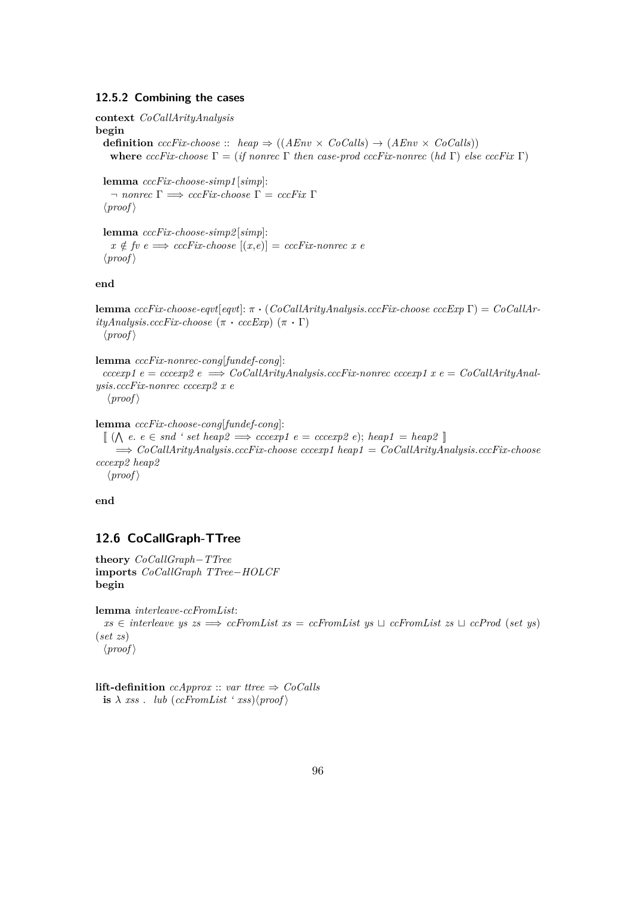#### **12.5.2 Combining the cases**

```
context CoCallArityAnalysis
begin
  definition cccFix\text{-}choose :: \text{heap} \Rightarrow ((AEnv \times CoCalls) \rightarrow (AEnv \times CoCalls))where cccFix-choose \Gamma = (if \ n \text{on} \text{rec } \Gamma \ then \ case\text{-}prod \ cccFix\text{-}non \text{rec } (hd \Gamma) \ else \ cccFix \Gamma)
```

```
lemma cccFix-choose-simp1 [simp]:
  \Box nonrec \Gamma \implies cccFix \text{-}choose \Gamma = cccFix \Gamma\langle proof \rangle
```

```
lemma cccFix-choose-simp2 [simp]:
  x \notin \text{f}v e \Longrightarrow \text{cccFix-choose } [(x,e)] = \text{cccFix-nonrec } x e\langle proof \rangle
```
**end**

```
lemma cccFix-choose-eqvt[eqvt]: π · (CoCallArityAnalysis.cccFix-choose cccExp Γ) = CoCallAr-
ityAnalysis.cccFix-choose~(\pi \cdot cccExp)~(\pi \cdot \Gamma)\langle proof \rangle
```
### **lemma** *cccFix-nonrec-cong*[*fundef-cong*]:

```
cccexp1 e = cccexp2 e \Rightarrow CoCallArityAnalysis.ccFix-nonrec ccexp1 x e = CoCallArityAnal-ysis.cccFix-nonrec cccexp2 x e
  \langle proof \rangle
```

```
lemma cccFix-choose-cong[fundef-cong]:
```

```
\llbracket (\bigwedge e, e \in \mathit{snd} \land \mathit{set} \mathit{heap2} \implies \mathit{cccc} \mathit{exp1} \mathit{e} = \mathit{cccc} \mathit{exp2} \mathit{e}); \mathit{heap1} = \mathit{heap2} \rrbracket=⇒ CoCallArityAnalysis.cccFix-choose cccexp1 heap1 = CoCallArityAnalysis.cccFix-choose
cccexp2 heap2
    \langle proof \rangle
```
**end**

## **12.6 CoCallGraph-TTree**

**theory** *CoCallGraph*−*TTree* **imports** *CoCallGraph TTree*−*HOLCF* **begin**

**lemma** *interleave-ccFromList*:  $xs \in$  *interleave ys zs*  $\implies$  *ccFromList xs* = *ccFromList ys*  $\cup$  *ccFromList zs*  $\cup$  *ccProd* (*set ys*) (*set zs*)  $\langle proof \rangle$ 

**lift-definition**  $cchpprox :: var$  *ttree*  $\Rightarrow CoCalls$ **is**  $\lambda$  *xss* . *lub* (*ccFromList ' xss*) $\langle proof \rangle$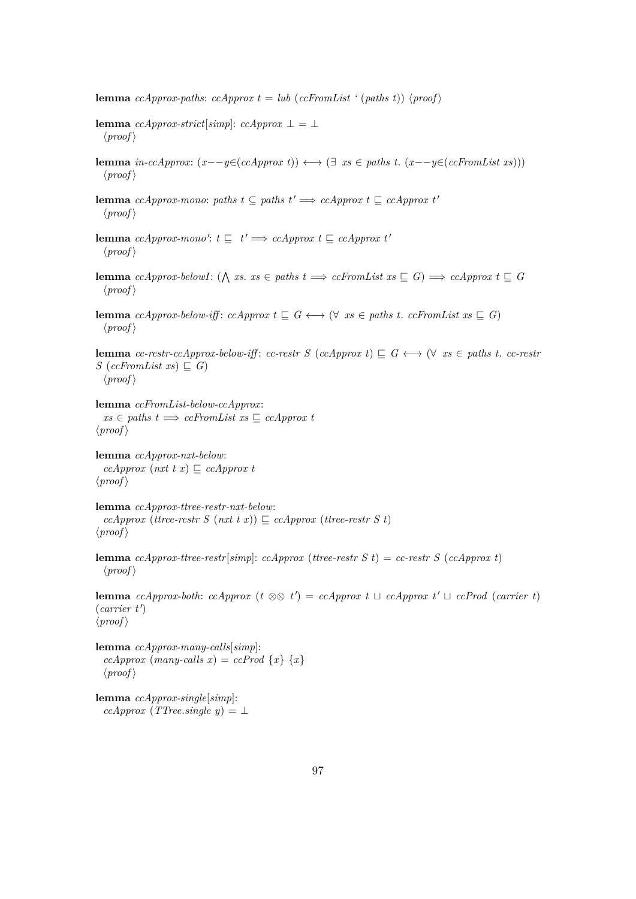**lemma** *ccApprox-paths*:  $c\text{L}$ *cApprox*  $t = \text{lub}$  ( $c\text{L}$ *cFromList* ' ( $\text{paths}$  t))  $\langle \text{proof} \rangle$ 

- **lemma**  $ccApprox-strict[simp]: ccApprox \perp = \perp$  $\langle proof \rangle$
- **lemma** *in-ccApprox*:  $(x−-y ∈ (ccApprox t))$  ←  $(∃ xs ∈ paths t. (x−-y ∈ (ccfromList xs)))$  $\langle proof \rangle$
- **lemma** *ccApprox-mono: paths*  $t \subseteq$  *paths*  $t' \implies$  *ccApprox*  $t \subseteq$  *ccApprox*  $t'$  $\langle proof \rangle$
- **lemma** *ccApprox-mono':*  $t \sqsubseteq t' \Longrightarrow cchpprox \ t \sqsubseteq cchpprox \ t'$  $\langle proof \rangle$
- **lemma** *ccApprox-belowI*: ( $\bigwedge$  *xs. xs*  $\in$  *paths t*  $\implies$  *ccFromList xs*  $\subseteq$  *G*)  $\implies$  *ccApprox t*  $\subseteq$  *G*  $\langle proof \rangle$
- **lemma** *ccApprox-below-iff*: *ccApprox t*  $\subseteq$  *G*  $\longleftrightarrow$   $(\forall x s \in paths t$ . *ccFromList*  $xs \subseteq G)$  $\langle proof \rangle$

**lemma** *cc-restr-ccApprox-below-iff*: *cc-restr S* (*ccApprox t*)  $\subseteq$  *G*  $\longleftrightarrow$  ( $\forall$  *xs*  $\in$  *paths t*. *cc-restr*  $S$  (*ccFromList xs*)  $\subseteq$  *G*)  $\langle proof \rangle$ 

**lemma** *ccFromList-below-ccApprox*:  $xs \in paths \t \Longrightarrow ccfromList \t xs \sqsubseteq cCApprox \t t$  $\langle proof \rangle$ 

**lemma** *ccApprox-nxt-below*:  $ccApprox$  ( $nxt$   $t x$ )  $\subseteq$   $ccApprox$  $\langle proof \rangle$ 

**lemma** *ccApprox-ttree-restr-nxt-below*: *ccApprox* (*ttree-restr S* (*nxt t x*))  $\subseteq$  *ccApprox* (*ttree-restr S t*)  $\langle proof \rangle$ 

**lemma** *ccApprox-ttree-restr*[*simp*]: *ccApprox* (*ttree-restr S t*) = *cc-restr S* (*ccApprox t*)  $\langle proof \rangle$ 

**lemma** *ccApprox-both*: *ccApprox* (*t* ⊗⊗ *t*<sup> $\prime$ </sup>) = *ccApprox t*  $\sqcup$  *ccApprox t*<sup> $\prime$ </sup>  $\sqcup$  *ccProd* (*carrier t*)  $(\textit{carrier t}')$  $\langle proof \rangle$ 

**lemma** *ccApprox-many-calls*[*simp*]:  $ccApprox$  (*many-calls x*) =  $ccProd$  {*x*} {*x*}  $\langle proof \rangle$ 

**lemma** *ccApprox-single*[*simp*]: *ccApprox* (*TTree.single y*) = ⊥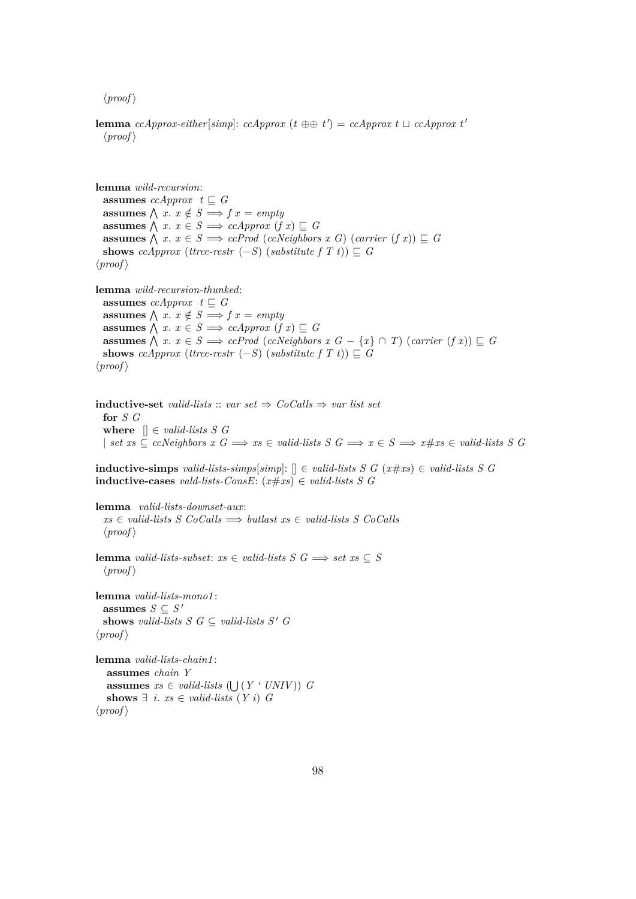**lemma** *ccApprox-either*[*simp*]: *ccApprox* ( $t \oplus t$ ) = *ccApprox*  $t \sqcup$  *ccApprox*  $t'$  $\langle proof \rangle$ 

**lemma** *wild-recursion*: **assumes**  $ccApprox t \sqsubseteq G$ **assumes**  $\bigwedge x \cdot x \notin S \implies f x = empty$ **assumes**  $\bigwedge$  *x*. *x* ∈ *S*  $\implies$  *ccApprox* (*f x*)  $\subseteq$  *G* **assumes**  $\bigwedge x \cdot x \in S \implies c\text{.}$  *Prod* (*ccNeighbors*  $x \in G$ ) (*carrier*  $(f \cdot x)$ )  $\subseteq G$ **shows** *ccApprox* (*ttree-restr* (−*S*) (*substitute*  $f(T t)$ )  $\subseteq G$  $\langle proof \rangle$ **lemma** *wild-recursion-thunked*: **assumes** *ccApprox*  $t \subseteq G$  $\textbf{assumes } \bigwedge x. \; x \notin S \Longrightarrow f \, x = \text{empty}$ **assumes**  $\bigwedge$  *x*. *x* ∈ *S*  $\implies$  *ccApprox* (*f x*)  $\subseteq$  *G* **assumes**  $\bigwedge$  *x*. *x* ∈ *S*  $\implies$  *ccProd* (*ccNeighbors x G* − {*x*} ∩ *T*) (*carrier* (*f x*))  $\subseteq$  *G* **shows** *ccApprox* (*ttree-restr*  $(-S)$  (*substitute f T t*))  $\subseteq G$  $\langle proof \rangle$ **inductive-set** *valid-lists* :: *var set*  $\Rightarrow$  *CoCalls*  $\Rightarrow$  *var list set* **for** *S G* **where**  $\parallel \text{\ensuremath{\in}}$  *valid-lists* S G | *set*  $xs \subseteq c$ *cNeighbors*  $x \subseteq G \implies xs \in \text{valid-lists}$   $S \subseteq G \implies x \in S \implies x \neq xs \in \text{valid-lists}$   $S \subseteq G$ **inductive-simps** *valid-lists-simps*[*simp*]: [] ∈ *valid-lists S G* (*x*#*xs*) ∈ *valid-lists S G* **inductive-cases** *vald-lists-ConsE*: (*x*#*xs*) ∈ *valid-lists S G*

**lemma** *valid-lists-downset-aux*: *xs* ∈ *valid-lists S CoCalls* =⇒ *butlast xs* ∈ *valid-lists S CoCalls*  $\langle proof \rangle$ 

**lemma** *valid-lists-subset*: *xs* ∈ *valid-lists*  $S$   $G$   $\implies$  *set xs* ⊂  $S$  $\langle proof \rangle$ 

**lemma** *valid-lists-mono1* : **assumes**  $S \subseteq S'$ shows *valid-lists*  $S \ G \subseteq \text{valid-lists } S' \ G$  $\langle proof \rangle$ 

```
lemma valid-lists-chain1 :
   assumes chain Y
   assumes xs \in valid\text{-}lists \left(\bigcup (Y \cdot UNIV)\right) G
   shows ∃ i. xs ∈ valid-lists (Y i) G
\langle proof \rangle
```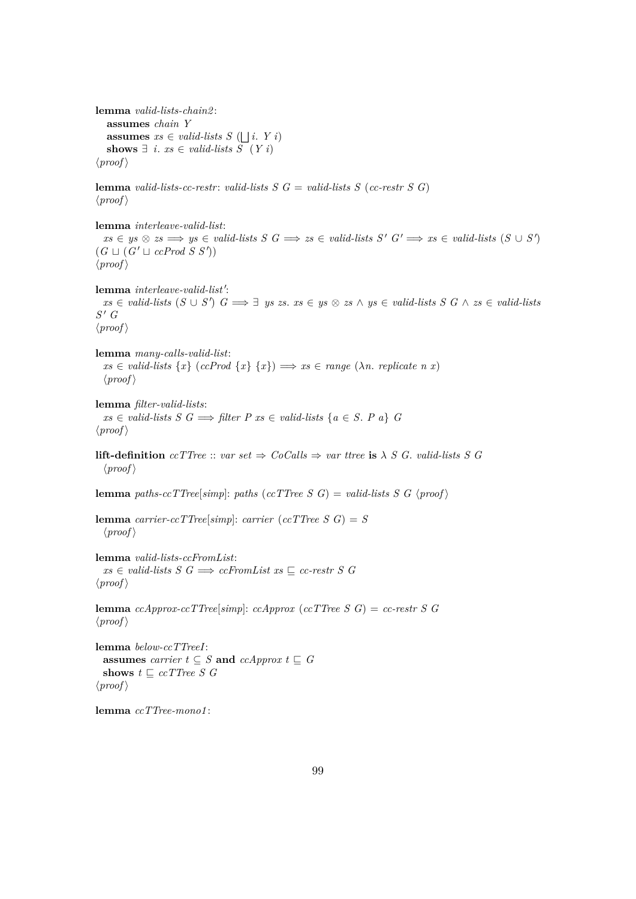**lemma** *valid-lists-chain2* : **assumes** *chain Y* **assumes**  $xs \in valid\text{-}lists S \left(\bigsqcup i. Y i\right)$ **shows**  $∃$  *i*. *xs* ∈ *valid-lists S* (*Y i*)  $\langle proof \rangle$ 

**lemma** *valid-lists-cc-restr: valid-lists S*  $G =$  *<i>valid-lists S (cc-restr S G)*  $\langle proof \rangle$ 

**lemma** *interleave-valid-list*:  $xs \in ys \otimes zs \implies ys \in valid\text{-}lists S \subseteq S \implies zs \in valid\text{-}lists S' \subseteq S' \implies xs \in valid\text{-}lists (S \cup S')$  $(G \sqcup (G' \sqcup c\text{Prod } S \text{ } S'))$  $\langle proof \rangle$ 

lemma *interleave-valid-list'*:  $xs \in valid\text{-}lists (S \cup S')$   $G \Longrightarrow \exists \text{ } ys \text{ } zs}$ .  $xs \in ys \otimes xs \wedge ys \in valid\text{-}lists S$   $G \wedge zs \in valid\text{-}lists$  $S'$  *G*  $\langle proof \rangle$ 

**lemma** *many-calls-valid-list*:  $xs \in valid\text{-}lists \{x\} \text{ (}ccProd \{x\} \{x\} \text{)} \implies xs \in range \text{ (}lambda \text{. replicate } n \text{ } x\text{)}$  $\langle proof \rangle$ 

**lemma** *filter-valid-lists*:  $xs \in valid-lists \ S \ G \Longrightarrow filter \ P \ xs \in valid-lists \ \{a \in S \ P \ a\} \ G$  $\langle proof \rangle$ 

**lift-definition**  $ccTTree :: var set \Rightarrow CoCalls \Rightarrow var \text{ three is } \lambda S G$ . *valid-lists* S G  $\langle proof \rangle$ 

**lemma** *paths-ccTTree*[ $simp$ ]: *paths* (*ccTTree S G*) = *valid-lists S G* \*proof* \

**lemma** *carrier-ccTTree*[ $simp$ ]: *carrier* (*ccTTree S G*) = *S*  $\langle proof \rangle$ 

**lemma** *valid-lists-ccFromList*:  $xs \in valid-lists \ S \ G \Longrightarrow ccfromList \ xs \ \sqsubseteq \ cc-restr \ S \ G$  $\langle proof \rangle$ 

**lemma**  $ccApprox-ccTTree[simp]: ccApprox (ccTTree S G) = cc-restr S G$  $\langle proof \rangle$ 

**lemma** *below-ccTTreeI*: **assumes** *carrier*  $t \subseteq S$  **and**  $ccApprox$   $t \subseteq G$ shows  $t \subseteq ccTTree S G$  $\langle proof \rangle$ 

**lemma** *ccTTree-mono1* :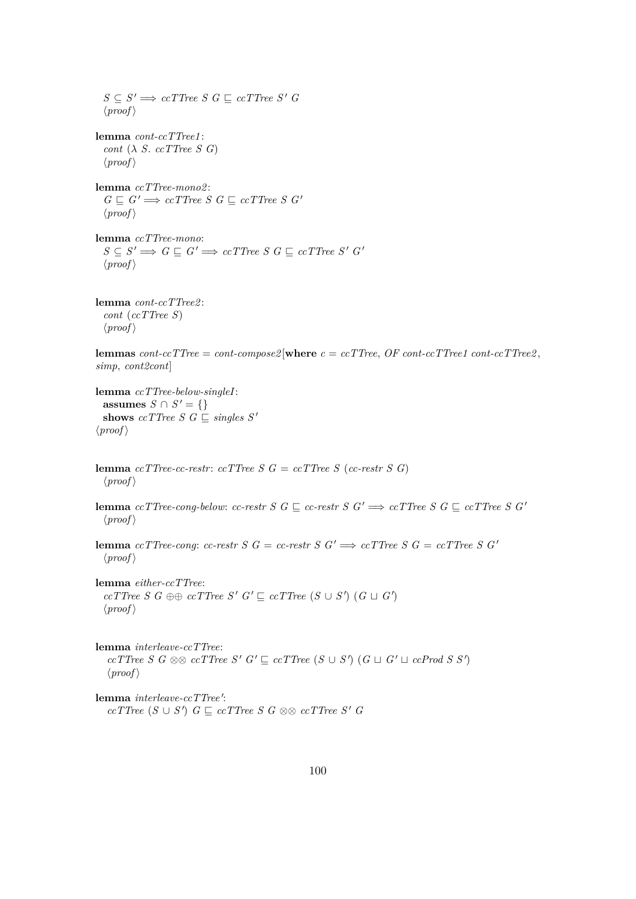$S \subseteq S' \Longrightarrow ccTTree S G \sqsubseteq ccTTree S' G$  $\langle proof \rangle$ **lemma** *cont-ccTTree1* : *cont* (λ *S*. *ccTTree S G*)  $\langle proof \rangle$ **lemma** *ccTTree-mono2* :  $G \sqsubseteq G' \Longrightarrow c \text{c} \text{ } T \text{ } r \text{ } e \text{ } S \text{ } G \sqsubseteq c \text{ } T \text{ } \text{ } T \text{ } re \text{ } s \text{ } G'$  $\langle proof \rangle$ **lemma** *ccTTree-mono*:  $S \subseteq S' \Longrightarrow G \sqsubseteq G' \Longrightarrow c c \mathit{TTree} \; S \; G \sqsubseteq c c \mathit{TTree} \; S' \; G'$  $\langle proof \rangle$ **lemma** *cont-ccTTree2* : *cont* (*ccTTree S*)  $\langle proof \rangle$ **lemmas**  $cont-ccTTree = cont-compose2$  [**where**  $c = ccTTree$ ,  $OF\ cont-ccTTree1$   $cont-ccTTree2$ , *simp*, *cont2cont*] **lemma** *ccTTree-below-singleI*: **assumes** *S* ∩ *S*<sup> $'$ </sup> = {} **shows**  $ccTTree S G \subseteqq singles S'$  $\langle proof \rangle$ **lemma** *ccTTree-cc-restr: ccTTree S*  $G = c \text{c}$ *cTTree S* (*cc-restr S G*)  $\langle proof \rangle$ **lemma**  $ccTTree-conq-below:$   $cc-restr S G \subseteq cc-restr S G' \Longrightarrow ccTTree S G \subseteq ccTTree S G'$  $\langle proof \rangle$ **lemma**  $cc$  *TTree-cong*:  $cc$ -restr  $S$   $G = cc$ -restr  $S$   $G' \implies cc$  *TTree*  $S$   $G = cc$  *TTree*  $S$   $G'$  $\langle proof \rangle$ **lemma** *either-ccTTree*:  $ccTTree S G \oplus \emptyset ccTTree S' G' \sqsubseteq ccTTree (S \cup S') (G \sqcup G')$  $\langle proof \rangle$ **lemma** *interleave-ccTTree*:  $ccTTree S G \otimes \& ccTTree S' G' \sqsubseteq ccTTree (S \cup S') (G \sqcup G' \sqcup ccProd S S')$  $\langle proof \rangle$ lemma *interleave-ccTTree'*: *ccTTree* (*S* ∪ *S* 0 ) *G* v *ccTTree S G* ⊗⊗ *ccTTree S* <sup>0</sup> *G*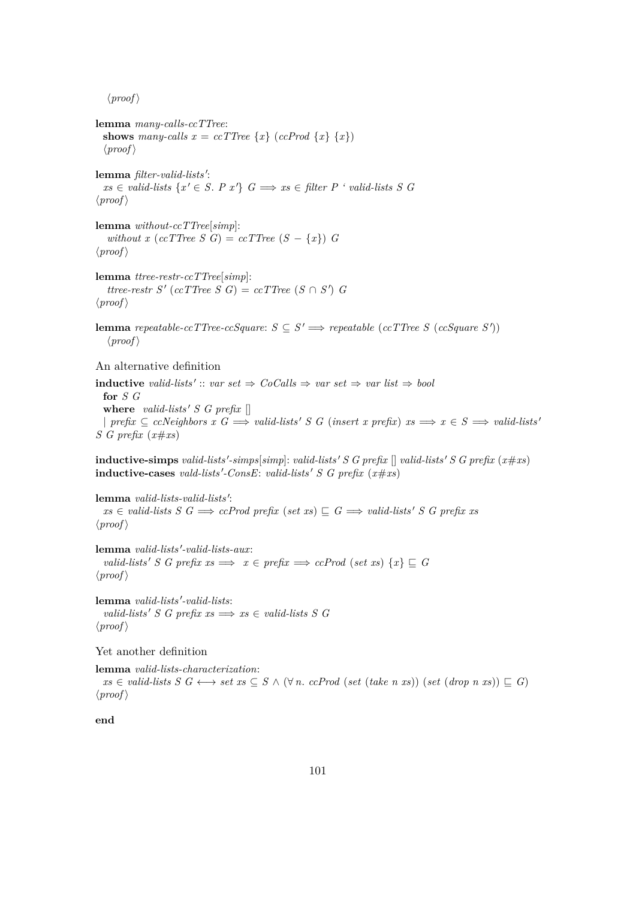**lemma** *many-calls-ccTTree*: **shows** many-calls  $x = ccTTree \{x\} (ccProd \{x\} \{x\})$  $\langle proof \rangle$ lemma filter-valid-lists':  $xs \in valid\text{-}lists \{x' \in S, P\ x'\} \ G \Longrightarrow xs \in filter \ P' \ valid\text{-}lists \ S \ G$  $\langle proof \rangle$ **lemma** *without-ccTTree*[*simp*]: *without x*  $(ccTTree S G) = ccTTree (S - \{x\}) G$  $\langle proof \rangle$ **lemma** *ttree-restr-ccTTree*[*simp*]:  $t$ *ttree-restr S'* (*ccTTree S G*) = *ccTTree* ( $S \cap S'$ ) *G*  $\langle proof \rangle$ **lemma** repeatable-ccTTree-ccSquare:  $S \subseteq S' \implies$  repeatable (ccTTree S (ccSquare S'))  $\langle proof \rangle$ An alternative definition **inductive** *valid-lists'*  $::$  *var set*  $\Rightarrow$  *CoCalls*  $\Rightarrow$  *var set*  $\Rightarrow$  *var list*  $\Rightarrow$  *bool* **for** *S G* **where** *valid-lists'*  $S$   $G$  *prefix*  $[$  $\Box$  *prefix*  $\subseteq$  *ccNeighbors x G*  $\implies$  *valid-lists' S G* (*insert x prefix*)  $xs \implies x \in S \implies$  *valid-lists' S G prefix* (*x*#*xs*)  $\textbf{inductive-simps}\text{ }valid\text{-}lists'\text{-}simp[simp]:\text{ }valid\text{-}lists'\text{ }S\text{ }G\text{ }prefix\text{ }[]\text{ }valid\text{-}lists'\text{ }S\text{ }G\text{ }prefix\text{ }(*\#xs)$  $\textbf{inductive-case}$  *vald-lists'*-ConsE: *valid-lists'*  $S$   $G$   $prefix$   $(x \# xs)$ lemma *valid-lists-valid-lists'*:  $xs \in valid-lists \ S \ G \Longrightarrow ccl$  *rod prefix* (*set xs*)  $\sqsubseteq G \Longrightarrow valid-lists' \ S \ G \ prefix \ xs$  $\langle proof \rangle$  ${\bf lemma}~valid-lists'-valid-lists-aux:$ *valid-lists*  $S \ G \ prefix \implies x \in prefix \implies ccProd \ (set xs) \ \{x\} \sqsubseteq G$  $\langle proof \rangle$ 

 $lemma \ valid\-lists' -valid\-lists$ : *valid-lists'*  $S$   $G$  prefix  $xs \implies xs \in valid\text{-}lists S$   $G$  $\langle proof \rangle$ 

Yet another definition

**lemma** *valid-lists-characterization*:

 $xs \in valid\text{-}lists\ S\ G \longleftrightarrow set\ xs \subseteq S \land (\forall n.\ ccProd\ (set\ (take\ n\ xs))\ (set\ (drop\ n\ xs)) \sqsubseteq G)$  $\langle proof \rangle$ 

**end**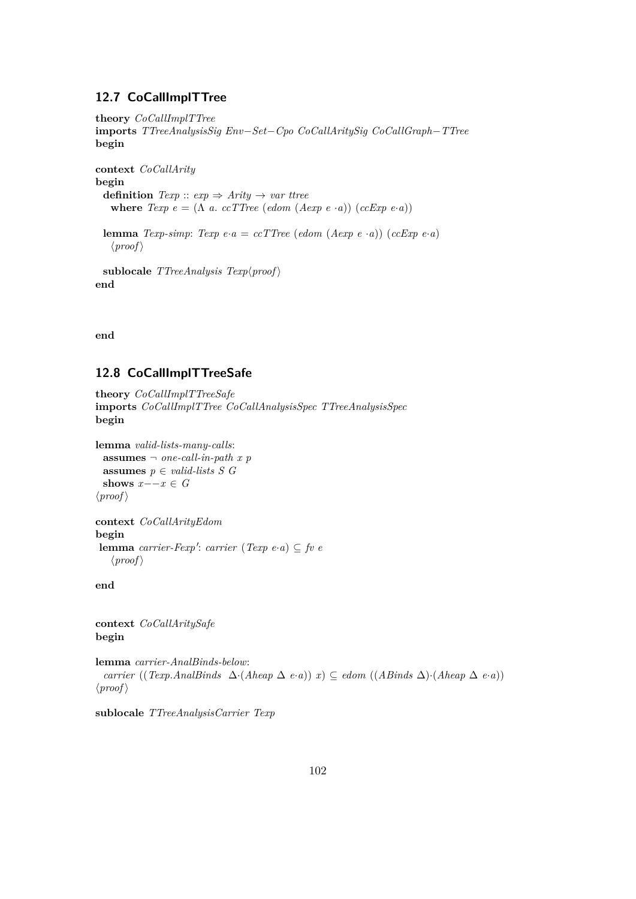# **12.7 CoCallImplTTree**

```
theory CoCallImplTTree
imports TTreeAnalysisSig Env−Set−Cpo CoCallAritySig CoCallGraph−TTree
begin
context CoCallArity
begin
  definition Texp :: exp \Rightarrow Arity \rightarrow var ttree
    where Texp e = (\Lambda a \cdot c \text{c} \text{c} \text{c} \text{d} \text{d} \text{d} \text{e}) \left( \text{de} \text{d} \text{c} \text{e} \cdot \text{d} \text{d} \text{d} \right)lemma Texp-simp: Texp e \cdot a = c c T T r e e (edom (A exp e \cdot a)) (c c E x p e \cdot a)\langle proof \ranglesublocale TTreeAnalysis Texp\langle proof \rangleend
```
**end**

# **12.8 CoCallImplTTreeSafe**

```
theory CoCallImplTTreeSafe
imports CoCallImplTTree CoCallAnalysisSpec TTreeAnalysisSpec
begin
```

```
lemma valid-lists-many-calls:
 assumes \neg one-call-in-path x p
 assumes p ∈ valid-lists S G
 shows x - -x \in G\langle proof \rangle
```

```
context CoCallArityEdom
begin
 {\bf lemma} carrier-Fexp': carrier (Texp e·a) \subseteq fv e
    \langle proof \rangle
```
**end**

**context** *CoCallAritySafe* **begin**

**lemma** *carrier-AnalBinds-below*: *carrier* ((*Texp*.*AnalBinds* ∆·(*Aheap* ∆ *e*·*a*)) *x*) ⊆ *edom* ((*ABinds* ∆)·(*Aheap* ∆ *e*·*a*))  $\langle proof \rangle$ 

**sublocale** *TTreeAnalysisCarrier Texp*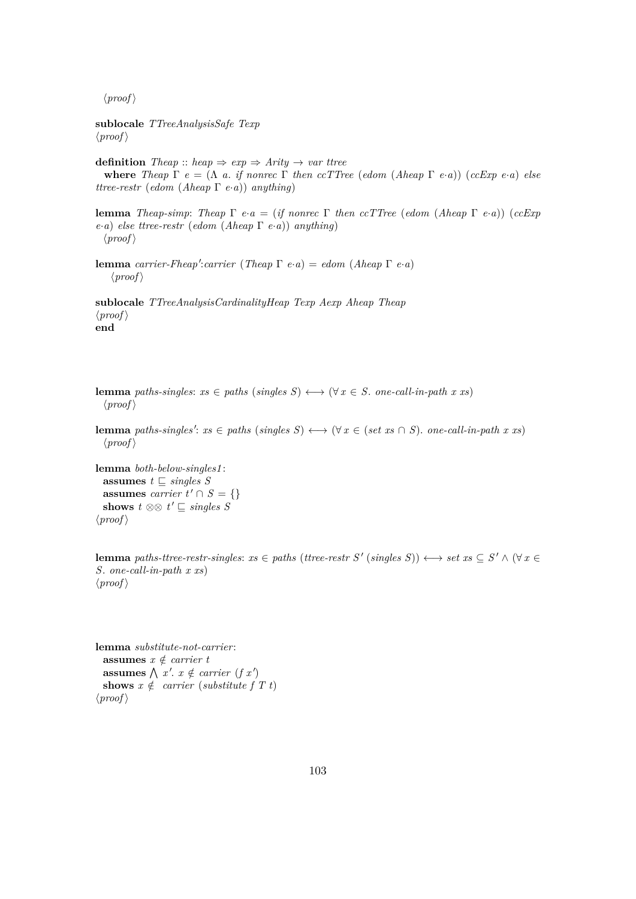**sublocale** *TTreeAnalysisSafe Texp*  $\langle proof \rangle$ 

**definition** *Theap* :: *heap*  $\Rightarrow$  *exp*  $\Rightarrow$  *Arity*  $\rightarrow$  *var ttree* **where** *Theap*  $\Gamma$  *e* = ( $\Lambda$  *a*. *if nonrec*  $\Gamma$  *then ccTTree* (*edom* (*Aheap*  $\Gamma$  *e*·*a*)) (*ccExp e*·*a*) *else ttree-restr* (*edom* (*Aheap* Γ *e*·*a*)) *anything*)

**lemma** *Theap-simp*: *Theap* Γ *e*·*a* = (*if nonrec* Γ *then ccTTree* (*edom* (*Aheap* Γ *e*·*a*)) (*ccExp e*·*a*) *else ttree-restr* (*edom* (*Aheap* Γ *e*·*a*)) *anything*)  $\langle proof \rangle$ 

**lemma** *carrier-Fheap':carrier* (*Theap*  $\Gamma$  *e*·*a*) = *edom* (*Aheap*  $\Gamma$  *e*·*a*)  $\langle proof \rangle$ 

**sublocale** *TTreeAnalysisCardinalityHeap Texp Aexp Aheap Theap*  $\langle proof \rangle$ **end**

**lemma** *paths-singles*:  $xs \in paths$  (*singles S*)  $\longleftrightarrow$  ( $\forall x \in S$ . *one-call-in-path x xs*)  $\langle proof \rangle$ 

**lemma** *paths-singles':*  $xs \in paths$  (*singles*  $S$ )  $\longleftrightarrow$  ( $\forall x \in (set \; xs \cap S)$ . *one-call-in-path*  $x \; xs$ )  $\langle proof \rangle$ 

**lemma** *both-below-singles1* : **assumes**  $t \subseteq \text{singles } S$ **assumes** *carrier*  $t' \cap S = \{\}$ **shows**  $t \otimes \otimes t' \subseteq \text{singles } S$  $\langle proof \rangle$ 

**lemma** *paths-ttree-restr-singles:*  $xs \in paths$  *(ttree-restr S' (singles S))*  $\leftrightarrow set$  $xs \subseteq S' \land (\forall x \in S')$ *S*. *one-call-in-path x xs*)  $\langle proof \rangle$ 

**lemma** *substitute-not-carrier*: **assumes**  $x \notin carrier$  *t* **assumes**  $\bigwedge x'. x \notin carrier (fx')$ **shows**  $x \notin carrier$  (*substitute* f T t)  $\langle proof \rangle$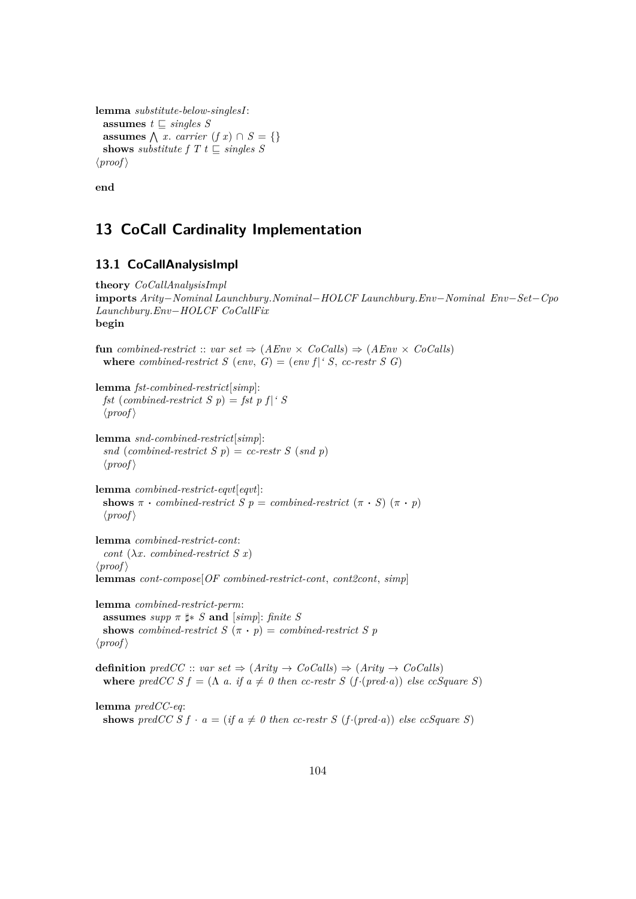```
lemma substitute-below-singlesI:
 assumes t \subseteq \text{singles } Sassumes \bigwedge x. carrier (f x) ∩ S = {}
 shows substitute f T t \subseteq singles S
\langle proof \rangle
```
**end**

# **13 CoCall Cardinality Implementation**

# **13.1 CoCallAnalysisImpl**

```
theory CoCallAnalysisImpl
imports Arity−Nominal Launchbury.Nominal−HOLCF Launchbury.Env−Nominal Env−Set−Cpo
Launchbury.Env−HOLCF CoCallFix
begin
fun combined-restrict :: var set \Rightarrow (AEnv \times CoCalls) \Rightarrow (AEnv \times CoCalls)where combined-restrict S (env, G) = (env f)<sup>\cdot</sup> S, cc-restr S G)
lemma fst-combined-restrict[simp]:
 fst (combined-restrict S p) = fst p f |<sup>'</sup> S
 \langle proof \ranglelemma snd-combined-restrict[simp]:
 snd (combined-restrict S p) = cc-restr S (snd p)
 \langle proof \ranglelemma combined-restrict-eqvt[eqvt]:
 shows \pi \cdot \text{combined-restrict } S p = \text{combined-restrict } (\pi \cdot S) (\pi \cdot p)\langle proof \ranglelemma combined-restrict-cont:
 cont (\lambda x <i>combined-restrict S(x)\langle proof \ranglelemmas cont-compose[OF combined-restrict-cont, cont2cont, simp]
lemma combined-restrict-perm:
 assumes supp \pi \sharp * S and [simp]: finite S
 shows combined-restrict S(\pi \cdot p) = combined-restrict S(p)\langle proof \rangledefinition predCC :: var set \Rightarrow (Arity \rightarrow CoCalls) \Rightarrow (Arity \rightarrow CoCalls)where predCC S f = (\Lambda a. if a \neq 0 then cc-restr S (f-(pred·a)) else ccSquare S)lemma predCC-eq:
 shows predCC S f \cdot a = (if a \neq 0 then cc-restr S (f \cdot (pred \cdot a)) else ccSquare S)
```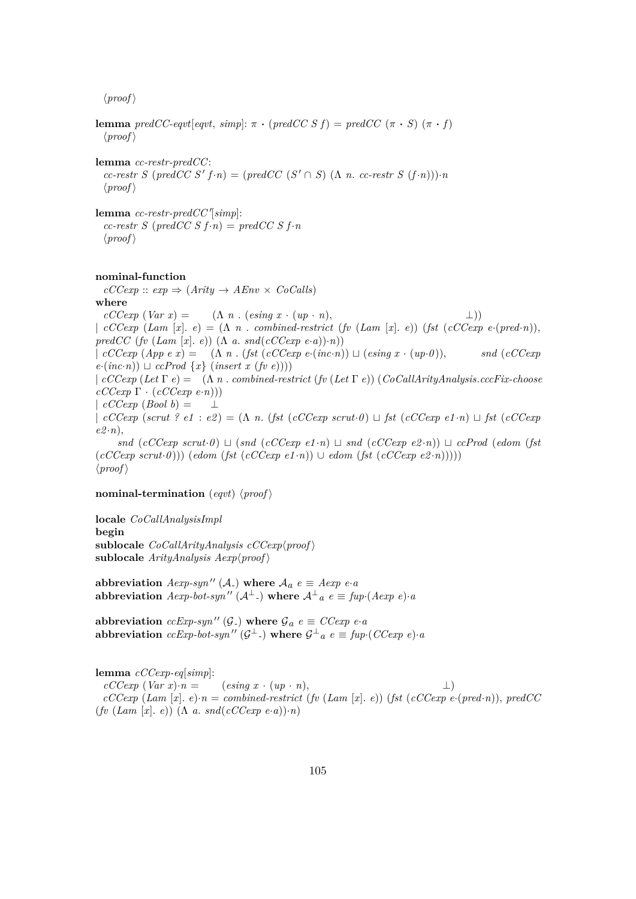**lemma**  $predCC\text{-}eqvt[eqvt, simp]: \pi \cdot (predCCSf) = predCC(\pi \cdot S) (\pi \cdot f)$  $\langle proof \rangle$ 

**lemma** *cc-restr-predCC*:  $cc$ -restr S (predCC S'  $f \cdot n$ ) = (predCC (S'  $\cap$  S) ( $\Lambda$  *n*.  $cc$ -restr S  $(f \cdot n)$ )) $\cdot n$  $\langle proof \rangle$ 

 ${\bf lemma}$  *cc-restr-predCC'*[simp]:  $cc$ -restr S ( $predCC S f \cdot n$ ) =  $predCC S f \cdot n$  $\langle proof \rangle$ 

#### **nominal-function**

 $cCCexp :: exp \Rightarrow (Arity \rightarrow AEnv \times CoCalls)$ **where**  $cCCexp (Var x) = (\Lambda n \cdot (e\sin q x \cdot (up \cdot n)),$  ⊥)) |  $cCCexp(Lam[x], e) = (\Lambda n \cdot combined-restrict(fv(Lam[x], e)) (fst(cCCexp e-(pred \cdot n)),$  $predCC$  ( $fv$  ( $Lam$   $[x]$ .  $e)$ ) ( $\Lambda$  *a*.  $snd(cCCexp e \cdot a)$ ) $\cdot n)$ ) | *cCCexp* (*App e x*) = (Λ *n* . (*fst* (*cCCexp e*·(*inc*·*n*)) t (*esing x* · (*up*·*0* )), *snd* (*cCCexp*  $e \cdot (inc \cdot n)$   $\sqcup$  *ccProd*  $\{x\}$  (*insert x* (*fv e*)))) | *cCCexp* (*Let* Γ *e*) = (Λ *n* . *combined-restrict* (*fv* (*Let* Γ *e*)) (*CoCallArityAnalysis*.*cccFix-choose cCCexp* Γ · (*cCCexp e*·*n*)))  $| cCCexp(Bool b) =$  $\int cCCexp\left(\text{scr}\rho\right)\left(\text{scr}\rho\right)\left(\text{scr}\rho\right)=\left(\Lambda\right)n.$  (fst  $\left(\text{cCCexp}\left(\text{scr}\rho\right)\right)\sqcup\text{fst}\left(\text{cCCexp}\left(\text{e1}\cdot n\right)\sqcup\text{fst}\left(\text{cCCexp}\rho\right)\right)$  $e2\cdot n$ ,  $snd$  (*cCCexp scrut*·*0*)  $\sqcup$  ( $snd$  (*cCCexp e1*·*n*)  $\sqcup$   $snd$  (*cCCexp e2*·*n*))  $\sqcup$  *ccProd* (*edom* (*fst*  $(cCCexp \; scrut·0))$  (*edom* (*fst* (*cCCexp e1* ·*n*)) ∪ *edom* (*fst* (*cCCexp e2* ·*n*)))))  $\langle proof \rangle$ 

#### **nominal-termination** (*eqvt*)  $\langle proof \rangle$

**locale** *CoCallAnalysisImpl* **begin** sublocale  $CoCallArityAnalysis$   $cCCexp(proot)$  $sublocale$  *ArityAnalysis Aexp* $\langle proof \rangle$ 

**abbreviation**  $Aexp-syn''$  (A<sub>-</sub>) where  $A_a e \equiv Aexp e a$  $\bf{a}$ b $\bf{b}$ reviation  $A\exp$ -bot-syn $\prime\prime$  ( $A^{\perp}$ .) where  $A^{\perp}{}_{a}$   $e \equiv \textit{fup} \cdot (A\exp\ e) \cdot a$ 

**abbreviation** *ccExp-syn*" (G<sub>-</sub>) where  $\mathcal{G}_a e \equiv CCexp e \cdot a$  $\text{abbreviation } ccExp\text{-}bot\text{-}syn''(\mathcal{G}^{\perp})\text{ where }\mathcal{G}^{\perp}{}_{a}e\equiv \text{fup}\cdot (CCexp\ e)\cdot a$ 

**lemma** *cCCexp-eq*[*simp*]:  $cCCexp\left(Var x\right) \cdot n = \left( e\sin q \ x \cdot (up \cdot n), \right)$  ⊥)  $cCCexp(Lam[x], e) \cdot n = combined-restrict(fv(Lam[x], e))$  (*fst*  $(cCCexp(e(pred \cdot n))$ ,  $predCC$  $(fv \ (Lam [x], e)) \ (\Lambda \ a. \ and (cCCexp [e \cdot a]) \cdot n)$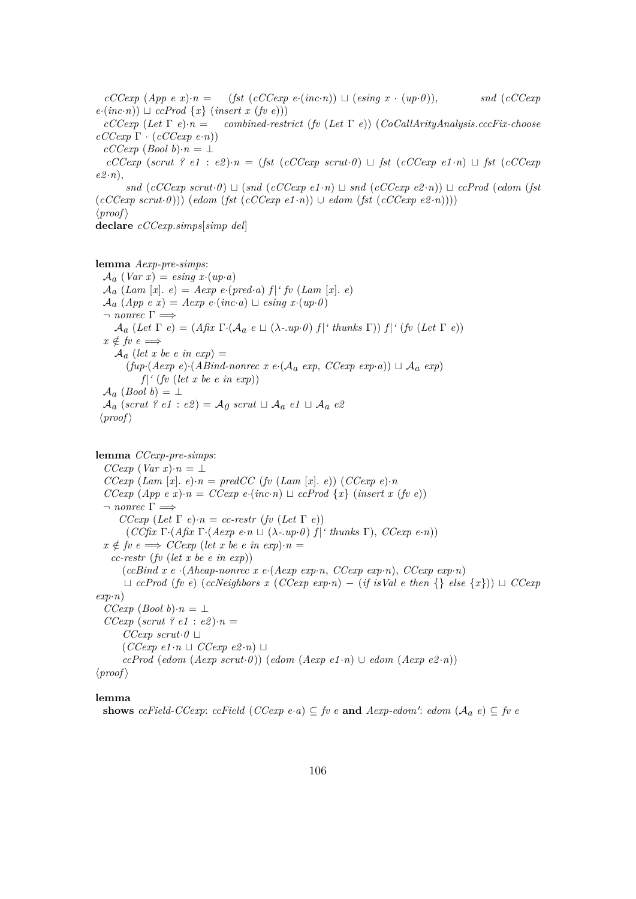$cCCexp(App e x) \cdot n = (fst (cCCexp e \cdot (inc \cdot n)) \sqcup (esing x \cdot (up \cdot 0)),$  *snd* (*cCCexp*  $e \cdot (inc \cdot n)$   $\sqcup$  *ccProd*  $\{x\}$  (*insert x* (*fv e*))) *cCCexp* (*Let* Γ *e*)·*n* = *combined-restrict* (*fv* (*Let* Γ *e*)) (*CoCallArityAnalysis*.*cccFix-choose cCCexp* Γ · (*cCCexp e*·*n*))  $cCCexp$  (*Bool b*)· $n = \perp$  $cCCexp$  ( $scrut$  ?  $e1$  :  $e2) \cdot n = (fst \ (cCCexp \, scrut \cdot 0) \sqcup \, \text{fst} \ (cCCexp \, e1 \cdot n) \sqcup \, \text{fst} \ (cCCexp \, e2 \cdot n) \sqcup \, \text{fst} \, (cCCexp \, e1 \cdot n) \sqcup \, \text{fst} \, (cCCexp \, e1 \cdot n) \sqcup \, \text{fst} \, (cCCexp \, e1 \cdot n) \sqcup \, \text{fst} \, (cCCexp \, e1 \cdot n) \sqcup \, \text{fst} \, (cCCexp \, e2 \cdot n) \sqcup \, \text{fst}$  $e2 \cdot n$ ,  $snd$  (*cCCexp scrut*·*0*)  $\sqcup$  ( $snd$  (*cCCexp e1*·*n*)  $\sqcup$   $snd$  (*cCCexp e2*·*n*))  $\sqcup$  *ccProd* (*edom* (*fst*  $(cCCexp \, scrut·\theta))$  (*edom* (*fst* (*cCCexp e1* ·*n*)) ∪ *edom* (*fst* (*cCCexp e2* ·*n*))))  $\langle proof \rangle$ **declare** *cCCexp*.*simps*[*simp del*]

**lemma** *Aexp-pre-simps*:

 $A_a$  (*Var x*) = *esing x*·(*up*·*a*)  $\mathcal{A}_a$  (*Lam* [*x*]. *e*) = *Aexp e*·(*pred*·*a*)  $f$  | *' fv* (*Lam* [*x*]. *e*)  $\mathcal{A}_a$  (*App e x*) = *Aexp e*·(*inc*·*a*)  $\sqcup$  *esing x*·(*up*·*0*)  $\lnot$  *nonrec*  $\Gamma \Longrightarrow$  $\mathcal{A}_a$  (*Let*  $\Gamma$  *e*) = (*Afix*  $\Gamma$ ·( $\mathcal{A}_a$  *e*  $\sqcup$  ( $\lambda$ -*.up*·*0*)  $f$  |' *thunks*  $\Gamma$ ))  $f$  |' (*fv* (*Let*  $\Gamma$  *e*))  $x \notin f \circ e \implies$  $\mathcal{A}_a$  (let x be e in exp) =  $(fup \cdot (Aexp \ e) \cdot (ABind-nonrec \ x \ e \cdot (A_a \ exp, \ CCexp \ exp \ aip) \ \sqcup \ A_a \ exp)$  $f$ <sup> $\mid$ </sup> (*fv* (*let x be e in exp*))  $A_a$  (*Bool* b) =  $\perp$  $\mathcal{A}_a$  (*scrut* ? *e1* : *e2*) =  $\mathcal{A}_0$  *scrut*  $\sqcup$   $\mathcal{A}_a$  *e1*  $\sqcup$   $\mathcal{A}_a$  *e2*  $\langle proof \rangle$ 

**lemma** *CCexp-pre-simps*:  $CCexp$  (*Var x*)·*n* = ⊥ *CCexp* (*Lam* [*x*].  $e) \cdot n = predCC$  (*fv* (*Lam* [*x*].  $e)$ ) (*CCexp e*) $\cdot n$ *CCexp*  $(App e x) \cdot n = CCexp e \cdot (inc \cdot n) \sqcup cCProd \{x\}$  (*insert x* (*fv e*))  $\neg$  *nonrec*  $\Gamma \implies$ *CCexp* (*Let*  $\Gamma$  *e*)·*n* = *cc-restr* (*fv* (*Let*  $\Gamma$  *e*))  $(CC$ *fix*  $\Gamma \cdot (Afix \Gamma \cdot (Aexp \ e \cdot n \perp (\lambda \cdot up \cdot 0) f)'$  thunks  $\Gamma)$ ,  $CCexp \ e \cdot n)$  $x \notin \textit{fv} \ e \Longrightarrow \textit{CC} \exp \ (\textit{let} \ x \ \textit{be} \ e \ \textit{in} \ \textit{exp}) \cdot n =$ *cc-restr* (*fv* (*let x be e in exp*)) (*ccBind x e* ·(*Aheap-nonrec x e*·(*Aexp exp*·*n*, *CCexp exp*·*n*), *CCexp exp*·*n*)  $\sqcup$  *ccProd* (*fv e*) (*ccNeighbors x* (*CCexp exp⋅n*) – (*if isVal e then* {} *else* {*x*}))  $\sqcup$  *CCexp exp*·*n*) *CCexp* (*Bool b*)·*n* = ⊥  $CCexp$  (*scrut* ? *e1* : *e2*) $\cdot n =$  $CCexp\;scr\theta \sqcup$  $(CCexp e1 \cdot n \perp CCexp e2 \cdot n) \perp$  $ccProd$   $(edom (Aexp scrut·0))$   $(edom (Aexp e1·n) \cup edom (Aexp e2·n))$  $\langle proof \rangle$ 

#### **lemma**

**shows** *ccField-CCexp*: *ccField* (*CCexp*  $e \cdot a$ )  $\subseteq$  *fv*  $e$  **and**  $Aexp\text{-}edom'$ :  $edom(A_a e) \subseteq fv e$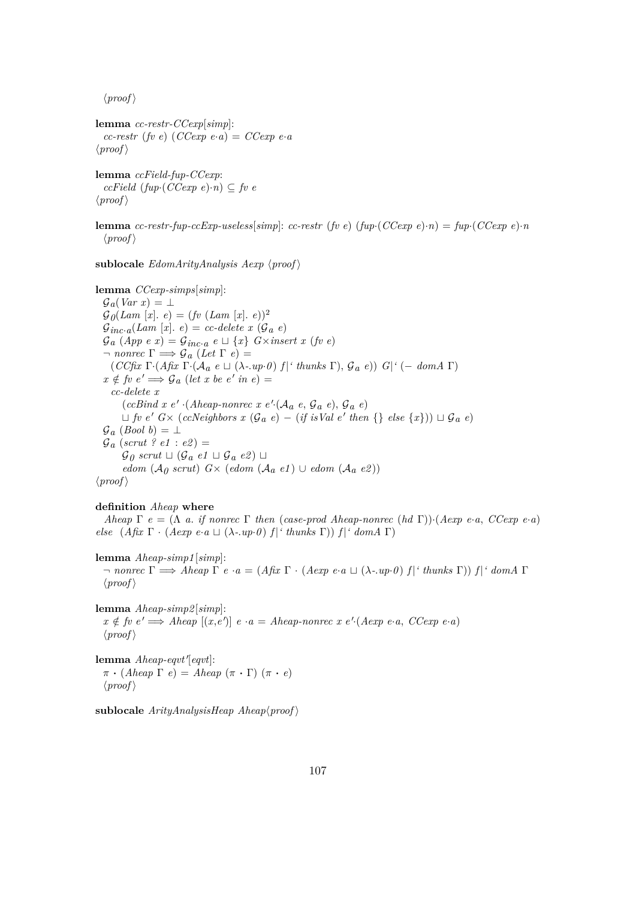```
lemma cc-restr-CCexp[simp]:
  cc-restr (fv e) (CCexp e·a) = CCexp e·a
\langle proof \rangle
```
**lemma** *ccField-fup-CCexp*:  $ccField (fup (CCexp e) \cdot n) \subseteq fv e$  $\langle proof \rangle$ 

**lemma** *cc-restr-fup-ccExp-useless*[ $simp$ ]: *cc-restr* (*fv e*) ( $fup$ ) ( $CCexp$  e)·*n*) =  $fup$ ) ( $CCexp$  e)·*n*  $\langle proof \rangle$ 

sublocale  $EdomArityAnalysis$   $Aexp$   $\langle proof \rangle$ 

**lemma** *CCexp-simps*[*simp*]:  $\mathcal{G}_a(Var\ x) = \bot$  $G_{\theta}(Lam [x], e) = (fv (Lam [x], e))^2$  $\mathcal{G}_{inc \cdot a}(Lam [x], e) = cc \cdot delete \; x \; (\mathcal{G}_a \; e)$  $\mathcal{G}_a$  (*App e x*) =  $\mathcal{G}_{inc\cdot a}$  *e*  $\sqcup$  {*x*} *G*×*insert x* (*fv e*)  $\lnot$  *nonrec*  $\Gamma \Longrightarrow \mathcal{G}_a$  (Let  $\Gamma$  e) =  $(CC$ fix  $\Gamma \cdot (A$ fix  $\Gamma \cdot (A_a e \sqcup (\lambda \cdot \textit{up} \cdot \theta) f | \textit{'thunks } \Gamma), \mathcal{G}_a e)$ )  $G | \textit{'} (-dom A \Gamma)$  $x \notin$  *fv*  $e' \Longrightarrow$   $\mathcal{G}_a$  (*let x be*  $e'$  *in*  $e$ ) = *cc-delete x*  $(ccBind x e' \cdot (Aheap-nonrec x e' \cdot (A_a e, \mathcal{G}_a e), \mathcal{G}_a e)$  $\Box$  *fv*  $e'$   $G \times (c$ *ccNeighbors*  $x$  ( $\mathcal{G}_a$   $e) - (if$  *isVal*  $e'$  *then* {} *else* { $x$ }))  $\Box$   $\mathcal{G}_a$   $e$ )  $\mathcal{G}_a$  (*Bool b*) =  $\perp$  $\mathcal{G}_a$  (*scrut ? e1* : *e2*) =  $\mathcal{G}_{\theta}$  scrut  $\Box$  ( $\mathcal{G}_{a}$  *e1*  $\Box$   $\mathcal{G}_{a}$  *e2*)  $\Box$ *edom* ( $A_0$  *scrut*) *G*× (*edom* ( $A_a$  *e1*) ∪ *edom* ( $A_a$  *e2*))  $\langle proof \rangle$ 

#### **definition** *Aheap* **where**

*Aheap*  $\Gamma$  *e* = ( $\Lambda$  *a*. *if nonrec*  $\Gamma$  *then* (*case-prod Aheap-nonrec* (*hd*  $\Gamma$ ))·(*Aexp e*·*a*, *CCexp e*·*a*) *else*  $(A \text{fix } \Gamma \cdot (A \text{exp } e \cdot a \sqcup (\lambda \cdot \text{up} \cdot \theta) f |^t \text{thus } \Gamma) f |^t \text{dom} A \Gamma)$ 

**lemma** *Aheap-simp1* [*simp*]: ¬ *nonrec* Γ =⇒ *Aheap* Γ *e* ·*a* = (*Afix* Γ · (*Aexp e*·*a* t (λ*-*.*up*·*0* ) *f* |*' thunks* Γ)) *f* |*' domA* Γ  $\langle proof \rangle$ 

**lemma** *Aheap-simp2* [*simp*]:  $x \notin \text{fv } e' \Longrightarrow \text{A} \text{heap } [(x, e')] \ e \cdot a = \text{A} \text{heap-nonrec } x \ e'.(\text{A} \exp \ e \cdot a, \text{CC} \exp \ e \cdot a)$  $\langle proof \rangle$ 

lemma *Aheap-eqvt'*[eqvt]:  $\pi \cdot (A \cdot P \cap \Gamma) = A \cdot P \cdot (\pi \cdot P)$  $\langle proof \rangle$ 

 $sublocale$  *ArityAnalysisHeap Aheap* $\langle proof \rangle$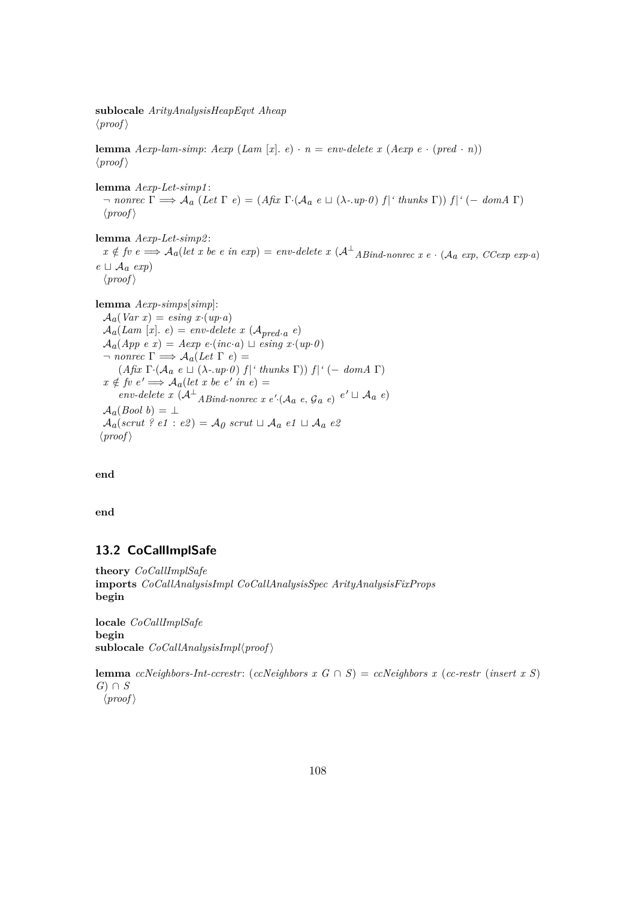**sublocale** *ArityAnalysisHeapEqvt Aheap*  $\langle proof \rangle$ 

**lemma**  $Aexp$ -lam-simp:  $Aexp$  ( $Lam [x], e) \cdot n = env\text{-}delete x (Aexp e \cdot (pred \cdot n))$  $\langle proof \rangle$ 

**lemma** *Aexp-Let-simp1* :  $\rightarrow$  *nonrec*  $\Gamma \implies \mathcal{A}_a$  (*Let*  $\Gamma e$ ) = (*Afix*  $\Gamma \cdot (\mathcal{A}_a e \sqcup (\lambda \cdot \textit{up} \cdot \theta) f |^{\text{th}} t \text{ in } \mathbb{R}$   $\Gamma$ ))  $f |^{\text{th}}$  (− *domA*  $\Gamma$ )  $\langle proof \rangle$ 

**lemma** *Aexp-Let-simp2* :  $x \notin \textit{fv } e \Longrightarrow A_a(\textit{let } x \textit{ be } e \textit{ in } \textit{exp}) = \textit{env-delete } x \left(A^\perp_{AB\textit{ind-nonrec}} x \textit{ e } \cdot (\textit{A}_a \textit{ exp}, \textit{CCexp } \textit{exp} \cdot a) \right)$  $e \sqcup \mathcal{A}_a$  *exp*)  $\langle proof \rangle$ 

**lemma** *Aexp-simps*[*simp*]:

 $A_a(Var\ x) = e\sin q\ x \cdot (up\cdot a)$  $A_a(Lam [x], e) = env\text{-}delete x (\mathcal{A}_{pred \cdot a} e)$  $A_a$ (*App e x*) = *Aexp e*·(*inc*·*a*)  $\sqcup$  *esing x*·(*up*·*0*)  $\lnot$  *nonrec*  $\Gamma \Longrightarrow A_a(Let \Gamma e) =$  $(A$ *fix*  $\Gamma$ *·* $(A_a e \sqcup (\lambda$ *-.up·0* $)$ *f* $|'$ *thunks*  $\Gamma$  $))$ *f* $|'(-\text{dom} A \Gamma)$  $x \notin f v e' \Longrightarrow A_a(\text{let } x \text{ be } e' \text{ in } e) =$  $env\text{-}delete\ x\ (\mathcal{A}^{\perp} \text{ }ABind\text{-}nonrec\ x\ e' \cdot (\mathcal{A}^{\perp} \text{ }e, \mathcal{G}^{\perp} \text{ }e) \ e' \sqcup \mathcal{A}^{\perp} \text{ }e)$  $A_a(Bool b) = \perp$  $A_a$ (*scrut* ? *e1* : *e2*) =  $A_0$  *scrut*  $\sqcup A_a$  *e1*  $\sqcup A_a$  *e2*  $\langle proof \rangle$ 

**end**

**end**

### **13.2 CoCallImplSafe**

**theory** *CoCallImplSafe* **imports** *CoCallAnalysisImpl CoCallAnalysisSpec ArityAnalysisFixProps* **begin**

**locale** *CoCallImplSafe* **begin**  $sublocale$  *CoCallAnalysisImpl* $\langle proof \rangle$ 

**lemma** *ccNeighbors-Int-ccrestr:* (*ccNeighbors x G* ∩ *S*) = *ccNeighbors x* (*cc-restr* (*insert x S*) *G*) ∩ *S*  $\langle proof \rangle$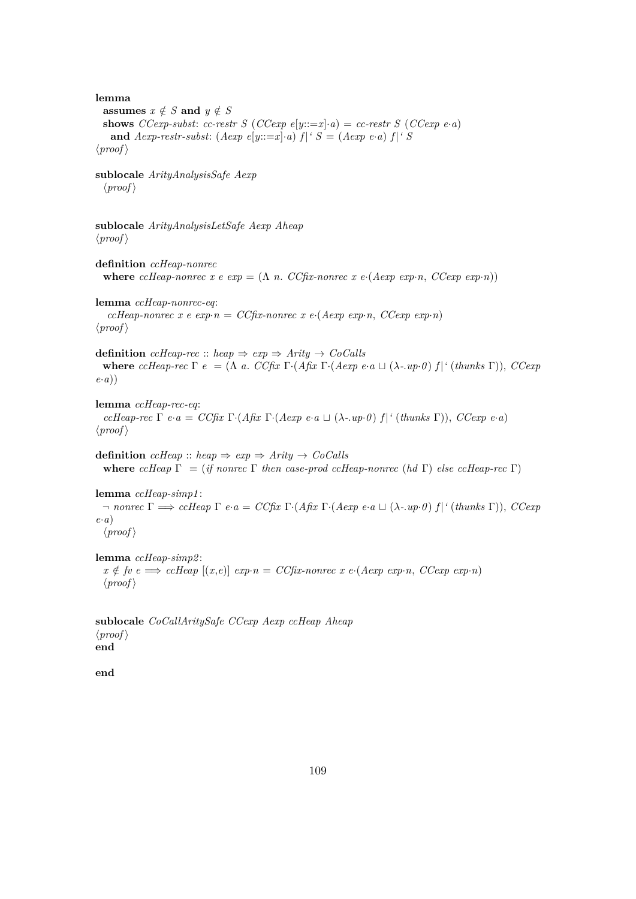**lemma assumes**  $x \notin S$  **and**  $y \notin S$ **shows** *CCexp-subst: cc-restr S* (*CCexp e*[*y*: $=x$ ]·*a*) = *cc-restr S* (*CCexp e*·*a*) and *Aexp-restr-subst*:  $(Aexp e[y ::= x] \cdot a) f |' S = (Aexp e \cdot a) f |' S$  $\langle proof \rangle$ **sublocale** *ArityAnalysisSafe Aexp*  $\langle proof \rangle$ **sublocale** *ArityAnalysisLetSafe Aexp Aheap*  $\langle proof \rangle$ **definition** *ccHeap-nonrec* **where** *ccHeap-nonrec*  $x \in exp = (\Lambda n \cdot CCF_1 x \cdot nonrec \cdot x \cdot e \cdot (Aexp \cdot exp \cdot n \cdot CCexp \cdot exp \cdot n))$ **lemma** *ccHeap-nonrec-eq*: *ccHeap-nonrec x e exp* $\cdot$ *n* = *CCfix-nonrec x e* $\cdot$ (*Aexp exp* $\cdot$ *n*, *CCexp exp* $\cdot$ *n*)  $\langle proof \rangle$ **definition** *ccHeap-rec* :: *heap*  $\Rightarrow$  *exp*  $\Rightarrow$  *Arity*  $\rightarrow$  *CoCalls* **where** *ccHeap-rec*  $\Gamma$  *e* = ( $\Lambda$  *a*. *CCfix*  $\Gamma$ ·(*Afix*  $\Gamma$ ·(*Aexp e*·*a*  $\sqcup$  ( $\lambda$ -*.up*·*0*)  $f$ |<sup>*'*</sup> (*thunks*  $\Gamma$ )), *CCexp e*·*a*)) **lemma** *ccHeap-rec-eq*: *ccHeap-rec* Γ *e*·*a* = *CCfix* Γ·(*Afix* Γ·(*Aexp e*·*a*  $\sqcup$  (λ-*.up*·*0*) *f* | ' (*thunks* Γ)), *CCexp e*·*a*)  $\langle proof \rangle$ **definition**  $c$ *cHeap* :: *heap*  $\Rightarrow$  *exp*  $\Rightarrow$  *Arity*  $\rightarrow$  *CoCalls* **where**  $ccHeap \Gamma = (if \ nonrec \Gamma \ then \ case\text{-}prod \ cHeap-nonrec \ (hd \Gamma) \ else \ ccHeap-rec \Gamma)$ **lemma** *ccHeap-simp1* : ¬ *nonrec* Γ =⇒ *ccHeap* Γ *e*·*a* = *CCfix* Γ·(*Afix* Γ·(*Aexp e*·*a* t (λ*-*.*up*·*0* ) *f* |*'* (*thunks* Γ)), *CCexp e*·*a*)  $\langle proof \rangle$ **lemma** *ccHeap-simp2* :  $x \notin \text{fv } e \implies \text{ccHeap } [(x,e)] \text{ } exp \cdot n = \text{CCfix-nonrec } x \text{ } e \cdot (\text{Aexp } exp \cdot n, \text{ CCexp } exp \cdot n)$  $\langle proof \rangle$ **sublocale** *CoCallAritySafe CCexp Aexp ccHeap Aheap*  $\langle proof \rangle$ **end**

**end**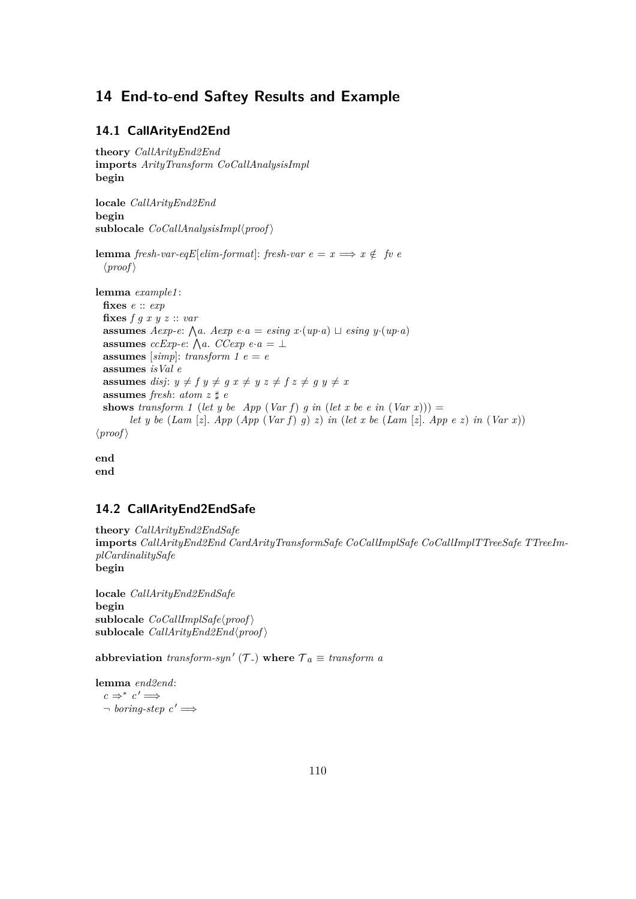# **14 End-to-end Saftey Results and Example**

### **14.1 CallArityEnd2End**

```
theory CallArityEnd2End
imports ArityTransform CoCallAnalysisImpl
begin
locale CallArityEnd2End
begin
sublocale CoCallAnalysisImpl\langle proof \ranglelemma fresh-var-eqE[elim-format]: fresh-var e = x \implies x \notin f v e\langle proof \ranglelemma example1 :
 fixes e :: exp
 fixes f g x y z :: var
  assumes Aexp-e: \bigwedge a. Aexp e·a = esing x·(up·a) \sqcup esing y·(up·a)
  assumes ccExp-e: \bigwedge a. CCexp e·a = \botassumes [simp]: transform 1 e = eassumes isVal e
 assumes disj: y \neq f y \neq g x \neq y z \neq f z \neq g y \neq xassumes fresh: atom z \sharp eshows transform 1 (let y be App (Var f) g in (let x be e in (Var x))) =
        let y be (Lam [z]. App (App (Var f) g) z) in (let x be (Lam [z]. App e z) in (Var x))
\langle proof \rangleend
```
**end**

### **14.2 CallArityEnd2EndSafe**

**theory** *CallArityEnd2EndSafe* **imports** *CallArityEnd2End CardArityTransformSafe CoCallImplSafe CoCallImplTTreeSafe TTreeImplCardinalitySafe* **begin**

**locale** *CallArityEnd2EndSafe* **begin**  $sublocale$  *CoCallImplSafe* $\langle proof \rangle$  $sublocale$  *CallArityEnd2End* $\langle proof \rangle$ 

abbreviation *transform-syn'*  $(\mathcal{T})$  where  $\mathcal{T}_a \equiv$  *transform a* 

**lemma** *end2end*:  $c \Rightarrow^* c' \Longrightarrow$  $\lnot$  *boring-step*  $c' \implies$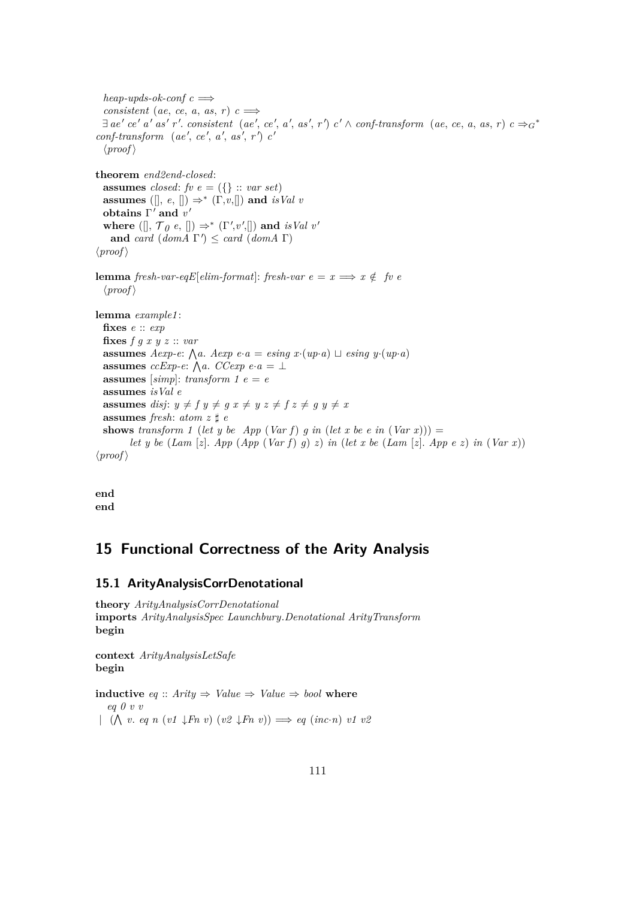$heap\text{-}upds\text{-}ok\text{-}conf c \implies$ *consistent* (*ae*, *ce*, *a*, *as*, *r*)  $c \implies$  $\exists$  ae' ce' a' as' r'. consistent (ae', ce', a', as', r') c'  $\land$  conf-transform (ae, ce, a, as, r)  $c \Rightarrow_{G} f$  $\text{conf-transform} \text{ (ae', ce', a', as', r')} c'$  $\langle proof \rangle$ **theorem** *end2end-closed*: **assumes** *closed*: *fv*  $e = (\{\}$  :: *var set*) **assumes** ([ $\vert$ , *e*, [])  $\Rightarrow^*$  ( $\Gamma$ ,*v*,[]) **and** *isVal v* obtains  $\Gamma'$  and  $v'$ where  $([\,], \mathcal{T}_0 \in \mathcal{E} \cup \mathcal{E}^* \in \mathcal{E} \setminus \mathcal{E} \setminus \mathcal{E} \setminus \mathcal{E} \setminus \mathcal{E} \setminus \mathcal{E} \setminus \mathcal{E} \setminus \mathcal{E} \setminus \mathcal{E} \setminus \mathcal{E} \setminus \mathcal{E} \setminus \mathcal{E} \setminus \mathcal{E} \setminus \mathcal{E} \setminus \mathcal{E} \setminus \mathcal{E} \setminus \mathcal{E} \setminus \mathcal{E} \setminus \mathcal{E} \setminus \mathcal{E} \setminus \mathcal{E$ and *card* (*domA*  $\Gamma'$ )  $\leq$  *card* (*domA*  $\Gamma$ )  $\langle proof \rangle$ **lemma** *fresh-var-eqE*<sup>[</sup>*elim-format*]: *fresh-var*  $e = x \implies x \notin f v e$  $\langle proof \rangle$ **lemma** *example1* : **fixes** *e* :: *exp* **fixes** *f g x y z* :: *var* **assumes** *Aexp-e*:  $\bigwedge a$ . *Aexp e*·*a* = *esing x*·(*up*·*a*)  $\sqcup$  *esing y*·(*up*·*a*) **assumes** *ccExp-e*:  $\bigwedge a$ . *CCexp e*·*a* =  $\perp$ **assumes** [ $simp$ ]: *transform* 1  $e = e$ **assumes** *isVal e* **assumes** *disj*:  $y \neq f$   $y \neq g$   $x \neq y$   $z \neq f$   $z \neq g$   $y \neq x$ **assumes** *fresh*:  $atom z \sharp e$ **shows** *transform* 1 (*let y be App* (*Var f*) *g in* (*let x be e in* (*Var x*))) = *let y be* (*Lam* [*z*]. *App* (*App* (*Var f*) *g*) *z*) *in* (*let x be* (*Lam* [*z*]. *App e z*) *in* (*Var x*))  $\langle proof \rangle$ 

**end end**

## **15 Functional Correctness of the Arity Analysis**

#### **15.1 ArityAnalysisCorrDenotational**

**theory** *ArityAnalysisCorrDenotational* **imports** *ArityAnalysisSpec Launchbury*.*Denotational ArityTransform* **begin**

**context** *ArityAnalysisLetSafe* **begin**

**inductive** *eq* :: *Arity*  $\Rightarrow$  *Value*  $\Rightarrow$  *Value*  $\Rightarrow$  *bool* where *eq 0 v v*  $( (\bigwedge v. \, eq \, n \, (v1 \downarrow Fn \, v) \, (v2 \downarrow Fn \, v)) \Longrightarrow eq \, (inc \cdot n) \, v1 \, v2$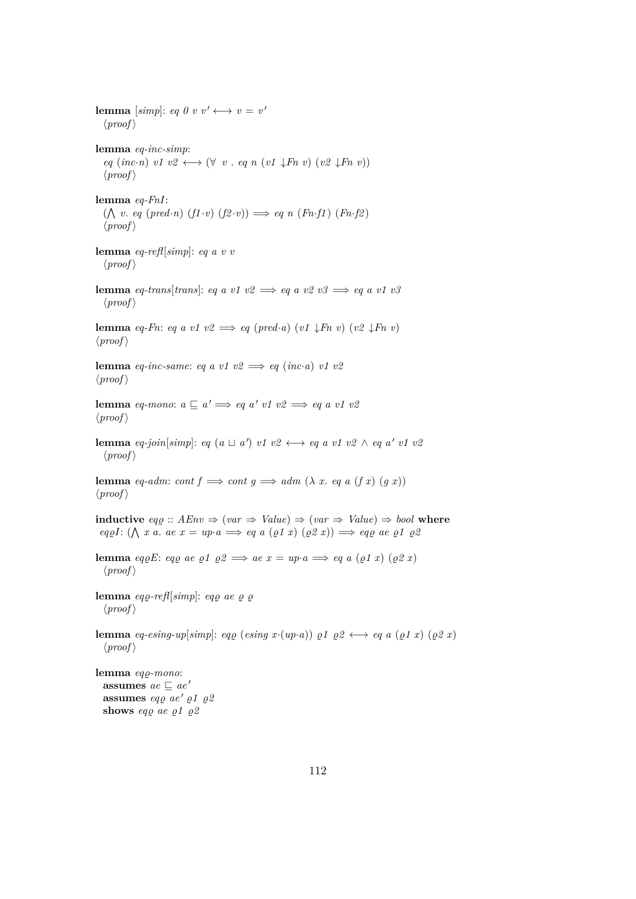**lemma** [simp]: *eq 0 v v'*  $\longleftrightarrow v = v'$  $\langle proof \rangle$ **lemma** *eq-inc-simp*:  $eq (inc \cdot n) v1 v2 \leftrightarrow (\forall v \cdot eq \ n (v1 \downarrow Fn v) (v2 \downarrow Fn v))$  $\langle proof \rangle$ **lemma** *eq-FnI*:  $(\bigwedge v. \text{ } eq \text{ } (pred \cdot n) \text{ } (f1 \cdot v) \text{ } (f2 \cdot v)) \implies eq \text{ } n \text{ } (Fn \cdot f1) \text{ } (Fn \cdot f2)$  $\langle proof \rangle$ **lemma** *eq-refl*[*simp*]: *eq a v v*  $\langle proof \rangle$ **lemma** *eq-trans*[*trans*]: *eq a v1 v2*  $\implies$  *eq a v2 v3*  $\implies$  *eq a v1 v3*  $\langle proof \rangle$ **lemma** *eq-Fn*: *eq a v1 v2*  $\implies$  *eq (pred·a) (v1*  $\downarrow$ *Fn v) (v2*  $\downarrow$ *Fn v)*  $\langle proof \rangle$ **lemma** *eq-inc-same*: *eq a v1 v2*  $\implies$  *eq (inc-a) v1 v2*  $\langle proof \rangle$ **lemma** *eq-mono*:  $a \sqsubseteq a' \Longrightarrow eq \ a' \ v1 \ v2 \Longrightarrow eq \ a \ v1 \ v2$  $\langle proof \rangle$ **lemma** *eq-join*[*simp*]: *eq* (*a*  $\sqcup$  *a'*) *v1 v2*  $\longleftrightarrow$  *eq a v1 v2*  $\land$  *eq a' v1 v2*  $\langle proof \rangle$ **lemma** *eq-adm*: *cont*  $f \implies cont \ g \implies adm \ (\lambda \ x. \ eq \ a \ (f \ x) \ (g \ x))$  $\langle proof \rangle$ **inductive**  $eq\rho :: AEnv \Rightarrow (var \Rightarrow Value) \Rightarrow (var \Rightarrow Value) \Rightarrow boolean$  $eq\varrho I: (\bigwedge x \text{ a. ae } x = \text{ up} \cdot a \Longrightarrow eq \text{ a } (\varrho 1 \text{ x}) (\varrho 2 \text{ x})) \Longrightarrow eq\varrho \text{ ae } \varrho 1 \text{ g2}$ **lemma** *eq*<sub>*o*</sub>E: *eq*<sub>*o*</sub> *ae*  $\rho$ *1*  $\rho$ 2  $\implies$  *ae*  $x = up \cdot a \implies eq$  *a* ( $\rho$ *1 x*) ( $\rho$ 2 *x*)  $\langle proof \rangle$ **lemma**  $eq\rho$ -refl<sup>[simp]</sup>:  $eq\rho$  *ae*  $\rho$   $\rho$  $\langle proof \rangle$ **lemma** *eq-esing-up*[*simp*]: *eq e* (*esing x*·(*up*·*a*))  $\rho$ *1*  $\rho$ 2  $\leftrightarrow$  *eq a* ( $\rho$ *1 x*) ( $\rho$ 2 *x*)  $\langle proof \rangle$ **lemma** *eq<sub>Q</sub>-mono*: **assumes**  $ae \sqsubset ae'$ **assumes** *eq<sub>0</sub> ae*  $'$  *p1*  $\rho$ 2

**shows** eqp ae  $\rho 1 \rho 2$